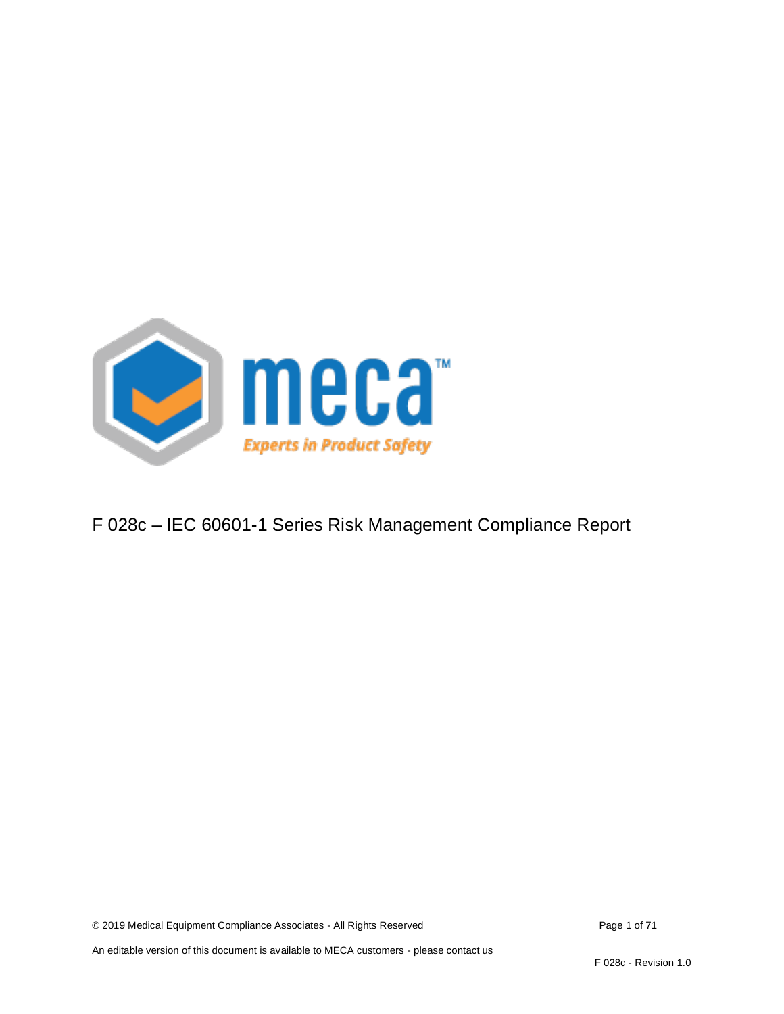

## F 028c – IEC 60601-1 Series Risk Management Compliance Report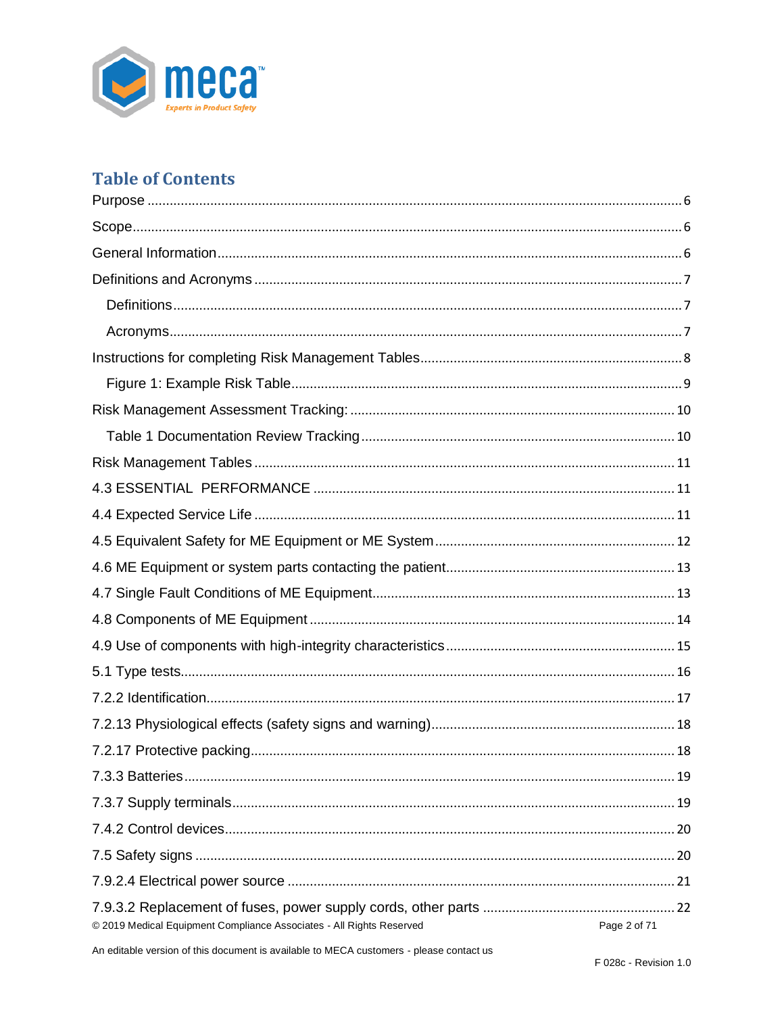

# **Table of Contents**

| © 2019 Medical Equipment Compliance Associates - All Rights Reserved<br>Page 2 of 71 |
|--------------------------------------------------------------------------------------|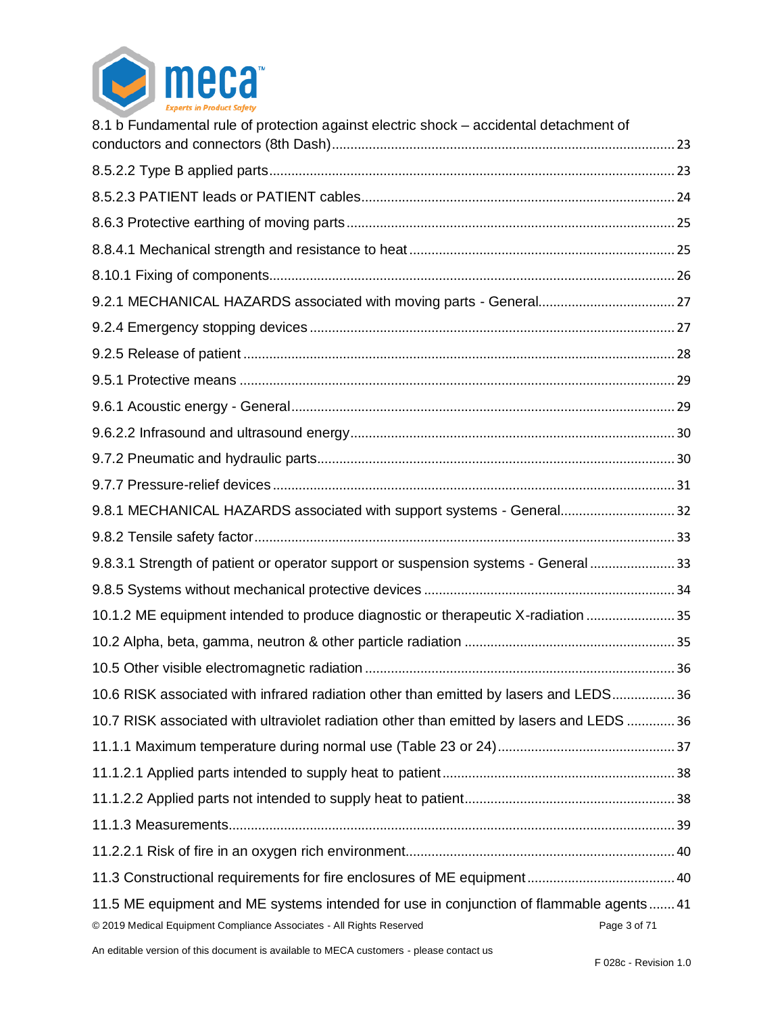

| 8.1 b Fundamental rule of protection against electric shock - accidental detachment of                                                                         |              |
|----------------------------------------------------------------------------------------------------------------------------------------------------------------|--------------|
|                                                                                                                                                                |              |
|                                                                                                                                                                |              |
|                                                                                                                                                                |              |
|                                                                                                                                                                |              |
|                                                                                                                                                                |              |
|                                                                                                                                                                |              |
|                                                                                                                                                                |              |
|                                                                                                                                                                |              |
|                                                                                                                                                                |              |
|                                                                                                                                                                |              |
|                                                                                                                                                                |              |
|                                                                                                                                                                |              |
|                                                                                                                                                                |              |
| 9.8.1 MECHANICAL HAZARDS associated with support systems - General32                                                                                           |              |
|                                                                                                                                                                |              |
| 9.8.3.1 Strength of patient or operator support or suspension systems - General  33                                                                            |              |
|                                                                                                                                                                |              |
| 10.1.2 ME equipment intended to produce diagnostic or therapeutic X-radiation  35                                                                              |              |
|                                                                                                                                                                |              |
|                                                                                                                                                                |              |
| 10.6 RISK associated with infrared radiation other than emitted by lasers and LEDS 36                                                                          |              |
| 10.7 RISK associated with ultraviolet radiation other than emitted by lasers and LEDS  36                                                                      |              |
|                                                                                                                                                                |              |
|                                                                                                                                                                |              |
|                                                                                                                                                                |              |
|                                                                                                                                                                |              |
|                                                                                                                                                                |              |
|                                                                                                                                                                |              |
| 11.5 ME equipment and ME systems intended for use in conjunction of flammable agents41<br>© 2019 Medical Equipment Compliance Associates - All Rights Reserved | Page 3 of 71 |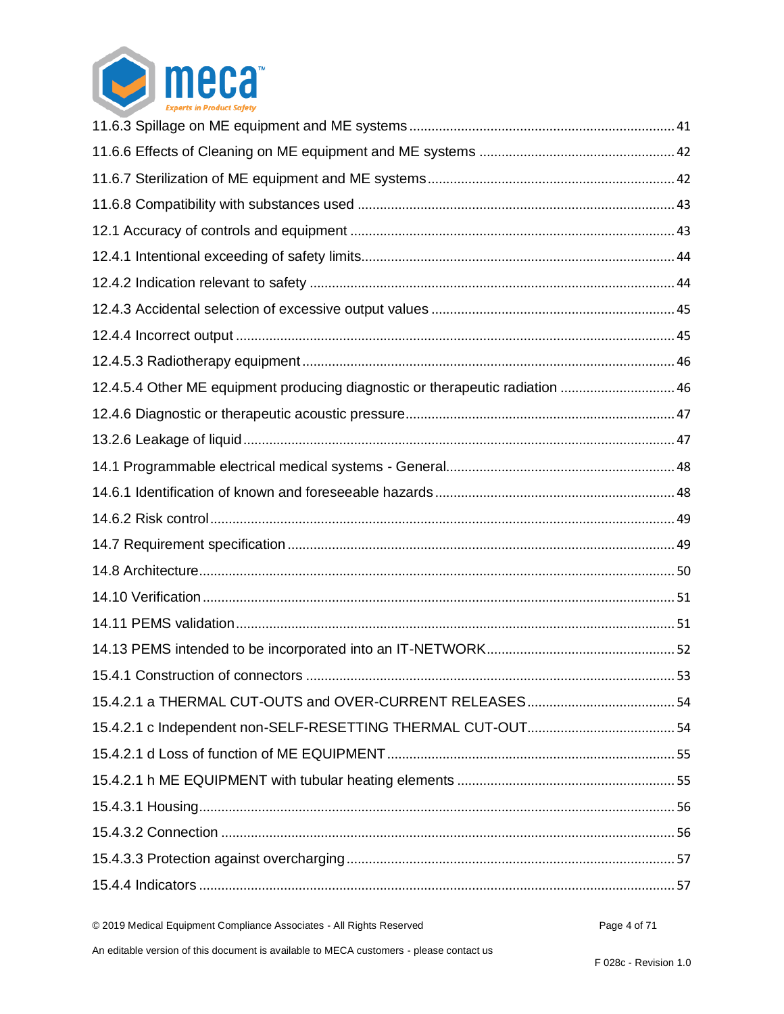

| 12.4.5.4 Other ME equipment producing diagnostic or therapeutic radiation  46 |  |
|-------------------------------------------------------------------------------|--|
|                                                                               |  |
|                                                                               |  |
|                                                                               |  |
|                                                                               |  |
|                                                                               |  |
|                                                                               |  |
|                                                                               |  |
|                                                                               |  |
|                                                                               |  |
|                                                                               |  |
|                                                                               |  |
|                                                                               |  |
|                                                                               |  |
|                                                                               |  |
|                                                                               |  |
|                                                                               |  |
|                                                                               |  |
|                                                                               |  |
|                                                                               |  |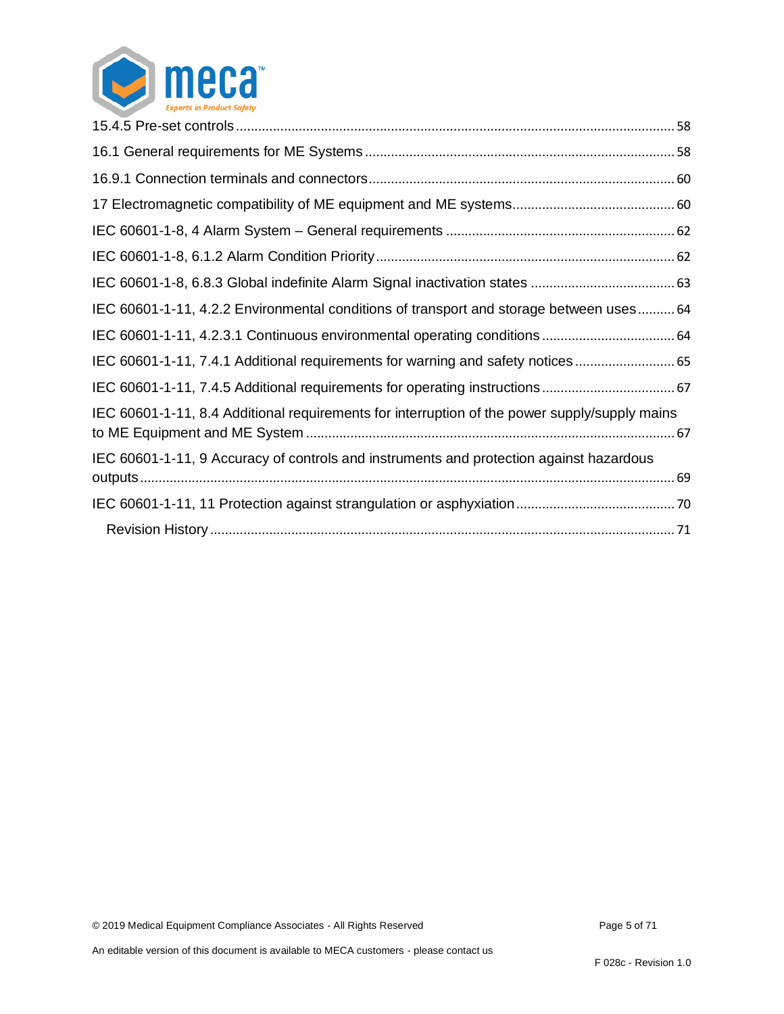

| IEC 60601-1-11, 4.2.2 Environmental conditions of transport and storage between uses 64       |  |
|-----------------------------------------------------------------------------------------------|--|
|                                                                                               |  |
| IEC 60601-1-11, 7.4.1 Additional requirements for warning and safety notices                  |  |
|                                                                                               |  |
| IEC 60601-1-11, 8.4 Additional requirements for interruption of the power supply/supply mains |  |
| IEC 60601-1-11, 9 Accuracy of controls and instruments and protection against hazardous       |  |
|                                                                                               |  |
|                                                                                               |  |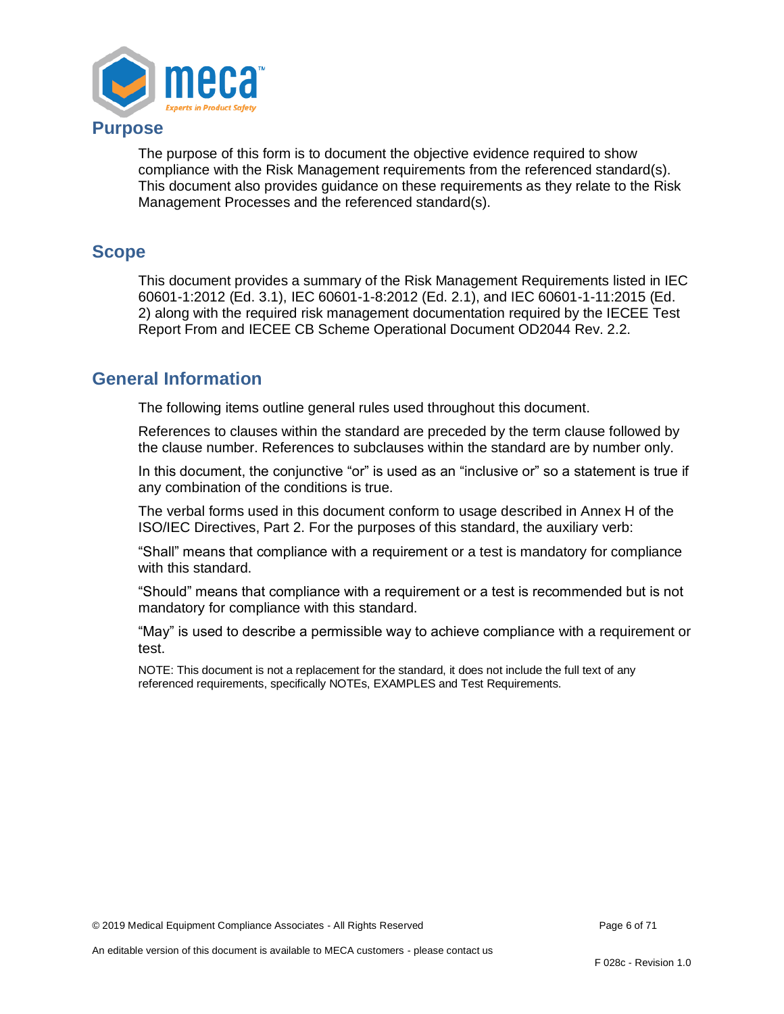

#### <span id="page-5-0"></span>**Purpose**

The purpose of this form is to document the objective evidence required to show compliance with the Risk Management requirements from the referenced standard(s). This document also provides guidance on these requirements as they relate to the Risk Management Processes and the referenced standard(s).

#### <span id="page-5-1"></span>**Scope**

This document provides a summary of the Risk Management Requirements listed in IEC 60601-1:2012 (Ed. 3.1), IEC 60601-1-8:2012 (Ed. 2.1), and IEC 60601-1-11:2015 (Ed. 2) along with the required risk management documentation required by the IECEE Test Report From and IECEE CB Scheme Operational Document OD2044 Rev. 2.2.

### <span id="page-5-2"></span>**General Information**

The following items outline general rules used throughout this document.

References to clauses within the standard are preceded by the term clause followed by the clause number. References to subclauses within the standard are by number only.

In this document, the conjunctive "or" is used as an "inclusive or" so a statement is true if any combination of the conditions is true.

The verbal forms used in this document conform to usage described in Annex H of the ISO/IEC Directives, Part 2. For the purposes of this standard, the auxiliary verb:

"Shall" means that compliance with a requirement or a test is mandatory for compliance with this standard.

"Should" means that compliance with a requirement or a test is recommended but is not mandatory for compliance with this standard.

"May" is used to describe a permissible way to achieve compliance with a requirement or test.

NOTE: This document is not a replacement for the standard, it does not include the full text of any referenced requirements, specifically NOTEs, EXAMPLES and Test Requirements.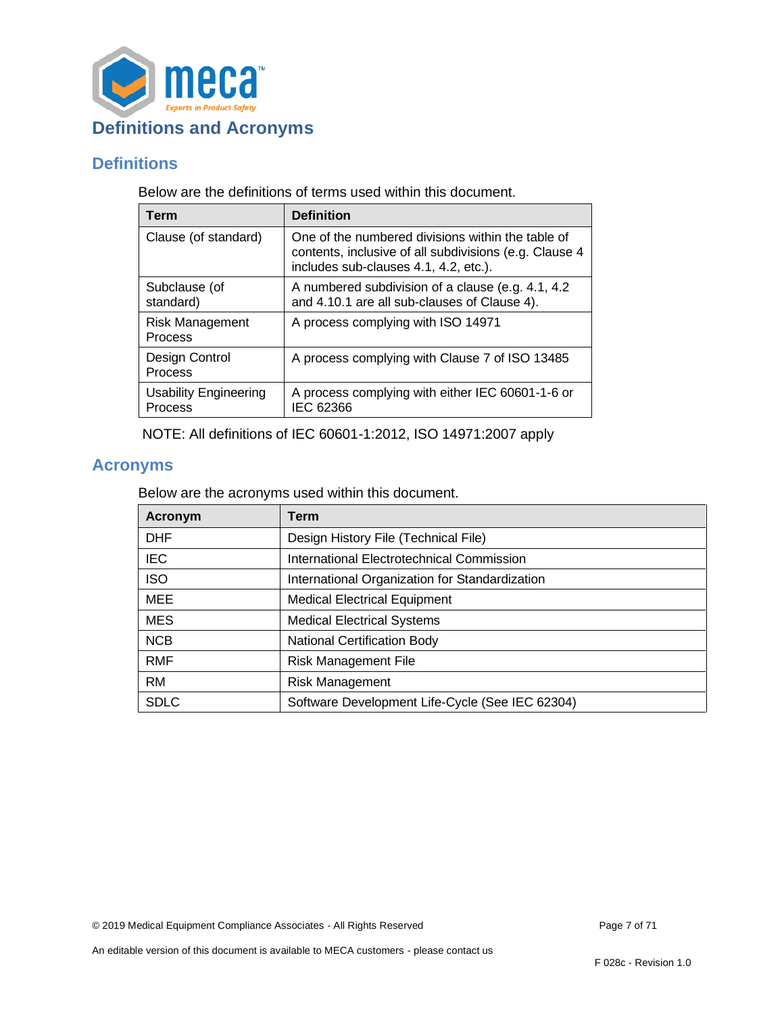

### <span id="page-6-1"></span><span id="page-6-0"></span>**Definitions**

Below are the definitions of terms used within this document.

| Term                                    | <b>Definition</b>                                                                                                                                    |
|-----------------------------------------|------------------------------------------------------------------------------------------------------------------------------------------------------|
| Clause (of standard)                    | One of the numbered divisions within the table of<br>contents, inclusive of all subdivisions (e.g. Clause 4<br>includes sub-clauses 4.1, 4.2, etc.). |
| Subclause (of<br>standard)              | A numbered subdivision of a clause (e.g. 4.1, 4.2)<br>and 4.10.1 are all sub-clauses of Clause 4).                                                   |
| <b>Risk Management</b><br>Process       | A process complying with ISO 14971                                                                                                                   |
| Design Control<br>Process               | A process complying with Clause 7 of ISO 13485                                                                                                       |
| <b>Usability Engineering</b><br>Process | A process complying with either IEC 60601-1-6 or<br>IEC 62366                                                                                        |

NOTE: All definitions of IEC 60601-1:2012, ISO 14971:2007 apply

## <span id="page-6-2"></span>**Acronyms**

Below are the acronyms used within this document.

| Acronym     | Term                                            |
|-------------|-------------------------------------------------|
| <b>DHF</b>  | Design History File (Technical File)            |
| IEC.        | International Electrotechnical Commission       |
| <b>ISO</b>  | International Organization for Standardization  |
| <b>MEE</b>  | <b>Medical Electrical Equipment</b>             |
| <b>MES</b>  | <b>Medical Electrical Systems</b>               |
| <b>NCB</b>  | <b>National Certification Body</b>              |
| <b>RMF</b>  | <b>Risk Management File</b>                     |
| <b>RM</b>   | Risk Management                                 |
| <b>SDLC</b> | Software Development Life-Cycle (See IEC 62304) |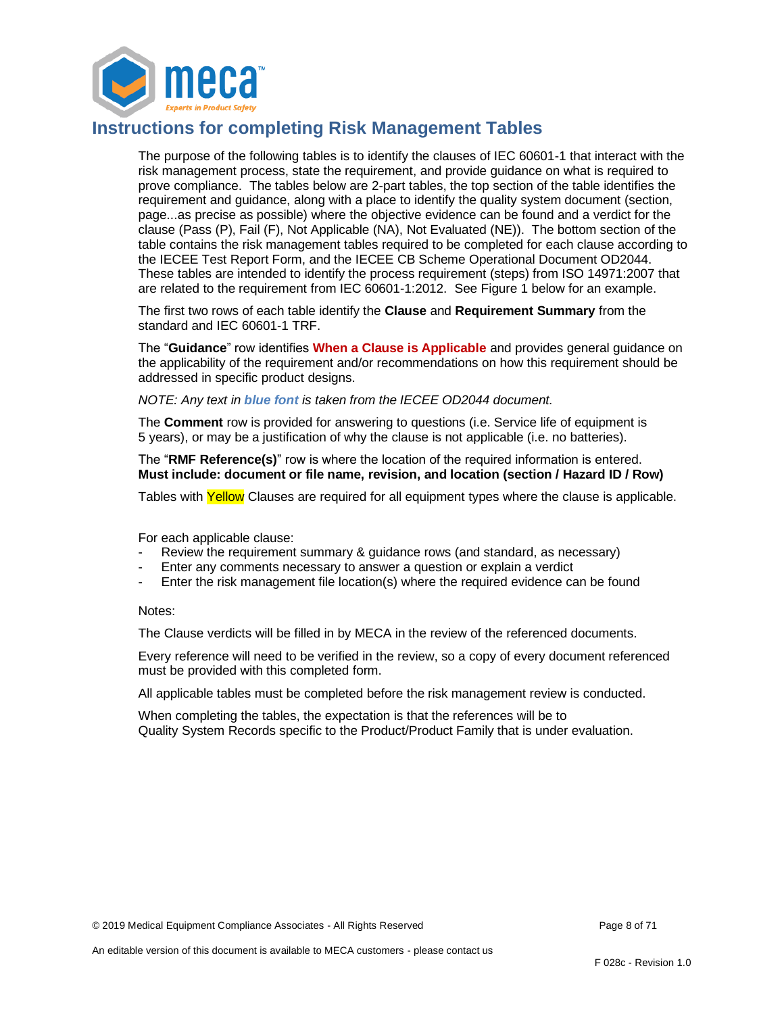

### <span id="page-7-0"></span>**Instructions for completing Risk Management Tables**

The purpose of the following tables is to identify the clauses of IEC 60601-1 that interact with the risk management process, state the requirement, and provide guidance on what is required to prove compliance. The tables below are 2-part tables, the top section of the table identifies the requirement and guidance, along with a place to identify the quality system document (section, page...as precise as possible) where the objective evidence can be found and a verdict for the clause (Pass (P), Fail (F), Not Applicable (NA), Not Evaluated (NE)). The bottom section of the table contains the risk management tables required to be completed for each clause according to the IECEE Test Report Form, and the IECEE CB Scheme Operational Document OD2044. These tables are intended to identify the process requirement (steps) from ISO 14971:2007 that are related to the requirement from IEC 60601-1:2012. See Figure 1 below for an example.

The first two rows of each table identify the **Clause** and **Requirement Summary** from the standard and IEC 60601-1 TRF.

The "**Guidance**" row identifies **When a Clause is Applicable** and provides general guidance on the applicability of the requirement and/or recommendations on how this requirement should be addressed in specific product designs.

*NOTE: Any text in blue font is taken from the IECEE OD2044 document.*

The **Comment** row is provided for answering to questions (i.e. Service life of equipment is 5 years), or may be a justification of why the clause is not applicable (i.e. no batteries).

The "**RMF Reference(s)**" row is where the location of the required information is entered. **Must include: document or file name, revision, and location (section / Hazard ID / Row)**

Tables with Yellow Clauses are required for all equipment types where the clause is applicable.

For each applicable clause:

- Review the requirement summary & guidance rows (and standard, as necessary)
- Enter any comments necessary to answer a question or explain a verdict
- Enter the risk management file location(s) where the required evidence can be found

#### Notes:

The Clause verdicts will be filled in by MECA in the review of the referenced documents.

Every reference will need to be verified in the review, so a copy of every document referenced must be provided with this completed form.

All applicable tables must be completed before the risk management review is conducted.

When completing the tables, the expectation is that the references will be to Quality System Records specific to the Product/Product Family that is under evaluation.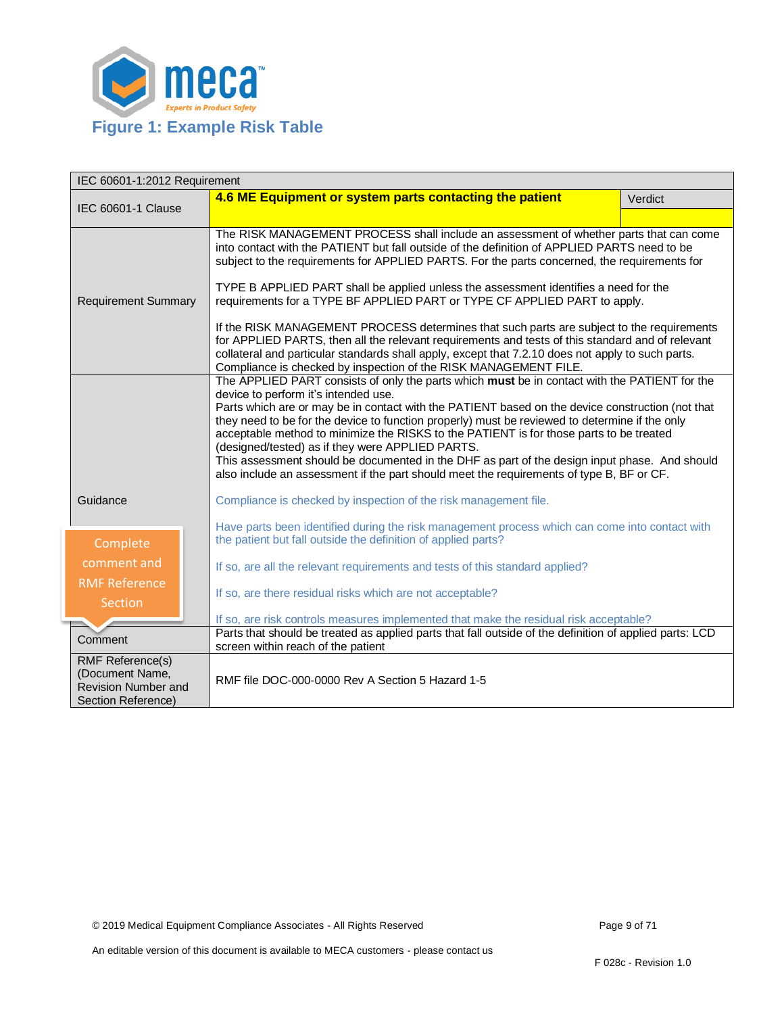

<span id="page-8-0"></span>

| IEC 60601-1:2012 Requirement                                                                   |                                                                                                                                                                                                                                                                                                                                                                                                                                                                                                                                                                                                                                                                                                                                                                                                                                       |         |  |
|------------------------------------------------------------------------------------------------|---------------------------------------------------------------------------------------------------------------------------------------------------------------------------------------------------------------------------------------------------------------------------------------------------------------------------------------------------------------------------------------------------------------------------------------------------------------------------------------------------------------------------------------------------------------------------------------------------------------------------------------------------------------------------------------------------------------------------------------------------------------------------------------------------------------------------------------|---------|--|
| <b>IEC 60601-1 Clause</b>                                                                      | 4.6 ME Equipment or system parts contacting the patient                                                                                                                                                                                                                                                                                                                                                                                                                                                                                                                                                                                                                                                                                                                                                                               | Verdict |  |
|                                                                                                |                                                                                                                                                                                                                                                                                                                                                                                                                                                                                                                                                                                                                                                                                                                                                                                                                                       |         |  |
| <b>Requirement Summary</b>                                                                     | The RISK MANAGEMENT PROCESS shall include an assessment of whether parts that can come<br>into contact with the PATIENT but fall outside of the definition of APPLIED PARTS need to be<br>subject to the requirements for APPLIED PARTS. For the parts concerned, the requirements for<br>TYPE B APPLIED PART shall be applied unless the assessment identifies a need for the<br>requirements for a TYPE BF APPLIED PART or TYPE CF APPLIED PART to apply.<br>If the RISK MANAGEMENT PROCESS determines that such parts are subject to the requirements<br>for APPLIED PARTS, then all the relevant requirements and tests of this standard and of relevant<br>collateral and particular standards shall apply, except that 7.2.10 does not apply to such parts.<br>Compliance is checked by inspection of the RISK MANAGEMENT FILE. |         |  |
|                                                                                                |                                                                                                                                                                                                                                                                                                                                                                                                                                                                                                                                                                                                                                                                                                                                                                                                                                       |         |  |
| Guidance                                                                                       | The APPLIED PART consists of only the parts which must be in contact with the PATIENT for the<br>device to perform it's intended use.<br>Parts which are or may be in contact with the PATIENT based on the device construction (not that<br>they need to be for the device to function properly) must be reviewed to determine if the only<br>acceptable method to minimize the RISKS to the PATIENT is for those parts to be treated<br>(designed/tested) as if they were APPLIED PARTS.<br>This assessment should be documented in the DHF as part of the design input phase. And should<br>also include an assessment if the part should meet the requirements of type B, BF or CF.                                                                                                                                               |         |  |
|                                                                                                | Compliance is checked by inspection of the risk management file.<br>Have parts been identified during the risk management process which can come into contact with                                                                                                                                                                                                                                                                                                                                                                                                                                                                                                                                                                                                                                                                    |         |  |
| Complete                                                                                       | the patient but fall outside the definition of applied parts?                                                                                                                                                                                                                                                                                                                                                                                                                                                                                                                                                                                                                                                                                                                                                                         |         |  |
| comment and                                                                                    | If so, are all the relevant requirements and tests of this standard applied?                                                                                                                                                                                                                                                                                                                                                                                                                                                                                                                                                                                                                                                                                                                                                          |         |  |
| <b>RMF Reference</b><br><b>Section</b>                                                         | If so, are there residual risks which are not acceptable?                                                                                                                                                                                                                                                                                                                                                                                                                                                                                                                                                                                                                                                                                                                                                                             |         |  |
|                                                                                                | If so, are risk controls measures implemented that make the residual risk acceptable?                                                                                                                                                                                                                                                                                                                                                                                                                                                                                                                                                                                                                                                                                                                                                 |         |  |
| Comment                                                                                        | Parts that should be treated as applied parts that fall outside of the definition of applied parts: LCD<br>screen within reach of the patient                                                                                                                                                                                                                                                                                                                                                                                                                                                                                                                                                                                                                                                                                         |         |  |
| <b>RMF Reference(s)</b><br>(Document Name,<br><b>Revision Number and</b><br>Section Reference) | RMF file DOC-000-0000 Rev A Section 5 Hazard 1-5                                                                                                                                                                                                                                                                                                                                                                                                                                                                                                                                                                                                                                                                                                                                                                                      |         |  |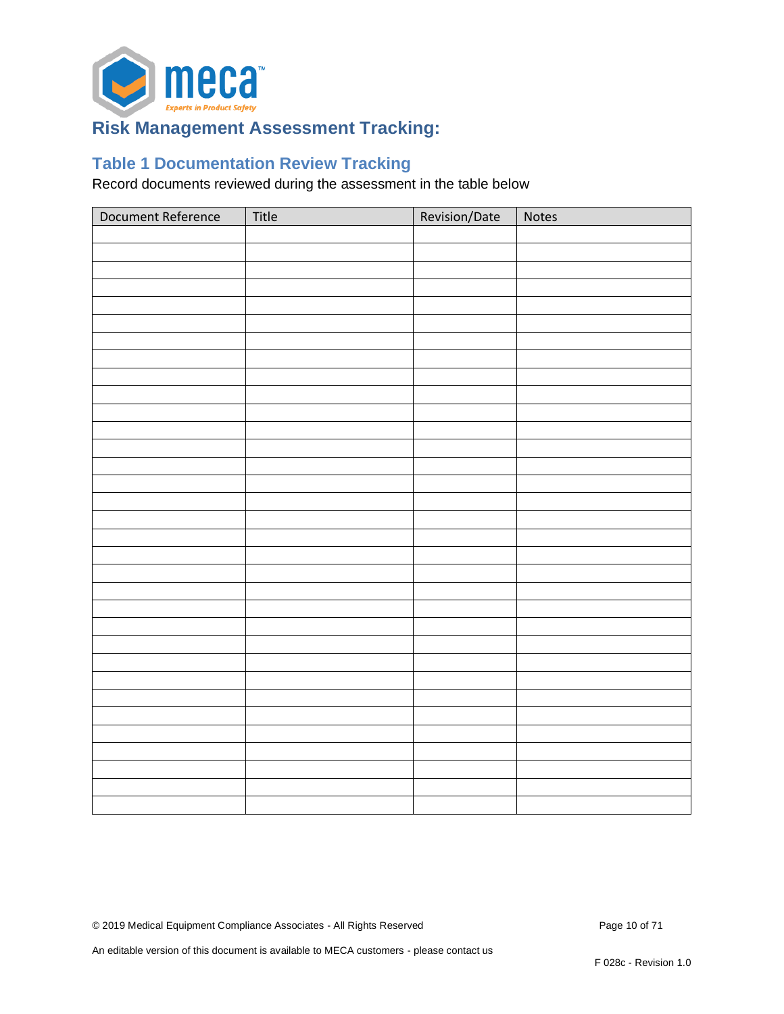

## <span id="page-9-0"></span>**Risk Management Assessment Tracking:**

## <span id="page-9-1"></span>**Table 1 Documentation Review Tracking**

Record documents reviewed during the assessment in the table below

| Document Reference | Title | Revision/Date | Notes |
|--------------------|-------|---------------|-------|
|                    |       |               |       |
|                    |       |               |       |
|                    |       |               |       |
|                    |       |               |       |
|                    |       |               |       |
|                    |       |               |       |
|                    |       |               |       |
|                    |       |               |       |
|                    |       |               |       |
|                    |       |               |       |
|                    |       |               |       |
|                    |       |               |       |
|                    |       |               |       |
|                    |       |               |       |
|                    |       |               |       |
|                    |       |               |       |
|                    |       |               |       |
|                    |       |               |       |
|                    |       |               |       |
|                    |       |               |       |
|                    |       |               |       |
|                    |       |               |       |
|                    |       |               |       |
|                    |       |               |       |
|                    |       |               |       |
|                    |       |               |       |
|                    |       |               |       |
|                    |       |               |       |
|                    |       |               |       |
|                    |       |               |       |
|                    |       |               |       |
|                    |       |               |       |
|                    |       |               |       |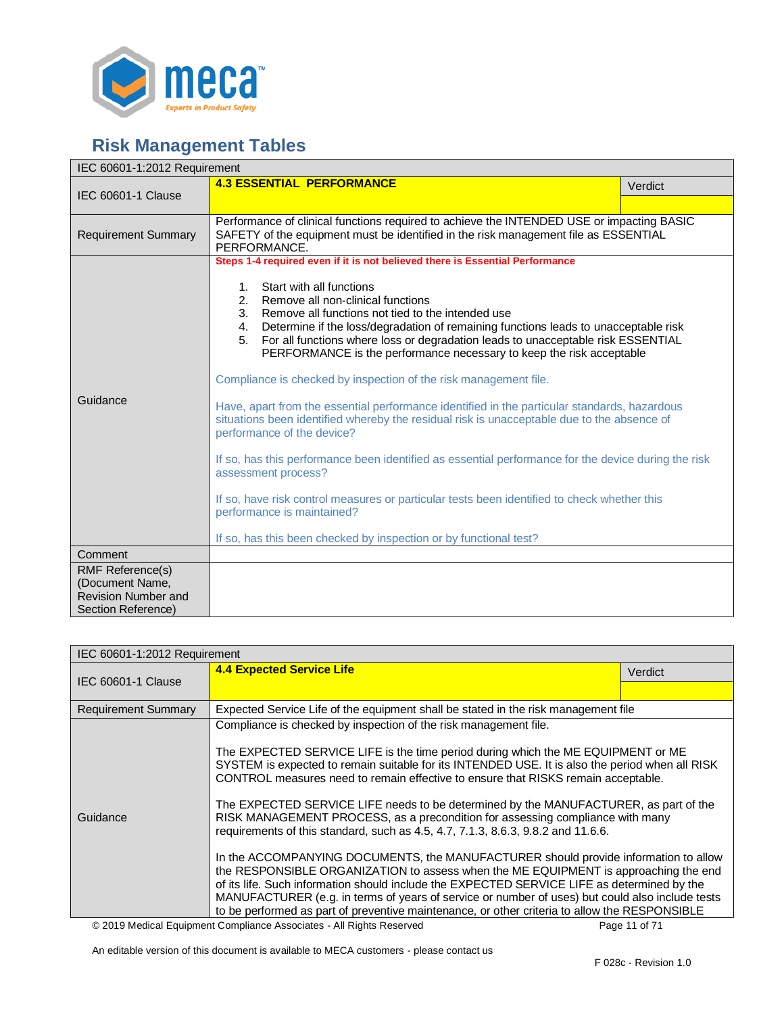

# <span id="page-10-1"></span><span id="page-10-0"></span>**Risk Management Tables**

| IEC 60601-1:2012 Requirement                                                                   |                                                                                                                                                                                                                                                                                                                                                                                                                                                                                                                                                                                                                                                                                                                                                                                                                                                                                                                            |         |  |
|------------------------------------------------------------------------------------------------|----------------------------------------------------------------------------------------------------------------------------------------------------------------------------------------------------------------------------------------------------------------------------------------------------------------------------------------------------------------------------------------------------------------------------------------------------------------------------------------------------------------------------------------------------------------------------------------------------------------------------------------------------------------------------------------------------------------------------------------------------------------------------------------------------------------------------------------------------------------------------------------------------------------------------|---------|--|
| <b>IEC 60601-1 Clause</b>                                                                      | <b>4.3 ESSENTIAL PERFORMANCE</b>                                                                                                                                                                                                                                                                                                                                                                                                                                                                                                                                                                                                                                                                                                                                                                                                                                                                                           | Verdict |  |
|                                                                                                |                                                                                                                                                                                                                                                                                                                                                                                                                                                                                                                                                                                                                                                                                                                                                                                                                                                                                                                            |         |  |
| <b>Requirement Summary</b>                                                                     | Performance of clinical functions required to achieve the INTENDED USE or impacting BASIC<br>SAFETY of the equipment must be identified in the risk management file as ESSENTIAL<br>PERFORMANCE.                                                                                                                                                                                                                                                                                                                                                                                                                                                                                                                                                                                                                                                                                                                           |         |  |
| Guidance                                                                                       | Steps 1-4 required even if it is not believed there is Essential Performance<br>Start with all functions<br>$1_{\cdot}$<br>Remove all non-clinical functions<br>2.<br>3.<br>Remove all functions not tied to the intended use<br>Determine if the loss/degradation of remaining functions leads to unacceptable risk<br>4.<br>5.<br>For all functions where loss or degradation leads to unacceptable risk ESSENTIAL<br>PERFORMANCE is the performance necessary to keep the risk acceptable<br>Compliance is checked by inspection of the risk management file.<br>Have, apart from the essential performance identified in the particular standards, hazardous<br>situations been identified whereby the residual risk is unacceptable due to the absence of<br>performance of the device?<br>If so, has this performance been identified as essential performance for the device during the risk<br>assessment process? |         |  |
|                                                                                                | If so, have risk control measures or particular tests been identified to check whether this<br>performance is maintained?<br>If so, has this been checked by inspection or by functional test?                                                                                                                                                                                                                                                                                                                                                                                                                                                                                                                                                                                                                                                                                                                             |         |  |
| Comment                                                                                        |                                                                                                                                                                                                                                                                                                                                                                                                                                                                                                                                                                                                                                                                                                                                                                                                                                                                                                                            |         |  |
| <b>RMF Reference(s)</b><br>(Document Name,<br><b>Revision Number and</b><br>Section Reference) |                                                                                                                                                                                                                                                                                                                                                                                                                                                                                                                                                                                                                                                                                                                                                                                                                                                                                                                            |         |  |

<span id="page-10-2"></span>

| IEC 60601-1:2012 Requirement |                                                                                                                                                                                                                                                                                                                                                                                                                                                                                                                                                                                                                                                                                                                                                                                                                                                                                                                                                                                                                                                                                            |         |  |
|------------------------------|--------------------------------------------------------------------------------------------------------------------------------------------------------------------------------------------------------------------------------------------------------------------------------------------------------------------------------------------------------------------------------------------------------------------------------------------------------------------------------------------------------------------------------------------------------------------------------------------------------------------------------------------------------------------------------------------------------------------------------------------------------------------------------------------------------------------------------------------------------------------------------------------------------------------------------------------------------------------------------------------------------------------------------------------------------------------------------------------|---------|--|
|                              | <b>4.4 Expected Service Life</b>                                                                                                                                                                                                                                                                                                                                                                                                                                                                                                                                                                                                                                                                                                                                                                                                                                                                                                                                                                                                                                                           | Verdict |  |
| IEC 60601-1 Clause           |                                                                                                                                                                                                                                                                                                                                                                                                                                                                                                                                                                                                                                                                                                                                                                                                                                                                                                                                                                                                                                                                                            |         |  |
| <b>Requirement Summary</b>   | Expected Service Life of the equipment shall be stated in the risk management file                                                                                                                                                                                                                                                                                                                                                                                                                                                                                                                                                                                                                                                                                                                                                                                                                                                                                                                                                                                                         |         |  |
| Guidance                     | Compliance is checked by inspection of the risk management file.<br>The EXPECTED SERVICE LIFE is the time period during which the ME EQUIPMENT or ME<br>SYSTEM is expected to remain suitable for its INTENDED USE. It is also the period when all RISK<br>CONTROL measures need to remain effective to ensure that RISKS remain acceptable.<br>The EXPECTED SERVICE LIFE needs to be determined by the MANUFACTURER, as part of the<br>RISK MANAGEMENT PROCESS, as a precondition for assessing compliance with many<br>requirements of this standard, such as 4.5, 4.7, 7.1.3, 8.6.3, 9.8.2 and 11.6.6.<br>In the ACCOMPANYING DOCUMENTS, the MANUFACTURER should provide information to allow<br>the RESPONSIBLE ORGANIZATION to assess when the ME EQUIPMENT is approaching the end<br>of its life. Such information should include the EXPECTED SERVICE LIFE as determined by the<br>MANUFACTURER (e.g. in terms of years of service or number of uses) but could also include tests<br>to be performed as part of preventive maintenance, or other criteria to allow the RESPONSIBLE |         |  |

© 2019 Medical Equipment Compliance Associates - All Rights Reserved Page 11 of 71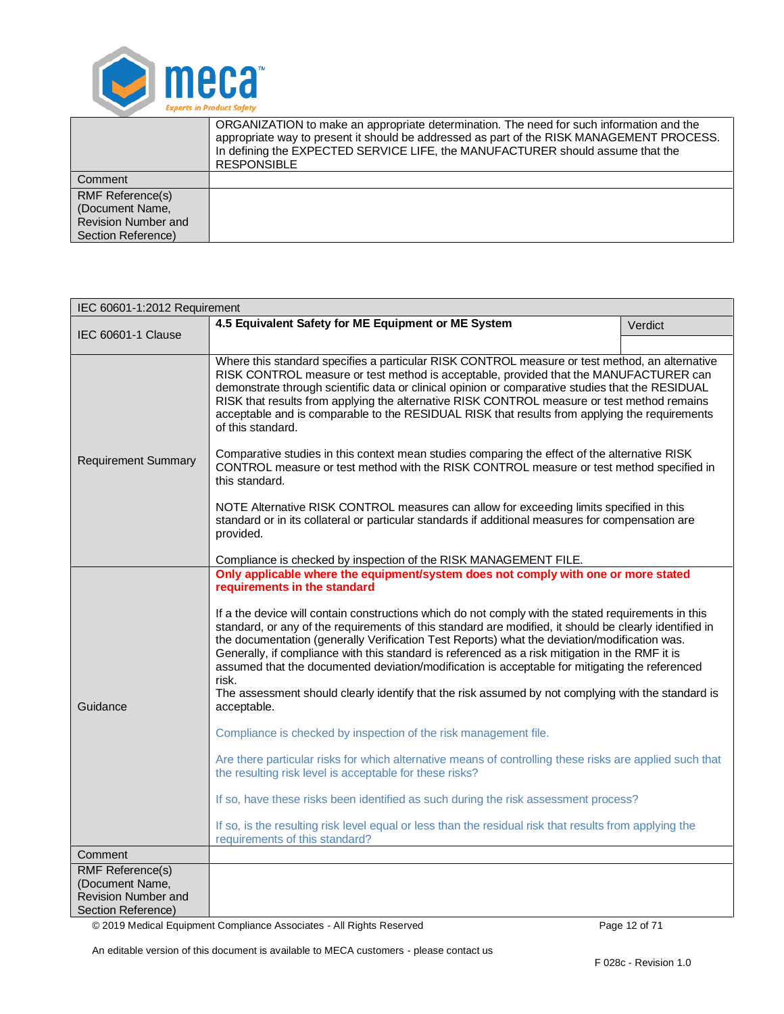

|                         | ORGANIZATION to make an appropriate determination. The need for such information and the<br>appropriate way to present it should be addressed as part of the RISK MANAGEMENT PROCESS.<br>In defining the EXPECTED SERVICE LIFE, the MANUFACTURER should assume that the<br><b>RESPONSIBLE</b> |
|-------------------------|-----------------------------------------------------------------------------------------------------------------------------------------------------------------------------------------------------------------------------------------------------------------------------------------------|
| Comment                 |                                                                                                                                                                                                                                                                                               |
| <b>RMF Reference(s)</b> |                                                                                                                                                                                                                                                                                               |
| (Document Name,         |                                                                                                                                                                                                                                                                                               |
| Revision Number and     |                                                                                                                                                                                                                                                                                               |
| Section Reference)      |                                                                                                                                                                                                                                                                                               |

<span id="page-11-0"></span>

| IEC 60601-1:2012 Requirement                                                                                                                                                                                                                                                                                                                                                                                                                                                                                     |                                                                                                                                                                                                                                                                                                                                                                                                                                                                                                                                                                                                                                                                                                                                                                                                                                                                                                                                                                                                                                                                                                                                                                                                                                                     |         |  |
|------------------------------------------------------------------------------------------------------------------------------------------------------------------------------------------------------------------------------------------------------------------------------------------------------------------------------------------------------------------------------------------------------------------------------------------------------------------------------------------------------------------|-----------------------------------------------------------------------------------------------------------------------------------------------------------------------------------------------------------------------------------------------------------------------------------------------------------------------------------------------------------------------------------------------------------------------------------------------------------------------------------------------------------------------------------------------------------------------------------------------------------------------------------------------------------------------------------------------------------------------------------------------------------------------------------------------------------------------------------------------------------------------------------------------------------------------------------------------------------------------------------------------------------------------------------------------------------------------------------------------------------------------------------------------------------------------------------------------------------------------------------------------------|---------|--|
|                                                                                                                                                                                                                                                                                                                                                                                                                                                                                                                  | 4.5 Equivalent Safety for ME Equipment or ME System                                                                                                                                                                                                                                                                                                                                                                                                                                                                                                                                                                                                                                                                                                                                                                                                                                                                                                                                                                                                                                                                                                                                                                                                 | Verdict |  |
| IEC 60601-1 Clause                                                                                                                                                                                                                                                                                                                                                                                                                                                                                               |                                                                                                                                                                                                                                                                                                                                                                                                                                                                                                                                                                                                                                                                                                                                                                                                                                                                                                                                                                                                                                                                                                                                                                                                                                                     |         |  |
| Where this standard specifies a particular RISK CONTROL measure or test method, an alternative<br>RISK CONTROL measure or test method is acceptable, provided that the MANUFACTURER can<br>demonstrate through scientific data or clinical opinion or comparative studies that the RESIDUAL<br>RISK that results from applying the alternative RISK CONTROL measure or test method remains<br>acceptable and is comparable to the RESIDUAL RISK that results from applying the requirements<br>of this standard. |                                                                                                                                                                                                                                                                                                                                                                                                                                                                                                                                                                                                                                                                                                                                                                                                                                                                                                                                                                                                                                                                                                                                                                                                                                                     |         |  |
| <b>Requirement Summary</b>                                                                                                                                                                                                                                                                                                                                                                                                                                                                                       | Comparative studies in this context mean studies comparing the effect of the alternative RISK<br>CONTROL measure or test method with the RISK CONTROL measure or test method specified in<br>this standard.                                                                                                                                                                                                                                                                                                                                                                                                                                                                                                                                                                                                                                                                                                                                                                                                                                                                                                                                                                                                                                         |         |  |
|                                                                                                                                                                                                                                                                                                                                                                                                                                                                                                                  | NOTE Alternative RISK CONTROL measures can allow for exceeding limits specified in this<br>standard or in its collateral or particular standards if additional measures for compensation are<br>provided.                                                                                                                                                                                                                                                                                                                                                                                                                                                                                                                                                                                                                                                                                                                                                                                                                                                                                                                                                                                                                                           |         |  |
| Compliance is checked by inspection of the RISK MANAGEMENT FILE.                                                                                                                                                                                                                                                                                                                                                                                                                                                 |                                                                                                                                                                                                                                                                                                                                                                                                                                                                                                                                                                                                                                                                                                                                                                                                                                                                                                                                                                                                                                                                                                                                                                                                                                                     |         |  |
| Guidance                                                                                                                                                                                                                                                                                                                                                                                                                                                                                                         | Only applicable where the equipment/system does not comply with one or more stated<br>requirements in the standard<br>If a the device will contain constructions which do not comply with the stated requirements in this<br>standard, or any of the requirements of this standard are modified, it should be clearly identified in<br>the documentation (generally Verification Test Reports) what the deviation/modification was.<br>Generally, if compliance with this standard is referenced as a risk mitigation in the RMF it is<br>assumed that the documented deviation/modification is acceptable for mitigating the referenced<br>risk.<br>The assessment should clearly identify that the risk assumed by not complying with the standard is<br>acceptable.<br>Compliance is checked by inspection of the risk management file.<br>Are there particular risks for which alternative means of controlling these risks are applied such that<br>the resulting risk level is acceptable for these risks?<br>If so, have these risks been identified as such during the risk assessment process?<br>If so, is the resulting risk level equal or less than the residual risk that results from applying the<br>requirements of this standard? |         |  |
| Comment                                                                                                                                                                                                                                                                                                                                                                                                                                                                                                          |                                                                                                                                                                                                                                                                                                                                                                                                                                                                                                                                                                                                                                                                                                                                                                                                                                                                                                                                                                                                                                                                                                                                                                                                                                                     |         |  |
| <b>RMF Reference(s)</b><br>(Document Name,<br><b>Revision Number and</b><br>Section Reference)                                                                                                                                                                                                                                                                                                                                                                                                                   |                                                                                                                                                                                                                                                                                                                                                                                                                                                                                                                                                                                                                                                                                                                                                                                                                                                                                                                                                                                                                                                                                                                                                                                                                                                     |         |  |

© 2019 Medical Equipment Compliance Associates - All Rights Reserved Page 12 of 71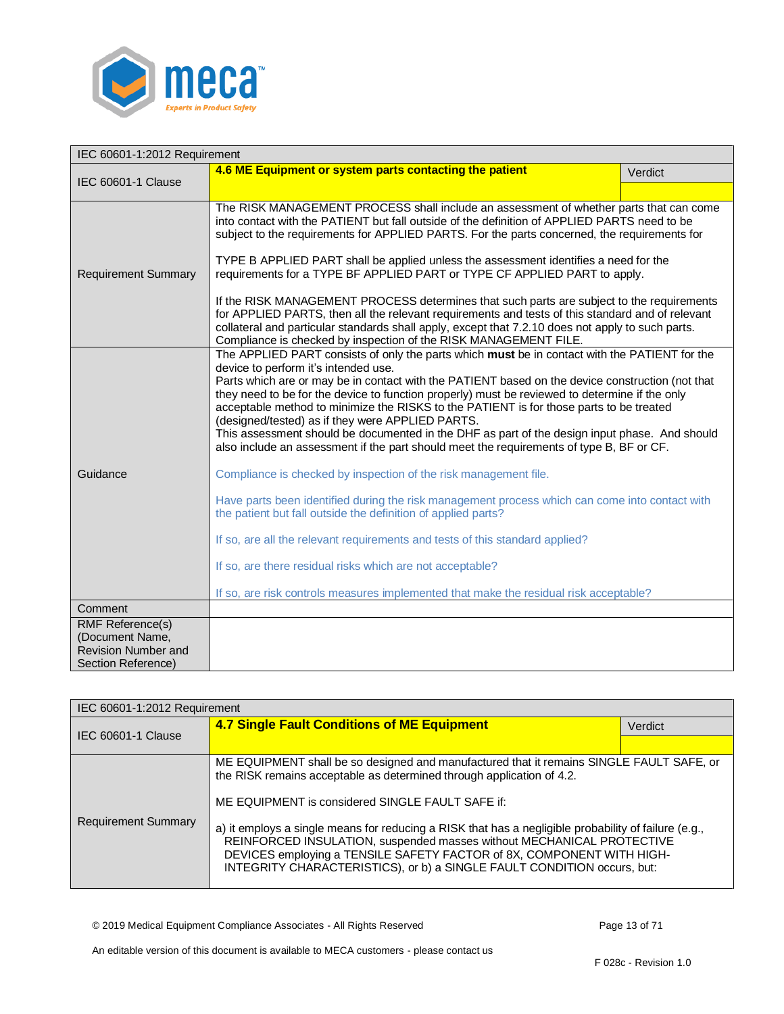

<span id="page-12-0"></span>

| IEC 60601-1:2012 Requirement |                                                                                                                                                                                                                                                                                                                                                                                                                                                                                                                                                                                                                                                                                                                                                                                                                                                                                                                                                                                                                                                                                                                                                 |         |  |
|------------------------------|-------------------------------------------------------------------------------------------------------------------------------------------------------------------------------------------------------------------------------------------------------------------------------------------------------------------------------------------------------------------------------------------------------------------------------------------------------------------------------------------------------------------------------------------------------------------------------------------------------------------------------------------------------------------------------------------------------------------------------------------------------------------------------------------------------------------------------------------------------------------------------------------------------------------------------------------------------------------------------------------------------------------------------------------------------------------------------------------------------------------------------------------------|---------|--|
|                              | 4.6 ME Equipment or system parts contacting the patient                                                                                                                                                                                                                                                                                                                                                                                                                                                                                                                                                                                                                                                                                                                                                                                                                                                                                                                                                                                                                                                                                         | Verdict |  |
| <b>IEC 60601-1 Clause</b>    |                                                                                                                                                                                                                                                                                                                                                                                                                                                                                                                                                                                                                                                                                                                                                                                                                                                                                                                                                                                                                                                                                                                                                 |         |  |
| <b>Requirement Summary</b>   | The RISK MANAGEMENT PROCESS shall include an assessment of whether parts that can come<br>into contact with the PATIENT but fall outside of the definition of APPLIED PARTS need to be<br>subject to the requirements for APPLIED PARTS. For the parts concerned, the requirements for<br>TYPE B APPLIED PART shall be applied unless the assessment identifies a need for the<br>requirements for a TYPE BF APPLIED PART or TYPE CF APPLIED PART to apply.<br>If the RISK MANAGEMENT PROCESS determines that such parts are subject to the requirements<br>for APPLIED PARTS, then all the relevant requirements and tests of this standard and of relevant<br>collateral and particular standards shall apply, except that 7.2.10 does not apply to such parts.                                                                                                                                                                                                                                                                                                                                                                               |         |  |
| Guidance                     | Compliance is checked by inspection of the RISK MANAGEMENT FILE.<br>The APPLIED PART consists of only the parts which must be in contact with the PATIENT for the<br>device to perform it's intended use.<br>Parts which are or may be in contact with the PATIENT based on the device construction (not that<br>they need to be for the device to function properly) must be reviewed to determine if the only<br>acceptable method to minimize the RISKS to the PATIENT is for those parts to be treated<br>(designed/tested) as if they were APPLIED PARTS.<br>This assessment should be documented in the DHF as part of the design input phase. And should<br>also include an assessment if the part should meet the requirements of type B, BF or CF.<br>Compliance is checked by inspection of the risk management file.<br>Have parts been identified during the risk management process which can come into contact with<br>the patient but fall outside the definition of applied parts?<br>If so, are all the relevant requirements and tests of this standard applied?<br>If so, are there residual risks which are not acceptable? |         |  |
| Comment                      | If so, are risk controls measures implemented that make the residual risk acceptable?                                                                                                                                                                                                                                                                                                                                                                                                                                                                                                                                                                                                                                                                                                                                                                                                                                                                                                                                                                                                                                                           |         |  |
| <b>RMF Reference(s)</b>      |                                                                                                                                                                                                                                                                                                                                                                                                                                                                                                                                                                                                                                                                                                                                                                                                                                                                                                                                                                                                                                                                                                                                                 |         |  |
| (Document Name,              |                                                                                                                                                                                                                                                                                                                                                                                                                                                                                                                                                                                                                                                                                                                                                                                                                                                                                                                                                                                                                                                                                                                                                 |         |  |
| <b>Revision Number and</b>   |                                                                                                                                                                                                                                                                                                                                                                                                                                                                                                                                                                                                                                                                                                                                                                                                                                                                                                                                                                                                                                                                                                                                                 |         |  |
| Section Reference)           |                                                                                                                                                                                                                                                                                                                                                                                                                                                                                                                                                                                                                                                                                                                                                                                                                                                                                                                                                                                                                                                                                                                                                 |         |  |

<span id="page-12-1"></span>

| IEC 60601-1:2012 Requirement |                                                                                                                                                                                                                                                                                                                                   |         |  |
|------------------------------|-----------------------------------------------------------------------------------------------------------------------------------------------------------------------------------------------------------------------------------------------------------------------------------------------------------------------------------|---------|--|
| IEC 60601-1 Clause           | 4.7 Single Fault Conditions of ME Equipment                                                                                                                                                                                                                                                                                       | Verdict |  |
|                              |                                                                                                                                                                                                                                                                                                                                   |         |  |
| <b>Requirement Summary</b>   | ME EQUIPMENT shall be so designed and manufactured that it remains SINGLE FAULT SAFE, or<br>the RISK remains acceptable as determined through application of 4.2.                                                                                                                                                                 |         |  |
|                              | ME EQUIPMENT is considered SINGLE FAULT SAFE if:                                                                                                                                                                                                                                                                                  |         |  |
|                              | a) it employs a single means for reducing a RISK that has a negligible probability of failure (e.g.,<br>REINFORCED INSULATION, suspended masses without MECHANICAL PROTECTIVE<br>DEVICES employing a TENSILE SAFETY FACTOR of 8X, COMPONENT WITH HIGH-<br>INTEGRITY CHARACTERISTICS), or b) a SINGLE FAULT CONDITION occurs, but: |         |  |

© 2019 Medical Equipment Compliance Associates - All Rights Reserved Page 13 of 71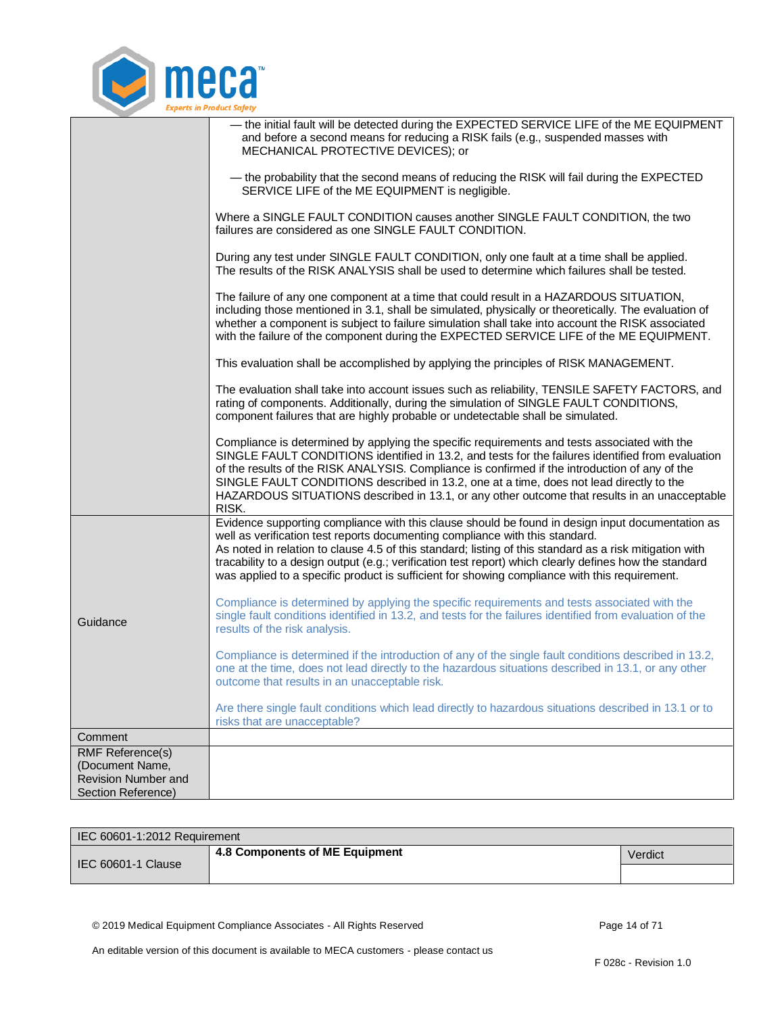

|                                                                                         | - the initial fault will be detected during the EXPECTED SERVICE LIFE of the ME EQUIPMENT<br>and before a second means for reducing a RISK fails (e.g., suspended masses with<br>MECHANICAL PROTECTIVE DEVICES); or                                                                                                                                                                                                                                                                                     |
|-----------------------------------------------------------------------------------------|---------------------------------------------------------------------------------------------------------------------------------------------------------------------------------------------------------------------------------------------------------------------------------------------------------------------------------------------------------------------------------------------------------------------------------------------------------------------------------------------------------|
|                                                                                         | - the probability that the second means of reducing the RISK will fail during the EXPECTED<br>SERVICE LIFE of the ME EQUIPMENT is negligible.                                                                                                                                                                                                                                                                                                                                                           |
|                                                                                         | Where a SINGLE FAULT CONDITION causes another SINGLE FAULT CONDITION, the two<br>failures are considered as one SINGLE FAULT CONDITION.                                                                                                                                                                                                                                                                                                                                                                 |
|                                                                                         | During any test under SINGLE FAULT CONDITION, only one fault at a time shall be applied.<br>The results of the RISK ANALYSIS shall be used to determine which failures shall be tested.                                                                                                                                                                                                                                                                                                                 |
|                                                                                         | The failure of any one component at a time that could result in a HAZARDOUS SITUATION,<br>including those mentioned in 3.1, shall be simulated, physically or theoretically. The evaluation of<br>whether a component is subject to failure simulation shall take into account the RISK associated<br>with the failure of the component during the EXPECTED SERVICE LIFE of the ME EQUIPMENT.                                                                                                           |
|                                                                                         | This evaluation shall be accomplished by applying the principles of RISK MANAGEMENT.                                                                                                                                                                                                                                                                                                                                                                                                                    |
|                                                                                         | The evaluation shall take into account issues such as reliability, TENSILE SAFETY FACTORS, and<br>rating of components. Additionally, during the simulation of SINGLE FAULT CONDITIONS,<br>component failures that are highly probable or undetectable shall be simulated.                                                                                                                                                                                                                              |
|                                                                                         | Compliance is determined by applying the specific requirements and tests associated with the<br>SINGLE FAULT CONDITIONS identified in 13.2, and tests for the failures identified from evaluation<br>of the results of the RISK ANALYSIS. Compliance is confirmed if the introduction of any of the<br>SINGLE FAULT CONDITIONS described in 13.2, one at a time, does not lead directly to the<br>HAZARDOUS SITUATIONS described in 13.1, or any other outcome that results in an unacceptable<br>RISK. |
|                                                                                         | Evidence supporting compliance with this clause should be found in design input documentation as<br>well as verification test reports documenting compliance with this standard.<br>As noted in relation to clause 4.5 of this standard; listing of this standard as a risk mitigation with<br>tracability to a design output (e.g.; verification test report) which clearly defines how the standard<br>was applied to a specific product is sufficient for showing compliance with this requirement.  |
| Guidance                                                                                | Compliance is determined by applying the specific requirements and tests associated with the<br>single fault conditions identified in 13.2, and tests for the failures identified from evaluation of the<br>results of the risk analysis.                                                                                                                                                                                                                                                               |
|                                                                                         | Compliance is determined if the introduction of any of the single fault conditions described in 13.2,<br>one at the time, does not lead directly to the hazardous situations described in 13.1, or any other<br>outcome that results in an unacceptable risk.                                                                                                                                                                                                                                           |
|                                                                                         | Are there single fault conditions which lead directly to hazardous situations described in 13.1 or to<br>risks that are unacceptable?                                                                                                                                                                                                                                                                                                                                                                   |
| Comment                                                                                 |                                                                                                                                                                                                                                                                                                                                                                                                                                                                                                         |
| RMF Reference(s)<br>(Document Name,<br><b>Revision Number and</b><br>Section Reference) |                                                                                                                                                                                                                                                                                                                                                                                                                                                                                                         |

<span id="page-13-0"></span>

| IEC 60601-1:2012 Requirement |                                |         |  |
|------------------------------|--------------------------------|---------|--|
| IEC 60601-1 Clause           | 4.8 Components of ME Equipment | Verdict |  |
|                              |                                |         |  |

© 2019 Medical Equipment Compliance Associates - All Rights Reserved Page 14 of 71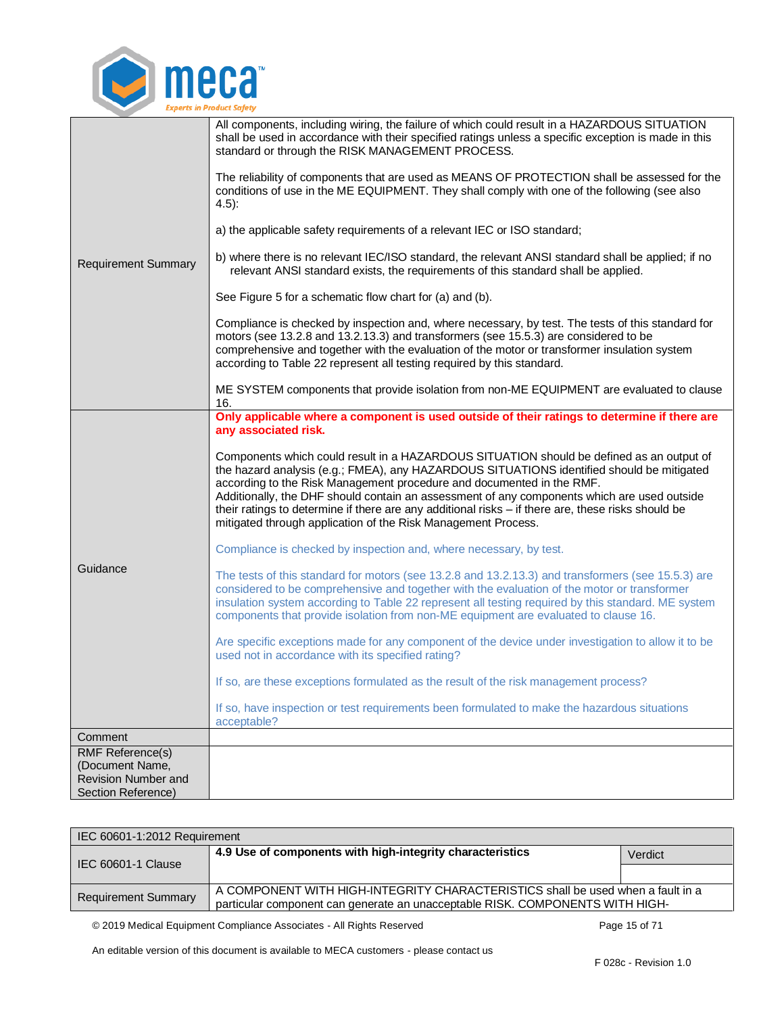

| <b>Requirement Summary</b>                                                                     | All components, including wiring, the failure of which could result in a HAZARDOUS SITUATION<br>shall be used in accordance with their specified ratings unless a specific exception is made in this<br>standard or through the RISK MANAGEMENT PROCESS.<br>The reliability of components that are used as MEANS OF PROTECTION shall be assessed for the<br>conditions of use in the ME EQUIPMENT. They shall comply with one of the following (see also<br>$(4.5)$ :<br>a) the applicable safety requirements of a relevant IEC or ISO standard;<br>b) where there is no relevant IEC/ISO standard, the relevant ANSI standard shall be applied; if no<br>relevant ANSI standard exists, the requirements of this standard shall be applied.<br>See Figure 5 for a schematic flow chart for (a) and (b).<br>Compliance is checked by inspection and, where necessary, by test. The tests of this standard for<br>motors (see 13.2.8 and 13.2.13.3) and transformers (see 15.5.3) are considered to be<br>comprehensive and together with the evaluation of the motor or transformer insulation system<br>according to Table 22 represent all testing required by this standard.<br>ME SYSTEM components that provide isolation from non-ME EQUIPMENT are evaluated to clause<br>16.                                                                                                                                                                                                                   |
|------------------------------------------------------------------------------------------------|--------------------------------------------------------------------------------------------------------------------------------------------------------------------------------------------------------------------------------------------------------------------------------------------------------------------------------------------------------------------------------------------------------------------------------------------------------------------------------------------------------------------------------------------------------------------------------------------------------------------------------------------------------------------------------------------------------------------------------------------------------------------------------------------------------------------------------------------------------------------------------------------------------------------------------------------------------------------------------------------------------------------------------------------------------------------------------------------------------------------------------------------------------------------------------------------------------------------------------------------------------------------------------------------------------------------------------------------------------------------------------------------------------------------------------------------------------------------------------------------------------|
| Guidance                                                                                       | Only applicable where a component is used outside of their ratings to determine if there are<br>any associated risk.<br>Components which could result in a HAZARDOUS SITUATION should be defined as an output of<br>the hazard analysis (e.g.; FMEA), any HAZARDOUS SITUATIONS identified should be mitigated<br>according to the Risk Management procedure and documented in the RMF.<br>Additionally, the DHF should contain an assessment of any components which are used outside<br>their ratings to determine if there are any additional risks - if there are, these risks should be<br>mitigated through application of the Risk Management Process.<br>Compliance is checked by inspection and, where necessary, by test.<br>The tests of this standard for motors (see 13.2.8 and 13.2.13.3) and transformers (see 15.5.3) are<br>considered to be comprehensive and together with the evaluation of the motor or transformer<br>insulation system according to Table 22 represent all testing required by this standard. ME system<br>components that provide isolation from non-ME equipment are evaluated to clause 16.<br>Are specific exceptions made for any component of the device under investigation to allow it to be<br>used not in accordance with its specified rating?<br>If so, are these exceptions formulated as the result of the risk management process?<br>If so, have inspection or test requirements been formulated to make the hazardous situations<br>acceptable? |
| Comment                                                                                        |                                                                                                                                                                                                                                                                                                                                                                                                                                                                                                                                                                                                                                                                                                                                                                                                                                                                                                                                                                                                                                                                                                                                                                                                                                                                                                                                                                                                                                                                                                        |
| <b>RMF Reference(s)</b><br>(Document Name,<br><b>Revision Number and</b><br>Section Reference) |                                                                                                                                                                                                                                                                                                                                                                                                                                                                                                                                                                                                                                                                                                                                                                                                                                                                                                                                                                                                                                                                                                                                                                                                                                                                                                                                                                                                                                                                                                        |

| IEC 60601-1:2012 Requirement   |                                                                                                                                                                  |         |
|--------------------------------|------------------------------------------------------------------------------------------------------------------------------------------------------------------|---------|
| $\parallel$ IEC 60601-1 Clause | 4.9 Use of components with high-integrity characteristics                                                                                                        | Verdict |
|                                |                                                                                                                                                                  |         |
| <b>Requirement Summary</b>     | A COMPONENT WITH HIGH-INTEGRITY CHARACTERISTICS shall be used when a fault in a<br>particular component can generate an unacceptable RISK. COMPONENTS WITH HIGH- |         |

<span id="page-14-0"></span>© 2019 Medical Equipment Compliance Associates - All Rights Reserved Page 15 of 71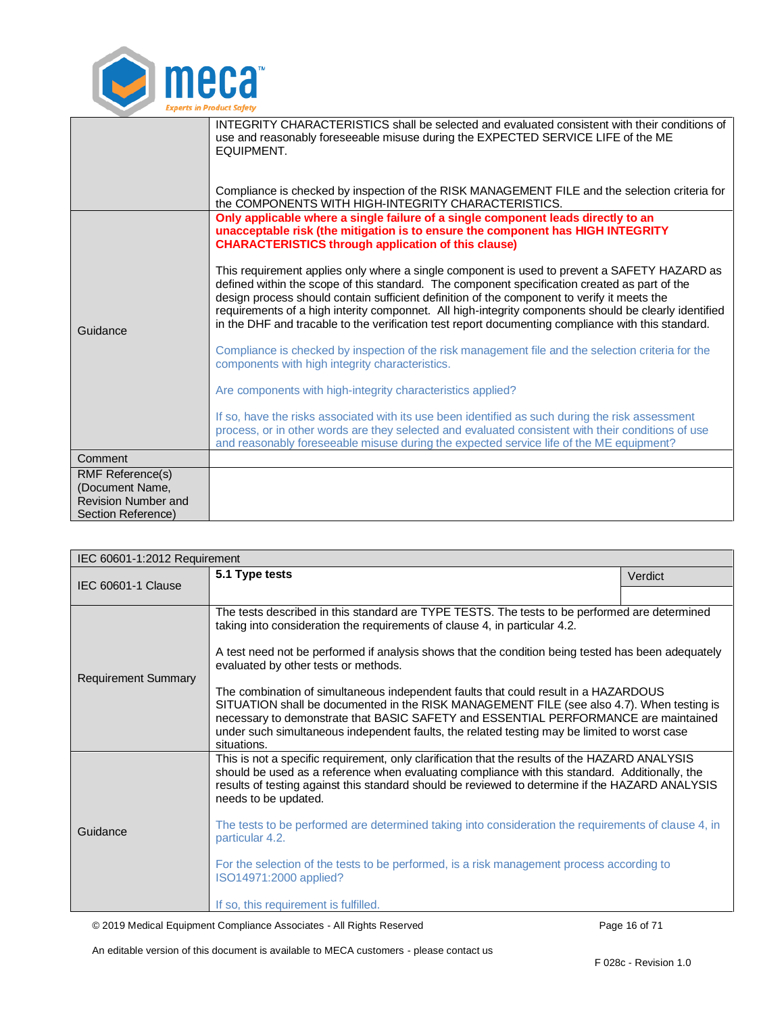

|                                                  | INTEGRITY CHARACTERISTICS shall be selected and evaluated consistent with their conditions of<br>use and reasonably foreseeable misuse during the EXPECTED SERVICE LIFE of the ME<br>EQUIPMENT.                                                                                                                                                                                                                                                                                                             |
|--------------------------------------------------|-------------------------------------------------------------------------------------------------------------------------------------------------------------------------------------------------------------------------------------------------------------------------------------------------------------------------------------------------------------------------------------------------------------------------------------------------------------------------------------------------------------|
|                                                  | Compliance is checked by inspection of the RISK MANAGEMENT FILE and the selection criteria for<br>the COMPONENTS WITH HIGH-INTEGRITY CHARACTERISTICS.                                                                                                                                                                                                                                                                                                                                                       |
| Guidance                                         | Only applicable where a single failure of a single component leads directly to an<br>unacceptable risk (the mitigation is to ensure the component has HIGH INTEGRITY<br><b>CHARACTERISTICS through application of this clause)</b>                                                                                                                                                                                                                                                                          |
|                                                  | This requirement applies only where a single component is used to prevent a SAFETY HAZARD as<br>defined within the scope of this standard. The component specification created as part of the<br>design process should contain sufficient definition of the component to verify it meets the<br>requirements of a high interity componnet. All high-integrity components should be clearly identified<br>in the DHF and tracable to the verification test report documenting compliance with this standard. |
|                                                  | Compliance is checked by inspection of the risk management file and the selection criteria for the<br>components with high integrity characteristics.                                                                                                                                                                                                                                                                                                                                                       |
|                                                  | Are components with high-integrity characteristics applied?                                                                                                                                                                                                                                                                                                                                                                                                                                                 |
|                                                  | If so, have the risks associated with its use been identified as such during the risk assessment<br>process, or in other words are they selected and evaluated consistent with their conditions of use<br>and reasonably foreseeable misuse during the expected service life of the ME equipment?                                                                                                                                                                                                           |
| Comment                                          |                                                                                                                                                                                                                                                                                                                                                                                                                                                                                                             |
| <b>RMF Reference(s)</b><br>(Document Name,       |                                                                                                                                                                                                                                                                                                                                                                                                                                                                                                             |
| <b>Revision Number and</b><br>Section Reference) |                                                                                                                                                                                                                                                                                                                                                                                                                                                                                                             |
|                                                  |                                                                                                                                                                                                                                                                                                                                                                                                                                                                                                             |

<span id="page-15-0"></span>

| IEC 60601-1:2012 Requirement |                                                                                                                                                                                                                                                                                                                                                                                        |         |  |
|------------------------------|----------------------------------------------------------------------------------------------------------------------------------------------------------------------------------------------------------------------------------------------------------------------------------------------------------------------------------------------------------------------------------------|---------|--|
| IEC 60601-1 Clause           | 5.1 Type tests                                                                                                                                                                                                                                                                                                                                                                         | Verdict |  |
|                              |                                                                                                                                                                                                                                                                                                                                                                                        |         |  |
|                              | The tests described in this standard are TYPE TESTS. The tests to be performed are determined<br>taking into consideration the requirements of clause 4, in particular 4.2.                                                                                                                                                                                                            |         |  |
| <b>Requirement Summary</b>   | A test need not be performed if analysis shows that the condition being tested has been adequately<br>evaluated by other tests or methods.                                                                                                                                                                                                                                             |         |  |
|                              | The combination of simultaneous independent faults that could result in a HAZARDOUS<br>SITUATION shall be documented in the RISK MANAGEMENT FILE (see also 4.7). When testing is<br>necessary to demonstrate that BASIC SAFETY and ESSENTIAL PERFORMANCE are maintained<br>under such simultaneous independent faults, the related testing may be limited to worst case<br>situations. |         |  |
|                              | This is not a specific requirement, only clarification that the results of the HAZARD ANALYSIS<br>should be used as a reference when evaluating compliance with this standard. Additionally, the<br>results of testing against this standard should be reviewed to determine if the HAZARD ANALYSIS<br>needs to be updated.                                                            |         |  |
| Guidance                     | The tests to be performed are determined taking into consideration the requirements of clause 4, in<br>particular 4.2.                                                                                                                                                                                                                                                                 |         |  |
|                              | For the selection of the tests to be performed, is a risk management process according to<br>ISO14971:2000 applied?                                                                                                                                                                                                                                                                    |         |  |
|                              | If so, this requirement is fulfilled.                                                                                                                                                                                                                                                                                                                                                  |         |  |

© 2019 Medical Equipment Compliance Associates - All Rights Reserved Page 16 of 71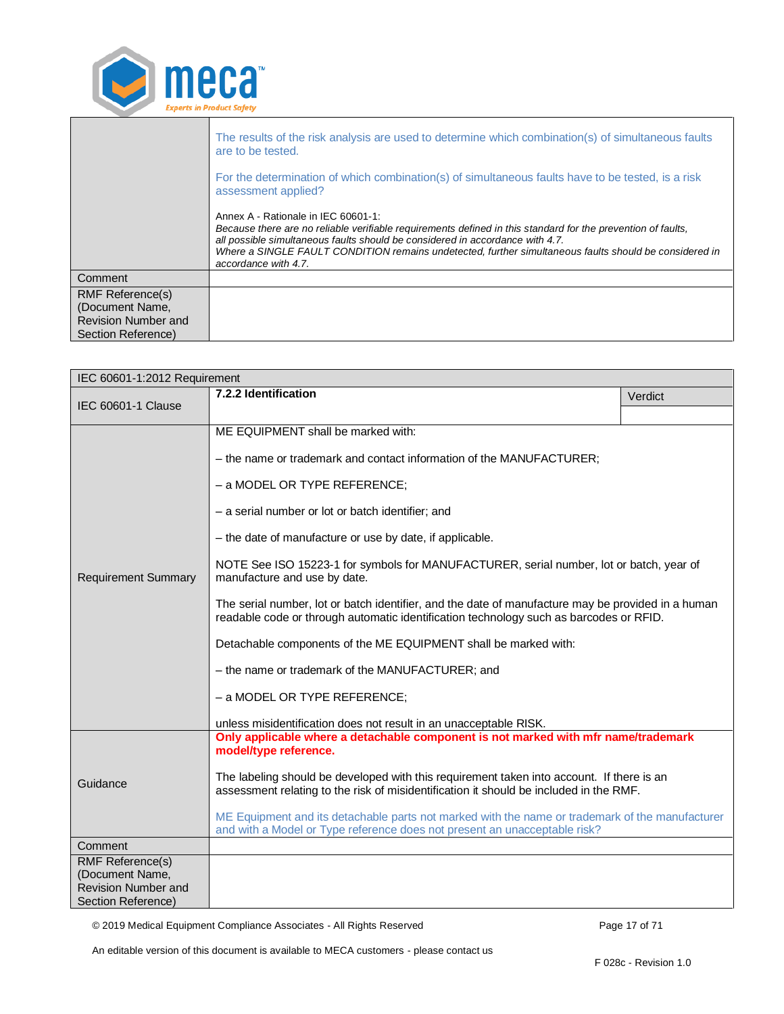

<span id="page-16-0"></span>

| IEC 60601-1:2012 Requirement                  |                                                                                                                                                                                              |         |  |
|-----------------------------------------------|----------------------------------------------------------------------------------------------------------------------------------------------------------------------------------------------|---------|--|
|                                               | 7.2.2 Identification                                                                                                                                                                         | Verdict |  |
| IEC 60601-1 Clause                            |                                                                                                                                                                                              |         |  |
| <b>Requirement Summary</b>                    | ME EQUIPMENT shall be marked with:                                                                                                                                                           |         |  |
|                                               | - the name or trademark and contact information of the MANUFACTURER;                                                                                                                         |         |  |
|                                               | - a MODEL OR TYPE REFERENCE;                                                                                                                                                                 |         |  |
|                                               | - a serial number or lot or batch identifier; and                                                                                                                                            |         |  |
|                                               | - the date of manufacture or use by date, if applicable.                                                                                                                                     |         |  |
|                                               | NOTE See ISO 15223-1 for symbols for MANUFACTURER, serial number, lot or batch, year of<br>manufacture and use by date.                                                                      |         |  |
|                                               | The serial number, lot or batch identifier, and the date of manufacture may be provided in a human<br>readable code or through automatic identification technology such as barcodes or RFID. |         |  |
|                                               | Detachable components of the ME EQUIPMENT shall be marked with:                                                                                                                              |         |  |
|                                               | - the name or trademark of the MANUFACTURER; and                                                                                                                                             |         |  |
|                                               | - a MODEL OR TYPE REFERENCE;                                                                                                                                                                 |         |  |
|                                               | unless misidentification does not result in an unacceptable RISK.                                                                                                                            |         |  |
|                                               | Only applicable where a detachable component is not marked with mfr name/trademark<br>model/type reference.                                                                                  |         |  |
| Guidance                                      | The labeling should be developed with this requirement taken into account. If there is an<br>assessment relating to the risk of misidentification it should be included in the RMF.          |         |  |
|                                               | ME Equipment and its detachable parts not marked with the name or trademark of the manufacturer<br>and with a Model or Type reference does not present an unacceptable risk?                 |         |  |
| Comment                                       |                                                                                                                                                                                              |         |  |
| <b>RMF Reference(s)</b>                       |                                                                                                                                                                                              |         |  |
| (Document Name,<br><b>Revision Number and</b> |                                                                                                                                                                                              |         |  |
| Section Reference)                            |                                                                                                                                                                                              |         |  |

© 2019 Medical Equipment Compliance Associates - All Rights Reserved Page 17 of 71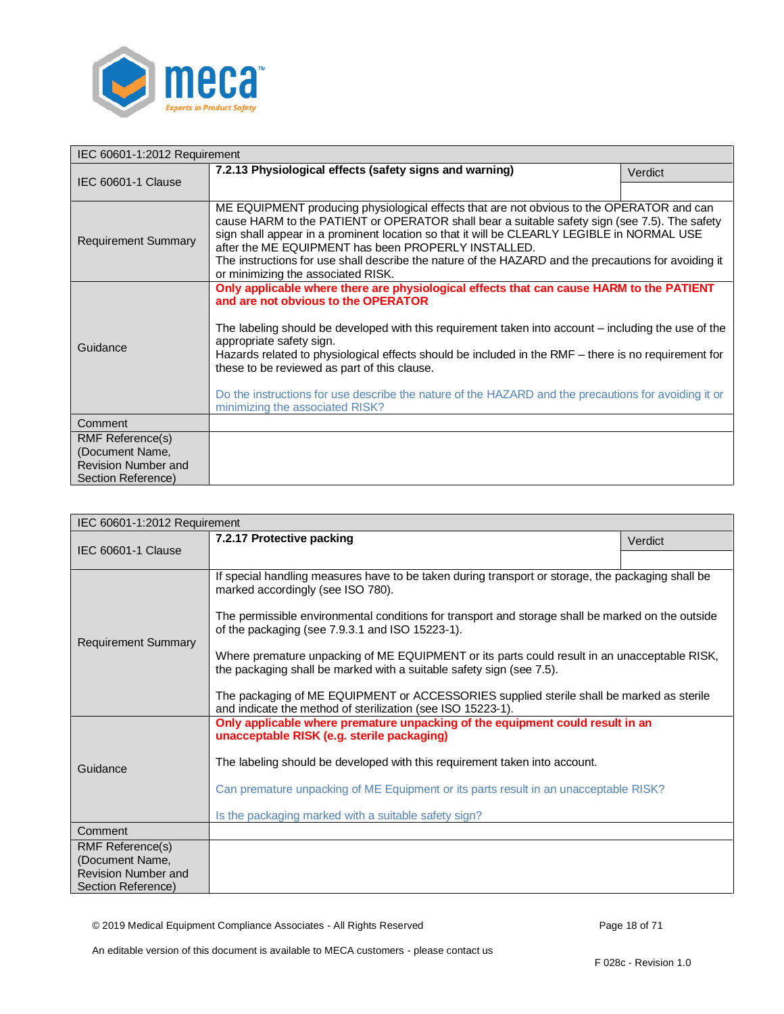

<span id="page-17-0"></span>

| IEC 60601-1:2012 Requirement                  |                                                                                                                                                                                                                                                                                                                                                                                                                                                                                                                                                                        |         |  |
|-----------------------------------------------|------------------------------------------------------------------------------------------------------------------------------------------------------------------------------------------------------------------------------------------------------------------------------------------------------------------------------------------------------------------------------------------------------------------------------------------------------------------------------------------------------------------------------------------------------------------------|---------|--|
| IEC 60601-1 Clause                            | 7.2.13 Physiological effects (safety signs and warning)                                                                                                                                                                                                                                                                                                                                                                                                                                                                                                                | Verdict |  |
|                                               |                                                                                                                                                                                                                                                                                                                                                                                                                                                                                                                                                                        |         |  |
| <b>Requirement Summary</b>                    | ME EQUIPMENT producing physiological effects that are not obvious to the OPERATOR and can<br>cause HARM to the PATIENT or OPERATOR shall bear a suitable safety sign (see 7.5). The safety<br>sign shall appear in a prominent location so that it will be CLEARLY LEGIBLE in NORMAL USE<br>after the ME EQUIPMENT has been PROPERLY INSTALLED.<br>The instructions for use shall describe the nature of the HAZARD and the precautions for avoiding it<br>or minimizing the associated RISK.                                                                          |         |  |
| Guidance                                      | Only applicable where there are physiological effects that can cause HARM to the PATIENT<br>and are not obvious to the OPERATOR<br>The labeling should be developed with this requirement taken into account – including the use of the<br>appropriate safety sign.<br>Hazards related to physiological effects should be included in the RMF – there is no requirement for<br>these to be reviewed as part of this clause.<br>Do the instructions for use describe the nature of the HAZARD and the precautions for avoiding it or<br>minimizing the associated RISK? |         |  |
| Comment                                       |                                                                                                                                                                                                                                                                                                                                                                                                                                                                                                                                                                        |         |  |
| <b>RMF Reference(s)</b>                       |                                                                                                                                                                                                                                                                                                                                                                                                                                                                                                                                                                        |         |  |
| (Document Name,<br><b>Revision Number and</b> |                                                                                                                                                                                                                                                                                                                                                                                                                                                                                                                                                                        |         |  |
| Section Reference)                            |                                                                                                                                                                                                                                                                                                                                                                                                                                                                                                                                                                        |         |  |

<span id="page-17-1"></span>

| IEC 60601-1:2012 Requirement                                                                   |                                                                                                                                                                                                                                                                                                                                                                                                                                                                                                                                                                                                                                   |         |  |
|------------------------------------------------------------------------------------------------|-----------------------------------------------------------------------------------------------------------------------------------------------------------------------------------------------------------------------------------------------------------------------------------------------------------------------------------------------------------------------------------------------------------------------------------------------------------------------------------------------------------------------------------------------------------------------------------------------------------------------------------|---------|--|
| <b>IEC 60601-1 Clause</b>                                                                      | 7.2.17 Protective packing                                                                                                                                                                                                                                                                                                                                                                                                                                                                                                                                                                                                         | Verdict |  |
|                                                                                                |                                                                                                                                                                                                                                                                                                                                                                                                                                                                                                                                                                                                                                   |         |  |
| <b>Requirement Summary</b>                                                                     | If special handling measures have to be taken during transport or storage, the packaging shall be<br>marked accordingly (see ISO 780).<br>The permissible environmental conditions for transport and storage shall be marked on the outside<br>of the packaging (see 7.9.3.1 and ISO 15223-1).<br>Where premature unpacking of ME EQUIPMENT or its parts could result in an unacceptable RISK,<br>the packaging shall be marked with a suitable safety sign (see 7.5).<br>The packaging of ME EQUIPMENT or ACCESSORIES supplied sterile shall be marked as sterile<br>and indicate the method of sterilization (see ISO 15223-1). |         |  |
| Guidance                                                                                       | Only applicable where premature unpacking of the equipment could result in an<br>unacceptable RISK (e.g. sterile packaging)<br>The labeling should be developed with this requirement taken into account.<br>Can premature unpacking of ME Equipment or its parts result in an unacceptable RISK?<br>Is the packaging marked with a suitable safety sign?                                                                                                                                                                                                                                                                         |         |  |
| Comment                                                                                        |                                                                                                                                                                                                                                                                                                                                                                                                                                                                                                                                                                                                                                   |         |  |
| <b>RMF Reference(s)</b><br>(Document Name,<br><b>Revision Number and</b><br>Section Reference) |                                                                                                                                                                                                                                                                                                                                                                                                                                                                                                                                                                                                                                   |         |  |

© 2019 Medical Equipment Compliance Associates - All Rights Reserved Page 18 of 71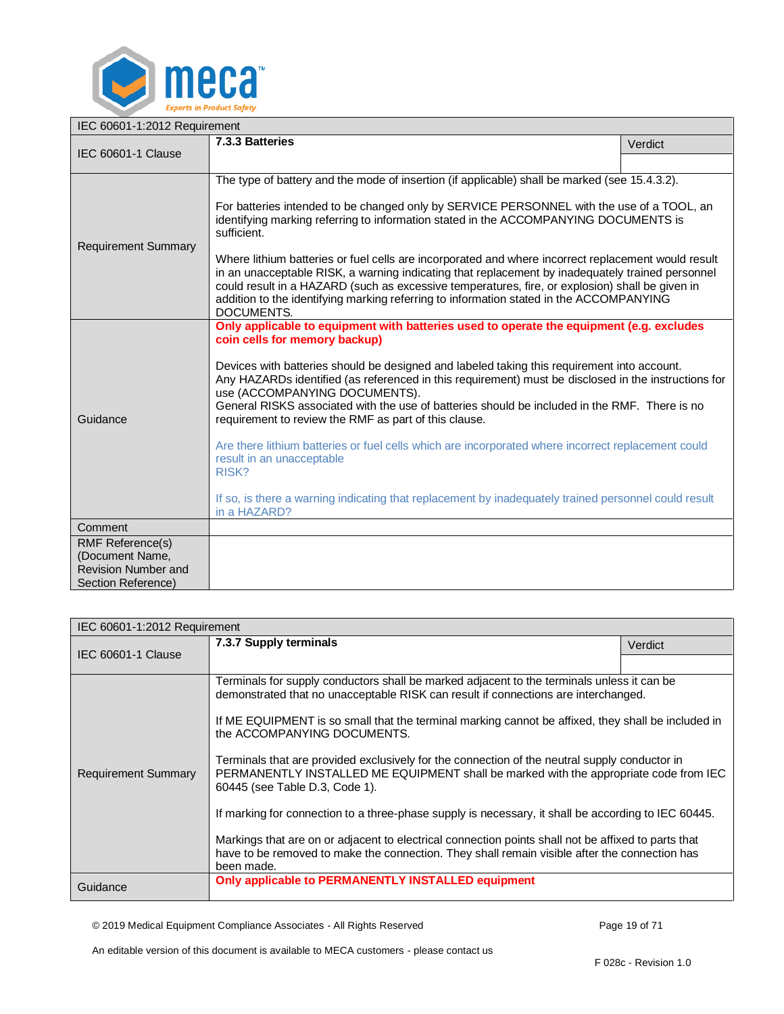

<span id="page-18-0"></span>

| IEC 60601-1:2012 Requirement                                                                   |                                                                                                                                                                                                                                                                                                                                                                                                                                                                                                                                                                                                                                                                                                                                                                                                               |         |  |
|------------------------------------------------------------------------------------------------|---------------------------------------------------------------------------------------------------------------------------------------------------------------------------------------------------------------------------------------------------------------------------------------------------------------------------------------------------------------------------------------------------------------------------------------------------------------------------------------------------------------------------------------------------------------------------------------------------------------------------------------------------------------------------------------------------------------------------------------------------------------------------------------------------------------|---------|--|
| IEC 60601-1 Clause                                                                             | 7.3.3 Batteries                                                                                                                                                                                                                                                                                                                                                                                                                                                                                                                                                                                                                                                                                                                                                                                               | Verdict |  |
|                                                                                                |                                                                                                                                                                                                                                                                                                                                                                                                                                                                                                                                                                                                                                                                                                                                                                                                               |         |  |
| <b>Requirement Summary</b>                                                                     | The type of battery and the mode of insertion (if applicable) shall be marked (see 15.4.3.2).<br>For batteries intended to be changed only by SERVICE PERSONNEL with the use of a TOOL, an<br>identifying marking referring to information stated in the ACCOMPANYING DOCUMENTS is<br>sufficient.<br>Where lithium batteries or fuel cells are incorporated and where incorrect replacement would result<br>in an unacceptable RISK, a warning indicating that replacement by inadequately trained personnel<br>could result in a HAZARD (such as excessive temperatures, fire, or explosion) shall be given in                                                                                                                                                                                               |         |  |
|                                                                                                | addition to the identifying marking referring to information stated in the ACCOMPANYING                                                                                                                                                                                                                                                                                                                                                                                                                                                                                                                                                                                                                                                                                                                       |         |  |
| Guidance                                                                                       | DOCUMENTS.<br>Only applicable to equipment with batteries used to operate the equipment (e.g. excludes<br>coin cells for memory backup)<br>Devices with batteries should be designed and labeled taking this requirement into account.<br>Any HAZARDs identified (as referenced in this requirement) must be disclosed in the instructions for<br>use (ACCOMPANYING DOCUMENTS).<br>General RISKS associated with the use of batteries should be included in the RMF. There is no<br>requirement to review the RMF as part of this clause.<br>Are there lithium batteries or fuel cells which are incorporated where incorrect replacement could<br>result in an unacceptable<br>RISK?<br>If so, is there a warning indicating that replacement by inadequately trained personnel could result<br>in a HAZARD? |         |  |
| Comment                                                                                        |                                                                                                                                                                                                                                                                                                                                                                                                                                                                                                                                                                                                                                                                                                                                                                                                               |         |  |
| <b>RMF Reference(s)</b><br>(Document Name,<br><b>Revision Number and</b><br>Section Reference) |                                                                                                                                                                                                                                                                                                                                                                                                                                                                                                                                                                                                                                                                                                                                                                                                               |         |  |

<span id="page-18-1"></span>

| IEC 60601-1:2012 Requirement |                                                                                                                                                                                                                                                                                                                                                                                                                                                                                                                                                                                                                                                                                                                                                                                                                                                                                |         |  |
|------------------------------|--------------------------------------------------------------------------------------------------------------------------------------------------------------------------------------------------------------------------------------------------------------------------------------------------------------------------------------------------------------------------------------------------------------------------------------------------------------------------------------------------------------------------------------------------------------------------------------------------------------------------------------------------------------------------------------------------------------------------------------------------------------------------------------------------------------------------------------------------------------------------------|---------|--|
| IEC 60601-1 Clause           | 7.3.7 Supply terminals                                                                                                                                                                                                                                                                                                                                                                                                                                                                                                                                                                                                                                                                                                                                                                                                                                                         | Verdict |  |
|                              |                                                                                                                                                                                                                                                                                                                                                                                                                                                                                                                                                                                                                                                                                                                                                                                                                                                                                |         |  |
| <b>Requirement Summary</b>   | Terminals for supply conductors shall be marked adjacent to the terminals unless it can be<br>demonstrated that no unacceptable RISK can result if connections are interchanged.<br>If ME EQUIPMENT is so small that the terminal marking cannot be affixed, they shall be included in<br>the ACCOMPANYING DOCUMENTS.<br>Terminals that are provided exclusively for the connection of the neutral supply conductor in<br>PERMANENTLY INSTALLED ME EQUIPMENT shall be marked with the appropriate code from IEC<br>60445 (see Table D.3, Code 1).<br>If marking for connection to a three-phase supply is necessary, it shall be according to IEC 60445.<br>Markings that are on or adjacent to electrical connection points shall not be affixed to parts that<br>have to be removed to make the connection. They shall remain visible after the connection has<br>been made. |         |  |
| Guidance                     | Only applicable to PERMANENTLY INSTALLED equipment                                                                                                                                                                                                                                                                                                                                                                                                                                                                                                                                                                                                                                                                                                                                                                                                                             |         |  |

© 2019 Medical Equipment Compliance Associates - All Rights Reserved Page 19 of 71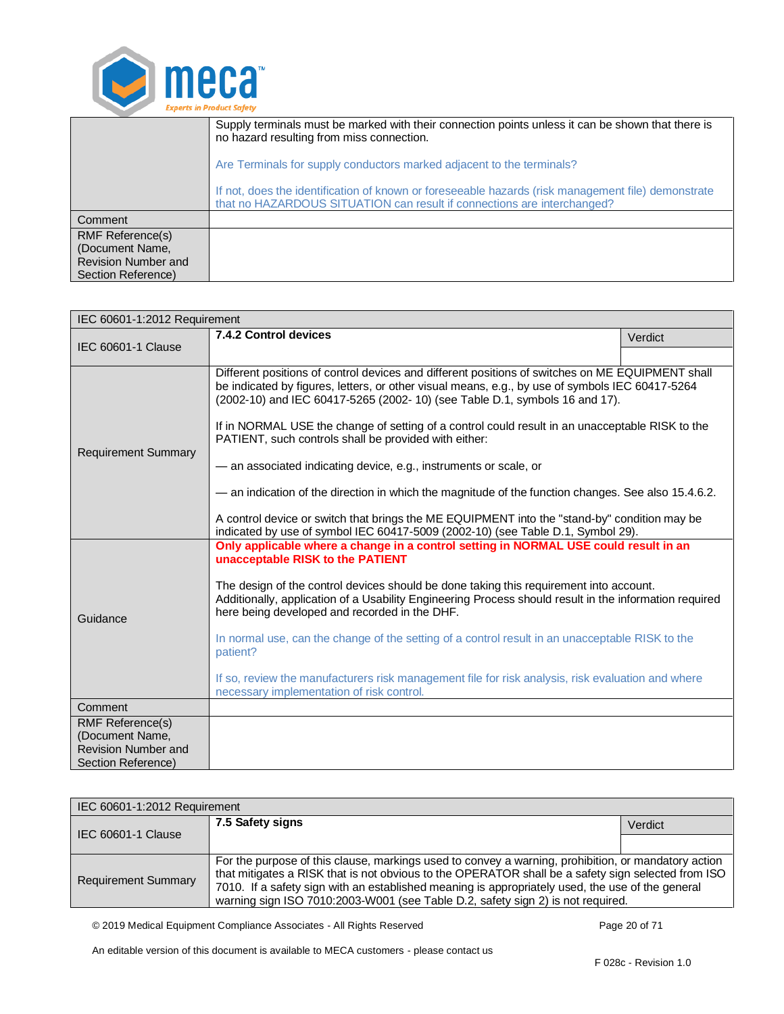

|                                                                                         | Supply terminals must be marked with their connection points unless it can be shown that there is<br>no hazard resulting from miss connection.                                |  |
|-----------------------------------------------------------------------------------------|-------------------------------------------------------------------------------------------------------------------------------------------------------------------------------|--|
|                                                                                         | Are Terminals for supply conductors marked adjacent to the terminals?                                                                                                         |  |
|                                                                                         | If not, does the identification of known or foreseeable hazards (risk management file) demonstrate<br>that no HAZARDOUS SITUATION can result if connections are interchanged? |  |
| Comment                                                                                 |                                                                                                                                                                               |  |
| <b>RMF Reference(s)</b><br>(Document Name,<br>Revision Number and<br>Section Reference) |                                                                                                                                                                               |  |

<span id="page-19-0"></span>

| IEC 60601-1:2012 Requirement                     |                                                                                                                                                                                                                                                                                                                                                                                                                                                                                                                                                                                                                                                                                                                                                                                                              |         |
|--------------------------------------------------|--------------------------------------------------------------------------------------------------------------------------------------------------------------------------------------------------------------------------------------------------------------------------------------------------------------------------------------------------------------------------------------------------------------------------------------------------------------------------------------------------------------------------------------------------------------------------------------------------------------------------------------------------------------------------------------------------------------------------------------------------------------------------------------------------------------|---------|
| IEC 60601-1 Clause                               | 7.4.2 Control devices                                                                                                                                                                                                                                                                                                                                                                                                                                                                                                                                                                                                                                                                                                                                                                                        | Verdict |
|                                                  |                                                                                                                                                                                                                                                                                                                                                                                                                                                                                                                                                                                                                                                                                                                                                                                                              |         |
| <b>Requirement Summary</b>                       | Different positions of control devices and different positions of switches on ME EQUIPMENT shall<br>be indicated by figures, letters, or other visual means, e.g., by use of symbols IEC 60417-5264<br>(2002-10) and IEC 60417-5265 (2002-10) (see Table D.1, symbols 16 and 17).<br>If in NORMAL USE the change of setting of a control could result in an unacceptable RISK to the<br>PATIENT, such controls shall be provided with either:<br>- an associated indicating device, e.g., instruments or scale, or<br>- an indication of the direction in which the magnitude of the function changes. See also 15.4.6.2.<br>A control device or switch that brings the ME EQUIPMENT into the "stand-by" condition may be<br>indicated by use of symbol IEC 60417-5009 (2002-10) (see Table D.1, Symbol 29). |         |
| Guidance                                         | Only applicable where a change in a control setting in NORMAL USE could result in an<br>unacceptable RISK to the PATIENT<br>The design of the control devices should be done taking this requirement into account.<br>Additionally, application of a Usability Engineering Process should result in the information required<br>here being developed and recorded in the DHF.<br>In normal use, can the change of the setting of a control result in an unacceptable RISK to the<br>patient?<br>If so, review the manufacturers risk management file for risk analysis, risk evaluation and where<br>necessary implementation of risk control.                                                                                                                                                               |         |
| Comment                                          |                                                                                                                                                                                                                                                                                                                                                                                                                                                                                                                                                                                                                                                                                                                                                                                                              |         |
| <b>RMF Reference(s)</b>                          |                                                                                                                                                                                                                                                                                                                                                                                                                                                                                                                                                                                                                                                                                                                                                                                                              |         |
| (Document Name,                                  |                                                                                                                                                                                                                                                                                                                                                                                                                                                                                                                                                                                                                                                                                                                                                                                                              |         |
| <b>Revision Number and</b><br>Section Reference) |                                                                                                                                                                                                                                                                                                                                                                                                                                                                                                                                                                                                                                                                                                                                                                                                              |         |

<span id="page-19-1"></span>

| IEC 60601-1:2012 Requirement |                                                                                                                                                                                                                                                                                                                                                                                                  |         |
|------------------------------|--------------------------------------------------------------------------------------------------------------------------------------------------------------------------------------------------------------------------------------------------------------------------------------------------------------------------------------------------------------------------------------------------|---------|
| IEC 60601-1 Clause           | 7.5 Safety signs                                                                                                                                                                                                                                                                                                                                                                                 | Verdict |
|                              |                                                                                                                                                                                                                                                                                                                                                                                                  |         |
| <b>Requirement Summary</b>   | For the purpose of this clause, markings used to convey a warning, prohibition, or mandatory action<br>that mitigates a RISK that is not obvious to the OPERATOR shall be a safety sign selected from ISO<br>7010. If a safety sign with an established meaning is appropriately used, the use of the general<br>warning sign ISO 7010:2003-W001 (see Table D.2, safety sign 2) is not required. |         |

© 2019 Medical Equipment Compliance Associates - All Rights Reserved Page 20 of 71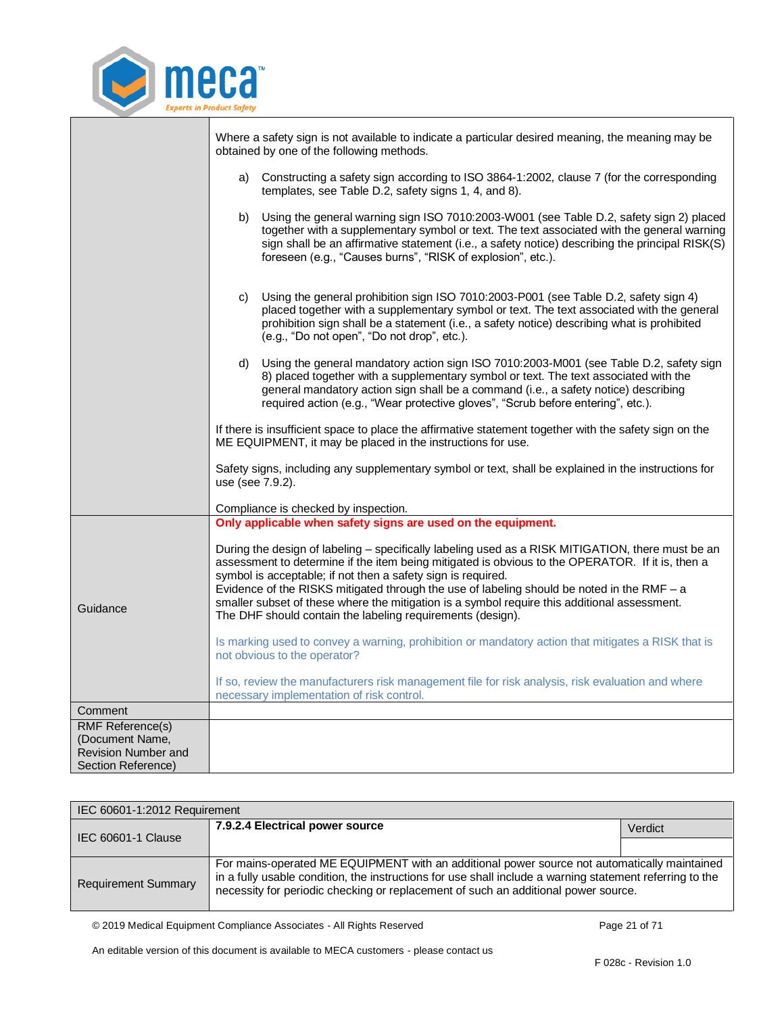

|                                               | Where a safety sign is not available to indicate a particular desired meaning, the meaning may be<br>obtained by one of the following methods.                                                                                                                                                                                                                      |
|-----------------------------------------------|---------------------------------------------------------------------------------------------------------------------------------------------------------------------------------------------------------------------------------------------------------------------------------------------------------------------------------------------------------------------|
|                                               | a) Constructing a safety sign according to ISO 3864-1:2002, clause 7 (for the corresponding<br>templates, see Table D.2, safety signs 1, 4, and 8).                                                                                                                                                                                                                 |
|                                               | Using the general warning sign ISO 7010:2003-W001 (see Table D.2, safety sign 2) placed<br>b)<br>together with a supplementary symbol or text. The text associated with the general warning<br>sign shall be an affirmative statement (i.e., a safety notice) describing the principal RISK(S)<br>foreseen (e.g., "Causes burns", "RISK of explosion", etc.).       |
|                                               | Using the general prohibition sign ISO 7010:2003-P001 (see Table D.2, safety sign 4)<br>C)<br>placed together with a supplementary symbol or text. The text associated with the general<br>prohibition sign shall be a statement (i.e., a safety notice) describing what is prohibited<br>(e.g., "Do not open", "Do not drop", etc.).                               |
|                                               | Using the general mandatory action sign ISO 7010:2003-M001 (see Table D.2, safety sign<br>d)<br>8) placed together with a supplementary symbol or text. The text associated with the<br>general mandatory action sign shall be a command (i.e., a safety notice) describing<br>required action (e.g., "Wear protective gloves", "Scrub before entering", etc.).     |
|                                               | If there is insufficient space to place the affirmative statement together with the safety sign on the<br>ME EQUIPMENT, it may be placed in the instructions for use.                                                                                                                                                                                               |
|                                               | Safety signs, including any supplementary symbol or text, shall be explained in the instructions for<br>use (see 7.9.2).                                                                                                                                                                                                                                            |
|                                               | Compliance is checked by inspection.                                                                                                                                                                                                                                                                                                                                |
|                                               | Only applicable when safety signs are used on the equipment.                                                                                                                                                                                                                                                                                                        |
|                                               | During the design of labeling - specifically labeling used as a RISK MITIGATION, there must be an<br>assessment to determine if the item being mitigated is obvious to the OPERATOR. If it is, then a<br>symbol is acceptable; if not then a safety sign is required.<br>Evidence of the RISKS mitigated through the use of labeling should be noted in the RMF - a |
| Guidance                                      | smaller subset of these where the mitigation is a symbol require this additional assessment.<br>The DHF should contain the labeling requirements (design).                                                                                                                                                                                                          |
|                                               | Is marking used to convey a warning, prohibition or mandatory action that mitigates a RISK that is<br>not obvious to the operator?                                                                                                                                                                                                                                  |
|                                               | If so, review the manufacturers risk management file for risk analysis, risk evaluation and where<br>necessary implementation of risk control.                                                                                                                                                                                                                      |
| Comment                                       |                                                                                                                                                                                                                                                                                                                                                                     |
| <b>RMF Reference(s)</b>                       |                                                                                                                                                                                                                                                                                                                                                                     |
| (Document Name,<br><b>Revision Number and</b> |                                                                                                                                                                                                                                                                                                                                                                     |
| Section Reference)                            |                                                                                                                                                                                                                                                                                                                                                                     |

<span id="page-20-0"></span>

| IEC 60601-1:2012 Requirement |                                                                                                                                                                                                                                                                                                |         |
|------------------------------|------------------------------------------------------------------------------------------------------------------------------------------------------------------------------------------------------------------------------------------------------------------------------------------------|---------|
| IEC 60601-1 Clause           | 7.9.2.4 Electrical power source                                                                                                                                                                                                                                                                | Verdict |
|                              |                                                                                                                                                                                                                                                                                                |         |
| <b>Requirement Summary</b>   | For mains-operated ME EQUIPMENT with an additional power source not automatically maintained<br>in a fully usable condition, the instructions for use shall include a warning statement referring to the<br>necessity for periodic checking or replacement of such an additional power source. |         |

© 2019 Medical Equipment Compliance Associates - All Rights Reserved Page 21 of 71

٦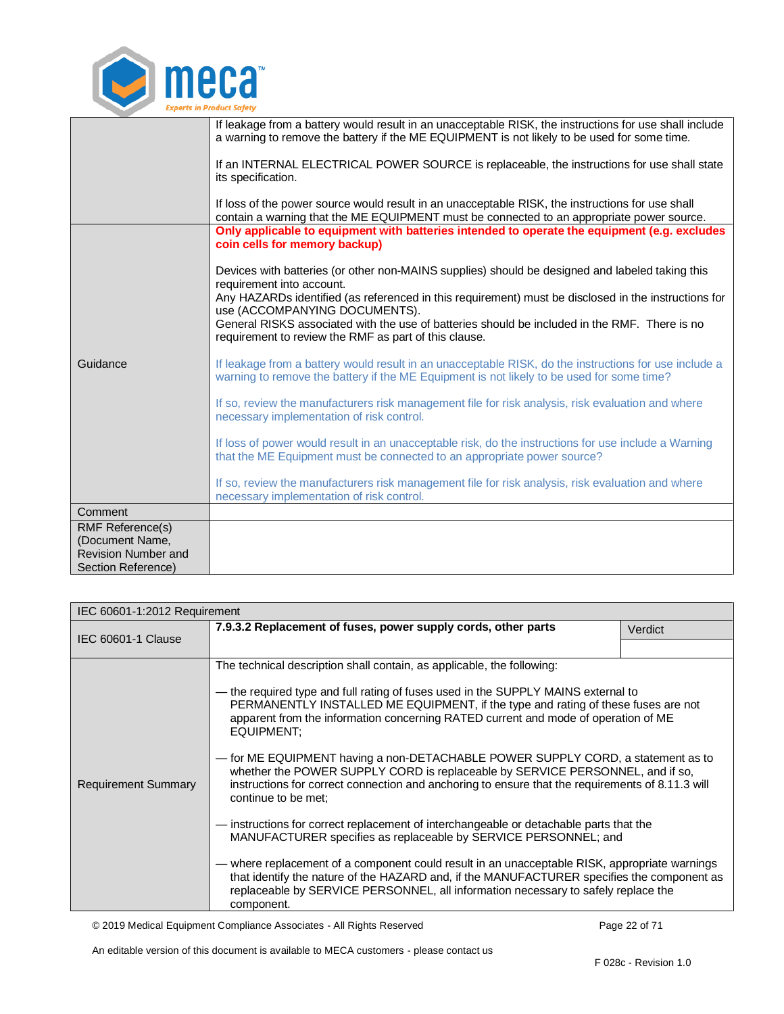

|                            | If leakage from a battery would result in an unacceptable RISK, the instructions for use shall include                                                                                             |
|----------------------------|----------------------------------------------------------------------------------------------------------------------------------------------------------------------------------------------------|
|                            | a warning to remove the battery if the ME EQUIPMENT is not likely to be used for some time.                                                                                                        |
|                            | If an INTERNAL ELECTRICAL POWER SOURCE is replaceable, the instructions for use shall state<br>its specification.                                                                                  |
|                            | If loss of the power source would result in an unacceptable RISK, the instructions for use shall<br>contain a warning that the ME EQUIPMENT must be connected to an appropriate power source.      |
|                            | Only applicable to equipment with batteries intended to operate the equipment (e.g. excludes<br>coin cells for memory backup)                                                                      |
|                            | Devices with batteries (or other non-MAINS supplies) should be designed and labeled taking this<br>requirement into account.                                                                       |
|                            | Any HAZARDs identified (as referenced in this requirement) must be disclosed in the instructions for<br>use (ACCOMPANYING DOCUMENTS).                                                              |
|                            | General RISKS associated with the use of batteries should be included in the RMF. There is no<br>requirement to review the RMF as part of this clause.                                             |
| Guidance                   | If leakage from a battery would result in an unacceptable RISK, do the instructions for use include a<br>warning to remove the battery if the ME Equipment is not likely to be used for some time? |
|                            | If so, review the manufacturers risk management file for risk analysis, risk evaluation and where<br>necessary implementation of risk control.                                                     |
|                            | If loss of power would result in an unacceptable risk, do the instructions for use include a Warning<br>that the ME Equipment must be connected to an appropriate power source?                    |
|                            | If so, review the manufacturers risk management file for risk analysis, risk evaluation and where<br>necessary implementation of risk control.                                                     |
| Comment                    |                                                                                                                                                                                                    |
| RMF Reference(s)           |                                                                                                                                                                                                    |
| (Document Name,            |                                                                                                                                                                                                    |
| <b>Revision Number and</b> |                                                                                                                                                                                                    |
| Section Reference)         |                                                                                                                                                                                                    |

<span id="page-21-0"></span>

| IEC 60601-1:2012 Requirement |                                                                                                                                                                                                                                                                                                                                                                                                                                                                                                                                                                                                                                                                                                                                                                                                                                                                                                                                                                                                                                                                                                                    |         |  |
|------------------------------|--------------------------------------------------------------------------------------------------------------------------------------------------------------------------------------------------------------------------------------------------------------------------------------------------------------------------------------------------------------------------------------------------------------------------------------------------------------------------------------------------------------------------------------------------------------------------------------------------------------------------------------------------------------------------------------------------------------------------------------------------------------------------------------------------------------------------------------------------------------------------------------------------------------------------------------------------------------------------------------------------------------------------------------------------------------------------------------------------------------------|---------|--|
| IEC 60601-1 Clause           | 7.9.3.2 Replacement of fuses, power supply cords, other parts                                                                                                                                                                                                                                                                                                                                                                                                                                                                                                                                                                                                                                                                                                                                                                                                                                                                                                                                                                                                                                                      | Verdict |  |
| <b>Requirement Summary</b>   | The technical description shall contain, as applicable, the following:<br>— the required type and full rating of fuses used in the SUPPLY MAINS external to<br>PERMANENTLY INSTALLED ME EQUIPMENT, if the type and rating of these fuses are not<br>apparent from the information concerning RATED current and mode of operation of ME<br>EQUIPMENT:<br>- for ME EQUIPMENT having a non-DETACHABLE POWER SUPPLY CORD, a statement as to<br>whether the POWER SUPPLY CORD is replaceable by SERVICE PERSONNEL, and if so,<br>instructions for correct connection and anchoring to ensure that the requirements of 8.11.3 will<br>continue to be met:<br>- instructions for correct replacement of interchangeable or detachable parts that the<br>MANUFACTURER specifies as replaceable by SERVICE PERSONNEL; and<br>— where replacement of a component could result in an unacceptable RISK, appropriate warnings<br>that identify the nature of the HAZARD and, if the MANUFACTURER specifies the component as<br>replaceable by SERVICE PERSONNEL, all information necessary to safely replace the<br>component. |         |  |

© 2019 Medical Equipment Compliance Associates - All Rights Reserved Page 22 of 71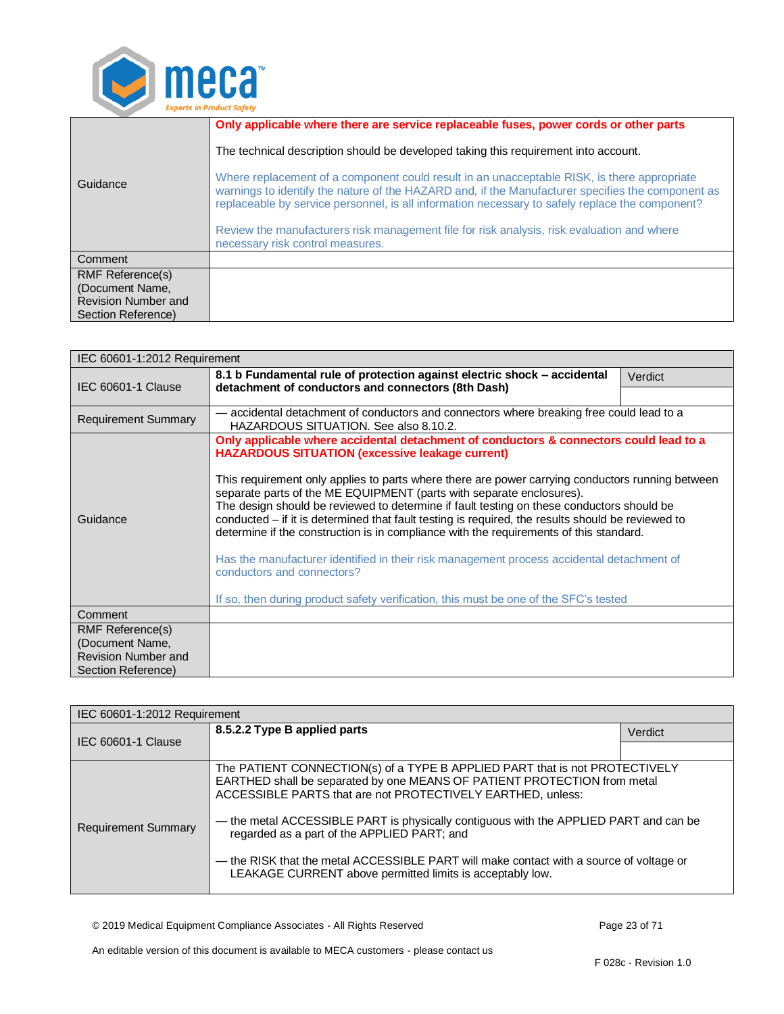

|                                           | Only applicable where there are service replaceable fuses, power cords or other parts                                                                                                                                                                                                               |
|-------------------------------------------|-----------------------------------------------------------------------------------------------------------------------------------------------------------------------------------------------------------------------------------------------------------------------------------------------------|
|                                           | The technical description should be developed taking this requirement into account.                                                                                                                                                                                                                 |
| Guidance                                  | Where replacement of a component could result in an unacceptable RISK, is there appropriate<br>warnings to identify the nature of the HAZARD and, if the Manufacturer specifies the component as<br>replaceable by service personnel, is all information necessary to safely replace the component? |
|                                           | Review the manufacturers risk management file for risk analysis, risk evaluation and where<br>necessary risk control measures.                                                                                                                                                                      |
| Comment                                   |                                                                                                                                                                                                                                                                                                     |
| <b>RMF Reference(s)</b>                   |                                                                                                                                                                                                                                                                                                     |
| (Document Name,                           |                                                                                                                                                                                                                                                                                                     |
| Revision Number and<br>Section Reference) |                                                                                                                                                                                                                                                                                                     |
|                                           |                                                                                                                                                                                                                                                                                                     |

<span id="page-22-0"></span>

| IEC 60601-1:2012 Requirement                                                         |                                                                                                                                                                                                                                                                                                                                                                                                                                                                      |         |  |
|--------------------------------------------------------------------------------------|----------------------------------------------------------------------------------------------------------------------------------------------------------------------------------------------------------------------------------------------------------------------------------------------------------------------------------------------------------------------------------------------------------------------------------------------------------------------|---------|--|
| <b>IEC 60601-1 Clause</b>                                                            | 8.1 b Fundamental rule of protection against electric shock - accidental<br>detachment of conductors and connectors (8th Dash)                                                                                                                                                                                                                                                                                                                                       | Verdict |  |
| <b>Requirement Summary</b>                                                           | - accidental detachment of conductors and connectors where breaking free could lead to a                                                                                                                                                                                                                                                                                                                                                                             |         |  |
|                                                                                      | HAZARDOUS SITUATION. See also 8.10.2.<br>Only applicable where accidental detachment of conductors & connectors could lead to a<br><b>HAZARDOUS SITUATION (excessive leakage current)</b>                                                                                                                                                                                                                                                                            |         |  |
| Guidance                                                                             | This requirement only applies to parts where there are power carrying conductors running between<br>separate parts of the ME EQUIPMENT (parts with separate enclosures).<br>The design should be reviewed to determine if fault testing on these conductors should be<br>conducted - if it is determined that fault testing is required, the results should be reviewed to<br>determine if the construction is in compliance with the requirements of this standard. |         |  |
|                                                                                      | Has the manufacturer identified in their risk management process accidental detachment of<br>conductors and connectors?                                                                                                                                                                                                                                                                                                                                              |         |  |
| If so, then during product safety verification, this must be one of the SFC's tested |                                                                                                                                                                                                                                                                                                                                                                                                                                                                      |         |  |
| Comment                                                                              |                                                                                                                                                                                                                                                                                                                                                                                                                                                                      |         |  |
| RMF Reference(s)                                                                     |                                                                                                                                                                                                                                                                                                                                                                                                                                                                      |         |  |
| (Document Name,<br>Revision Number and                                               |                                                                                                                                                                                                                                                                                                                                                                                                                                                                      |         |  |
| Section Reference)                                                                   |                                                                                                                                                                                                                                                                                                                                                                                                                                                                      |         |  |

<span id="page-22-1"></span>

| IEC 60601-1:2012 Requirement |                                                                                                                                                                                                                                                                                                                                                                                                                                                                                                                        |         |
|------------------------------|------------------------------------------------------------------------------------------------------------------------------------------------------------------------------------------------------------------------------------------------------------------------------------------------------------------------------------------------------------------------------------------------------------------------------------------------------------------------------------------------------------------------|---------|
| <b>IEC 60601-1 Clause</b>    | 8.5.2.2 Type B applied parts                                                                                                                                                                                                                                                                                                                                                                                                                                                                                           | Verdict |
|                              |                                                                                                                                                                                                                                                                                                                                                                                                                                                                                                                        |         |
| <b>Requirement Summary</b>   | The PATIENT CONNECTION(s) of a TYPE B APPLIED PART that is not PROTECTIVELY<br>EARTHED shall be separated by one MEANS OF PATIENT PROTECTION from metal<br>ACCESSIBLE PARTS that are not PROTECTIVELY EARTHED, unless:<br>— the metal ACCESSIBLE PART is physically contiguous with the APPLIED PART and can be<br>regarded as a part of the APPLIED PART; and<br>— the RISK that the metal ACCESSIBLE PART will make contact with a source of voltage or<br>LEAKAGE CURRENT above permitted limits is acceptably low. |         |

© 2019 Medical Equipment Compliance Associates - All Rights Reserved Page 23 of 71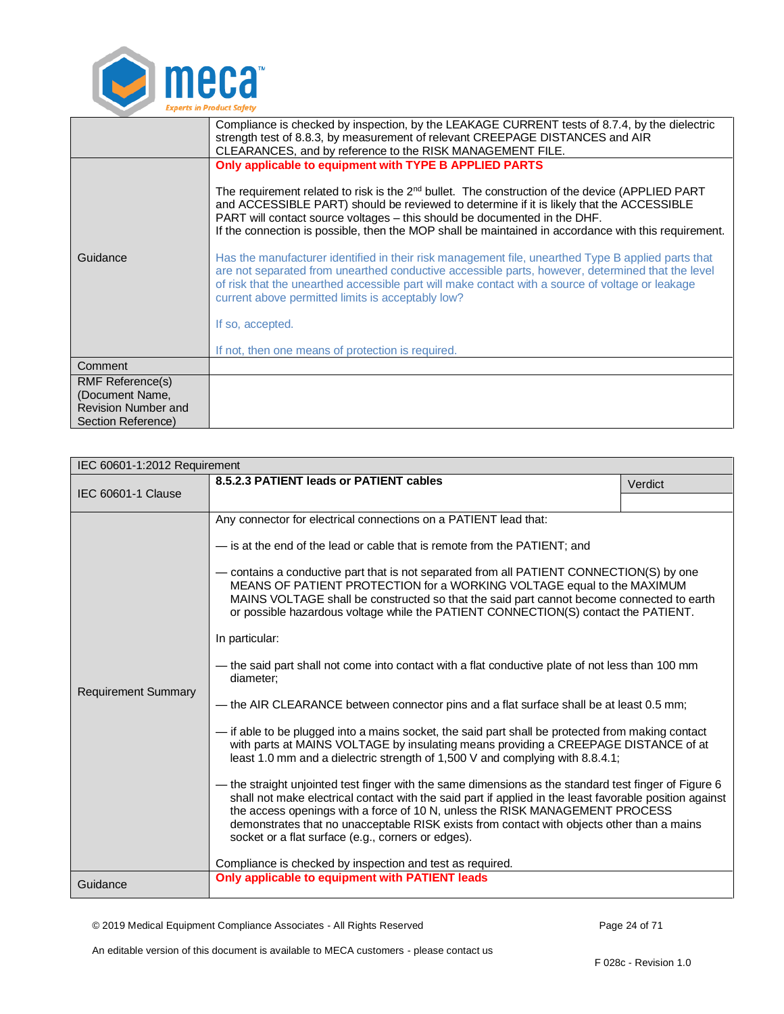

|                            | Compliance is checked by inspection, by the LEAKAGE CURRENT tests of 8.7.4, by the dielectric                                                                                                                                                                                                                                                                                                                                                                                                                                                                                                                                                             |
|----------------------------|-----------------------------------------------------------------------------------------------------------------------------------------------------------------------------------------------------------------------------------------------------------------------------------------------------------------------------------------------------------------------------------------------------------------------------------------------------------------------------------------------------------------------------------------------------------------------------------------------------------------------------------------------------------|
|                            | strength test of 8.8.3, by measurement of relevant CREEPAGE DISTANCES and AIR<br>CLEARANCES, and by reference to the RISK MANAGEMENT FILE.                                                                                                                                                                                                                                                                                                                                                                                                                                                                                                                |
| Guidance                   | Only applicable to equipment with TYPE B APPLIED PARTS<br>The requirement related to risk is the $2^{nd}$ bullet. The construction of the device (APPLIED PART<br>and ACCESSIBLE PART) should be reviewed to determine if it is likely that the ACCESSIBLE<br>PART will contact source voltages - this should be documented in the DHF.<br>If the connection is possible, then the MOP shall be maintained in accordance with this requirement.<br>Has the manufacturer identified in their risk management file, unearthed Type B applied parts that<br>are not separated from unearthed conductive accessible parts, however, determined that the level |
|                            | of risk that the unearthed accessible part will make contact with a source of voltage or leakage<br>current above permitted limits is acceptably low?                                                                                                                                                                                                                                                                                                                                                                                                                                                                                                     |
|                            | If so, accepted.                                                                                                                                                                                                                                                                                                                                                                                                                                                                                                                                                                                                                                          |
|                            | If not, then one means of protection is required.                                                                                                                                                                                                                                                                                                                                                                                                                                                                                                                                                                                                         |
| Comment                    |                                                                                                                                                                                                                                                                                                                                                                                                                                                                                                                                                                                                                                                           |
| <b>RMF Reference(s)</b>    |                                                                                                                                                                                                                                                                                                                                                                                                                                                                                                                                                                                                                                                           |
| (Document Name,            |                                                                                                                                                                                                                                                                                                                                                                                                                                                                                                                                                                                                                                                           |
| <b>Revision Number and</b> |                                                                                                                                                                                                                                                                                                                                                                                                                                                                                                                                                                                                                                                           |
| Section Reference)         |                                                                                                                                                                                                                                                                                                                                                                                                                                                                                                                                                                                                                                                           |

<span id="page-23-0"></span>

| IEC 60601-1:2012 Requirement |                                                                                                                                                                                                                                                                                                                                                                                                                                                                                                                                                                                                                                                                                                                                                                                                                                                                                                                                                                                                                                                                                                                                                                                                                                                                                                                                                                                                                                                                           |         |  |
|------------------------------|---------------------------------------------------------------------------------------------------------------------------------------------------------------------------------------------------------------------------------------------------------------------------------------------------------------------------------------------------------------------------------------------------------------------------------------------------------------------------------------------------------------------------------------------------------------------------------------------------------------------------------------------------------------------------------------------------------------------------------------------------------------------------------------------------------------------------------------------------------------------------------------------------------------------------------------------------------------------------------------------------------------------------------------------------------------------------------------------------------------------------------------------------------------------------------------------------------------------------------------------------------------------------------------------------------------------------------------------------------------------------------------------------------------------------------------------------------------------------|---------|--|
| <b>IEC 60601-1 Clause</b>    | 8.5.2.3 PATIENT leads or PATIENT cables                                                                                                                                                                                                                                                                                                                                                                                                                                                                                                                                                                                                                                                                                                                                                                                                                                                                                                                                                                                                                                                                                                                                                                                                                                                                                                                                                                                                                                   | Verdict |  |
|                              |                                                                                                                                                                                                                                                                                                                                                                                                                                                                                                                                                                                                                                                                                                                                                                                                                                                                                                                                                                                                                                                                                                                                                                                                                                                                                                                                                                                                                                                                           |         |  |
| <b>Requirement Summary</b>   | Any connector for electrical connections on a PATIENT lead that:<br>- is at the end of the lead or cable that is remote from the PATIENT; and<br>- contains a conductive part that is not separated from all PATIENT CONNECTION(S) by one<br>MEANS OF PATIENT PROTECTION for a WORKING VOLTAGE equal to the MAXIMUM<br>MAINS VOLTAGE shall be constructed so that the said part cannot become connected to earth<br>or possible hazardous voltage while the PATIENT CONNECTION(S) contact the PATIENT.<br>In particular:<br>— the said part shall not come into contact with a flat conductive plate of not less than 100 mm<br>diameter;<br>- the AIR CLEARANCE between connector pins and a flat surface shall be at least 0.5 mm;<br>- if able to be plugged into a mains socket, the said part shall be protected from making contact<br>with parts at MAINS VOLTAGE by insulating means providing a CREEPAGE DISTANCE of at<br>least 1.0 mm and a dielectric strength of 1,500 V and complying with 8.8.4.1;<br>— the straight unjointed test finger with the same dimensions as the standard test finger of Figure 6<br>shall not make electrical contact with the said part if applied in the least favorable position against<br>the access openings with a force of 10 N, unless the RISK MANAGEMENT PROCESS<br>demonstrates that no unacceptable RISK exists from contact with objects other than a mains<br>socket or a flat surface (e.g., corners or edges). |         |  |
|                              | Compliance is checked by inspection and test as required.<br>Only applicable to equipment with PATIENT leads                                                                                                                                                                                                                                                                                                                                                                                                                                                                                                                                                                                                                                                                                                                                                                                                                                                                                                                                                                                                                                                                                                                                                                                                                                                                                                                                                              |         |  |
| Guidance                     |                                                                                                                                                                                                                                                                                                                                                                                                                                                                                                                                                                                                                                                                                                                                                                                                                                                                                                                                                                                                                                                                                                                                                                                                                                                                                                                                                                                                                                                                           |         |  |

© 2019 Medical Equipment Compliance Associates - All Rights Reserved Page 24 of 71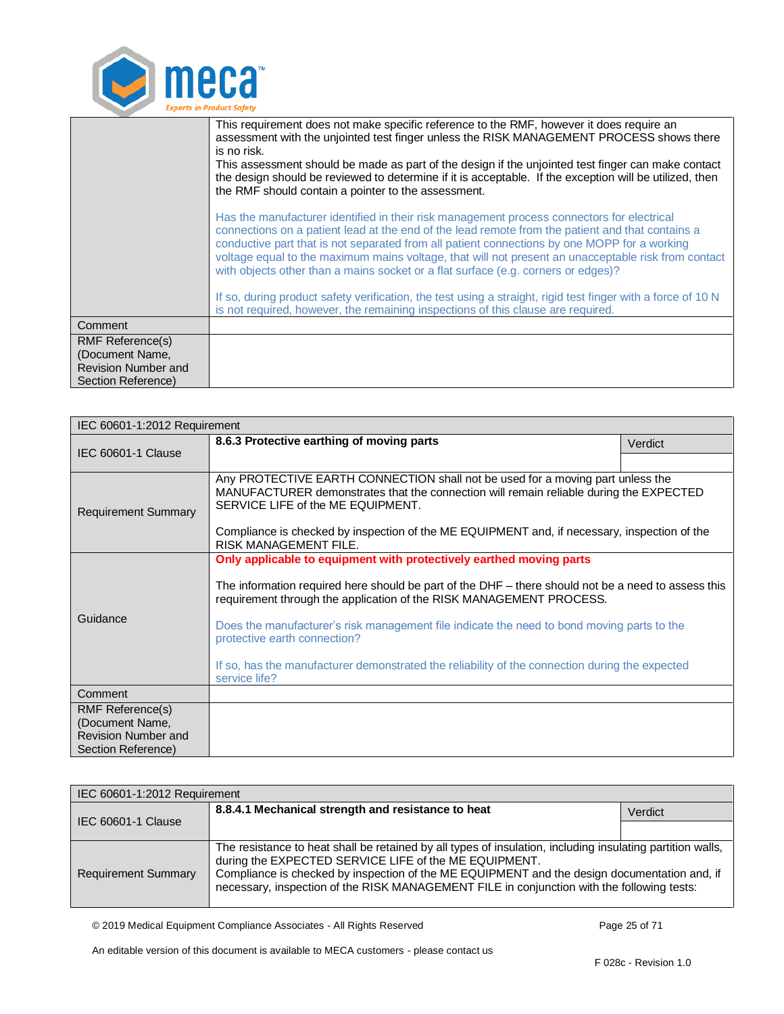

|                                                  | This requirement does not make specific reference to the RMF, however it does require an<br>assessment with the unjointed test finger unless the RISK MANAGEMENT PROCESS shows there<br>is no risk.<br>This assessment should be made as part of the design if the unjointed test finger can make contact<br>the design should be reviewed to determine if it is acceptable. If the exception will be utilized, then<br>the RMF should contain a pointer to the assessment.                |  |
|--------------------------------------------------|--------------------------------------------------------------------------------------------------------------------------------------------------------------------------------------------------------------------------------------------------------------------------------------------------------------------------------------------------------------------------------------------------------------------------------------------------------------------------------------------|--|
|                                                  | Has the manufacturer identified in their risk management process connectors for electrical<br>connections on a patient lead at the end of the lead remote from the patient and that contains a<br>conductive part that is not separated from all patient connections by one MOPP for a working<br>voltage equal to the maximum mains voltage, that will not present an unacceptable risk from contact<br>with objects other than a mains socket or a flat surface (e.g. corners or edges)? |  |
|                                                  | If so, during product safety verification, the test using a straight, rigid test finger with a force of 10 N<br>is not required, however, the remaining inspections of this clause are required.                                                                                                                                                                                                                                                                                           |  |
| Comment                                          |                                                                                                                                                                                                                                                                                                                                                                                                                                                                                            |  |
| <b>RMF Reference(s)</b>                          |                                                                                                                                                                                                                                                                                                                                                                                                                                                                                            |  |
| (Document Name,                                  |                                                                                                                                                                                                                                                                                                                                                                                                                                                                                            |  |
| <b>Revision Number and</b><br>Section Reference) |                                                                                                                                                                                                                                                                                                                                                                                                                                                                                            |  |
|                                                  |                                                                                                                                                                                                                                                                                                                                                                                                                                                                                            |  |

<span id="page-24-0"></span>

| IEC 60601-1:2012 Requirement                                                            |                                                                                                                                                                                                                                                                                                                                                                                                                                                                                                    |         |  |
|-----------------------------------------------------------------------------------------|----------------------------------------------------------------------------------------------------------------------------------------------------------------------------------------------------------------------------------------------------------------------------------------------------------------------------------------------------------------------------------------------------------------------------------------------------------------------------------------------------|---------|--|
| <b>IEC 60601-1 Clause</b>                                                               | 8.6.3 Protective earthing of moving parts                                                                                                                                                                                                                                                                                                                                                                                                                                                          | Verdict |  |
|                                                                                         |                                                                                                                                                                                                                                                                                                                                                                                                                                                                                                    |         |  |
| <b>Requirement Summary</b>                                                              | Any PROTECTIVE EARTH CONNECTION shall not be used for a moving part unless the<br>MANUFACTURER demonstrates that the connection will remain reliable during the EXPECTED<br>SERVICE LIFE of the ME EQUIPMENT.<br>Compliance is checked by inspection of the ME EQUIPMENT and, if necessary, inspection of the                                                                                                                                                                                      |         |  |
|                                                                                         | <b>RISK MANAGEMENT FILE.</b>                                                                                                                                                                                                                                                                                                                                                                                                                                                                       |         |  |
| Guidance                                                                                | Only applicable to equipment with protectively earthed moving parts<br>The information required here should be part of the DHF – there should not be a need to assess this<br>requirement through the application of the RISK MANAGEMENT PROCESS.<br>Does the manufacturer's risk management file indicate the need to bond moving parts to the<br>protective earth connection?<br>If so, has the manufacturer demonstrated the reliability of the connection during the expected<br>service life? |         |  |
| Comment                                                                                 |                                                                                                                                                                                                                                                                                                                                                                                                                                                                                                    |         |  |
| RMF Reference(s)<br>(Document Name,<br><b>Revision Number and</b><br>Section Reference) |                                                                                                                                                                                                                                                                                                                                                                                                                                                                                                    |         |  |

<span id="page-24-1"></span>

| IEC 60601-1:2012 Requirement |                                                                                                                                                                                                                                                                                                                                                                   |         |
|------------------------------|-------------------------------------------------------------------------------------------------------------------------------------------------------------------------------------------------------------------------------------------------------------------------------------------------------------------------------------------------------------------|---------|
| IEC 60601-1 Clause           | 8.8.4.1 Mechanical strength and resistance to heat                                                                                                                                                                                                                                                                                                                | Verdict |
|                              |                                                                                                                                                                                                                                                                                                                                                                   |         |
| <b>Requirement Summary</b>   | The resistance to heat shall be retained by all types of insulation, including insulating partition walls,<br>during the EXPECTED SERVICE LIFE of the ME EQUIPMENT.<br>Compliance is checked by inspection of the ME EQUIPMENT and the design documentation and, if<br>necessary, inspection of the RISK MANAGEMENT FILE in conjunction with the following tests: |         |

© 2019 Medical Equipment Compliance Associates - All Rights Reserved Page 25 of 71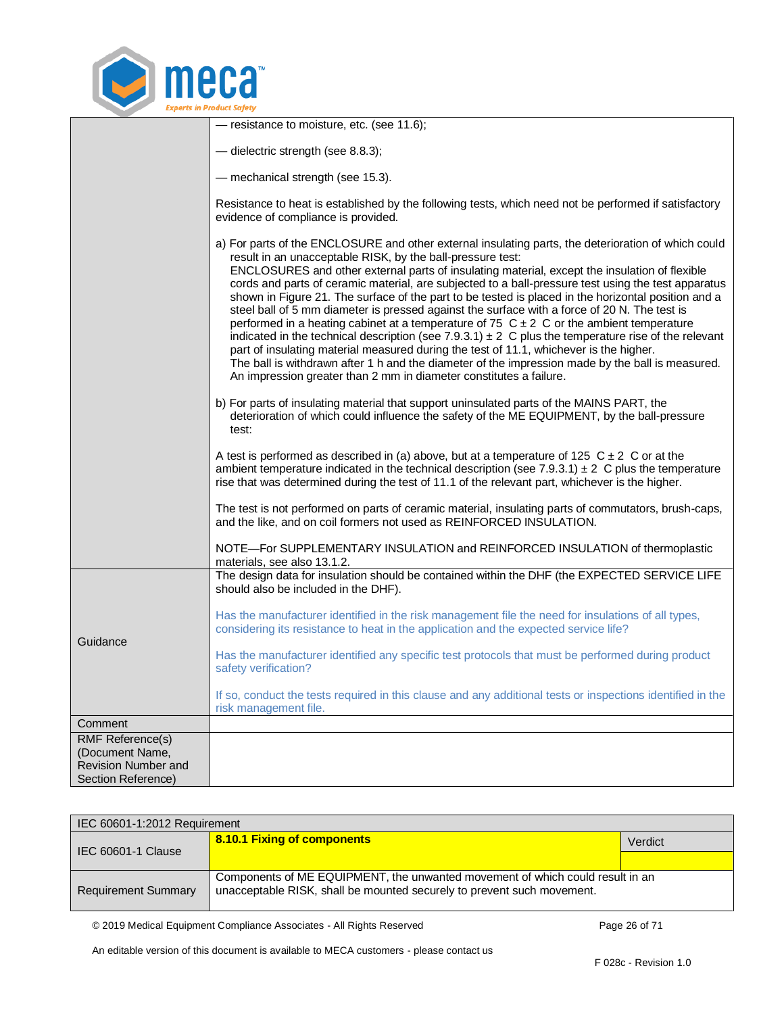

|                                                                                                | - resistance to moisture, etc. (see 11.6);                                                                                                                                                                                                                                                                                                                                                                                                                                                                                                                                                                                                                                                                                                                                                                                                                                                                                                                                                                                                                       |
|------------------------------------------------------------------------------------------------|------------------------------------------------------------------------------------------------------------------------------------------------------------------------------------------------------------------------------------------------------------------------------------------------------------------------------------------------------------------------------------------------------------------------------------------------------------------------------------------------------------------------------------------------------------------------------------------------------------------------------------------------------------------------------------------------------------------------------------------------------------------------------------------------------------------------------------------------------------------------------------------------------------------------------------------------------------------------------------------------------------------------------------------------------------------|
|                                                                                                | - dielectric strength (see 8.8.3);                                                                                                                                                                                                                                                                                                                                                                                                                                                                                                                                                                                                                                                                                                                                                                                                                                                                                                                                                                                                                               |
|                                                                                                | - mechanical strength (see 15.3).                                                                                                                                                                                                                                                                                                                                                                                                                                                                                                                                                                                                                                                                                                                                                                                                                                                                                                                                                                                                                                |
|                                                                                                | Resistance to heat is established by the following tests, which need not be performed if satisfactory<br>evidence of compliance is provided.                                                                                                                                                                                                                                                                                                                                                                                                                                                                                                                                                                                                                                                                                                                                                                                                                                                                                                                     |
|                                                                                                | a) For parts of the ENCLOSURE and other external insulating parts, the deterioration of which could<br>result in an unacceptable RISK, by the ball-pressure test:<br>ENCLOSURES and other external parts of insulating material, except the insulation of flexible<br>cords and parts of ceramic material, are subjected to a ball-pressure test using the test apparatus<br>shown in Figure 21. The surface of the part to be tested is placed in the horizontal position and a<br>steel ball of 5 mm diameter is pressed against the surface with a force of 20 N. The test is<br>performed in a heating cabinet at a temperature of 75 $C \pm 2$ C or the ambient temperature<br>indicated in the technical description (see 7.9.3.1) $\pm$ 2 C plus the temperature rise of the relevant<br>part of insulating material measured during the test of 11.1, whichever is the higher.<br>The ball is withdrawn after 1 h and the diameter of the impression made by the ball is measured.<br>An impression greater than 2 mm in diameter constitutes a failure. |
|                                                                                                | b) For parts of insulating material that support uninsulated parts of the MAINS PART, the<br>deterioration of which could influence the safety of the ME EQUIPMENT, by the ball-pressure<br>test:                                                                                                                                                                                                                                                                                                                                                                                                                                                                                                                                                                                                                                                                                                                                                                                                                                                                |
|                                                                                                | A test is performed as described in (a) above, but at a temperature of 125 $C \pm 2$ C or at the<br>ambient temperature indicated in the technical description (see $7.9.3.1$ ) $\pm$ 2 C plus the temperature<br>rise that was determined during the test of 11.1 of the relevant part, whichever is the higher.                                                                                                                                                                                                                                                                                                                                                                                                                                                                                                                                                                                                                                                                                                                                                |
|                                                                                                | The test is not performed on parts of ceramic material, insulating parts of commutators, brush-caps,<br>and the like, and on coil formers not used as REINFORCED INSULATION.                                                                                                                                                                                                                                                                                                                                                                                                                                                                                                                                                                                                                                                                                                                                                                                                                                                                                     |
|                                                                                                | NOTE-For SUPPLEMENTARY INSULATION and REINFORCED INSULATION of thermoplastic<br>materials, see also 13.1.2.                                                                                                                                                                                                                                                                                                                                                                                                                                                                                                                                                                                                                                                                                                                                                                                                                                                                                                                                                      |
|                                                                                                | The design data for insulation should be contained within the DHF (the EXPECTED SERVICE LIFE<br>should also be included in the DHF).                                                                                                                                                                                                                                                                                                                                                                                                                                                                                                                                                                                                                                                                                                                                                                                                                                                                                                                             |
| Guidance                                                                                       | Has the manufacturer identified in the risk management file the need for insulations of all types,<br>considering its resistance to heat in the application and the expected service life?                                                                                                                                                                                                                                                                                                                                                                                                                                                                                                                                                                                                                                                                                                                                                                                                                                                                       |
|                                                                                                | Has the manufacturer identified any specific test protocols that must be performed during product<br>safety verification?                                                                                                                                                                                                                                                                                                                                                                                                                                                                                                                                                                                                                                                                                                                                                                                                                                                                                                                                        |
|                                                                                                | If so, conduct the tests required in this clause and any additional tests or inspections identified in the<br>risk management file.                                                                                                                                                                                                                                                                                                                                                                                                                                                                                                                                                                                                                                                                                                                                                                                                                                                                                                                              |
| Comment                                                                                        |                                                                                                                                                                                                                                                                                                                                                                                                                                                                                                                                                                                                                                                                                                                                                                                                                                                                                                                                                                                                                                                                  |
| <b>RMF Reference(s)</b><br>(Document Name,<br><b>Revision Number and</b><br>Section Reference) |                                                                                                                                                                                                                                                                                                                                                                                                                                                                                                                                                                                                                                                                                                                                                                                                                                                                                                                                                                                                                                                                  |

<span id="page-25-0"></span>

| IEC 60601-1:2012 Requirement |                                                                                                                                                         |         |
|------------------------------|---------------------------------------------------------------------------------------------------------------------------------------------------------|---------|
| IEC 60601-1 Clause           | 8.10.1 Fixing of components                                                                                                                             | Verdict |
|                              |                                                                                                                                                         |         |
| <b>Requirement Summary</b>   | Components of ME EQUIPMENT, the unwanted movement of which could result in an<br>unacceptable RISK, shall be mounted securely to prevent such movement. |         |

© 2019 Medical Equipment Compliance Associates - All Rights Reserved Page 26 of 71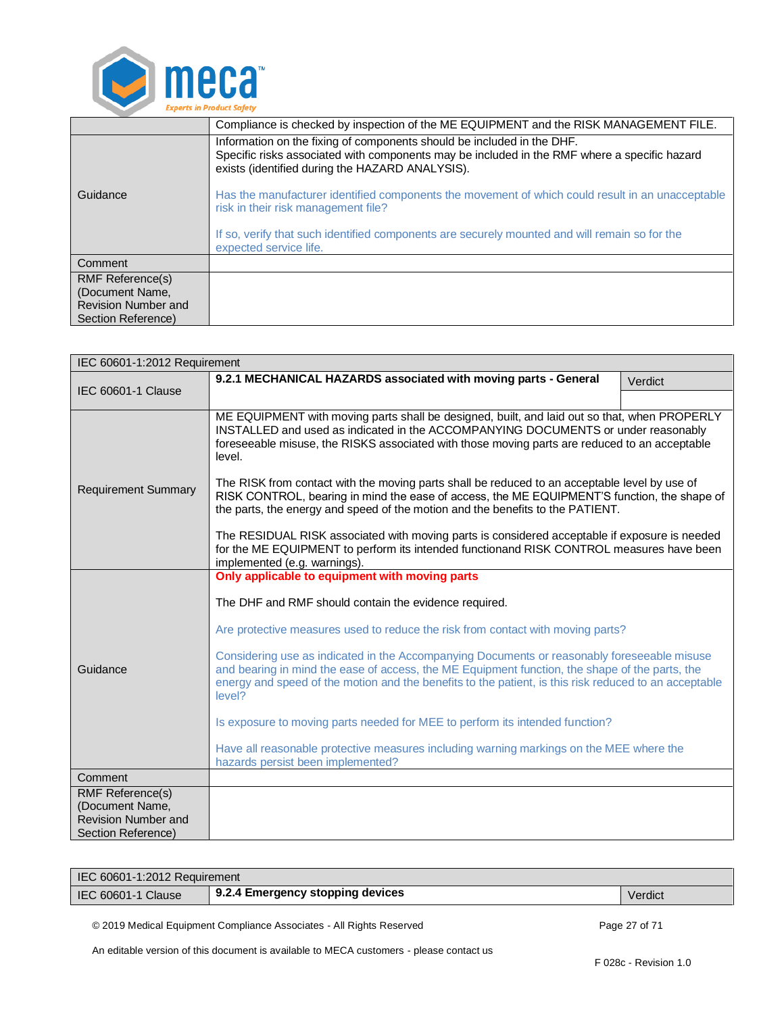

|                                        | Compliance is checked by inspection of the ME EQUIPMENT and the RISK MANAGEMENT FILE.                                                                                                                                     |  |
|----------------------------------------|---------------------------------------------------------------------------------------------------------------------------------------------------------------------------------------------------------------------------|--|
|                                        | Information on the fixing of components should be included in the DHF.<br>Specific risks associated with components may be included in the RMF where a specific hazard<br>exists (identified during the HAZARD ANALYSIS). |  |
| Guidance                               | Has the manufacturer identified components the movement of which could result in an unacceptable<br>risk in their risk management file?                                                                                   |  |
|                                        | If so, verify that such identified components are securely mounted and will remain so for the<br>expected service life.                                                                                                   |  |
| Comment                                |                                                                                                                                                                                                                           |  |
| <b>RMF Reference(s)</b>                |                                                                                                                                                                                                                           |  |
| (Document Name,<br>Revision Number and |                                                                                                                                                                                                                           |  |
| Section Reference)                     |                                                                                                                                                                                                                           |  |

<span id="page-26-0"></span>

| IEC 60601-1:2012 Requirement                                                                   |                                                                                                                                                                                                                                                                                                                                                                                                                                                                                              |         |  |
|------------------------------------------------------------------------------------------------|----------------------------------------------------------------------------------------------------------------------------------------------------------------------------------------------------------------------------------------------------------------------------------------------------------------------------------------------------------------------------------------------------------------------------------------------------------------------------------------------|---------|--|
| IEC 60601-1 Clause                                                                             | 9.2.1 MECHANICAL HAZARDS associated with moving parts - General                                                                                                                                                                                                                                                                                                                                                                                                                              | Verdict |  |
|                                                                                                |                                                                                                                                                                                                                                                                                                                                                                                                                                                                                              |         |  |
| <b>Requirement Summary</b>                                                                     | ME EQUIPMENT with moving parts shall be designed, built, and laid out so that, when PROPERLY<br>INSTALLED and used as indicated in the ACCOMPANYING DOCUMENTS or under reasonably<br>foreseeable misuse, the RISKS associated with those moving parts are reduced to an acceptable<br>level.<br>The RISK from contact with the moving parts shall be reduced to an acceptable level by use of<br>RISK CONTROL, bearing in mind the ease of access, the ME EQUIPMENT'S function, the shape of |         |  |
|                                                                                                | the parts, the energy and speed of the motion and the benefits to the PATIENT.                                                                                                                                                                                                                                                                                                                                                                                                               |         |  |
|                                                                                                | The RESIDUAL RISK associated with moving parts is considered acceptable if exposure is needed<br>for the ME EQUIPMENT to perform its intended functionand RISK CONTROL measures have been<br>implemented (e.g. warnings).                                                                                                                                                                                                                                                                    |         |  |
|                                                                                                | Only applicable to equipment with moving parts                                                                                                                                                                                                                                                                                                                                                                                                                                               |         |  |
|                                                                                                | The DHF and RMF should contain the evidence required.                                                                                                                                                                                                                                                                                                                                                                                                                                        |         |  |
|                                                                                                | Are protective measures used to reduce the risk from contact with moving parts?                                                                                                                                                                                                                                                                                                                                                                                                              |         |  |
| Guidance                                                                                       | Considering use as indicated in the Accompanying Documents or reasonably foreseeable misuse<br>and bearing in mind the ease of access, the ME Equipment function, the shape of the parts, the<br>energy and speed of the motion and the benefits to the patient, is this risk reduced to an acceptable<br>level?                                                                                                                                                                             |         |  |
|                                                                                                | Is exposure to moving parts needed for MEE to perform its intended function?                                                                                                                                                                                                                                                                                                                                                                                                                 |         |  |
|                                                                                                | Have all reasonable protective measures including warning markings on the MEE where the<br>hazards persist been implemented?                                                                                                                                                                                                                                                                                                                                                                 |         |  |
| Comment                                                                                        |                                                                                                                                                                                                                                                                                                                                                                                                                                                                                              |         |  |
| <b>RMF Reference(s)</b><br>(Document Name,<br><b>Revision Number and</b><br>Section Reference) |                                                                                                                                                                                                                                                                                                                                                                                                                                                                                              |         |  |

| IEC 60601-1:2012 Requirement |                                  |         |
|------------------------------|----------------------------------|---------|
| IEC 60601-1 Clause           | 9.2.4 Emergency stopping devices | Verdict |

<span id="page-26-1"></span>© 2019 Medical Equipment Compliance Associates - All Rights Reserved Page 27 of 71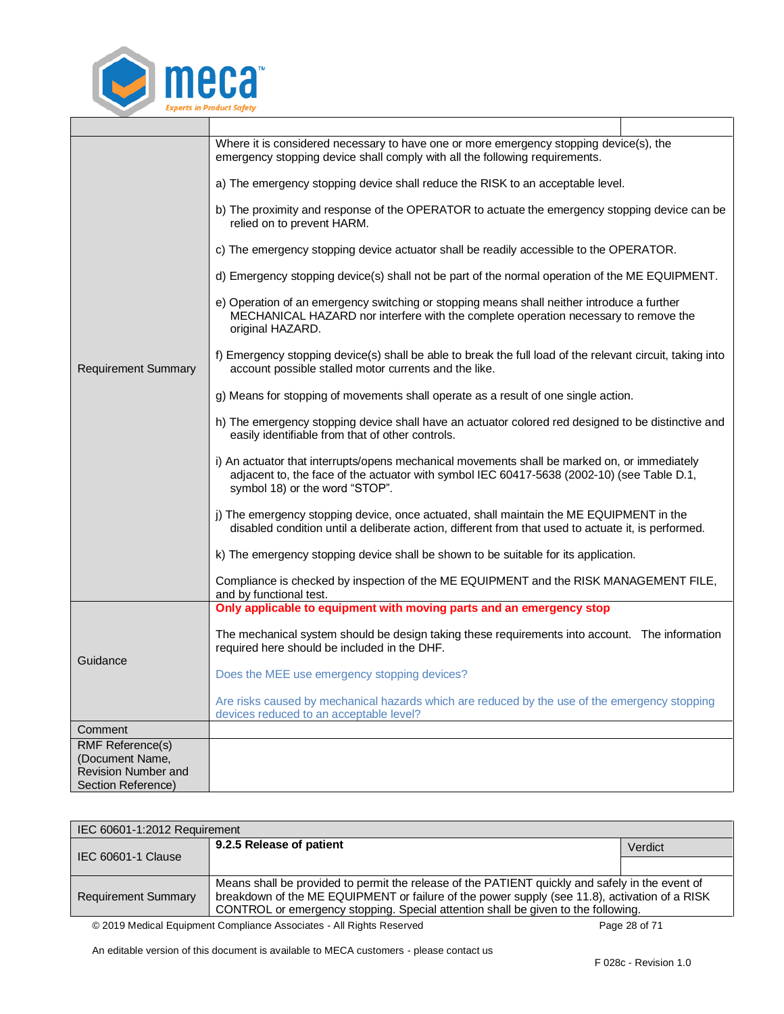

|                                               | Where it is considered necessary to have one or more emergency stopping device(s), the<br>emergency stopping device shall comply with all the following requirements.                                                        |  |
|-----------------------------------------------|------------------------------------------------------------------------------------------------------------------------------------------------------------------------------------------------------------------------------|--|
|                                               | a) The emergency stopping device shall reduce the RISK to an acceptable level.                                                                                                                                               |  |
|                                               | b) The proximity and response of the OPERATOR to actuate the emergency stopping device can be<br>relied on to prevent HARM.                                                                                                  |  |
|                                               | c) The emergency stopping device actuator shall be readily accessible to the OPERATOR.                                                                                                                                       |  |
|                                               | d) Emergency stopping device(s) shall not be part of the normal operation of the ME EQUIPMENT.                                                                                                                               |  |
| <b>Requirement Summary</b>                    | e) Operation of an emergency switching or stopping means shall neither introduce a further<br>MECHANICAL HAZARD nor interfere with the complete operation necessary to remove the<br>original HAZARD.                        |  |
|                                               | f) Emergency stopping device(s) shall be able to break the full load of the relevant circuit, taking into<br>account possible stalled motor currents and the like.                                                           |  |
|                                               | g) Means for stopping of movements shall operate as a result of one single action.                                                                                                                                           |  |
|                                               | h) The emergency stopping device shall have an actuator colored red designed to be distinctive and<br>easily identifiable from that of other controls.                                                                       |  |
|                                               | i) An actuator that interrupts/opens mechanical movements shall be marked on, or immediately<br>adjacent to, the face of the actuator with symbol IEC 60417-5638 (2002-10) (see Table D.1,<br>symbol 18) or the word "STOP". |  |
|                                               | j) The emergency stopping device, once actuated, shall maintain the ME EQUIPMENT in the<br>disabled condition until a deliberate action, different from that used to actuate it, is performed.                               |  |
|                                               | k) The emergency stopping device shall be shown to be suitable for its application.                                                                                                                                          |  |
|                                               | Compliance is checked by inspection of the ME EQUIPMENT and the RISK MANAGEMENT FILE,<br>and by functional test.                                                                                                             |  |
|                                               | Only applicable to equipment with moving parts and an emergency stop                                                                                                                                                         |  |
|                                               | The mechanical system should be design taking these requirements into account. The information<br>required here should be included in the DHF.                                                                               |  |
| Guidance                                      | Does the MEE use emergency stopping devices?                                                                                                                                                                                 |  |
|                                               | Are risks caused by mechanical hazards which are reduced by the use of the emergency stopping<br>devices reduced to an acceptable level?                                                                                     |  |
| Comment                                       |                                                                                                                                                                                                                              |  |
| <b>RMF Reference(s)</b>                       |                                                                                                                                                                                                                              |  |
| (Document Name,<br><b>Revision Number and</b> |                                                                                                                                                                                                                              |  |
| Section Reference)                            |                                                                                                                                                                                                                              |  |

<span id="page-27-0"></span>

| IEC 60601-1:2012 Requirement |                                                                                                                                                                                                                                                                                       |         |  |
|------------------------------|---------------------------------------------------------------------------------------------------------------------------------------------------------------------------------------------------------------------------------------------------------------------------------------|---------|--|
| IEC 60601-1 Clause           | 9.2.5 Release of patient                                                                                                                                                                                                                                                              | Verdict |  |
|                              |                                                                                                                                                                                                                                                                                       |         |  |
| <b>Requirement Summary</b>   | Means shall be provided to permit the release of the PATIENT quickly and safely in the event of<br>breakdown of the ME EQUIPMENT or failure of the power supply (see 11.8), activation of a RISK<br>CONTROL or emergency stopping. Special attention shall be given to the following. |         |  |
|                              |                                                                                                                                                                                                                                                                                       |         |  |
|                              | @0010 Medical Faugment Compliance Associates All Dishts Deserved<br>$D = 20$ $\leq 74$                                                                                                                                                                                                |         |  |

© 2019 Medical Equipment Compliance Associates - All Rights Reserved Page 28 of 71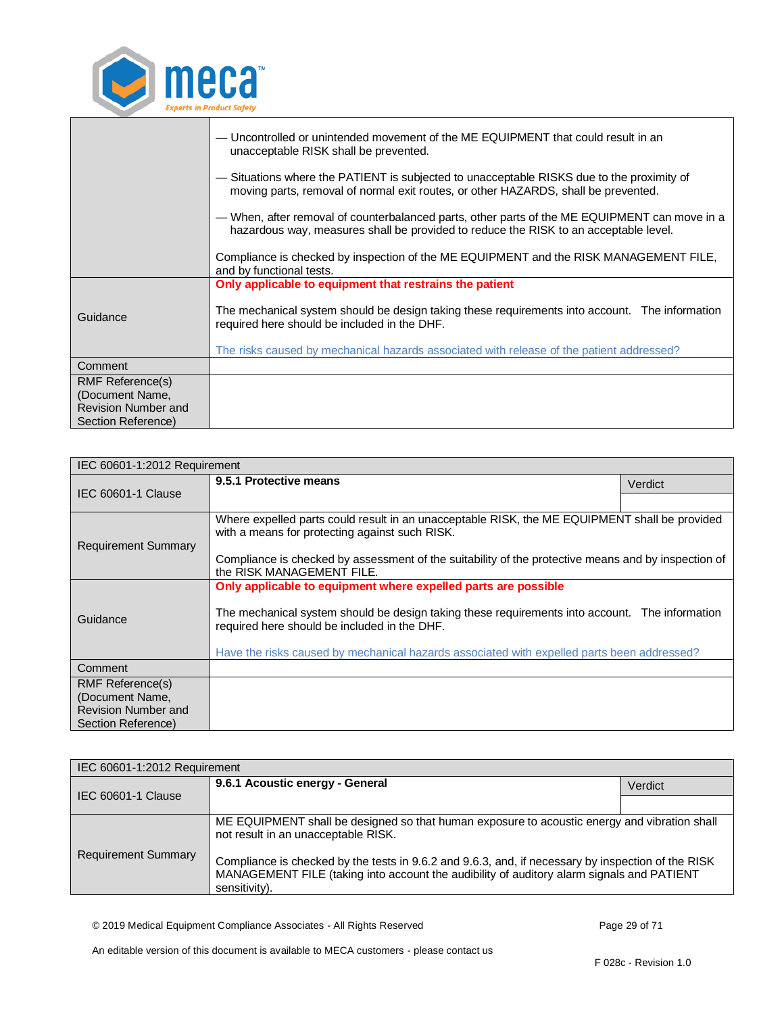

|                                                                                                | — Uncontrolled or unintended movement of the ME EQUIPMENT that could result in an<br>unacceptable RISK shall be prevented.                                                            |  |
|------------------------------------------------------------------------------------------------|---------------------------------------------------------------------------------------------------------------------------------------------------------------------------------------|--|
|                                                                                                | — Situations where the PATIENT is subjected to unacceptable RISKS due to the proximity of<br>moving parts, removal of normal exit routes, or other HAZARDS, shall be prevented.       |  |
|                                                                                                | — When, after removal of counterbalanced parts, other parts of the ME EQUIPMENT can move in a<br>hazardous way, measures shall be provided to reduce the RISK to an acceptable level. |  |
|                                                                                                | Compliance is checked by inspection of the ME EQUIPMENT and the RISK MANAGEMENT FILE,<br>and by functional tests.                                                                     |  |
|                                                                                                | Only applicable to equipment that restrains the patient                                                                                                                               |  |
| Guidance                                                                                       | The mechanical system should be design taking these requirements into account. The information<br>required here should be included in the DHF.                                        |  |
|                                                                                                | The risks caused by mechanical hazards associated with release of the patient addressed?                                                                                              |  |
| Comment                                                                                        |                                                                                                                                                                                       |  |
| <b>RMF Reference(s)</b><br>(Document Name,<br><b>Revision Number and</b><br>Section Reference) |                                                                                                                                                                                       |  |

<span id="page-28-0"></span>

| IEC 60601-1:2012 Requirement                  |                                                                                                                                                 |         |  |
|-----------------------------------------------|-------------------------------------------------------------------------------------------------------------------------------------------------|---------|--|
| IEC 60601-1 Clause                            | 9.5.1 Protective means                                                                                                                          | Verdict |  |
|                                               |                                                                                                                                                 |         |  |
| <b>Requirement Summary</b>                    | Where expelled parts could result in an unacceptable RISK, the ME EQUIPMENT shall be provided<br>with a means for protecting against such RISK. |         |  |
|                                               | Compliance is checked by assessment of the suitability of the protective means and by inspection of<br>the RISK MANAGEMENT FILE.                |         |  |
|                                               | Only applicable to equipment where expelled parts are possible                                                                                  |         |  |
| Guidance                                      | The mechanical system should be design taking these requirements into account. The information<br>required here should be included in the DHF.  |         |  |
|                                               | Have the risks caused by mechanical hazards associated with expelled parts been addressed?                                                      |         |  |
| Comment                                       |                                                                                                                                                 |         |  |
| RMF Reference(s)                              |                                                                                                                                                 |         |  |
| (Document Name,<br><b>Revision Number and</b> |                                                                                                                                                 |         |  |
| Section Reference)                            |                                                                                                                                                 |         |  |

<span id="page-28-1"></span>

| IEC 60601-1:2012 Requirement |                                                                                                                                                                                                                  |         |  |
|------------------------------|------------------------------------------------------------------------------------------------------------------------------------------------------------------------------------------------------------------|---------|--|
| IEC 60601-1 Clause           | 9.6.1 Acoustic energy - General                                                                                                                                                                                  | Verdict |  |
|                              |                                                                                                                                                                                                                  |         |  |
|                              | ME EQUIPMENT shall be designed so that human exposure to acoustic energy and vibration shall<br>not result in an unacceptable RISK.                                                                              |         |  |
| <b>Requirement Summary</b>   | Compliance is checked by the tests in 9.6.2 and 9.6.3, and, if necessary by inspection of the RISK<br>MANAGEMENT FILE (taking into account the audibility of auditory alarm signals and PATIENT<br>sensitivity). |         |  |

© 2019 Medical Equipment Compliance Associates - All Rights Reserved Page 29 of 71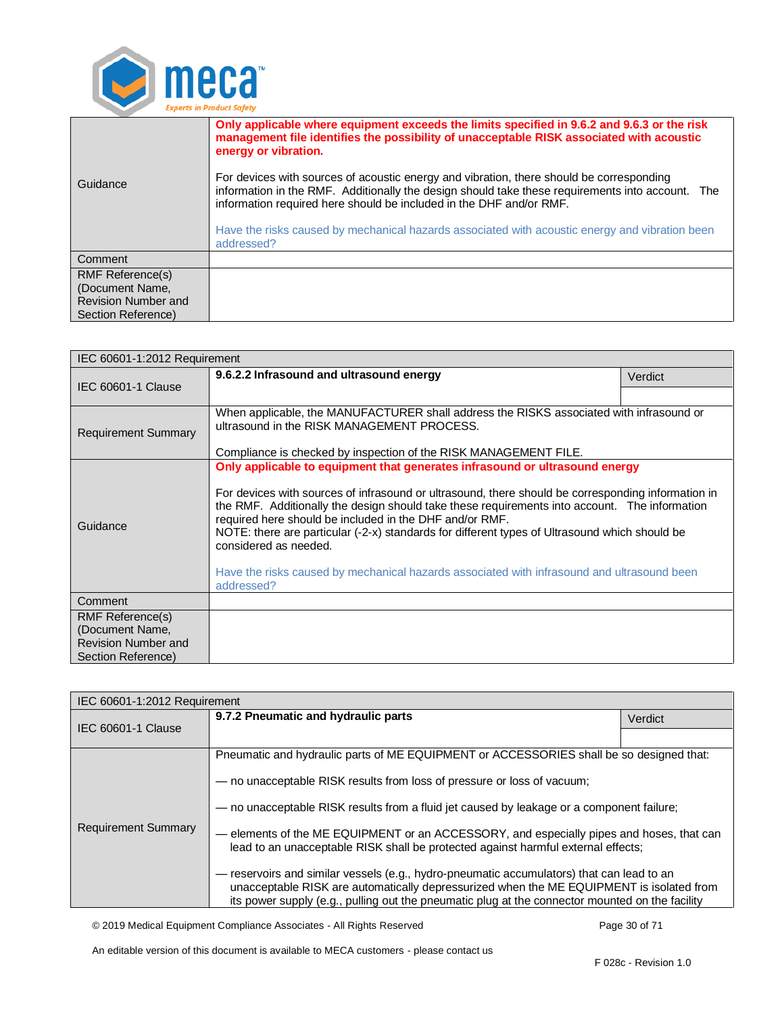

| Only applicable where equipment exceeds the limits specified in 9.6.2 and 9.6.3 or the risk<br>management file identifies the possibility of unacceptable RISK associated with acoustic<br>energy or vibration.                                                     |  |
|---------------------------------------------------------------------------------------------------------------------------------------------------------------------------------------------------------------------------------------------------------------------|--|
| For devices with sources of acoustic energy and vibration, there should be corresponding<br>information in the RMF. Additionally the design should take these requirements into account. The<br>information required here should be included in the DHF and/or RMF. |  |
| Have the risks caused by mechanical hazards associated with acoustic energy and vibration been<br>addressed?                                                                                                                                                        |  |
|                                                                                                                                                                                                                                                                     |  |
|                                                                                                                                                                                                                                                                     |  |
|                                                                                                                                                                                                                                                                     |  |
|                                                                                                                                                                                                                                                                     |  |
|                                                                                                                                                                                                                                                                     |  |

<span id="page-29-0"></span>

| IEC 60601-1:2012 Requirement                  |                                                                                                                                                                                                                                                                                                                                                                                                                                                                                        |         |  |
|-----------------------------------------------|----------------------------------------------------------------------------------------------------------------------------------------------------------------------------------------------------------------------------------------------------------------------------------------------------------------------------------------------------------------------------------------------------------------------------------------------------------------------------------------|---------|--|
| <b>IEC 60601-1 Clause</b>                     | 9.6.2.2 Infrasound and ultrasound energy                                                                                                                                                                                                                                                                                                                                                                                                                                               | Verdict |  |
|                                               |                                                                                                                                                                                                                                                                                                                                                                                                                                                                                        |         |  |
| <b>Requirement Summary</b>                    | When applicable, the MANUFACTURER shall address the RISKS associated with infrasound or<br>ultrasound in the RISK MANAGEMENT PROCESS.                                                                                                                                                                                                                                                                                                                                                  |         |  |
|                                               | Compliance is checked by inspection of the RISK MANAGEMENT FILE.                                                                                                                                                                                                                                                                                                                                                                                                                       |         |  |
|                                               | Only applicable to equipment that generates infrasound or ultrasound energy                                                                                                                                                                                                                                                                                                                                                                                                            |         |  |
| Guidance                                      | For devices with sources of infrasound or ultrasound, there should be corresponding information in<br>the RMF. Additionally the design should take these requirements into account. The information<br>required here should be included in the DHF and/or RMF.<br>NOTE: there are particular (-2-x) standards for different types of Ultrasound which should be<br>considered as needed.<br>Have the risks caused by mechanical hazards associated with infrasound and ultrasound been |         |  |
|                                               | addressed?                                                                                                                                                                                                                                                                                                                                                                                                                                                                             |         |  |
| Comment                                       |                                                                                                                                                                                                                                                                                                                                                                                                                                                                                        |         |  |
| RMF Reference(s)                              |                                                                                                                                                                                                                                                                                                                                                                                                                                                                                        |         |  |
| (Document Name,<br><b>Revision Number and</b> |                                                                                                                                                                                                                                                                                                                                                                                                                                                                                        |         |  |
| Section Reference)                            |                                                                                                                                                                                                                                                                                                                                                                                                                                                                                        |         |  |

<span id="page-29-1"></span>

| IEC 60601-1:2012 Requirement |                                                                                                                                                                                                                                                                                          |         |  |
|------------------------------|------------------------------------------------------------------------------------------------------------------------------------------------------------------------------------------------------------------------------------------------------------------------------------------|---------|--|
| <b>IEC 60601-1 Clause</b>    | 9.7.2 Pneumatic and hydraulic parts                                                                                                                                                                                                                                                      | Verdict |  |
|                              |                                                                                                                                                                                                                                                                                          |         |  |
| <b>Requirement Summary</b>   | Pneumatic and hydraulic parts of ME EQUIPMENT or ACCESSORIES shall be so designed that:                                                                                                                                                                                                  |         |  |
|                              | - no unacceptable RISK results from loss of pressure or loss of vacuum;                                                                                                                                                                                                                  |         |  |
|                              | - no unacceptable RISK results from a fluid jet caused by leakage or a component failure;                                                                                                                                                                                                |         |  |
|                              | - elements of the ME EQUIPMENT or an ACCESSORY, and especially pipes and hoses, that can<br>lead to an unacceptable RISK shall be protected against harmful external effects;                                                                                                            |         |  |
|                              | - reservoirs and similar vessels (e.g., hydro-pneumatic accumulators) that can lead to an<br>unacceptable RISK are automatically depressurized when the ME EQUIPMENT is isolated from<br>its power supply (e.g., pulling out the pneumatic plug at the connector mounted on the facility |         |  |

© 2019 Medical Equipment Compliance Associates - All Rights Reserved Page 30 of 71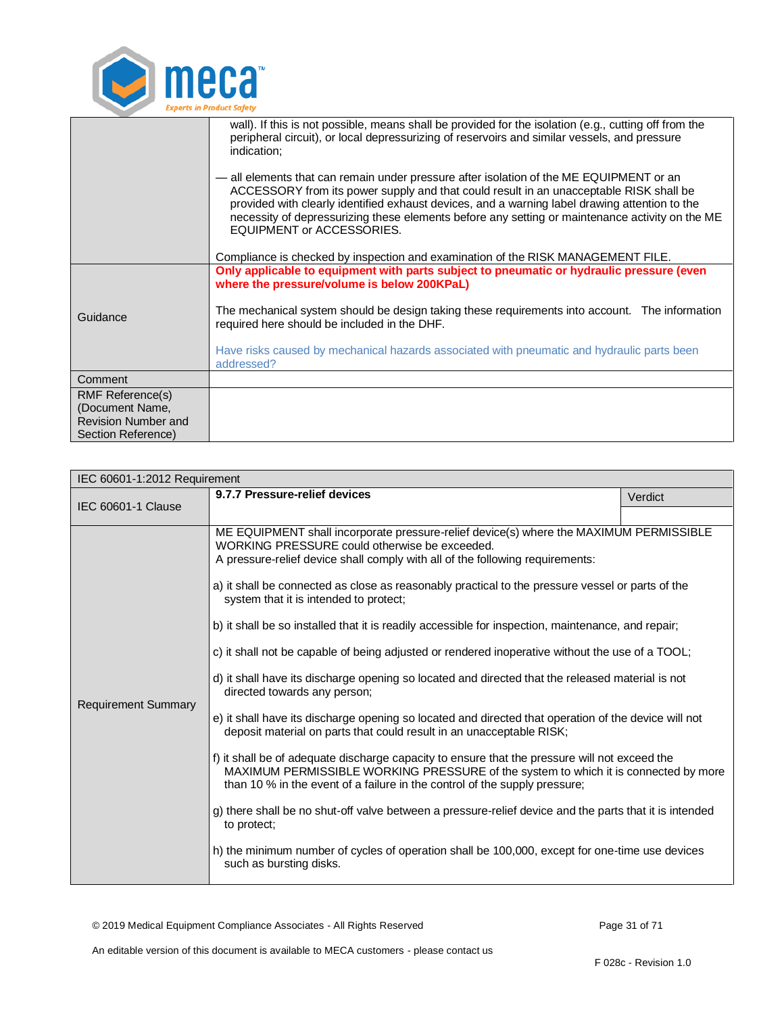

|                                                                                                | wall). If this is not possible, means shall be provided for the isolation (e.g., cutting off from the<br>peripheral circuit), or local depressurizing of reservoirs and similar vessels, and pressure<br>indication;<br>— all elements that can remain under pressure after isolation of the ME EQUIPMENT or an<br>ACCESSORY from its power supply and that could result in an unacceptable RISK shall be<br>provided with clearly identified exhaust devices, and a warning label drawing attention to the<br>necessity of depressurizing these elements before any setting or maintenance activity on the ME<br><b>EQUIPMENT or ACCESSORIES.</b><br>Compliance is checked by inspection and examination of the RISK MANAGEMENT FILE. |  |
|------------------------------------------------------------------------------------------------|----------------------------------------------------------------------------------------------------------------------------------------------------------------------------------------------------------------------------------------------------------------------------------------------------------------------------------------------------------------------------------------------------------------------------------------------------------------------------------------------------------------------------------------------------------------------------------------------------------------------------------------------------------------------------------------------------------------------------------------|--|
| Guidance                                                                                       | Only applicable to equipment with parts subject to pneumatic or hydraulic pressure (even<br>where the pressure/volume is below 200KPaL)<br>The mechanical system should be design taking these requirements into account. The information<br>required here should be included in the DHF.<br>Have risks caused by mechanical hazards associated with pneumatic and hydraulic parts been<br>addressed?                                                                                                                                                                                                                                                                                                                                  |  |
| Comment                                                                                        |                                                                                                                                                                                                                                                                                                                                                                                                                                                                                                                                                                                                                                                                                                                                        |  |
| <b>RMF Reference(s)</b><br>(Document Name,<br><b>Revision Number and</b><br>Section Reference) |                                                                                                                                                                                                                                                                                                                                                                                                                                                                                                                                                                                                                                                                                                                                        |  |

<span id="page-30-0"></span>

| IEC 60601-1:2012 Requirement |                                                                                                                                                                                                                                                                                                                                                                                                                                                                                                                                                                                                                                                                                                                                                                                                                                                                                                                                                                                                                                                                                                                                                                                                                                                                                                                                                                                                                                 |         |  |
|------------------------------|---------------------------------------------------------------------------------------------------------------------------------------------------------------------------------------------------------------------------------------------------------------------------------------------------------------------------------------------------------------------------------------------------------------------------------------------------------------------------------------------------------------------------------------------------------------------------------------------------------------------------------------------------------------------------------------------------------------------------------------------------------------------------------------------------------------------------------------------------------------------------------------------------------------------------------------------------------------------------------------------------------------------------------------------------------------------------------------------------------------------------------------------------------------------------------------------------------------------------------------------------------------------------------------------------------------------------------------------------------------------------------------------------------------------------------|---------|--|
| IEC 60601-1 Clause           | 9.7.7 Pressure-relief devices                                                                                                                                                                                                                                                                                                                                                                                                                                                                                                                                                                                                                                                                                                                                                                                                                                                                                                                                                                                                                                                                                                                                                                                                                                                                                                                                                                                                   | Verdict |  |
|                              |                                                                                                                                                                                                                                                                                                                                                                                                                                                                                                                                                                                                                                                                                                                                                                                                                                                                                                                                                                                                                                                                                                                                                                                                                                                                                                                                                                                                                                 |         |  |
| <b>Requirement Summary</b>   | ME EQUIPMENT shall incorporate pressure-relief device(s) where the MAXIMUM PERMISSIBLE<br>WORKING PRESSURE could otherwise be exceeded.<br>A pressure-relief device shall comply with all of the following requirements:<br>a) it shall be connected as close as reasonably practical to the pressure vessel or parts of the<br>system that it is intended to protect;<br>b) it shall be so installed that it is readily accessible for inspection, maintenance, and repair;<br>c) it shall not be capable of being adjusted or rendered inoperative without the use of a TOOL;<br>d) it shall have its discharge opening so located and directed that the released material is not<br>directed towards any person;<br>e) it shall have its discharge opening so located and directed that operation of the device will not<br>deposit material on parts that could result in an unacceptable RISK;<br>f) it shall be of adequate discharge capacity to ensure that the pressure will not exceed the<br>MAXIMUM PERMISSIBLE WORKING PRESSURE of the system to which it is connected by more<br>than 10 % in the event of a failure in the control of the supply pressure;<br>g) there shall be no shut-off valve between a pressure-relief device and the parts that it is intended<br>to protect:<br>h) the minimum number of cycles of operation shall be 100,000, except for one-time use devices<br>such as bursting disks. |         |  |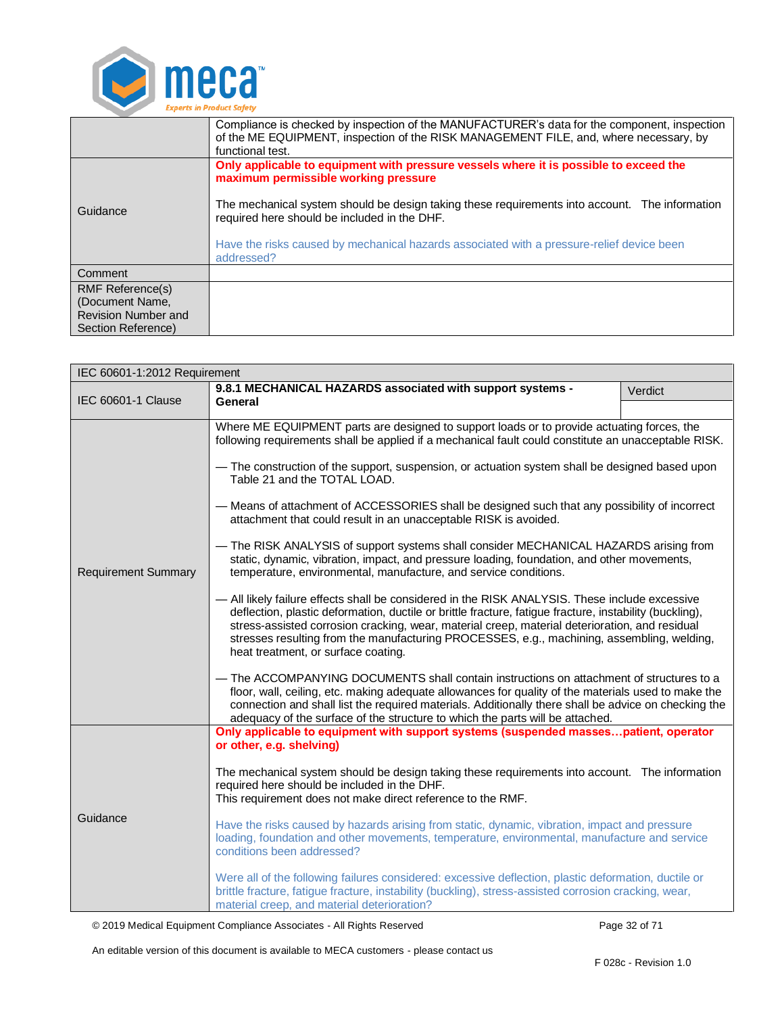

|                            | Compliance is checked by inspection of the MANUFACTURER's data for the component, inspection<br>of the ME EQUIPMENT, inspection of the RISK MANAGEMENT FILE, and, where necessary, by<br>functional test. |  |
|----------------------------|-----------------------------------------------------------------------------------------------------------------------------------------------------------------------------------------------------------|--|
|                            | Only applicable to equipment with pressure vessels where it is possible to exceed the<br>maximum permissible working pressure                                                                             |  |
| Guidance                   | The mechanical system should be design taking these requirements into account. The information<br>required here should be included in the DHF.                                                            |  |
|                            | Have the risks caused by mechanical hazards associated with a pressure-relief device been<br>addressed?                                                                                                   |  |
| Comment                    |                                                                                                                                                                                                           |  |
| <b>RMF Reference(s)</b>    |                                                                                                                                                                                                           |  |
| (Document Name,            |                                                                                                                                                                                                           |  |
| <b>Revision Number and</b> |                                                                                                                                                                                                           |  |
| Section Reference)         |                                                                                                                                                                                                           |  |

<span id="page-31-0"></span>

| IEC 60601-1:2012 Requirement |                                                                                                                                                                                                                                                                                                                                                                                                                                                                                                                                                                                                                                                                                                                                                                                                                                                                                                                                                                                                                                                                                                                                                                                                                                                                                                                                                                                                                                                                                                                                      |         |  |
|------------------------------|--------------------------------------------------------------------------------------------------------------------------------------------------------------------------------------------------------------------------------------------------------------------------------------------------------------------------------------------------------------------------------------------------------------------------------------------------------------------------------------------------------------------------------------------------------------------------------------------------------------------------------------------------------------------------------------------------------------------------------------------------------------------------------------------------------------------------------------------------------------------------------------------------------------------------------------------------------------------------------------------------------------------------------------------------------------------------------------------------------------------------------------------------------------------------------------------------------------------------------------------------------------------------------------------------------------------------------------------------------------------------------------------------------------------------------------------------------------------------------------------------------------------------------------|---------|--|
| IEC 60601-1 Clause           | 9.8.1 MECHANICAL HAZARDS associated with support systems -<br>General                                                                                                                                                                                                                                                                                                                                                                                                                                                                                                                                                                                                                                                                                                                                                                                                                                                                                                                                                                                                                                                                                                                                                                                                                                                                                                                                                                                                                                                                | Verdict |  |
| <b>Requirement Summary</b>   | Where ME EQUIPMENT parts are designed to support loads or to provide actuating forces, the<br>following requirements shall be applied if a mechanical fault could constitute an unacceptable RISK.<br>- The construction of the support, suspension, or actuation system shall be designed based upon<br>Table 21 and the TOTAL LOAD.<br>- Means of attachment of ACCESSORIES shall be designed such that any possibility of incorrect<br>attachment that could result in an unacceptable RISK is avoided.<br>- The RISK ANALYSIS of support systems shall consider MECHANICAL HAZARDS arising from<br>static, dynamic, vibration, impact, and pressure loading, foundation, and other movements,<br>temperature, environmental, manufacture, and service conditions.<br>- All likely failure effects shall be considered in the RISK ANALYSIS. These include excessive<br>deflection, plastic deformation, ductile or brittle fracture, fatigue fracture, instability (buckling),<br>stress-assisted corrosion cracking, wear, material creep, material deterioration, and residual<br>stresses resulting from the manufacturing PROCESSES, e.g., machining, assembling, welding,<br>heat treatment, or surface coating.<br>- The ACCOMPANYING DOCUMENTS shall contain instructions on attachment of structures to a<br>floor, wall, ceiling, etc. making adequate allowances for quality of the materials used to make the<br>connection and shall list the required materials. Additionally there shall be advice on checking the |         |  |
| Guidance                     | Only applicable to equipment with support systems (suspended massespatient, operator<br>or other, e.g. shelving)<br>The mechanical system should be design taking these requirements into account. The information<br>required here should be included in the DHF.<br>This requirement does not make direct reference to the RMF.<br>Have the risks caused by hazards arising from static, dynamic, vibration, impact and pressure<br>loading, foundation and other movements, temperature, environmental, manufacture and service<br>conditions been addressed?<br>Were all of the following failures considered: excessive deflection, plastic deformation, ductile or<br>brittle fracture, fatigue fracture, instability (buckling), stress-assisted corrosion cracking, wear,<br>material creep, and material deterioration?                                                                                                                                                                                                                                                                                                                                                                                                                                                                                                                                                                                                                                                                                                     |         |  |

© 2019 Medical Equipment Compliance Associates - All Rights Reserved Page 32 of 71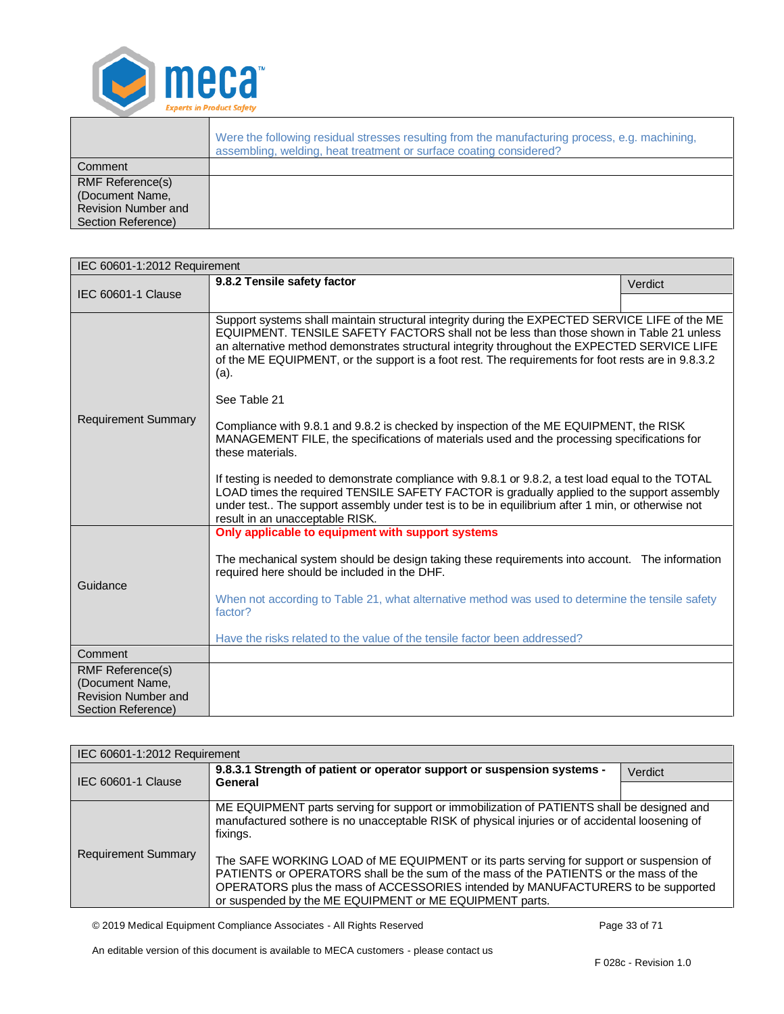

|                                                                                                | Were the following residual stresses resulting from the manufacturing process, e.g. machining,<br>assembling, welding, heat treatment or surface coating considered? |
|------------------------------------------------------------------------------------------------|----------------------------------------------------------------------------------------------------------------------------------------------------------------------|
| Comment                                                                                        |                                                                                                                                                                      |
| <b>RMF Reference(s)</b><br>(Document Name,<br><b>Revision Number and</b><br>Section Reference) |                                                                                                                                                                      |

<span id="page-32-0"></span>

| IEC 60601-1:2012 Requirement |                                                                                                                                                                                                                                                                                                                                                                                                                                                                                                                                                                                                                                                                                                                                                                                                                                                                                                                                                                                 |         |  |
|------------------------------|---------------------------------------------------------------------------------------------------------------------------------------------------------------------------------------------------------------------------------------------------------------------------------------------------------------------------------------------------------------------------------------------------------------------------------------------------------------------------------------------------------------------------------------------------------------------------------------------------------------------------------------------------------------------------------------------------------------------------------------------------------------------------------------------------------------------------------------------------------------------------------------------------------------------------------------------------------------------------------|---------|--|
| IEC 60601-1 Clause           | 9.8.2 Tensile safety factor                                                                                                                                                                                                                                                                                                                                                                                                                                                                                                                                                                                                                                                                                                                                                                                                                                                                                                                                                     | Verdict |  |
|                              |                                                                                                                                                                                                                                                                                                                                                                                                                                                                                                                                                                                                                                                                                                                                                                                                                                                                                                                                                                                 |         |  |
| <b>Requirement Summary</b>   | Support systems shall maintain structural integrity during the EXPECTED SERVICE LIFE of the ME<br>EQUIPMENT. TENSILE SAFETY FACTORS shall not be less than those shown in Table 21 unless<br>an alternative method demonstrates structural integrity throughout the EXPECTED SERVICE LIFE<br>of the ME EQUIPMENT, or the support is a foot rest. The requirements for foot rests are in 9.8.3.2<br>(a).<br>See Table 21<br>Compliance with 9.8.1 and 9.8.2 is checked by inspection of the ME EQUIPMENT, the RISK<br>MANAGEMENT FILE, the specifications of materials used and the processing specifications for<br>these materials.<br>If testing is needed to demonstrate compliance with 9.8.1 or 9.8.2, a test load equal to the TOTAL<br>LOAD times the required TENSILE SAFETY FACTOR is gradually applied to the support assembly<br>under test The support assembly under test is to be in equilibrium after 1 min, or otherwise not<br>result in an unacceptable RISK. |         |  |
| Guidance                     | Only applicable to equipment with support systems<br>The mechanical system should be design taking these requirements into account. The information<br>required here should be included in the DHF.<br>When not according to Table 21, what alternative method was used to determine the tensile safety<br>factor?<br>Have the risks related to the value of the tensile factor been addressed?                                                                                                                                                                                                                                                                                                                                                                                                                                                                                                                                                                                 |         |  |
| Comment                      |                                                                                                                                                                                                                                                                                                                                                                                                                                                                                                                                                                                                                                                                                                                                                                                                                                                                                                                                                                                 |         |  |
| <b>RMF Reference(s)</b>      |                                                                                                                                                                                                                                                                                                                                                                                                                                                                                                                                                                                                                                                                                                                                                                                                                                                                                                                                                                                 |         |  |
| (Document Name,              |                                                                                                                                                                                                                                                                                                                                                                                                                                                                                                                                                                                                                                                                                                                                                                                                                                                                                                                                                                                 |         |  |
| <b>Revision Number and</b>   |                                                                                                                                                                                                                                                                                                                                                                                                                                                                                                                                                                                                                                                                                                                                                                                                                                                                                                                                                                                 |         |  |
| Section Reference)           |                                                                                                                                                                                                                                                                                                                                                                                                                                                                                                                                                                                                                                                                                                                                                                                                                                                                                                                                                                                 |         |  |

<span id="page-32-1"></span>

| IEC 60601-1:2012 Requirement |                                                                                                                                                                                                                                                                                                                                 |         |  |
|------------------------------|---------------------------------------------------------------------------------------------------------------------------------------------------------------------------------------------------------------------------------------------------------------------------------------------------------------------------------|---------|--|
| IEC 60601-1 Clause           | 9.8.3.1 Strength of patient or operator support or suspension systems -<br>General                                                                                                                                                                                                                                              | Verdict |  |
|                              |                                                                                                                                                                                                                                                                                                                                 |         |  |
|                              | ME EQUIPMENT parts serving for support or immobilization of PATIENTS shall be designed and<br>manufactured sothere is no unacceptable RISK of physical injuries or of accidental loosening of<br>fixings.                                                                                                                       |         |  |
| <b>Requirement Summary</b>   | The SAFE WORKING LOAD of ME EQUIPMENT or its parts serving for support or suspension of<br>PATIENTS or OPERATORS shall be the sum of the mass of the PATIENTS or the mass of the<br>OPERATORS plus the mass of ACCESSORIES intended by MANUFACTURERS to be supported<br>or suspended by the ME EQUIPMENT or ME EQUIPMENT parts. |         |  |

© 2019 Medical Equipment Compliance Associates - All Rights Reserved Page 33 of 71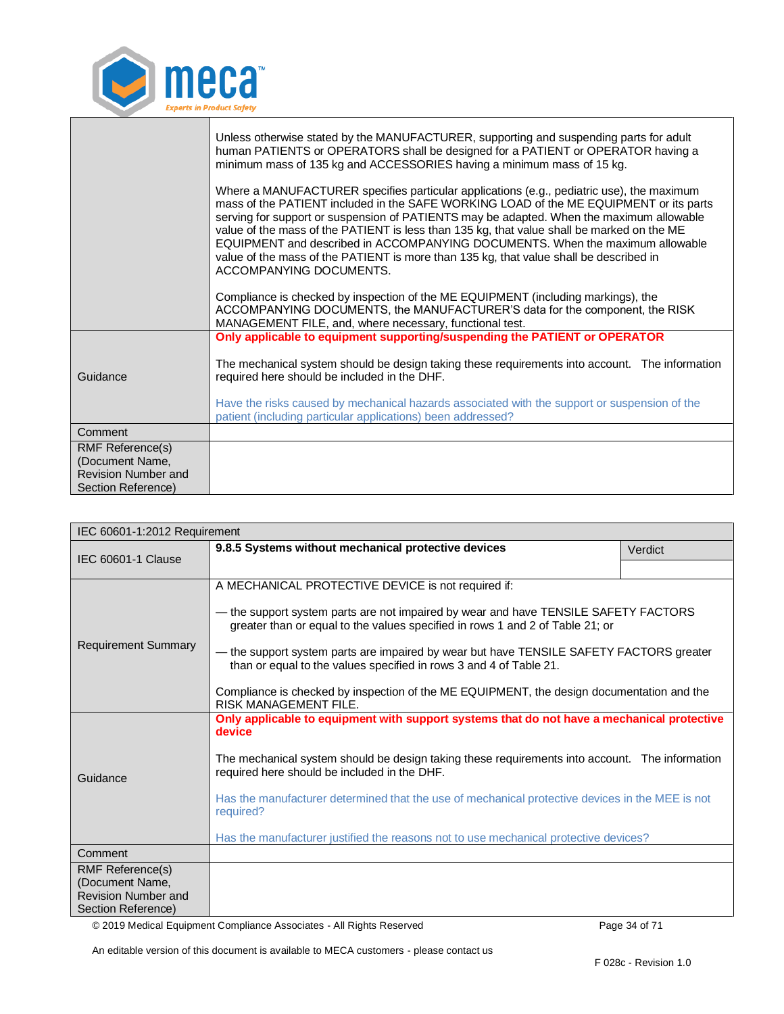

|                                               | Unless otherwise stated by the MANUFACTURER, supporting and suspending parts for adult<br>human PATIENTS or OPERATORS shall be designed for a PATIENT or OPERATOR having a<br>minimum mass of 135 kg and ACCESSORIES having a minimum mass of 15 kg.                                                                                                                                                                                                                                                                                                                                |  |
|-----------------------------------------------|-------------------------------------------------------------------------------------------------------------------------------------------------------------------------------------------------------------------------------------------------------------------------------------------------------------------------------------------------------------------------------------------------------------------------------------------------------------------------------------------------------------------------------------------------------------------------------------|--|
|                                               | Where a MANUFACTURER specifies particular applications (e.g., pediatric use), the maximum<br>mass of the PATIENT included in the SAFE WORKING LOAD of the ME EQUIPMENT or its parts<br>serving for support or suspension of PATIENTS may be adapted. When the maximum allowable<br>value of the mass of the PATIENT is less than 135 kg, that value shall be marked on the ME<br>EQUIPMENT and described in ACCOMPANYING DOCUMENTS. When the maximum allowable<br>value of the mass of the PATIENT is more than 135 kg, that value shall be described in<br>ACCOMPANYING DOCUMENTS. |  |
|                                               | Compliance is checked by inspection of the ME EQUIPMENT (including markings), the<br>ACCOMPANYING DOCUMENTS, the MANUFACTURER'S data for the component, the RISK<br>MANAGEMENT FILE, and, where necessary, functional test.                                                                                                                                                                                                                                                                                                                                                         |  |
|                                               | Only applicable to equipment supporting/suspending the PATIENT or OPERATOR                                                                                                                                                                                                                                                                                                                                                                                                                                                                                                          |  |
| Guidance                                      | The mechanical system should be design taking these requirements into account. The information<br>required here should be included in the DHF.                                                                                                                                                                                                                                                                                                                                                                                                                                      |  |
|                                               | Have the risks caused by mechanical hazards associated with the support or suspension of the<br>patient (including particular applications) been addressed?                                                                                                                                                                                                                                                                                                                                                                                                                         |  |
| Comment                                       |                                                                                                                                                                                                                                                                                                                                                                                                                                                                                                                                                                                     |  |
| <b>RMF Reference(s)</b>                       |                                                                                                                                                                                                                                                                                                                                                                                                                                                                                                                                                                                     |  |
| (Document Name,<br><b>Revision Number and</b> |                                                                                                                                                                                                                                                                                                                                                                                                                                                                                                                                                                                     |  |
| Section Reference)                            |                                                                                                                                                                                                                                                                                                                                                                                                                                                                                                                                                                                     |  |

<span id="page-33-0"></span>

| IEC 60601-1:2012 Requirement                  |                                                                                                                                                                      |         |
|-----------------------------------------------|----------------------------------------------------------------------------------------------------------------------------------------------------------------------|---------|
| <b>IEC 60601-1 Clause</b>                     | 9.8.5 Systems without mechanical protective devices                                                                                                                  | Verdict |
|                                               |                                                                                                                                                                      |         |
|                                               | A MECHANICAL PROTECTIVE DEVICE is not required if:                                                                                                                   |         |
| <b>Requirement Summary</b>                    | – the support system parts are not impaired by wear and have TENSILE SAFETY FACTORS<br>greater than or equal to the values specified in rows 1 and 2 of Table 21; or |         |
|                                               | — the support system parts are impaired by wear but have TENSILE SAFETY FACTORS greater<br>than or equal to the values specified in rows 3 and 4 of Table 21.        |         |
|                                               | Compliance is checked by inspection of the ME EQUIPMENT, the design documentation and the<br>RISK MANAGEMENT FILE.                                                   |         |
|                                               | Only applicable to equipment with support systems that do not have a mechanical protective<br>device                                                                 |         |
| Guidance                                      | The mechanical system should be design taking these requirements into account. The information<br>required here should be included in the DHF.                       |         |
|                                               | Has the manufacturer determined that the use of mechanical protective devices in the MEE is not<br>required?                                                         |         |
|                                               | Has the manufacturer justified the reasons not to use mechanical protective devices?                                                                                 |         |
| Comment                                       |                                                                                                                                                                      |         |
| <b>RMF Reference(s)</b>                       |                                                                                                                                                                      |         |
| (Document Name,<br><b>Revision Number and</b> |                                                                                                                                                                      |         |
| Section Reference)                            |                                                                                                                                                                      |         |

© 2019 Medical Equipment Compliance Associates - All Rights Reserved Page 34 of 71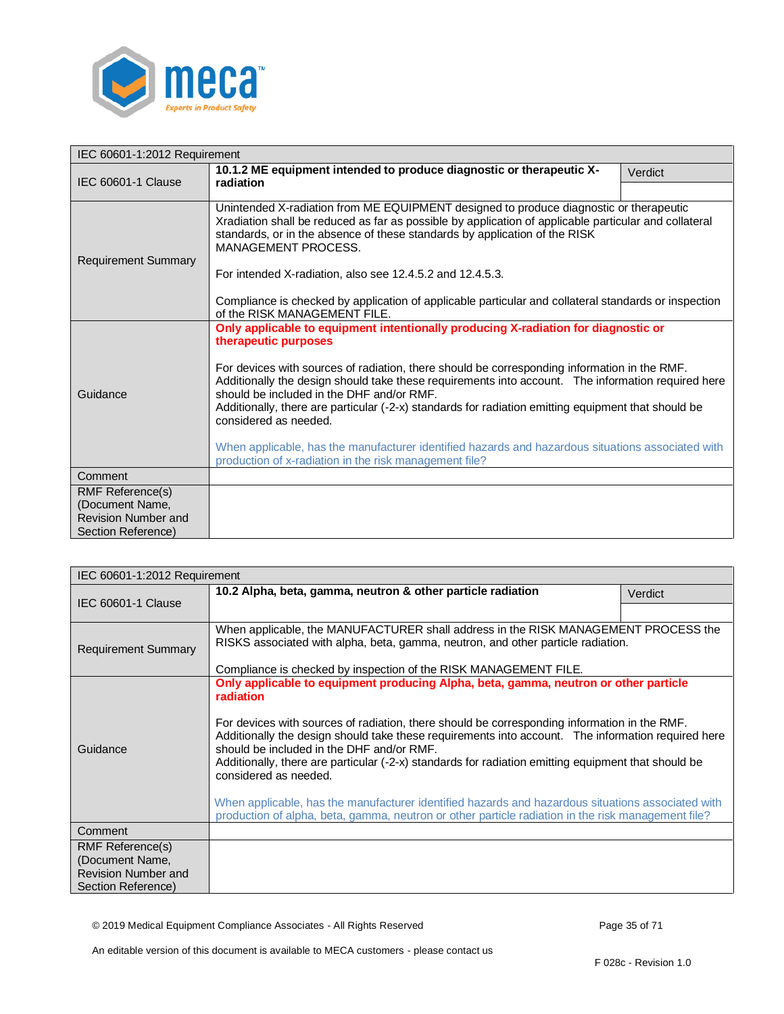

<span id="page-34-0"></span>

| IEC 60601-1:2012 Requirement               |                                                                                                                                                                                                                                                                                                                                                                                                                                                                                                                                                                                                                                                               |         |
|--------------------------------------------|---------------------------------------------------------------------------------------------------------------------------------------------------------------------------------------------------------------------------------------------------------------------------------------------------------------------------------------------------------------------------------------------------------------------------------------------------------------------------------------------------------------------------------------------------------------------------------------------------------------------------------------------------------------|---------|
| IEC 60601-1 Clause                         | 10.1.2 ME equipment intended to produce diagnostic or therapeutic X-                                                                                                                                                                                                                                                                                                                                                                                                                                                                                                                                                                                          | Verdict |
|                                            | radiation                                                                                                                                                                                                                                                                                                                                                                                                                                                                                                                                                                                                                                                     |         |
| <b>Requirement Summary</b>                 | Unintended X-radiation from ME EQUIPMENT designed to produce diagnostic or therapeutic<br>Xradiation shall be reduced as far as possible by application of applicable particular and collateral<br>standards, or in the absence of these standards by application of the RISK<br><b>MANAGEMENT PROCESS.</b><br>For intended X-radiation, also see 12.4.5.2 and 12.4.5.3.<br>Compliance is checked by application of applicable particular and collateral standards or inspection<br>of the RISK MANAGEMENT FILE.                                                                                                                                              |         |
| Guidance                                   | Only applicable to equipment intentionally producing X-radiation for diagnostic or<br>therapeutic purposes<br>For devices with sources of radiation, there should be corresponding information in the RMF.<br>Additionally the design should take these requirements into account.  The information required here<br>should be included in the DHF and/or RMF.<br>Additionally, there are particular (-2-x) standards for radiation emitting equipment that should be<br>considered as needed.<br>When applicable, has the manufacturer identified hazards and hazardous situations associated with<br>production of x-radiation in the risk management file? |         |
| Comment                                    |                                                                                                                                                                                                                                                                                                                                                                                                                                                                                                                                                                                                                                                               |         |
| <b>RMF Reference(s)</b><br>(Document Name, |                                                                                                                                                                                                                                                                                                                                                                                                                                                                                                                                                                                                                                                               |         |
| <b>Revision Number and</b>                 |                                                                                                                                                                                                                                                                                                                                                                                                                                                                                                                                                                                                                                                               |         |
| Section Reference)                         |                                                                                                                                                                                                                                                                                                                                                                                                                                                                                                                                                                                                                                                               |         |

<span id="page-34-1"></span>

| IEC 60601-1:2012 Requirement                     |                                                                                                                                                                                                                                                                                                                                                                                                                                                                                                                                                                                                                                                                                                 |         |
|--------------------------------------------------|-------------------------------------------------------------------------------------------------------------------------------------------------------------------------------------------------------------------------------------------------------------------------------------------------------------------------------------------------------------------------------------------------------------------------------------------------------------------------------------------------------------------------------------------------------------------------------------------------------------------------------------------------------------------------------------------------|---------|
|                                                  | 10.2 Alpha, beta, gamma, neutron & other particle radiation                                                                                                                                                                                                                                                                                                                                                                                                                                                                                                                                                                                                                                     | Verdict |
| <b>IEC 60601-1 Clause</b>                        |                                                                                                                                                                                                                                                                                                                                                                                                                                                                                                                                                                                                                                                                                                 |         |
| <b>Requirement Summary</b>                       | When applicable, the MANUFACTURER shall address in the RISK MANAGEMENT PROCESS the<br>RISKS associated with alpha, beta, gamma, neutron, and other particle radiation.<br>Compliance is checked by inspection of the RISK MANAGEMENT FILE.                                                                                                                                                                                                                                                                                                                                                                                                                                                      |         |
| Guidance                                         | Only applicable to equipment producing Alpha, beta, gamma, neutron or other particle<br>radiation<br>For devices with sources of radiation, there should be corresponding information in the RMF.<br>Additionally the design should take these requirements into account. The information required here<br>should be included in the DHF and/or RMF.<br>Additionally, there are particular (-2-x) standards for radiation emitting equipment that should be<br>considered as needed.<br>When applicable, has the manufacturer identified hazards and hazardous situations associated with<br>production of alpha, beta, gamma, neutron or other particle radiation in the risk management file? |         |
| Comment                                          |                                                                                                                                                                                                                                                                                                                                                                                                                                                                                                                                                                                                                                                                                                 |         |
| RMF Reference(s)<br>(Document Name,              |                                                                                                                                                                                                                                                                                                                                                                                                                                                                                                                                                                                                                                                                                                 |         |
| <b>Revision Number and</b><br>Section Reference) |                                                                                                                                                                                                                                                                                                                                                                                                                                                                                                                                                                                                                                                                                                 |         |

© 2019 Medical Equipment Compliance Associates - All Rights Reserved Page 35 of 71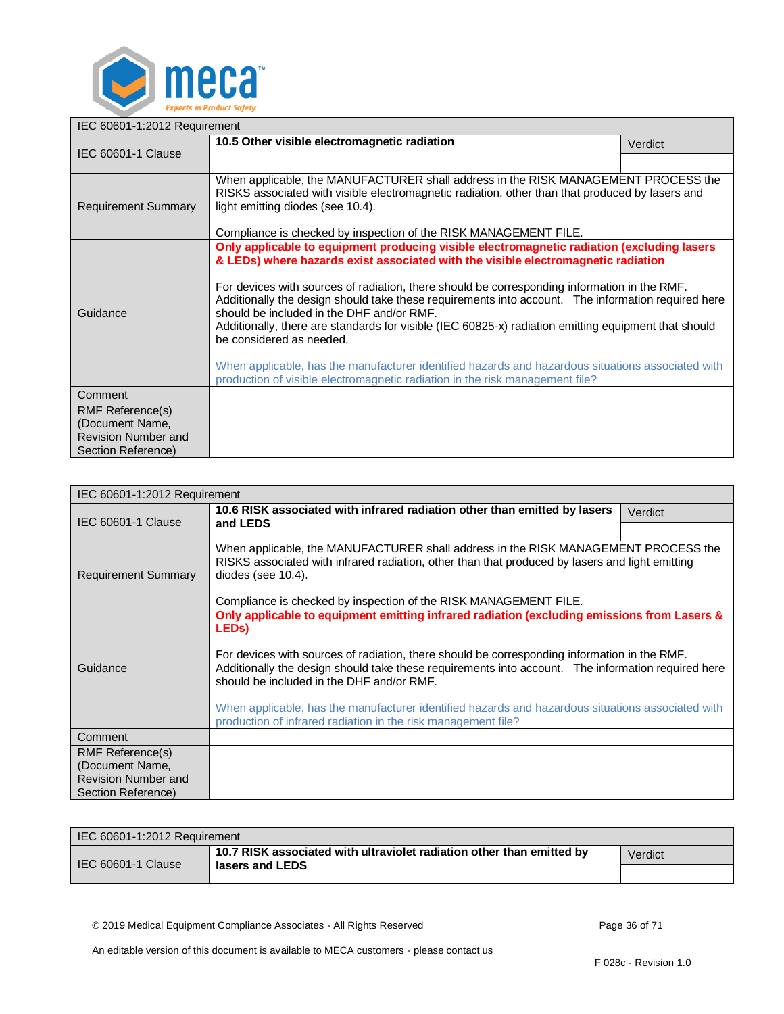

<span id="page-35-0"></span>

| IEC 60601-1:2012 Requirement                                                            |                                                                                                                                                                                                                                                                                                                                                                                                                                                                                                                                                                                                                                                                                                                                                             |         |
|-----------------------------------------------------------------------------------------|-------------------------------------------------------------------------------------------------------------------------------------------------------------------------------------------------------------------------------------------------------------------------------------------------------------------------------------------------------------------------------------------------------------------------------------------------------------------------------------------------------------------------------------------------------------------------------------------------------------------------------------------------------------------------------------------------------------------------------------------------------------|---------|
| IEC 60601-1 Clause                                                                      | 10.5 Other visible electromagnetic radiation                                                                                                                                                                                                                                                                                                                                                                                                                                                                                                                                                                                                                                                                                                                | Verdict |
|                                                                                         |                                                                                                                                                                                                                                                                                                                                                                                                                                                                                                                                                                                                                                                                                                                                                             |         |
| <b>Requirement Summary</b>                                                              | When applicable, the MANUFACTURER shall address in the RISK MANAGEMENT PROCESS the<br>RISKS associated with visible electromagnetic radiation, other than that produced by lasers and<br>light emitting diodes (see 10.4).<br>Compliance is checked by inspection of the RISK MANAGEMENT FILE.                                                                                                                                                                                                                                                                                                                                                                                                                                                              |         |
| Guidance                                                                                | Only applicable to equipment producing visible electromagnetic radiation (excluding lasers<br>& LEDs) where hazards exist associated with the visible electromagnetic radiation<br>For devices with sources of radiation, there should be corresponding information in the RMF.<br>Additionally the design should take these requirements into account. The information required here<br>should be included in the DHF and/or RMF.<br>Additionally, there are standards for visible (IEC 60825-x) radiation emitting equipment that should<br>be considered as needed.<br>When applicable, has the manufacturer identified hazards and hazardous situations associated with<br>production of visible electromagnetic radiation in the risk management file? |         |
| Comment                                                                                 |                                                                                                                                                                                                                                                                                                                                                                                                                                                                                                                                                                                                                                                                                                                                                             |         |
| RMF Reference(s)<br>(Document Name,<br><b>Revision Number and</b><br>Section Reference) |                                                                                                                                                                                                                                                                                                                                                                                                                                                                                                                                                                                                                                                                                                                                                             |         |

<span id="page-35-1"></span>

| IEC 60601-1:2012 Requirement                  |                                                                                                                                                                                                                                                                                                                                                                                                                                                                                                                                            |         |
|-----------------------------------------------|--------------------------------------------------------------------------------------------------------------------------------------------------------------------------------------------------------------------------------------------------------------------------------------------------------------------------------------------------------------------------------------------------------------------------------------------------------------------------------------------------------------------------------------------|---------|
| IEC 60601-1 Clause                            | 10.6 RISK associated with infrared radiation other than emitted by lasers                                                                                                                                                                                                                                                                                                                                                                                                                                                                  | Verdict |
|                                               | and LEDS                                                                                                                                                                                                                                                                                                                                                                                                                                                                                                                                   |         |
| <b>Requirement Summary</b>                    | When applicable, the MANUFACTURER shall address in the RISK MANAGEMENT PROCESS the<br>RISKS associated with infrared radiation, other than that produced by lasers and light emitting<br>$diodes$ (see 10.4).                                                                                                                                                                                                                                                                                                                              |         |
|                                               | Compliance is checked by inspection of the RISK MANAGEMENT FILE.                                                                                                                                                                                                                                                                                                                                                                                                                                                                           |         |
| Guidance                                      | Only applicable to equipment emitting infrared radiation (excluding emissions from Lasers &<br>LED <sub>s</sub> )<br>For devices with sources of radiation, there should be corresponding information in the RMF.<br>Additionally the design should take these requirements into account. The information required here<br>should be included in the DHF and/or RMF.<br>When applicable, has the manufacturer identified hazards and hazardous situations associated with<br>production of infrared radiation in the risk management file? |         |
| Comment                                       |                                                                                                                                                                                                                                                                                                                                                                                                                                                                                                                                            |         |
| <b>RMF Reference(s)</b>                       |                                                                                                                                                                                                                                                                                                                                                                                                                                                                                                                                            |         |
| (Document Name,<br><b>Revision Number and</b> |                                                                                                                                                                                                                                                                                                                                                                                                                                                                                                                                            |         |
| Section Reference)                            |                                                                                                                                                                                                                                                                                                                                                                                                                                                                                                                                            |         |

| IEC 60601-1:2012 Requirement |                                                                       |         |
|------------------------------|-----------------------------------------------------------------------|---------|
| IEC 60601-1 Clause           | 10.7 RISK associated with ultraviolet radiation other than emitted by | Verdict |
|                              | lasers and LEDS                                                       |         |

<span id="page-35-2"></span>© 2019 Medical Equipment Compliance Associates - All Rights Reserved Page 36 of 71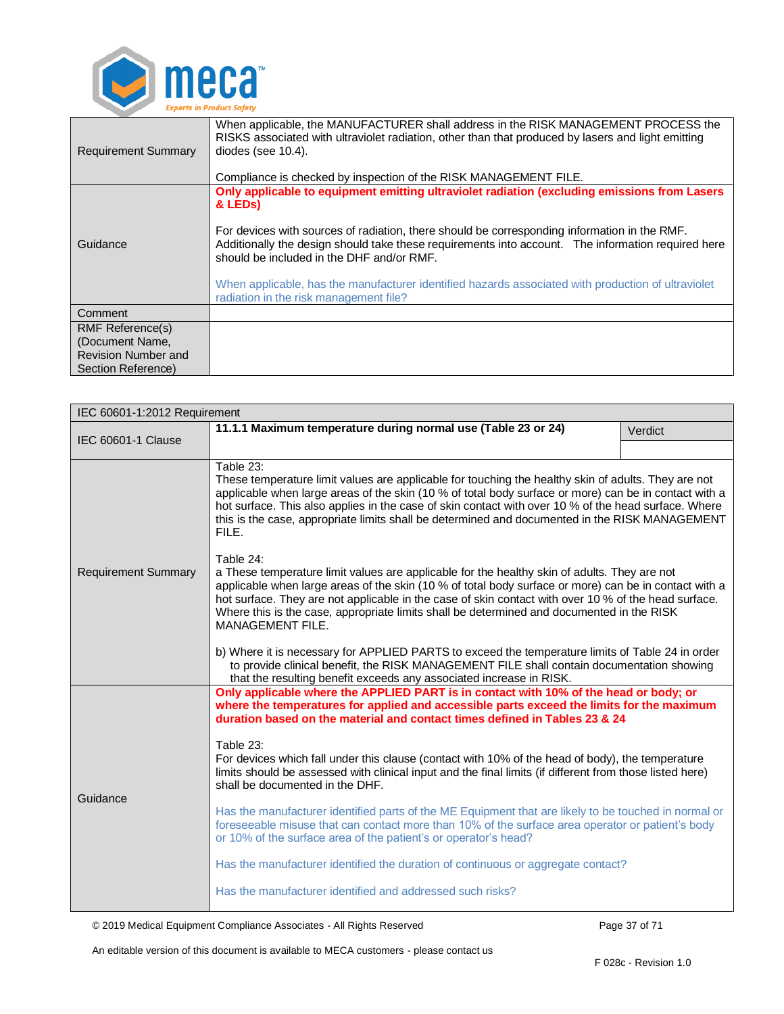

| <b>Requirement Summary</b>                                                              | When applicable, the MANUFACTURER shall address in the RISK MANAGEMENT PROCESS the<br>RISKS associated with ultraviolet radiation, other than that produced by lasers and light emitting<br>diodes (see $10.4$ ).<br>Compliance is checked by inspection of the RISK MANAGEMENT FILE.                                                                                                                                                                                                                                   |  |
|-----------------------------------------------------------------------------------------|-------------------------------------------------------------------------------------------------------------------------------------------------------------------------------------------------------------------------------------------------------------------------------------------------------------------------------------------------------------------------------------------------------------------------------------------------------------------------------------------------------------------------|--|
| Guidance                                                                                | Only applicable to equipment emitting ultraviolet radiation (excluding emissions from Lasers<br>& LED <sub>s</sub> )<br>For devices with sources of radiation, there should be corresponding information in the RMF.<br>Additionally the design should take these requirements into account. The information required here<br>should be included in the DHF and/or RMF.<br>When applicable, has the manufacturer identified hazards associated with production of ultraviolet<br>radiation in the risk management file? |  |
| Comment                                                                                 |                                                                                                                                                                                                                                                                                                                                                                                                                                                                                                                         |  |
| <b>RMF Reference(s)</b><br>(Document Name,<br>Revision Number and<br>Section Reference) |                                                                                                                                                                                                                                                                                                                                                                                                                                                                                                                         |  |

<span id="page-36-0"></span>

| IEC 60601-1:2012 Requirement |                                                                                                                                                                                                                                                                                                                                                                                                                                                                                                                                  |         |  |
|------------------------------|----------------------------------------------------------------------------------------------------------------------------------------------------------------------------------------------------------------------------------------------------------------------------------------------------------------------------------------------------------------------------------------------------------------------------------------------------------------------------------------------------------------------------------|---------|--|
|                              | 11.1.1 Maximum temperature during normal use (Table 23 or 24)                                                                                                                                                                                                                                                                                                                                                                                                                                                                    | Verdict |  |
| IEC 60601-1 Clause           |                                                                                                                                                                                                                                                                                                                                                                                                                                                                                                                                  |         |  |
|                              | Table 23:<br>These temperature limit values are applicable for touching the healthy skin of adults. They are not<br>applicable when large areas of the skin (10 % of total body surface or more) can be in contact with a<br>hot surface. This also applies in the case of skin contact with over 10 % of the head surface. Where<br>this is the case, appropriate limits shall be determined and documented in the RISK MANAGEMENT<br>FILE.                                                                                     |         |  |
| <b>Requirement Summary</b>   | Table 24:<br>a These temperature limit values are applicable for the healthy skin of adults. They are not<br>applicable when large areas of the skin (10 % of total body surface or more) can be in contact with a<br>hot surface. They are not applicable in the case of skin contact with over 10 % of the head surface.<br>Where this is the case, appropriate limits shall be determined and documented in the RISK<br>MANAGEMENT FILE.                                                                                      |         |  |
|                              | b) Where it is necessary for APPLIED PARTS to exceed the temperature limits of Table 24 in order<br>to provide clinical benefit, the RISK MANAGEMENT FILE shall contain documentation showing<br>that the resulting benefit exceeds any associated increase in RISK.                                                                                                                                                                                                                                                             |         |  |
| Guidance                     | Only applicable where the APPLIED PART is in contact with 10% of the head or body; or<br>where the temperatures for applied and accessible parts exceed the limits for the maximum<br>duration based on the material and contact times defined in Tables 23 & 24<br>Table 23:<br>For devices which fall under this clause (contact with 10% of the head of body), the temperature<br>limits should be assessed with clinical input and the final limits (if different from those listed here)<br>shall be documented in the DHF. |         |  |
|                              | Has the manufacturer identified parts of the ME Equipment that are likely to be touched in normal or<br>foreseeable misuse that can contact more than 10% of the surface area operator or patient's body<br>or 10% of the surface area of the patient's or operator's head?                                                                                                                                                                                                                                                      |         |  |
|                              | Has the manufacturer identified the duration of continuous or aggregate contact?                                                                                                                                                                                                                                                                                                                                                                                                                                                 |         |  |
|                              | Has the manufacturer identified and addressed such risks?                                                                                                                                                                                                                                                                                                                                                                                                                                                                        |         |  |

© 2019 Medical Equipment Compliance Associates - All Rights Reserved Page 37 of 71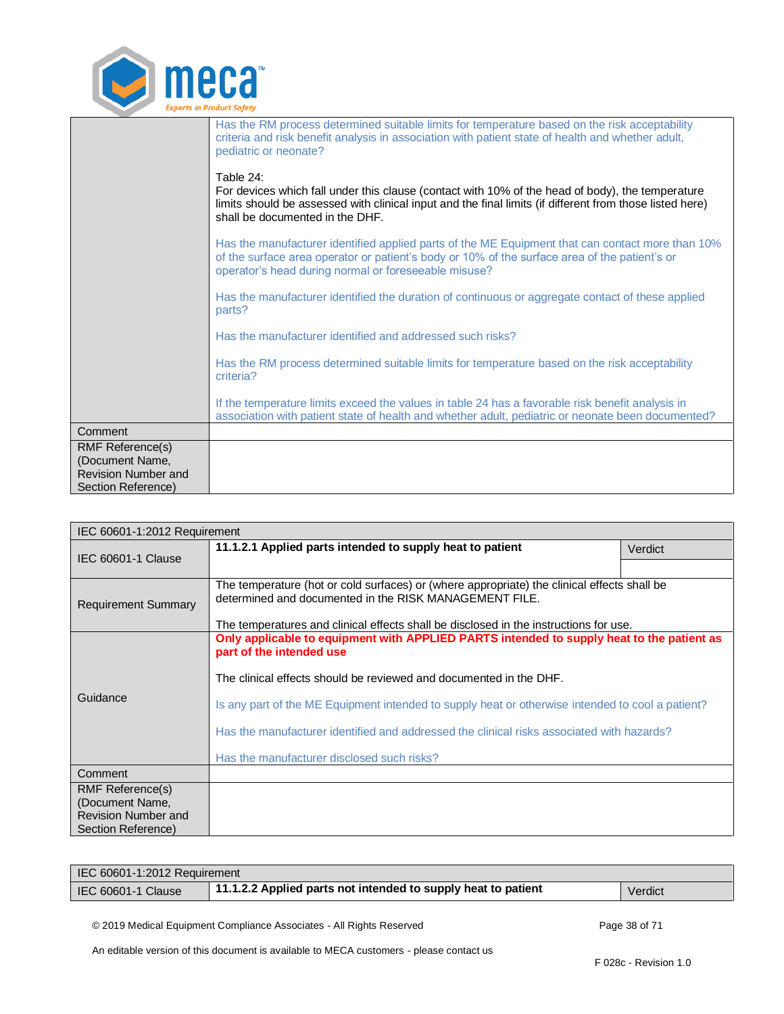

|                                            | Has the RM process determined suitable limits for temperature based on the risk acceptability<br>criteria and risk benefit analysis in association with patient state of health and whether adult,<br>pediatric or neonate?<br>Table 24:<br>For devices which fall under this clause (contact with 10% of the head of body), the temperature<br>limits should be assessed with clinical input and the final limits (if different from those listed here)<br>shall be documented in the DHF. |
|--------------------------------------------|---------------------------------------------------------------------------------------------------------------------------------------------------------------------------------------------------------------------------------------------------------------------------------------------------------------------------------------------------------------------------------------------------------------------------------------------------------------------------------------------|
|                                            | Has the manufacturer identified applied parts of the ME Equipment that can contact more than 10%<br>of the surface area operator or patient's body or 10% of the surface area of the patient's or<br>operator's head during normal or foreseeable misuse?                                                                                                                                                                                                                                   |
|                                            | Has the manufacturer identified the duration of continuous or aggregate contact of these applied<br>parts?                                                                                                                                                                                                                                                                                                                                                                                  |
|                                            | Has the manufacturer identified and addressed such risks?                                                                                                                                                                                                                                                                                                                                                                                                                                   |
|                                            | Has the RM process determined suitable limits for temperature based on the risk acceptability<br>criteria?                                                                                                                                                                                                                                                                                                                                                                                  |
|                                            | If the temperature limits exceed the values in table 24 has a favorable risk benefit analysis in<br>association with patient state of health and whether adult, pediatric or neonate been documented?                                                                                                                                                                                                                                                                                       |
| Comment                                    |                                                                                                                                                                                                                                                                                                                                                                                                                                                                                             |
| <b>RMF Reference(s)</b><br>(Document Name, |                                                                                                                                                                                                                                                                                                                                                                                                                                                                                             |
| Revision Number and<br>Section Reference)  |                                                                                                                                                                                                                                                                                                                                                                                                                                                                                             |

<span id="page-37-0"></span>

| IEC 60601-1:2012 Requirement                  |                                                                                                                                                       |         |
|-----------------------------------------------|-------------------------------------------------------------------------------------------------------------------------------------------------------|---------|
| <b>IEC 60601-1 Clause</b>                     | 11.1.2.1 Applied parts intended to supply heat to patient                                                                                             | Verdict |
|                                               |                                                                                                                                                       |         |
|                                               | The temperature (hot or cold surfaces) or (where appropriate) the clinical effects shall be<br>determined and documented in the RISK MANAGEMENT FILE. |         |
| <b>Requirement Summary</b>                    |                                                                                                                                                       |         |
|                                               | The temperatures and clinical effects shall be disclosed in the instructions for use.                                                                 |         |
|                                               | Only applicable to equipment with APPLIED PARTS intended to supply heat to the patient as                                                             |         |
|                                               | part of the intended use                                                                                                                              |         |
|                                               | The clinical effects should be reviewed and documented in the DHF.                                                                                    |         |
| Guidance                                      | Is any part of the ME Equipment intended to supply heat or otherwise intended to cool a patient?                                                      |         |
|                                               | Has the manufacturer identified and addressed the clinical risks associated with hazards?                                                             |         |
|                                               | Has the manufacturer disclosed such risks?                                                                                                            |         |
| Comment                                       |                                                                                                                                                       |         |
| <b>RMF Reference(s)</b>                       |                                                                                                                                                       |         |
| (Document Name,<br><b>Revision Number and</b> |                                                                                                                                                       |         |
| Section Reference)                            |                                                                                                                                                       |         |

| IEC 60601-1:2012 Requirement |                                                               |         |
|------------------------------|---------------------------------------------------------------|---------|
| IEC 60601-1 Clause           | 11.1.2.2 Applied parts not intended to supply heat to patient | Verdict |

<span id="page-37-1"></span>© 2019 Medical Equipment Compliance Associates - All Rights Reserved Page 38 of 71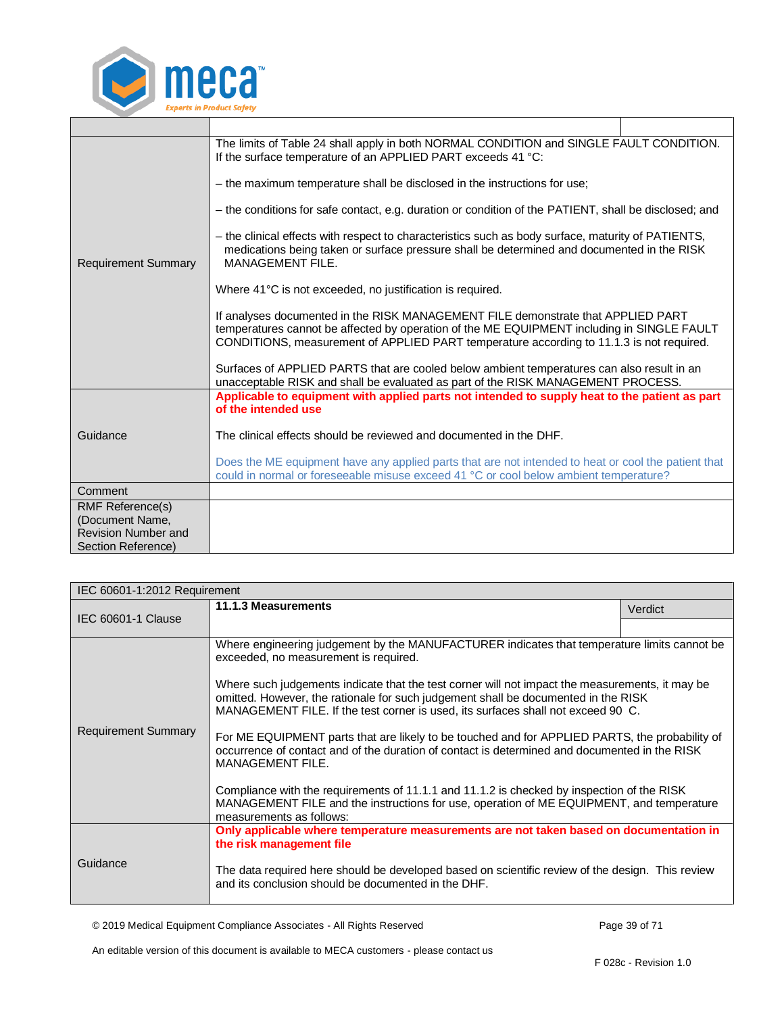

|                            | The limits of Table 24 shall apply in both NORMAL CONDITION and SINGLE FAULT CONDITION.<br>If the surface temperature of an APPLIED PART exceeds 41 °C:                                                                                                                    |
|----------------------------|----------------------------------------------------------------------------------------------------------------------------------------------------------------------------------------------------------------------------------------------------------------------------|
|                            | - the maximum temperature shall be disclosed in the instructions for use;                                                                                                                                                                                                  |
|                            | - the conditions for safe contact, e.g. duration or condition of the PATIENT, shall be disclosed; and                                                                                                                                                                      |
| <b>Requirement Summary</b> | - the clinical effects with respect to characteristics such as body surface, maturity of PATIENTS,<br>medications being taken or surface pressure shall be determined and documented in the RISK<br>MANAGEMENT FILE.                                                       |
|                            | Where 41°C is not exceeded, no justification is required.                                                                                                                                                                                                                  |
|                            | If analyses documented in the RISK MANAGEMENT FILE demonstrate that APPLIED PART<br>temperatures cannot be affected by operation of the ME EQUIPMENT including in SINGLE FAULT<br>CONDITIONS, measurement of APPLIED PART temperature according to 11.1.3 is not required. |
|                            | Surfaces of APPLIED PARTS that are cooled below ambient temperatures can also result in an<br>unacceptable RISK and shall be evaluated as part of the RISK MANAGEMENT PROCESS.                                                                                             |
|                            | Applicable to equipment with applied parts not intended to supply heat to the patient as part<br>of the intended use                                                                                                                                                       |
| Guidance                   | The clinical effects should be reviewed and documented in the DHF.                                                                                                                                                                                                         |
|                            | Does the ME equipment have any applied parts that are not intended to heat or cool the patient that<br>could in normal or foreseeable misuse exceed 41 °C or cool below ambient temperature?                                                                               |
| Comment                    |                                                                                                                                                                                                                                                                            |
| <b>RMF Reference(s)</b>    |                                                                                                                                                                                                                                                                            |
| (Document Name,            |                                                                                                                                                                                                                                                                            |
| <b>Revision Number and</b> |                                                                                                                                                                                                                                                                            |
| Section Reference)         |                                                                                                                                                                                                                                                                            |

<span id="page-38-0"></span>

| IEC 60601-1:2012 Requirement |                                                                                                                                                                                                                                                                           |         |
|------------------------------|---------------------------------------------------------------------------------------------------------------------------------------------------------------------------------------------------------------------------------------------------------------------------|---------|
|                              | 11.1.3 Measurements                                                                                                                                                                                                                                                       | Verdict |
| IEC 60601-1 Clause           |                                                                                                                                                                                                                                                                           |         |
| <b>Requirement Summary</b>   | Where engineering judgement by the MANUFACTURER indicates that temperature limits cannot be<br>exceeded, no measurement is required.                                                                                                                                      |         |
|                              | Where such judgements indicate that the test corner will not impact the measurements, it may be<br>omitted. However, the rationale for such judgement shall be documented in the RISK<br>MANAGEMENT FILE. If the test corner is used, its surfaces shall not exceed 90 C. |         |
|                              | For ME EQUIPMENT parts that are likely to be touched and for APPLIED PARTS, the probability of<br>occurrence of contact and of the duration of contact is determined and documented in the RISK<br><b>MANAGEMENT FILE.</b>                                                |         |
|                              | Compliance with the requirements of 11.1.1 and 11.1.2 is checked by inspection of the RISK<br>MANAGEMENT FILE and the instructions for use, operation of ME EQUIPMENT, and temperature<br>measurements as follows:                                                        |         |
|                              | Only applicable where temperature measurements are not taken based on documentation in<br>the risk management file                                                                                                                                                        |         |
| Guidance                     | The data required here should be developed based on scientific review of the design. This review<br>and its conclusion should be documented in the DHF.                                                                                                                   |         |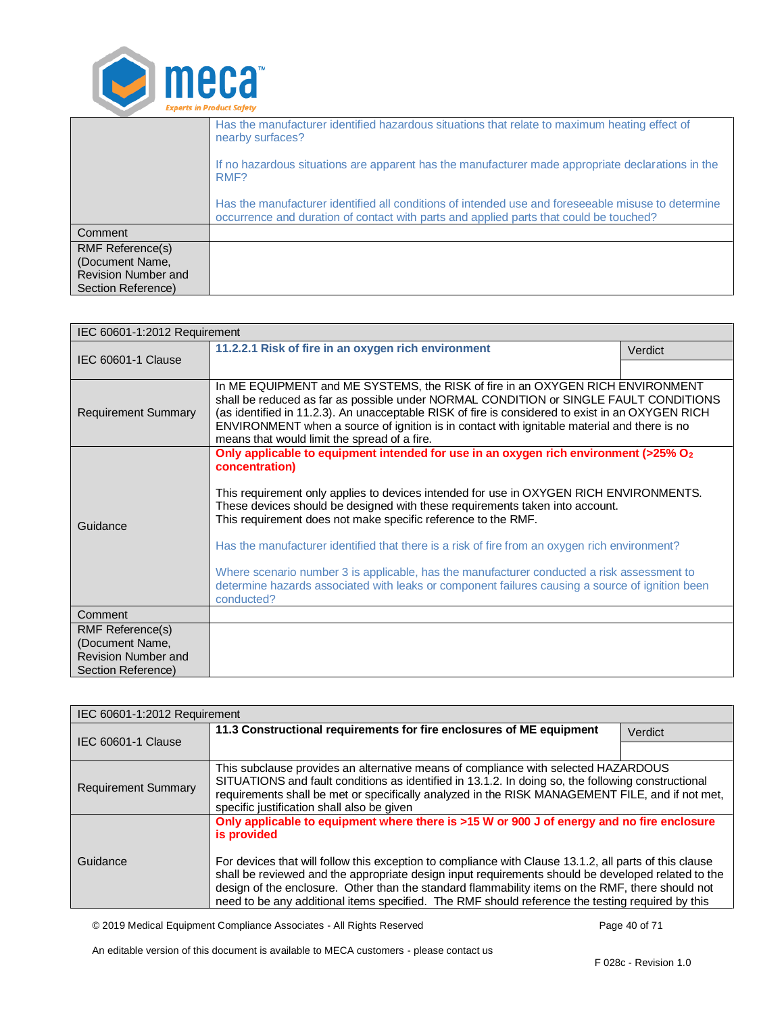

|                                           | Has the manufacturer identified hazardous situations that relate to maximum heating effect of<br>nearby surfaces?                                                                            |
|-------------------------------------------|----------------------------------------------------------------------------------------------------------------------------------------------------------------------------------------------|
|                                           | If no hazardous situations are apparent has the manufacturer made appropriate declarations in the<br>RMF?                                                                                    |
|                                           | Has the manufacturer identified all conditions of intended use and foreseeable misuse to determine<br>occurrence and duration of contact with parts and applied parts that could be touched? |
| Comment                                   |                                                                                                                                                                                              |
| <b>RMF Reference(s)</b>                   |                                                                                                                                                                                              |
| (Document Name,                           |                                                                                                                                                                                              |
| Revision Number and<br>Section Reference) |                                                                                                                                                                                              |
|                                           |                                                                                                                                                                                              |

<span id="page-39-0"></span>

| IEC 60601-1:2012 Requirement                                                                   |                                                                                                                                                                                                                                                                                                                                                                                                                                                                                                                                                                                                                                                                               |         |
|------------------------------------------------------------------------------------------------|-------------------------------------------------------------------------------------------------------------------------------------------------------------------------------------------------------------------------------------------------------------------------------------------------------------------------------------------------------------------------------------------------------------------------------------------------------------------------------------------------------------------------------------------------------------------------------------------------------------------------------------------------------------------------------|---------|
|                                                                                                | 11.2.2.1 Risk of fire in an oxygen rich environment                                                                                                                                                                                                                                                                                                                                                                                                                                                                                                                                                                                                                           | Verdict |
| <b>IEC 60601-1 Clause</b>                                                                      |                                                                                                                                                                                                                                                                                                                                                                                                                                                                                                                                                                                                                                                                               |         |
| <b>Requirement Summary</b>                                                                     | In ME EQUIPMENT and ME SYSTEMS, the RISK of fire in an OXYGEN RICH ENVIRONMENT<br>shall be reduced as far as possible under NORMAL CONDITION or SINGLE FAULT CONDITIONS<br>(as identified in 11.2.3). An unacceptable RISK of fire is considered to exist in an OXYGEN RICH<br>ENVIRONMENT when a source of ignition is in contact with ignitable material and there is no<br>means that would limit the spread of a fire.                                                                                                                                                                                                                                                    |         |
| Guidance                                                                                       | Only applicable to equipment intended for use in an oxygen rich environment (>25% O <sub>2</sub><br>concentration)<br>This requirement only applies to devices intended for use in OXYGEN RICH ENVIRONMENTS.<br>These devices should be designed with these requirements taken into account.<br>This requirement does not make specific reference to the RMF.<br>Has the manufacturer identified that there is a risk of fire from an oxygen rich environment?<br>Where scenario number 3 is applicable, has the manufacturer conducted a risk assessment to<br>determine hazards associated with leaks or component failures causing a source of ignition been<br>conducted? |         |
| Comment                                                                                        |                                                                                                                                                                                                                                                                                                                                                                                                                                                                                                                                                                                                                                                                               |         |
| <b>RMF Reference(s)</b><br>(Document Name,<br><b>Revision Number and</b><br>Section Reference) |                                                                                                                                                                                                                                                                                                                                                                                                                                                                                                                                                                                                                                                                               |         |

<span id="page-39-1"></span>

| IEC 60601-1:2012 Requirement |                                                                                                                                                                                                                                                                                                                                                                                                                                                                                                                                   |         |
|------------------------------|-----------------------------------------------------------------------------------------------------------------------------------------------------------------------------------------------------------------------------------------------------------------------------------------------------------------------------------------------------------------------------------------------------------------------------------------------------------------------------------------------------------------------------------|---------|
|                              | 11.3 Constructional requirements for fire enclosures of ME equipment                                                                                                                                                                                                                                                                                                                                                                                                                                                              | Verdict |
| IEC 60601-1 Clause           |                                                                                                                                                                                                                                                                                                                                                                                                                                                                                                                                   |         |
| <b>Requirement Summary</b>   | This subclause provides an alternative means of compliance with selected HAZARDOUS<br>SITUATIONS and fault conditions as identified in 13.1.2. In doing so, the following constructional<br>requirements shall be met or specifically analyzed in the RISK MANAGEMENT FILE, and if not met,<br>specific justification shall also be given                                                                                                                                                                                         |         |
| Guidance                     | Only applicable to equipment where there is >15 W or 900 J of energy and no fire enclosure<br>is provided<br>For devices that will follow this exception to compliance with Clause 13.1.2, all parts of this clause<br>shall be reviewed and the appropriate design input requirements should be developed related to the<br>design of the enclosure. Other than the standard flammability items on the RMF, there should not<br>need to be any additional items specified. The RMF should reference the testing required by this |         |

© 2019 Medical Equipment Compliance Associates - All Rights Reserved Page 40 of 71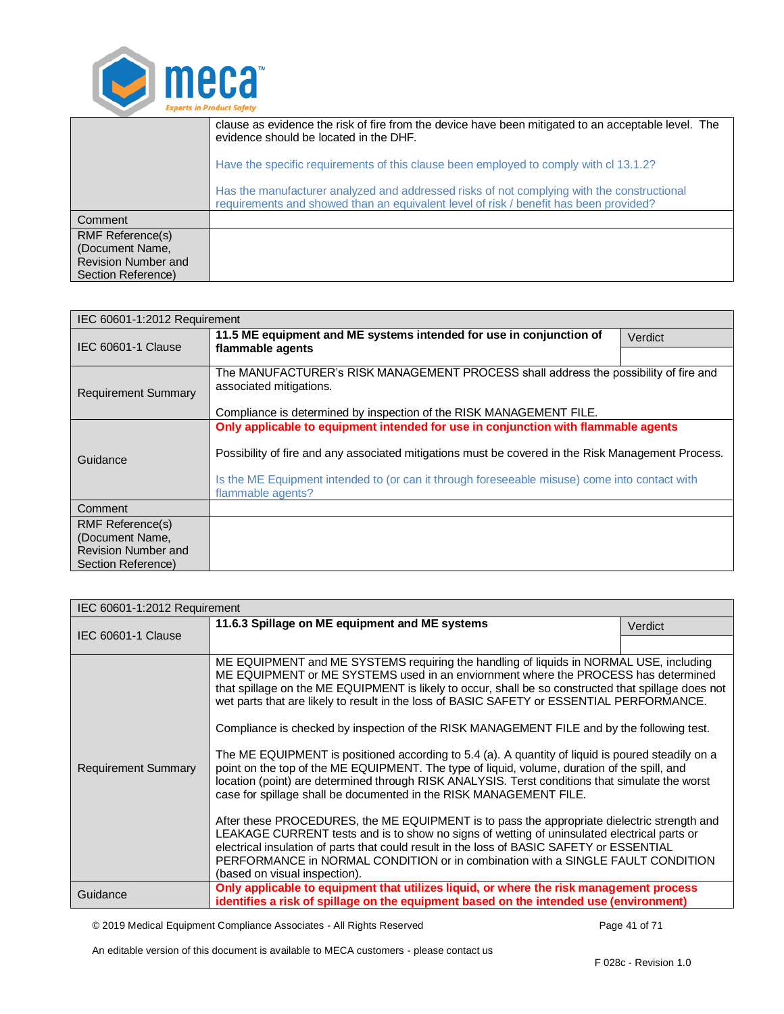

|                                                                                         | clause as evidence the risk of fire from the device have been mitigated to an acceptable level. The<br>evidence should be located in the DHF.                                       |  |
|-----------------------------------------------------------------------------------------|-------------------------------------------------------------------------------------------------------------------------------------------------------------------------------------|--|
|                                                                                         | Have the specific requirements of this clause been employed to comply with cl 13.1.2?                                                                                               |  |
|                                                                                         | Has the manufacturer analyzed and addressed risks of not complying with the constructional<br>requirements and showed than an equivalent level of risk / benefit has been provided? |  |
| Comment                                                                                 |                                                                                                                                                                                     |  |
| <b>RMF Reference(s)</b><br>(Document Name,<br>Revision Number and<br>Section Reference) |                                                                                                                                                                                     |  |

<span id="page-40-0"></span>

| IEC 60601-1:2012 Requirement                  |                                                                                                                    |         |
|-----------------------------------------------|--------------------------------------------------------------------------------------------------------------------|---------|
| IEC 60601-1 Clause                            | 11.5 ME equipment and ME systems intended for use in conjunction of<br>flammable agents                            | Verdict |
|                                               |                                                                                                                    |         |
| <b>Requirement Summary</b>                    | The MANUFACTURER's RISK MANAGEMENT PROCESS shall address the possibility of fire and<br>associated mitigations.    |         |
|                                               | Compliance is determined by inspection of the RISK MANAGEMENT FILE.                                                |         |
|                                               | Only applicable to equipment intended for use in conjunction with flammable agents                                 |         |
| Guidance                                      | Possibility of fire and any associated mitigations must be covered in the Risk Management Process.                 |         |
|                                               | Is the ME Equipment intended to (or can it through foreseeable misuse) come into contact with<br>flammable agents? |         |
| Comment                                       |                                                                                                                    |         |
| RMF Reference(s)                              |                                                                                                                    |         |
| (Document Name,<br><b>Revision Number and</b> |                                                                                                                    |         |
| Section Reference)                            |                                                                                                                    |         |

<span id="page-40-1"></span>

| IEC 60601-1:2012 Requirement |                                                                                                                                                                                                                                                                                                                                                                                                                                                                                                                                                                                                                                                                                                                                                                                                                                                                                                                                                                                                                                                                                                                                                                                                                                                                              |         |
|------------------------------|------------------------------------------------------------------------------------------------------------------------------------------------------------------------------------------------------------------------------------------------------------------------------------------------------------------------------------------------------------------------------------------------------------------------------------------------------------------------------------------------------------------------------------------------------------------------------------------------------------------------------------------------------------------------------------------------------------------------------------------------------------------------------------------------------------------------------------------------------------------------------------------------------------------------------------------------------------------------------------------------------------------------------------------------------------------------------------------------------------------------------------------------------------------------------------------------------------------------------------------------------------------------------|---------|
|                              | 11.6.3 Spillage on ME equipment and ME systems                                                                                                                                                                                                                                                                                                                                                                                                                                                                                                                                                                                                                                                                                                                                                                                                                                                                                                                                                                                                                                                                                                                                                                                                                               | Verdict |
| <b>IEC 60601-1 Clause</b>    |                                                                                                                                                                                                                                                                                                                                                                                                                                                                                                                                                                                                                                                                                                                                                                                                                                                                                                                                                                                                                                                                                                                                                                                                                                                                              |         |
| <b>Requirement Summary</b>   | ME EQUIPMENT and ME SYSTEMS requiring the handling of liquids in NORMAL USE, including<br>ME EQUIPMENT or ME SYSTEMS used in an enviornment where the PROCESS has determined<br>that spillage on the ME EQUIPMENT is likely to occur, shall be so constructed that spillage does not<br>wet parts that are likely to result in the loss of BASIC SAFETY or ESSENTIAL PERFORMANCE.<br>Compliance is checked by inspection of the RISK MANAGEMENT FILE and by the following test.<br>The ME EQUIPMENT is positioned according to 5.4 (a). A quantity of liquid is poured steadily on a<br>point on the top of the ME EQUIPMENT. The type of liquid, volume, duration of the spill, and<br>location (point) are determined through RISK ANALYSIS. Terst conditions that simulate the worst<br>case for spillage shall be documented in the RISK MANAGEMENT FILE.<br>After these PROCEDURES, the ME EQUIPMENT is to pass the appropriate dielectric strength and<br>LEAKAGE CURRENT tests and is to show no signs of wetting of uninsulated electrical parts or<br>electrical insulation of parts that could result in the loss of BASIC SAFETY or ESSENTIAL<br>PERFORMANCE in NORMAL CONDITION or in combination with a SINGLE FAULT CONDITION<br>(based on visual inspection). |         |
| Guidance                     | Only applicable to equipment that utilizes liquid, or where the risk management process<br>identifies a risk of spillage on the equipment based on the intended use (environment)                                                                                                                                                                                                                                                                                                                                                                                                                                                                                                                                                                                                                                                                                                                                                                                                                                                                                                                                                                                                                                                                                            |         |

© 2019 Medical Equipment Compliance Associates - All Rights Reserved Page 41 of 71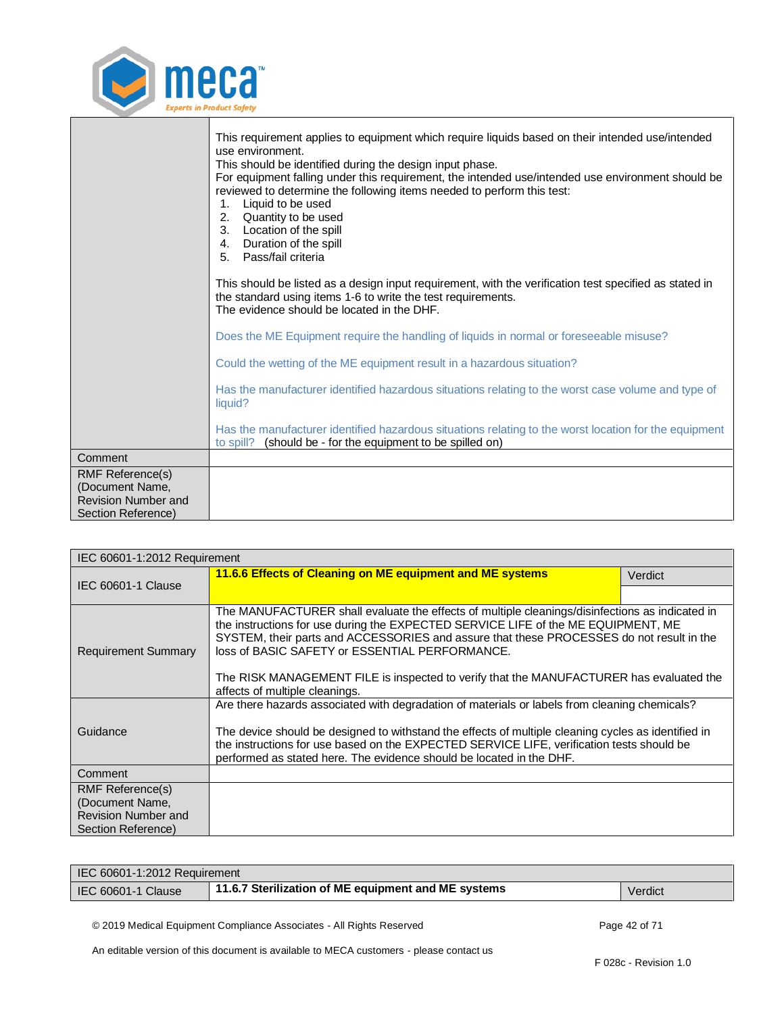

|                                                                                                | This requirement applies to equipment which require liquids based on their intended use/intended<br>use environment.<br>This should be identified during the design input phase.<br>For equipment falling under this requirement, the intended use/intended use environment should be<br>reviewed to determine the following items needed to perform this test:<br>Liquid to be used<br>1.<br>Quantity to be used<br>2.<br>3. Location of the spill<br>4. Duration of the spill<br>5. Pass/fail criteria |
|------------------------------------------------------------------------------------------------|----------------------------------------------------------------------------------------------------------------------------------------------------------------------------------------------------------------------------------------------------------------------------------------------------------------------------------------------------------------------------------------------------------------------------------------------------------------------------------------------------------|
|                                                                                                | This should be listed as a design input requirement, with the verification test specified as stated in<br>the standard using items 1-6 to write the test requirements.<br>The evidence should be located in the DHF.                                                                                                                                                                                                                                                                                     |
|                                                                                                | Does the ME Equipment require the handling of liquids in normal or foreseeable misuse?                                                                                                                                                                                                                                                                                                                                                                                                                   |
|                                                                                                | Could the wetting of the ME equipment result in a hazardous situation?                                                                                                                                                                                                                                                                                                                                                                                                                                   |
|                                                                                                | Has the manufacturer identified hazardous situations relating to the worst case volume and type of<br>liquid?                                                                                                                                                                                                                                                                                                                                                                                            |
|                                                                                                | Has the manufacturer identified hazardous situations relating to the worst location for the equipment<br>to spill? (should be - for the equipment to be spilled on)                                                                                                                                                                                                                                                                                                                                      |
| Comment                                                                                        |                                                                                                                                                                                                                                                                                                                                                                                                                                                                                                          |
| <b>RMF Reference(s)</b><br>(Document Name,<br><b>Revision Number and</b><br>Section Reference) |                                                                                                                                                                                                                                                                                                                                                                                                                                                                                                          |

<span id="page-41-0"></span>

| IEC 60601-1:2012 Requirement           |                                                                                                                                                                                                                                                                                                                                                                                                                                                                 |         |
|----------------------------------------|-----------------------------------------------------------------------------------------------------------------------------------------------------------------------------------------------------------------------------------------------------------------------------------------------------------------------------------------------------------------------------------------------------------------------------------------------------------------|---------|
|                                        | 11.6.6 Effects of Cleaning on ME equipment and ME systems                                                                                                                                                                                                                                                                                                                                                                                                       | Verdict |
| IEC 60601-1 Clause                     |                                                                                                                                                                                                                                                                                                                                                                                                                                                                 |         |
| <b>Requirement Summary</b>             | The MANUFACTURER shall evaluate the effects of multiple cleanings/disinfections as indicated in<br>the instructions for use during the EXPECTED SERVICE LIFE of the ME EQUIPMENT, ME<br>SYSTEM, their parts and ACCESSORIES and assure that these PROCESSES do not result in the<br>loss of BASIC SAFETY or ESSENTIAL PERFORMANCE.<br>The RISK MANAGEMENT FILE is inspected to verify that the MANUFACTURER has evaluated the<br>affects of multiple cleanings. |         |
| Guidance                               | Are there hazards associated with degradation of materials or labels from cleaning chemicals?<br>The device should be designed to withstand the effects of multiple cleaning cycles as identified in<br>the instructions for use based on the EXPECTED SERVICE LIFE, verification tests should be<br>performed as stated here. The evidence should be located in the DHF.                                                                                       |         |
| Comment                                |                                                                                                                                                                                                                                                                                                                                                                                                                                                                 |         |
| RMF Reference(s)                       |                                                                                                                                                                                                                                                                                                                                                                                                                                                                 |         |
| (Document Name,<br>Revision Number and |                                                                                                                                                                                                                                                                                                                                                                                                                                                                 |         |
| Section Reference)                     |                                                                                                                                                                                                                                                                                                                                                                                                                                                                 |         |

| IEC 60601-1:2012 Requirement |                                                     |         |
|------------------------------|-----------------------------------------------------|---------|
| IEC 60601-1 Clause           | 11.6.7 Sterilization of ME equipment and ME systems | Verdict |

<span id="page-41-1"></span>© 2019 Medical Equipment Compliance Associates - All Rights Reserved Page 42 of 71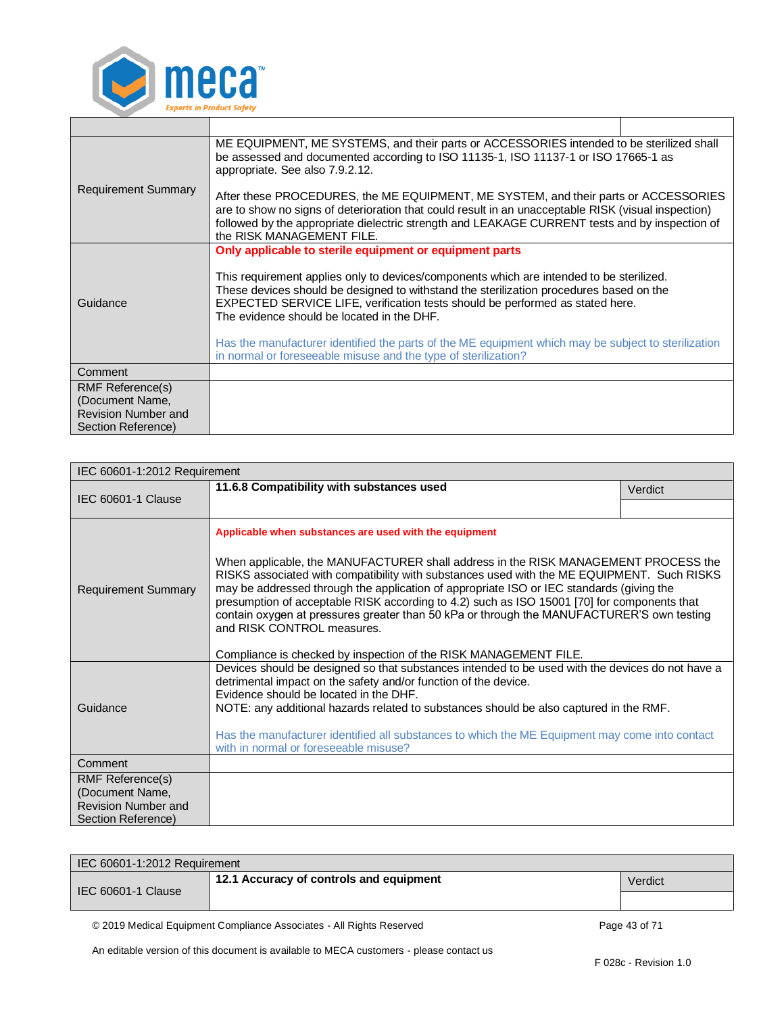

|                                               | ME EQUIPMENT, ME SYSTEMS, and their parts or ACCESSORIES intended to be sterilized shall<br>be assessed and documented according to ISO 11135-1, ISO 11137-1 or ISO 17665-1 as<br>appropriate. See also 7.9.2.12.                                                                                                         |  |
|-----------------------------------------------|---------------------------------------------------------------------------------------------------------------------------------------------------------------------------------------------------------------------------------------------------------------------------------------------------------------------------|--|
| <b>Requirement Summary</b>                    | After these PROCEDURES, the ME EQUIPMENT, ME SYSTEM, and their parts or ACCESSORIES<br>are to show no signs of deterioration that could result in an unacceptable RISK (visual inspection)<br>followed by the appropriate dielectric strength and LEAKAGE CURRENT tests and by inspection of<br>the RISK MANAGEMENT FILE. |  |
|                                               | Only applicable to sterile equipment or equipment parts                                                                                                                                                                                                                                                                   |  |
| Guidance                                      | This requirement applies only to devices/components which are intended to be sterilized.<br>These devices should be designed to withstand the sterilization procedures based on the<br>EXPECTED SERVICE LIFE, verification tests should be performed as stated here.<br>The evidence should be located in the DHF.        |  |
|                                               | Has the manufacturer identified the parts of the ME equipment which may be subject to sterilization<br>in normal or foreseeable misuse and the type of sterilization?                                                                                                                                                     |  |
| Comment                                       |                                                                                                                                                                                                                                                                                                                           |  |
| RMF Reference(s)                              |                                                                                                                                                                                                                                                                                                                           |  |
| (Document Name,<br><b>Revision Number and</b> |                                                                                                                                                                                                                                                                                                                           |  |
| Section Reference)                            |                                                                                                                                                                                                                                                                                                                           |  |

<span id="page-42-0"></span>

| IEC 60601-1:2012 Requirement                                                                   |                                                                                                                                                                                                                                                                                                                                                                                                                                                                                                                                                                                                                                      |         |  |
|------------------------------------------------------------------------------------------------|--------------------------------------------------------------------------------------------------------------------------------------------------------------------------------------------------------------------------------------------------------------------------------------------------------------------------------------------------------------------------------------------------------------------------------------------------------------------------------------------------------------------------------------------------------------------------------------------------------------------------------------|---------|--|
| IEC 60601-1 Clause                                                                             | 11.6.8 Compatibility with substances used                                                                                                                                                                                                                                                                                                                                                                                                                                                                                                                                                                                            | Verdict |  |
|                                                                                                |                                                                                                                                                                                                                                                                                                                                                                                                                                                                                                                                                                                                                                      |         |  |
| <b>Requirement Summary</b>                                                                     | Applicable when substances are used with the equipment<br>When applicable, the MANUFACTURER shall address in the RISK MANAGEMENT PROCESS the<br>RISKS associated with compatibility with substances used with the ME EQUIPMENT. Such RISKS<br>may be addressed through the application of appropriate ISO or IEC standards (giving the<br>presumption of acceptable RISK according to 4.2) such as ISO 15001 [70] for components that<br>contain oxygen at pressures greater than 50 kPa or through the MANUFACTURER'S own testing<br>and RISK CONTROL measures.<br>Compliance is checked by inspection of the RISK MANAGEMENT FILE. |         |  |
| Guidance                                                                                       | Devices should be designed so that substances intended to be used with the devices do not have a<br>detrimental impact on the safety and/or function of the device.<br>Evidence should be located in the DHF.<br>NOTE: any additional hazards related to substances should be also captured in the RMF.<br>Has the manufacturer identified all substances to which the ME Equipment may come into contact<br>with in normal or foreseeable misuse?                                                                                                                                                                                   |         |  |
| Comment                                                                                        |                                                                                                                                                                                                                                                                                                                                                                                                                                                                                                                                                                                                                                      |         |  |
| <b>RMF Reference(s)</b><br>(Document Name,<br><b>Revision Number and</b><br>Section Reference) |                                                                                                                                                                                                                                                                                                                                                                                                                                                                                                                                                                                                                                      |         |  |

| IEC 60601-1:2012 Requirement |                                         |         |
|------------------------------|-----------------------------------------|---------|
| <b>IEC 60601-1 Clause</b>    | 12.1 Accuracy of controls and equipment | Verdict |
|                              |                                         |         |
|                              |                                         |         |

<span id="page-42-1"></span>© 2019 Medical Equipment Compliance Associates - All Rights Reserved Page 43 of 71

T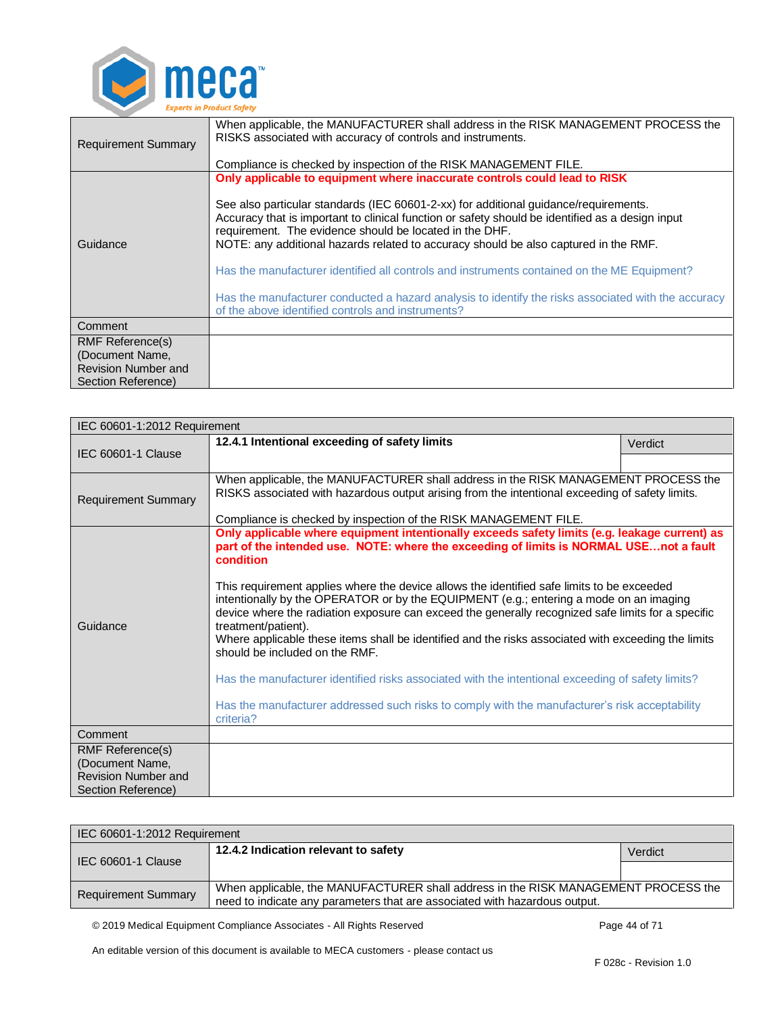

| <b>Requirement Summary</b>                                                                     | When applicable, the MANUFACTURER shall address in the RISK MANAGEMENT PROCESS the<br>RISKS associated with accuracy of controls and instruments.<br>Compliance is checked by inspection of the RISK MANAGEMENT FILE.                                                                                                                                                                                                                                                                                                                                                                                                                                                               |
|------------------------------------------------------------------------------------------------|-------------------------------------------------------------------------------------------------------------------------------------------------------------------------------------------------------------------------------------------------------------------------------------------------------------------------------------------------------------------------------------------------------------------------------------------------------------------------------------------------------------------------------------------------------------------------------------------------------------------------------------------------------------------------------------|
| Guidance                                                                                       | Only applicable to equipment where inaccurate controls could lead to RISK<br>See also particular standards (IEC 60601-2-xx) for additional quidance/requirements.<br>Accuracy that is important to clinical function or safety should be identified as a design input<br>requirement. The evidence should be located in the DHF.<br>NOTE: any additional hazards related to accuracy should be also captured in the RMF.<br>Has the manufacturer identified all controls and instruments contained on the ME Equipment?<br>Has the manufacturer conducted a hazard analysis to identify the risks associated with the accuracy<br>of the above identified controls and instruments? |
| Comment                                                                                        |                                                                                                                                                                                                                                                                                                                                                                                                                                                                                                                                                                                                                                                                                     |
| <b>RMF Reference(s)</b><br>(Document Name,<br><b>Revision Number and</b><br>Section Reference) |                                                                                                                                                                                                                                                                                                                                                                                                                                                                                                                                                                                                                                                                                     |

<span id="page-43-0"></span>

| IEC 60601-1:2012 Requirement                  |                                                                                                                                                                                                                                                                                                                                                                                                                                                                                                                                                                                                                                                                                                                                                                                                                                                                                        |         |
|-----------------------------------------------|----------------------------------------------------------------------------------------------------------------------------------------------------------------------------------------------------------------------------------------------------------------------------------------------------------------------------------------------------------------------------------------------------------------------------------------------------------------------------------------------------------------------------------------------------------------------------------------------------------------------------------------------------------------------------------------------------------------------------------------------------------------------------------------------------------------------------------------------------------------------------------------|---------|
| <b>IEC 60601-1 Clause</b>                     | 12.4.1 Intentional exceeding of safety limits                                                                                                                                                                                                                                                                                                                                                                                                                                                                                                                                                                                                                                                                                                                                                                                                                                          | Verdict |
|                                               |                                                                                                                                                                                                                                                                                                                                                                                                                                                                                                                                                                                                                                                                                                                                                                                                                                                                                        |         |
| <b>Requirement Summary</b>                    | When applicable, the MANUFACTURER shall address in the RISK MANAGEMENT PROCESS the<br>RISKS associated with hazardous output arising from the intentional exceeding of safety limits.<br>Compliance is checked by inspection of the RISK MANAGEMENT FILE.                                                                                                                                                                                                                                                                                                                                                                                                                                                                                                                                                                                                                              |         |
| Guidance                                      | Only applicable where equipment intentionally exceeds safety limits (e.g. leakage current) as<br>part of the intended use. NOTE: where the exceeding of limits is NORMAL USEnot a fault<br>condition<br>This requirement applies where the device allows the identified safe limits to be exceeded<br>intentionally by the OPERATOR or by the EQUIPMENT (e.g.; entering a mode on an imaging<br>device where the radiation exposure can exceed the generally recognized safe limits for a specific<br>treatment/patient).<br>Where applicable these items shall be identified and the risks associated with exceeding the limits<br>should be included on the RMF.<br>Has the manufacturer identified risks associated with the intentional exceeding of safety limits?<br>Has the manufacturer addressed such risks to comply with the manufacturer's risk acceptability<br>criteria? |         |
| Comment                                       |                                                                                                                                                                                                                                                                                                                                                                                                                                                                                                                                                                                                                                                                                                                                                                                                                                                                                        |         |
| <b>RMF Reference(s)</b>                       |                                                                                                                                                                                                                                                                                                                                                                                                                                                                                                                                                                                                                                                                                                                                                                                                                                                                                        |         |
| (Document Name,<br><b>Revision Number and</b> |                                                                                                                                                                                                                                                                                                                                                                                                                                                                                                                                                                                                                                                                                                                                                                                                                                                                                        |         |
| Section Reference)                            |                                                                                                                                                                                                                                                                                                                                                                                                                                                                                                                                                                                                                                                                                                                                                                                                                                                                                        |         |

<span id="page-43-1"></span>

| IEC 60601-1:2012 Requirement |                                                                                                                                                                  |         |
|------------------------------|------------------------------------------------------------------------------------------------------------------------------------------------------------------|---------|
| IEC 60601-1 Clause           | 12.4.2 Indication relevant to safety                                                                                                                             | Verdict |
|                              |                                                                                                                                                                  |         |
| <b>Requirement Summary</b>   | When applicable, the MANUFACTURER shall address in the RISK MANAGEMENT PROCESS the<br>need to indicate any parameters that are associated with hazardous output. |         |

© 2019 Medical Equipment Compliance Associates - All Rights Reserved Page 44 of 71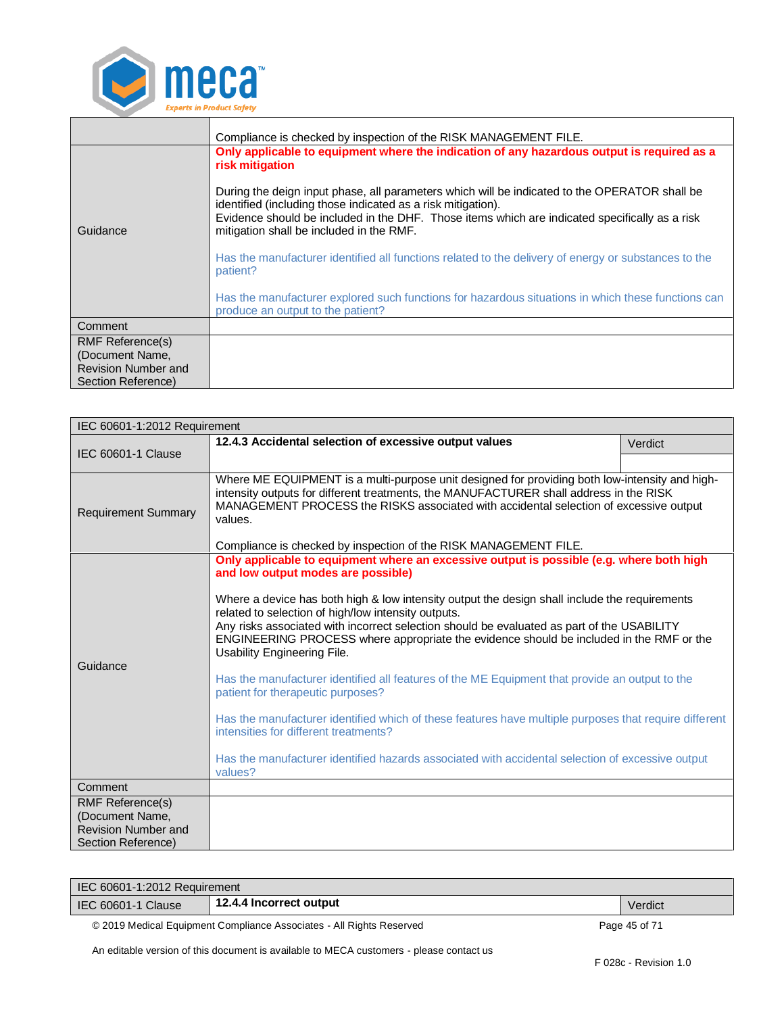

|                                                                                                | Compliance is checked by inspection of the RISK MANAGEMENT FILE.                                                                                                                                                                                                                                                                                                                                                                                                                                                                                                                                                                                                                            |  |
|------------------------------------------------------------------------------------------------|---------------------------------------------------------------------------------------------------------------------------------------------------------------------------------------------------------------------------------------------------------------------------------------------------------------------------------------------------------------------------------------------------------------------------------------------------------------------------------------------------------------------------------------------------------------------------------------------------------------------------------------------------------------------------------------------|--|
| Guidance                                                                                       | Only applicable to equipment where the indication of any hazardous output is required as a<br>risk mitigation<br>During the deign input phase, all parameters which will be indicated to the OPERATOR shall be<br>identified (including those indicated as a risk mitigation).<br>Evidence should be included in the DHF. Those items which are indicated specifically as a risk<br>mitigation shall be included in the RMF.<br>Has the manufacturer identified all functions related to the delivery of energy or substances to the<br>patient?<br>Has the manufacturer explored such functions for hazardous situations in which these functions can<br>produce an output to the patient? |  |
| Comment                                                                                        |                                                                                                                                                                                                                                                                                                                                                                                                                                                                                                                                                                                                                                                                                             |  |
| <b>RMF Reference(s)</b><br>(Document Name,<br><b>Revision Number and</b><br>Section Reference) |                                                                                                                                                                                                                                                                                                                                                                                                                                                                                                                                                                                                                                                                                             |  |

<span id="page-44-0"></span>

| IEC 60601-1:2012 Requirement                                                            |                                                                                                                                                                                                                                                                                                                                                                                                                                                                                                                                                                                                                                                                                                                                                                                                                                                                                                                                                                                 |         |
|-----------------------------------------------------------------------------------------|---------------------------------------------------------------------------------------------------------------------------------------------------------------------------------------------------------------------------------------------------------------------------------------------------------------------------------------------------------------------------------------------------------------------------------------------------------------------------------------------------------------------------------------------------------------------------------------------------------------------------------------------------------------------------------------------------------------------------------------------------------------------------------------------------------------------------------------------------------------------------------------------------------------------------------------------------------------------------------|---------|
| IEC 60601-1 Clause                                                                      | 12.4.3 Accidental selection of excessive output values                                                                                                                                                                                                                                                                                                                                                                                                                                                                                                                                                                                                                                                                                                                                                                                                                                                                                                                          | Verdict |
|                                                                                         |                                                                                                                                                                                                                                                                                                                                                                                                                                                                                                                                                                                                                                                                                                                                                                                                                                                                                                                                                                                 |         |
| <b>Requirement Summary</b>                                                              | Where ME EQUIPMENT is a multi-purpose unit designed for providing both low-intensity and high-<br>intensity outputs for different treatments, the MANUFACTURER shall address in the RISK<br>MANAGEMENT PROCESS the RISKS associated with accidental selection of excessive output<br>values.                                                                                                                                                                                                                                                                                                                                                                                                                                                                                                                                                                                                                                                                                    |         |
| Guidance                                                                                | Compliance is checked by inspection of the RISK MANAGEMENT FILE.<br>Only applicable to equipment where an excessive output is possible (e.g. where both high<br>and low output modes are possible)<br>Where a device has both high & low intensity output the design shall include the requirements<br>related to selection of high/low intensity outputs.<br>Any risks associated with incorrect selection should be evaluated as part of the USABILITY<br>ENGINEERING PROCESS where appropriate the evidence should be included in the RMF or the<br>Usability Engineering File.<br>Has the manufacturer identified all features of the ME Equipment that provide an output to the<br>patient for therapeutic purposes?<br>Has the manufacturer identified which of these features have multiple purposes that require different<br>intensities for different treatments?<br>Has the manufacturer identified hazards associated with accidental selection of excessive output |         |
| Comment                                                                                 |                                                                                                                                                                                                                                                                                                                                                                                                                                                                                                                                                                                                                                                                                                                                                                                                                                                                                                                                                                                 |         |
| RMF Reference(s)<br>(Document Name,<br><b>Revision Number and</b><br>Section Reference) |                                                                                                                                                                                                                                                                                                                                                                                                                                                                                                                                                                                                                                                                                                                                                                                                                                                                                                                                                                                 |         |

| IEC 60601-1:2012 Requirement |                         |         |
|------------------------------|-------------------------|---------|
| <b>IEC 60601-1 Clause</b>    | 12.4.4 Incorrect output | Verdict |

<span id="page-44-1"></span>© 2019 Medical Equipment Compliance Associates - All Rights Reserved Page 45 of 71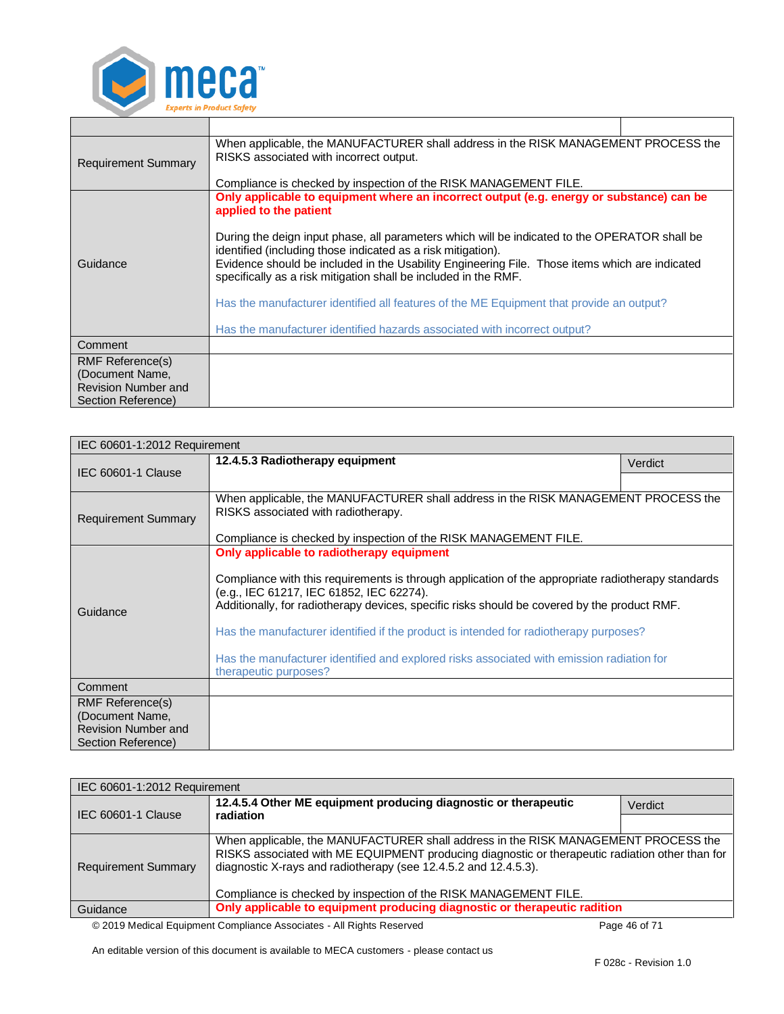

| <b>Requirement Summary</b> | When applicable, the MANUFACTURER shall address in the RISK MANAGEMENT PROCESS the<br>RISKS associated with incorrect output.<br>Compliance is checked by inspection of the RISK MANAGEMENT FILE.                                                                                                                                  |  |
|----------------------------|------------------------------------------------------------------------------------------------------------------------------------------------------------------------------------------------------------------------------------------------------------------------------------------------------------------------------------|--|
|                            | Only applicable to equipment where an incorrect output (e.g. energy or substance) can be<br>applied to the patient                                                                                                                                                                                                                 |  |
| Guidance                   | During the deign input phase, all parameters which will be indicated to the OPERATOR shall be<br>identified (including those indicated as a risk mitigation).<br>Evidence should be included in the Usability Engineering File. Those items which are indicated<br>specifically as a risk mitigation shall be included in the RMF. |  |
|                            | Has the manufacturer identified all features of the ME Equipment that provide an output?                                                                                                                                                                                                                                           |  |
|                            | Has the manufacturer identified hazards associated with incorrect output?                                                                                                                                                                                                                                                          |  |
| Comment                    |                                                                                                                                                                                                                                                                                                                                    |  |
| RMF Reference(s)           |                                                                                                                                                                                                                                                                                                                                    |  |
| (Document Name,            |                                                                                                                                                                                                                                                                                                                                    |  |
| <b>Revision Number and</b> |                                                                                                                                                                                                                                                                                                                                    |  |
| Section Reference)         |                                                                                                                                                                                                                                                                                                                                    |  |

<span id="page-45-0"></span>

| IEC 60601-1:2012 Requirement                                                            |                                                                                                                                                                                                                                                                                                                                                                                                                                                                                                            |         |
|-----------------------------------------------------------------------------------------|------------------------------------------------------------------------------------------------------------------------------------------------------------------------------------------------------------------------------------------------------------------------------------------------------------------------------------------------------------------------------------------------------------------------------------------------------------------------------------------------------------|---------|
|                                                                                         | 12.4.5.3 Radiotherapy equipment                                                                                                                                                                                                                                                                                                                                                                                                                                                                            | Verdict |
| <b>IEC 60601-1 Clause</b>                                                               |                                                                                                                                                                                                                                                                                                                                                                                                                                                                                                            |         |
| <b>Requirement Summary</b>                                                              | When applicable, the MANUFACTURER shall address in the RISK MANAGEMENT PROCESS the<br>RISKS associated with radiotherapy.                                                                                                                                                                                                                                                                                                                                                                                  |         |
|                                                                                         | Compliance is checked by inspection of the RISK MANAGEMENT FILE.                                                                                                                                                                                                                                                                                                                                                                                                                                           |         |
| Guidance                                                                                | Only applicable to radiotherapy equipment<br>Compliance with this requirements is through application of the appropriate radiotherapy standards<br>(e.g., IEC 61217, IEC 61852, IEC 62274).<br>Additionally, for radiotherapy devices, specific risks should be covered by the product RMF.<br>Has the manufacturer identified if the product is intended for radiotherapy purposes?<br>Has the manufacturer identified and explored risks associated with emission radiation for<br>therapeutic purposes? |         |
| Comment                                                                                 |                                                                                                                                                                                                                                                                                                                                                                                                                                                                                                            |         |
| RMF Reference(s)<br>(Document Name,<br><b>Revision Number and</b><br>Section Reference) |                                                                                                                                                                                                                                                                                                                                                                                                                                                                                                            |         |

<span id="page-45-1"></span>

| IEC 60601-1:2012 Requirement |                                                                                                                                                                                                                                                                                                                              |         |
|------------------------------|------------------------------------------------------------------------------------------------------------------------------------------------------------------------------------------------------------------------------------------------------------------------------------------------------------------------------|---------|
| IEC 60601-1 Clause           | 12.4.5.4 Other ME equipment producing diagnostic or therapeutic<br>radiation                                                                                                                                                                                                                                                 | Verdict |
|                              |                                                                                                                                                                                                                                                                                                                              |         |
| <b>Requirement Summary</b>   | When applicable, the MANUFACTURER shall address in the RISK MANAGEMENT PROCESS the<br>RISKS associated with ME EQUIPMENT producing diagnostic or therapeutic radiation other than for<br>diagnostic X-rays and radiotherapy (see 12.4.5.2 and 12.4.5.3).<br>Compliance is checked by inspection of the RISK MANAGEMENT FILE. |         |
| Guidance                     | Only applicable to equipment producing diagnostic or therapeutic radition                                                                                                                                                                                                                                                    |         |
|                              |                                                                                                                                                                                                                                                                                                                              |         |

© 2019 Medical Equipment Compliance Associates - All Rights Reserved Page 46 of 71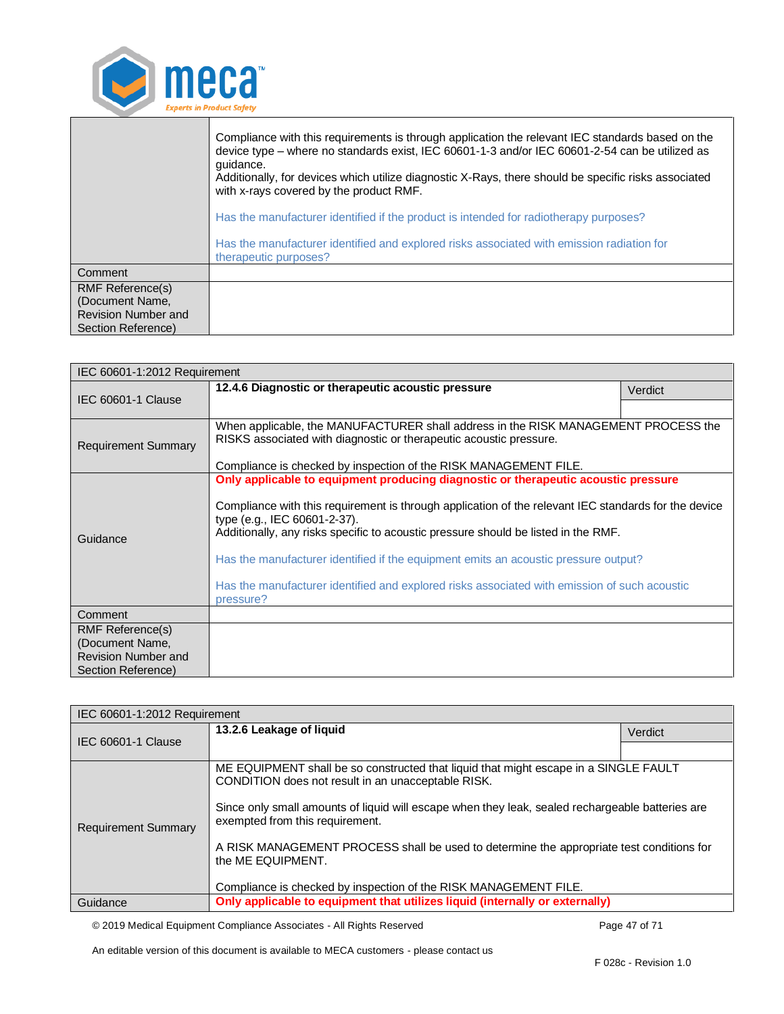

|                                                                                                | Compliance with this requirements is through application the relevant IEC standards based on the<br>device type - where no standards exist, IEC 60601-1-3 and/or IEC 60601-2-54 can be utilized as<br>quidance.<br>Additionally, for devices which utilize diagnostic X-Rays, there should be specific risks associated<br>with x-rays covered by the product RMF. |
|------------------------------------------------------------------------------------------------|--------------------------------------------------------------------------------------------------------------------------------------------------------------------------------------------------------------------------------------------------------------------------------------------------------------------------------------------------------------------|
|                                                                                                | Has the manufacturer identified if the product is intended for radiotherapy purposes?                                                                                                                                                                                                                                                                              |
|                                                                                                | Has the manufacturer identified and explored risks associated with emission radiation for<br>therapeutic purposes?                                                                                                                                                                                                                                                 |
| Comment                                                                                        |                                                                                                                                                                                                                                                                                                                                                                    |
| <b>RMF Reference(s)</b><br>(Document Name,<br><b>Revision Number and</b><br>Section Reference) |                                                                                                                                                                                                                                                                                                                                                                    |

<span id="page-46-0"></span>

| IEC 60601-1:2012 Requirement                  |                                                                                                                                                                                                                            |         |
|-----------------------------------------------|----------------------------------------------------------------------------------------------------------------------------------------------------------------------------------------------------------------------------|---------|
|                                               | 12.4.6 Diagnostic or therapeutic acoustic pressure                                                                                                                                                                         | Verdict |
| <b>IEC 60601-1 Clause</b>                     |                                                                                                                                                                                                                            |         |
| <b>Requirement Summary</b>                    | When applicable, the MANUFACTURER shall address in the RISK MANAGEMENT PROCESS the<br>RISKS associated with diagnostic or therapeutic acoustic pressure.                                                                   |         |
|                                               | Compliance is checked by inspection of the RISK MANAGEMENT FILE.                                                                                                                                                           |         |
|                                               | Only applicable to equipment producing diagnostic or therapeutic acoustic pressure                                                                                                                                         |         |
| Guidance                                      | Compliance with this requirement is through application of the relevant IEC standards for the device<br>type (e.g., IEC 60601-2-37).<br>Additionally, any risks specific to acoustic pressure should be listed in the RMF. |         |
|                                               | Has the manufacturer identified if the equipment emits an acoustic pressure output?                                                                                                                                        |         |
|                                               | Has the manufacturer identified and explored risks associated with emission of such acoustic<br>pressure?                                                                                                                  |         |
| Comment                                       |                                                                                                                                                                                                                            |         |
| <b>RMF Reference(s)</b>                       |                                                                                                                                                                                                                            |         |
| (Document Name,<br><b>Revision Number and</b> |                                                                                                                                                                                                                            |         |
| Section Reference)                            |                                                                                                                                                                                                                            |         |

<span id="page-46-1"></span>

| IEC 60601-1:2012 Requirement |                                                                                                                                                                                                                                                                                   |         |
|------------------------------|-----------------------------------------------------------------------------------------------------------------------------------------------------------------------------------------------------------------------------------------------------------------------------------|---------|
|                              | 13.2.6 Leakage of liquid                                                                                                                                                                                                                                                          | Verdict |
| IEC 60601-1 Clause           |                                                                                                                                                                                                                                                                                   |         |
| <b>Requirement Summary</b>   | ME EQUIPMENT shall be so constructed that liquid that might escape in a SINGLE FAULT<br>CONDITION does not result in an unacceptable RISK.<br>Since only small amounts of liquid will escape when they leak, sealed rechargeable batteries are<br>exempted from this requirement. |         |
|                              | A RISK MANAGEMENT PROCESS shall be used to determine the appropriate test conditions for<br>the ME EQUIPMENT.<br>Compliance is checked by inspection of the RISK MANAGEMENT FILE.                                                                                                 |         |
| Guidance                     | Only applicable to equipment that utilizes liquid (internally or externally)                                                                                                                                                                                                      |         |

© 2019 Medical Equipment Compliance Associates - All Rights Reserved Page 47 of 71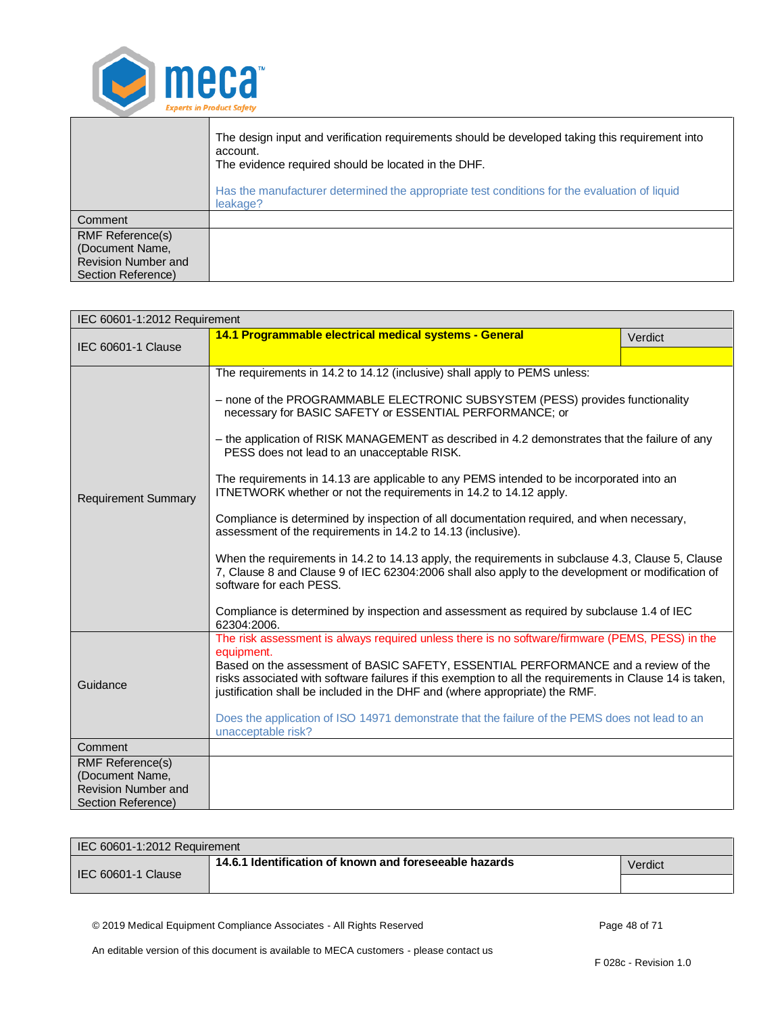

|                                                                                         | The design input and verification requirements should be developed taking this requirement into<br>account.<br>The evidence required should be located in the DHF.<br>Has the manufacturer determined the appropriate test conditions for the evaluation of liquid<br>leakage? |
|-----------------------------------------------------------------------------------------|--------------------------------------------------------------------------------------------------------------------------------------------------------------------------------------------------------------------------------------------------------------------------------|
| <b>Comment</b>                                                                          |                                                                                                                                                                                                                                                                                |
| <b>RMF Reference(s)</b><br>(Document Name,<br>Revision Number and<br>Section Reference) |                                                                                                                                                                                                                                                                                |

<span id="page-47-0"></span>

| IEC 60601-1:2012 Requirement               |                                                                                                                                                                                                                                                                               |         |
|--------------------------------------------|-------------------------------------------------------------------------------------------------------------------------------------------------------------------------------------------------------------------------------------------------------------------------------|---------|
| IEC 60601-1 Clause                         | 14.1 Programmable electrical medical systems - General                                                                                                                                                                                                                        | Verdict |
|                                            |                                                                                                                                                                                                                                                                               |         |
|                                            | The requirements in 14.2 to 14.12 (inclusive) shall apply to PEMS unless:                                                                                                                                                                                                     |         |
|                                            | - none of the PROGRAMMABLE ELECTRONIC SUBSYSTEM (PESS) provides functionality<br>necessary for BASIC SAFETY or ESSENTIAL PERFORMANCE; or                                                                                                                                      |         |
|                                            | - the application of RISK MANAGEMENT as described in 4.2 demonstrates that the failure of any<br>PESS does not lead to an unacceptable RISK.                                                                                                                                  |         |
| <b>Requirement Summary</b>                 | The requirements in 14.13 are applicable to any PEMS intended to be incorporated into an<br>ITNETWORK whether or not the requirements in 14.2 to 14.12 apply.                                                                                                                 |         |
|                                            | Compliance is determined by inspection of all documentation required, and when necessary,<br>assessment of the requirements in 14.2 to 14.13 (inclusive).                                                                                                                     |         |
|                                            | When the requirements in 14.2 to 14.13 apply, the requirements in subclause 4.3, Clause 5, Clause<br>7, Clause 8 and Clause 9 of IEC 62304:2006 shall also apply to the development or modification of<br>software for each PESS.                                             |         |
|                                            | Compliance is determined by inspection and assessment as required by subclause 1.4 of IEC<br>62304:2006.                                                                                                                                                                      |         |
|                                            | The risk assessment is always required unless there is no software/firmware (PEMS, PESS) in the<br>equipment.                                                                                                                                                                 |         |
| Guidance                                   | Based on the assessment of BASIC SAFETY, ESSENTIAL PERFORMANCE and a review of the<br>risks associated with software failures if this exemption to all the requirements in Clause 14 is taken,<br>justification shall be included in the DHF and (where appropriate) the RMF. |         |
|                                            | Does the application of ISO 14971 demonstrate that the failure of the PEMS does not lead to an<br>unacceptable risk?                                                                                                                                                          |         |
| Comment                                    |                                                                                                                                                                                                                                                                               |         |
| <b>RMF Reference(s)</b><br>(Document Name, |                                                                                                                                                                                                                                                                               |         |
| <b>Revision Number and</b>                 |                                                                                                                                                                                                                                                                               |         |
| Section Reference)                         |                                                                                                                                                                                                                                                                               |         |

| IEC 60601-1:2012 Requirement |                                                        |         |
|------------------------------|--------------------------------------------------------|---------|
| IEC 60601-1 Clause           | 14.6.1 Identification of known and foreseeable hazards | Verdict |
|                              |                                                        |         |

<span id="page-47-1"></span>© 2019 Medical Equipment Compliance Associates - All Rights Reserved Page 48 of 71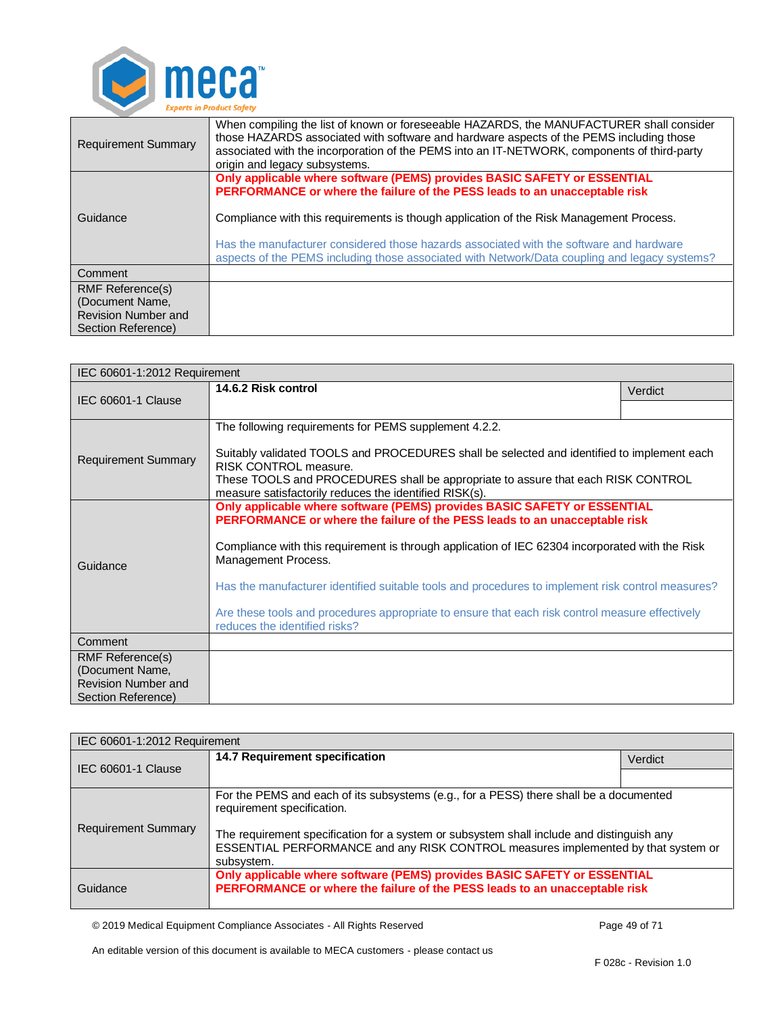

| <b>Requirement Summary</b>                                                                     | When compiling the list of known or foreseeable HAZARDS, the MANUFACTURER shall consider<br>those HAZARDS associated with software and hardware aspects of the PEMS including those<br>associated with the incorporation of the PEMS into an IT-NETWORK, components of third-party<br>origin and legacy subsystems.                                                                                                                           |
|------------------------------------------------------------------------------------------------|-----------------------------------------------------------------------------------------------------------------------------------------------------------------------------------------------------------------------------------------------------------------------------------------------------------------------------------------------------------------------------------------------------------------------------------------------|
| Guidance                                                                                       | Only applicable where software (PEMS) provides BASIC SAFETY or ESSENTIAL<br>PERFORMANCE or where the failure of the PESS leads to an unacceptable risk<br>Compliance with this requirements is though application of the Risk Management Process.<br>Has the manufacturer considered those hazards associated with the software and hardware<br>aspects of the PEMS including those associated with Network/Data coupling and legacy systems? |
| Comment                                                                                        |                                                                                                                                                                                                                                                                                                                                                                                                                                               |
| <b>RMF Reference(s)</b><br>(Document Name,<br><b>Revision Number and</b><br>Section Reference) |                                                                                                                                                                                                                                                                                                                                                                                                                                               |

<span id="page-48-0"></span>

| IEC 60601-1:2012 Requirement                                                            |                                                                                                                                                                                                                                                                                                                                                                                                                                                                                                                           |         |
|-----------------------------------------------------------------------------------------|---------------------------------------------------------------------------------------------------------------------------------------------------------------------------------------------------------------------------------------------------------------------------------------------------------------------------------------------------------------------------------------------------------------------------------------------------------------------------------------------------------------------------|---------|
|                                                                                         | 14.6.2 Risk control                                                                                                                                                                                                                                                                                                                                                                                                                                                                                                       | Verdict |
| <b>IEC 60601-1 Clause</b>                                                               |                                                                                                                                                                                                                                                                                                                                                                                                                                                                                                                           |         |
| <b>Requirement Summary</b>                                                              | The following requirements for PEMS supplement 4.2.2.<br>Suitably validated TOOLS and PROCEDURES shall be selected and identified to implement each<br>RISK CONTROL measure.<br>These TOOLS and PROCEDURES shall be appropriate to assure that each RISK CONTROL<br>measure satisfactorily reduces the identified RISK(s).                                                                                                                                                                                                |         |
| Guidance                                                                                | Only applicable where software (PEMS) provides BASIC SAFETY or ESSENTIAL<br>PERFORMANCE or where the failure of the PESS leads to an unacceptable risk<br>Compliance with this requirement is through application of IEC 62304 incorporated with the Risk<br>Management Process.<br>Has the manufacturer identified suitable tools and procedures to implement risk control measures?<br>Are these tools and procedures appropriate to ensure that each risk control measure effectively<br>reduces the identified risks? |         |
| Comment                                                                                 |                                                                                                                                                                                                                                                                                                                                                                                                                                                                                                                           |         |
| RMF Reference(s)<br>(Document Name,<br><b>Revision Number and</b><br>Section Reference) |                                                                                                                                                                                                                                                                                                                                                                                                                                                                                                                           |         |

<span id="page-48-1"></span>

| IEC 60601-1:2012 Requirement |                                                                                                                                                                                                                   |         |
|------------------------------|-------------------------------------------------------------------------------------------------------------------------------------------------------------------------------------------------------------------|---------|
| <b>IEC 60601-1 Clause</b>    | <b>14.7 Requirement specification</b>                                                                                                                                                                             | Verdict |
|                              |                                                                                                                                                                                                                   |         |
| <b>Requirement Summary</b>   | For the PEMS and each of its subsystems (e.g., for a PESS) there shall be a documented<br>requirement specification.<br>The requirement specification for a system or subsystem shall include and distinguish any |         |
|                              | ESSENTIAL PERFORMANCE and any RISK CONTROL measures implemented by that system or<br>subsystem.                                                                                                                   |         |
| Guidance                     | Only applicable where software (PEMS) provides BASIC SAFETY or ESSENTIAL<br>PERFORMANCE or where the failure of the PESS leads to an unacceptable risk                                                            |         |

© 2019 Medical Equipment Compliance Associates - All Rights Reserved Page 49 of 71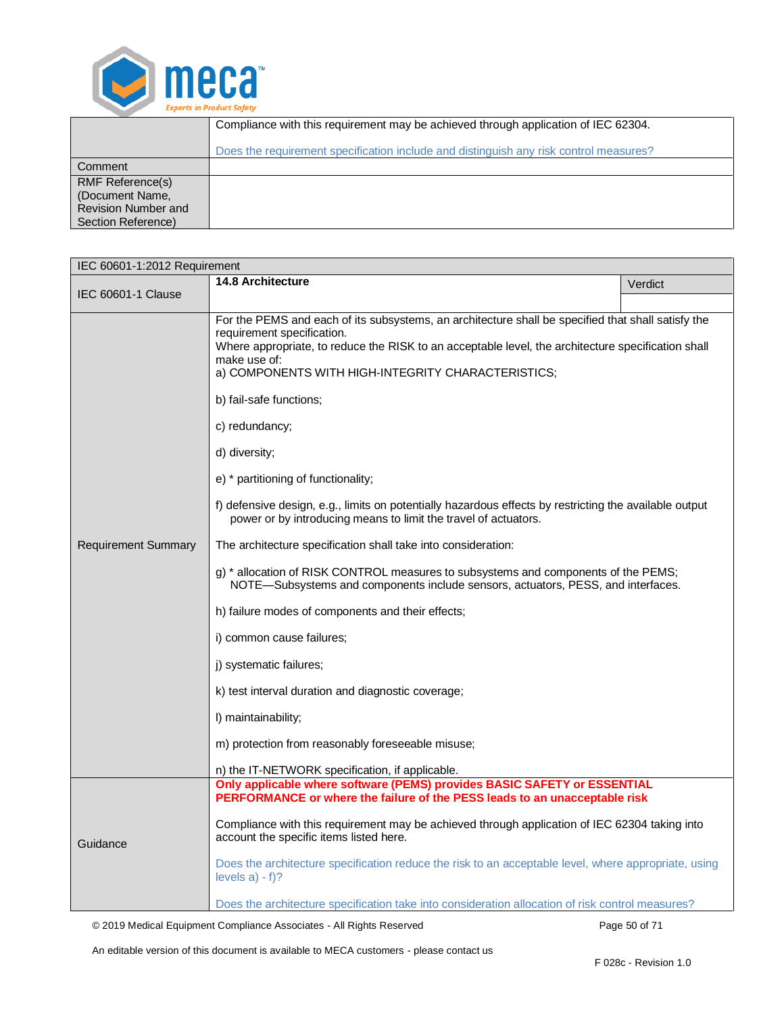

|                                                                                                | Compliance with this requirement may be achieved through application of IEC 62304.    |
|------------------------------------------------------------------------------------------------|---------------------------------------------------------------------------------------|
|                                                                                                | Does the requirement specification include and distinguish any risk control measures? |
| Comment                                                                                        |                                                                                       |
| <b>RMF Reference(s)</b><br>(Document Name,<br><b>Revision Number and</b><br>Section Reference) |                                                                                       |

<span id="page-49-0"></span>

| IEC 60601-1:2012 Requirement |                                                                                                                                                                                                                                                                                                                                                                                                                                                                                                                                                                                                                                                                                                                                                                                                                                                                                                                                                                                                                                                                                          |         |
|------------------------------|------------------------------------------------------------------------------------------------------------------------------------------------------------------------------------------------------------------------------------------------------------------------------------------------------------------------------------------------------------------------------------------------------------------------------------------------------------------------------------------------------------------------------------------------------------------------------------------------------------------------------------------------------------------------------------------------------------------------------------------------------------------------------------------------------------------------------------------------------------------------------------------------------------------------------------------------------------------------------------------------------------------------------------------------------------------------------------------|---------|
|                              | <b>14.8 Architecture</b>                                                                                                                                                                                                                                                                                                                                                                                                                                                                                                                                                                                                                                                                                                                                                                                                                                                                                                                                                                                                                                                                 | Verdict |
| <b>IEC 60601-1 Clause</b>    |                                                                                                                                                                                                                                                                                                                                                                                                                                                                                                                                                                                                                                                                                                                                                                                                                                                                                                                                                                                                                                                                                          |         |
| <b>Requirement Summary</b>   | For the PEMS and each of its subsystems, an architecture shall be specified that shall satisfy the<br>requirement specification.<br>Where appropriate, to reduce the RISK to an acceptable level, the architecture specification shall<br>make use of:<br>a) COMPONENTS WITH HIGH-INTEGRITY CHARACTERISTICS;<br>b) fail-safe functions;<br>c) redundancy;<br>d) diversity;<br>e) * partitioning of functionality;<br>f) defensive design, e.g., limits on potentially hazardous effects by restricting the available output<br>power or by introducing means to limit the travel of actuators.<br>The architecture specification shall take into consideration:<br>g) * allocation of RISK CONTROL measures to subsystems and components of the PEMS;<br>NOTE-Subsystems and components include sensors, actuators, PESS, and interfaces.<br>h) failure modes of components and their effects;<br>i) common cause failures;<br>j) systematic failures;<br>k) test interval duration and diagnostic coverage;<br>I) maintainability;<br>m) protection from reasonably foreseeable misuse; |         |
|                              | n) the IT-NETWORK specification, if applicable.                                                                                                                                                                                                                                                                                                                                                                                                                                                                                                                                                                                                                                                                                                                                                                                                                                                                                                                                                                                                                                          |         |
| Guidance                     | Only applicable where software (PEMS) provides BASIC SAFETY or ESSENTIAL<br>PERFORMANCE or where the failure of the PESS leads to an unacceptable risk<br>Compliance with this requirement may be achieved through application of IEC 62304 taking into<br>account the specific items listed here.<br>Does the architecture specification reduce the risk to an acceptable level, where appropriate, using                                                                                                                                                                                                                                                                                                                                                                                                                                                                                                                                                                                                                                                                               |         |
|                              | levels $a) - f$ ?<br>Does the architecture specification take into consideration allocation of risk control measures?                                                                                                                                                                                                                                                                                                                                                                                                                                                                                                                                                                                                                                                                                                                                                                                                                                                                                                                                                                    |         |

© 2019 Medical Equipment Compliance Associates - All Rights Reserved Page 50 of 71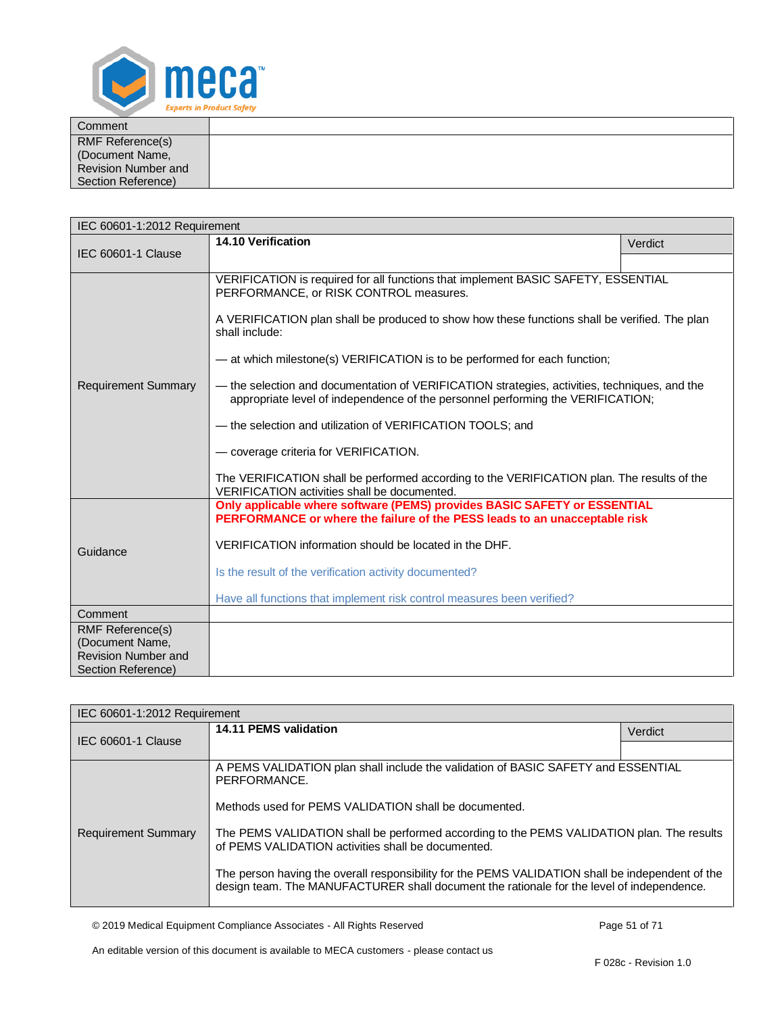

| Comment                 |  |
|-------------------------|--|
| <b>RMF Reference(s)</b> |  |
| (Document Name,         |  |
| Revision Number and     |  |
| Section Reference)      |  |

<span id="page-50-0"></span>

| IEC 60601-1:2012 Requirement                  |                                                                                                                                                                                                                                                                                                                                                                                                                                                                                                                                                                                                                                                                                                                                                                       |         |  |
|-----------------------------------------------|-----------------------------------------------------------------------------------------------------------------------------------------------------------------------------------------------------------------------------------------------------------------------------------------------------------------------------------------------------------------------------------------------------------------------------------------------------------------------------------------------------------------------------------------------------------------------------------------------------------------------------------------------------------------------------------------------------------------------------------------------------------------------|---------|--|
| <b>IEC 60601-1 Clause</b>                     | 14.10 Verification                                                                                                                                                                                                                                                                                                                                                                                                                                                                                                                                                                                                                                                                                                                                                    | Verdict |  |
|                                               |                                                                                                                                                                                                                                                                                                                                                                                                                                                                                                                                                                                                                                                                                                                                                                       |         |  |
| <b>Requirement Summary</b>                    | VERIFICATION is required for all functions that implement BASIC SAFETY, ESSENTIAL<br>PERFORMANCE, or RISK CONTROL measures.<br>A VERIFICATION plan shall be produced to show how these functions shall be verified. The plan<br>shall include:<br>- at which milestone(s) VERIFICATION is to be performed for each function;<br>— the selection and documentation of VERIFICATION strategies, activities, techniques, and the<br>appropriate level of independence of the personnel performing the VERIFICATION;<br>- the selection and utilization of VERIFICATION TOOLS; and<br>- coverage criteria for VERIFICATION.<br>The VERIFICATION shall be performed according to the VERIFICATION plan. The results of the<br>VERIFICATION activities shall be documented. |         |  |
| Guidance                                      | Only applicable where software (PEMS) provides BASIC SAFETY or ESSENTIAL<br>PERFORMANCE or where the failure of the PESS leads to an unacceptable risk<br>VERIFICATION information should be located in the DHF.<br>Is the result of the verification activity documented?<br>Have all functions that implement risk control measures been verified?                                                                                                                                                                                                                                                                                                                                                                                                                  |         |  |
| Comment                                       |                                                                                                                                                                                                                                                                                                                                                                                                                                                                                                                                                                                                                                                                                                                                                                       |         |  |
| <b>RMF Reference(s)</b>                       |                                                                                                                                                                                                                                                                                                                                                                                                                                                                                                                                                                                                                                                                                                                                                                       |         |  |
| (Document Name,<br><b>Revision Number and</b> |                                                                                                                                                                                                                                                                                                                                                                                                                                                                                                                                                                                                                                                                                                                                                                       |         |  |
| Section Reference)                            |                                                                                                                                                                                                                                                                                                                                                                                                                                                                                                                                                                                                                                                                                                                                                                       |         |  |

<span id="page-50-1"></span>

| IEC 60601-1:2012 Requirement |                                                                                                                                                                                               |         |
|------------------------------|-----------------------------------------------------------------------------------------------------------------------------------------------------------------------------------------------|---------|
| IEC 60601-1 Clause           | 14.11 PEMS validation                                                                                                                                                                         | Verdict |
|                              |                                                                                                                                                                                               |         |
|                              | A PEMS VALIDATION plan shall include the validation of BASIC SAFETY and ESSENTIAL<br>PERFORMANCE.                                                                                             |         |
| <b>Requirement Summary</b>   | Methods used for PEMS VALIDATION shall be documented.                                                                                                                                         |         |
|                              | The PEMS VALIDATION shall be performed according to the PEMS VALIDATION plan. The results<br>of PEMS VALIDATION activities shall be documented.                                               |         |
|                              | The person having the overall responsibility for the PEMS VALIDATION shall be independent of the<br>design team. The MANUFACTURER shall document the rationale for the level of independence. |         |

© 2019 Medical Equipment Compliance Associates - All Rights Reserved Page 51 of 71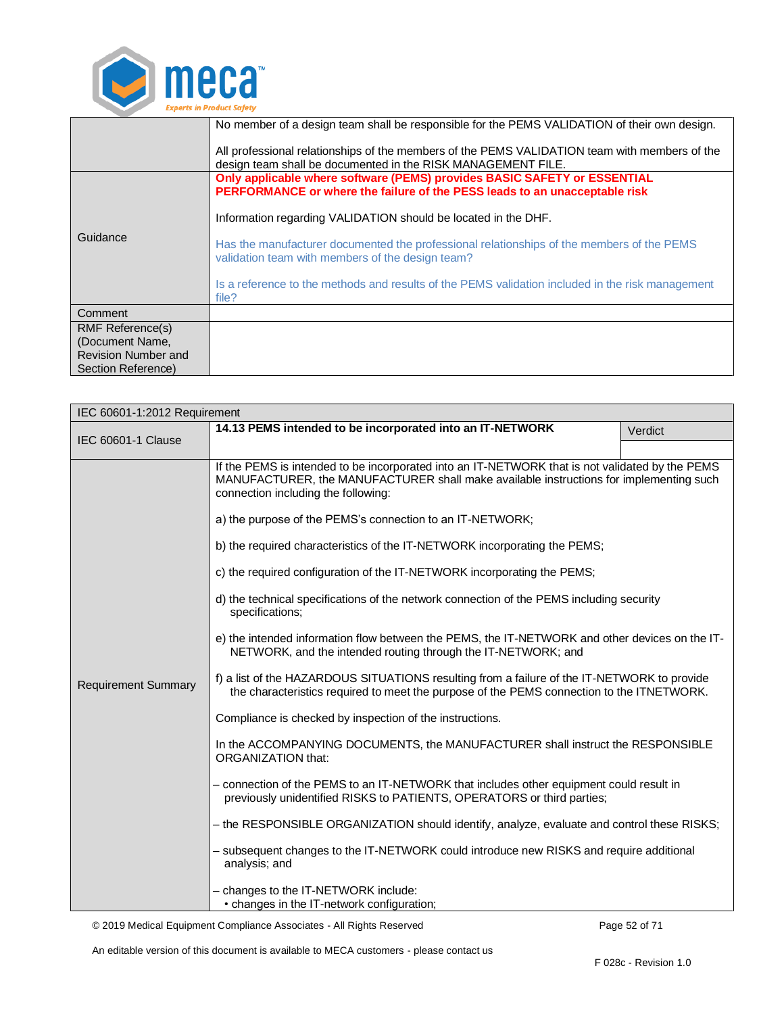

|                                               | No member of a design team shall be responsible for the PEMS VALIDATION of their own design.<br>All professional relationships of the members of the PEMS VALIDATION team with members of the<br>design team shall be documented in the RISK MANAGEMENT FILE. |
|-----------------------------------------------|---------------------------------------------------------------------------------------------------------------------------------------------------------------------------------------------------------------------------------------------------------------|
|                                               | Only applicable where software (PEMS) provides BASIC SAFETY or ESSENTIAL<br>PERFORMANCE or where the failure of the PESS leads to an unacceptable risk<br>Information regarding VALIDATION should be located in the DHF.                                      |
| Guidance                                      | Has the manufacturer documented the professional relationships of the members of the PEMS<br>validation team with members of the design team?                                                                                                                 |
|                                               | Is a reference to the methods and results of the PEMS validation included in the risk management<br>file?                                                                                                                                                     |
| Comment                                       |                                                                                                                                                                                                                                                               |
| <b>RMF Reference(s)</b>                       |                                                                                                                                                                                                                                                               |
| (Document Name,<br><b>Revision Number and</b> |                                                                                                                                                                                                                                                               |
| Section Reference)                            |                                                                                                                                                                                                                                                               |

<span id="page-51-0"></span>

| IEC 60601-1:2012 Requirement |                                                                                                                                                                                                                                                                                                                                                                                                                                                                                                                                                                                                                                                                                                                                                                                                                                                                                                                                                                                                                                                                                                                                                                                                                                                                                                                                                                                                                                                                                               |         |
|------------------------------|-----------------------------------------------------------------------------------------------------------------------------------------------------------------------------------------------------------------------------------------------------------------------------------------------------------------------------------------------------------------------------------------------------------------------------------------------------------------------------------------------------------------------------------------------------------------------------------------------------------------------------------------------------------------------------------------------------------------------------------------------------------------------------------------------------------------------------------------------------------------------------------------------------------------------------------------------------------------------------------------------------------------------------------------------------------------------------------------------------------------------------------------------------------------------------------------------------------------------------------------------------------------------------------------------------------------------------------------------------------------------------------------------------------------------------------------------------------------------------------------------|---------|
| <b>IEC 60601-1 Clause</b>    | 14.13 PEMS intended to be incorporated into an IT-NETWORK                                                                                                                                                                                                                                                                                                                                                                                                                                                                                                                                                                                                                                                                                                                                                                                                                                                                                                                                                                                                                                                                                                                                                                                                                                                                                                                                                                                                                                     | Verdict |
| <b>Requirement Summary</b>   | If the PEMS is intended to be incorporated into an IT-NETWORK that is not validated by the PEMS<br>MANUFACTURER, the MANUFACTURER shall make available instructions for implementing such<br>connection including the following:<br>a) the purpose of the PEMS's connection to an IT-NETWORK;<br>b) the required characteristics of the IT-NETWORK incorporating the PEMS;<br>c) the required configuration of the IT-NETWORK incorporating the PEMS;<br>d) the technical specifications of the network connection of the PEMS including security<br>specifications;<br>e) the intended information flow between the PEMS, the IT-NETWORK and other devices on the IT-<br>NETWORK, and the intended routing through the IT-NETWORK; and<br>f) a list of the HAZARDOUS SITUATIONS resulting from a failure of the IT-NETWORK to provide<br>the characteristics required to meet the purpose of the PEMS connection to the ITNETWORK.<br>Compliance is checked by inspection of the instructions.<br>In the ACCOMPANYING DOCUMENTS, the MANUFACTURER shall instruct the RESPONSIBLE<br><b>ORGANIZATION that:</b><br>- connection of the PEMS to an IT-NETWORK that includes other equipment could result in<br>previously unidentified RISKS to PATIENTS, OPERATORS or third parties;<br>- the RESPONSIBLE ORGANIZATION should identify, analyze, evaluate and control these RISKS;<br>- subsequent changes to the IT-NETWORK could introduce new RISKS and require additional<br>analysis; and |         |
|                              | - changes to the IT-NETWORK include:<br>• changes in the IT-network configuration;                                                                                                                                                                                                                                                                                                                                                                                                                                                                                                                                                                                                                                                                                                                                                                                                                                                                                                                                                                                                                                                                                                                                                                                                                                                                                                                                                                                                            |         |

© 2019 Medical Equipment Compliance Associates - All Rights Reserved Page 52 of 71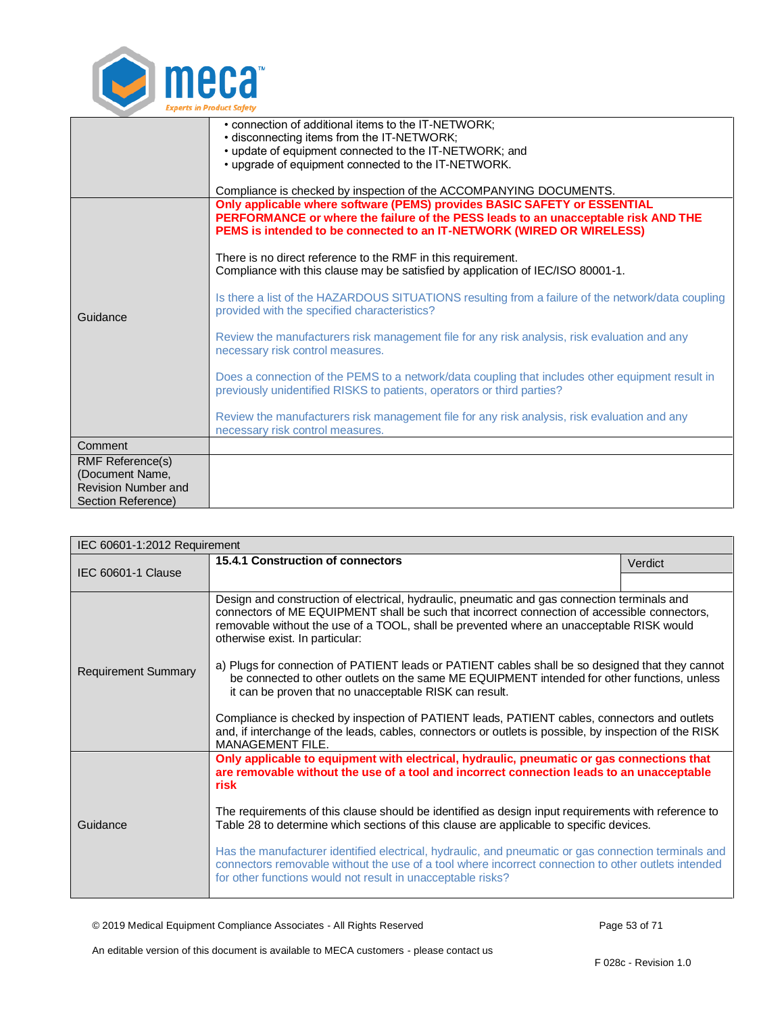

|                            | • connection of additional items to the IT-NETWORK;                                                                                                                        |
|----------------------------|----------------------------------------------------------------------------------------------------------------------------------------------------------------------------|
|                            | • disconnecting items from the IT-NETWORK;<br>• update of equipment connected to the IT-NETWORK; and                                                                       |
|                            | • upgrade of equipment connected to the IT-NETWORK.                                                                                                                        |
|                            |                                                                                                                                                                            |
|                            | Compliance is checked by inspection of the ACCOMPANYING DOCUMENTS.                                                                                                         |
|                            | Only applicable where software (PEMS) provides BASIC SAFETY or ESSENTIAL                                                                                                   |
|                            | PERFORMANCE or where the failure of the PESS leads to an unacceptable risk AND THE                                                                                         |
|                            | PEMS is intended to be connected to an IT-NETWORK (WIRED OR WIRELESS)                                                                                                      |
|                            | There is no direct reference to the RMF in this requirement.                                                                                                               |
|                            | Compliance with this clause may be satisfied by application of IEC/ISO 80001-1.                                                                                            |
|                            | Is there a list of the HAZARDOUS SITUATIONS resulting from a failure of the network/data coupling                                                                          |
| Guidance                   | provided with the specified characteristics?                                                                                                                               |
|                            | Review the manufacturers risk management file for any risk analysis, risk evaluation and any                                                                               |
|                            | necessary risk control measures.                                                                                                                                           |
|                            | Does a connection of the PEMS to a network/data coupling that includes other equipment result in<br>previously unidentified RISKS to patients, operators or third parties? |
|                            |                                                                                                                                                                            |
|                            | Review the manufacturers risk management file for any risk analysis, risk evaluation and any<br>necessary risk control measures.                                           |
| Comment                    |                                                                                                                                                                            |
| RMF Reference(s)           |                                                                                                                                                                            |
| (Document Name,            |                                                                                                                                                                            |
| <b>Revision Number and</b> |                                                                                                                                                                            |
| Section Reference)         |                                                                                                                                                                            |

<span id="page-52-0"></span>

| IEC 60601-1:2012 Requirement |                                                                                                                                                                                                                                                                                                                                                                                                                                                                                                                                                                                                                                                                                                                                                                                                                               |         |
|------------------------------|-------------------------------------------------------------------------------------------------------------------------------------------------------------------------------------------------------------------------------------------------------------------------------------------------------------------------------------------------------------------------------------------------------------------------------------------------------------------------------------------------------------------------------------------------------------------------------------------------------------------------------------------------------------------------------------------------------------------------------------------------------------------------------------------------------------------------------|---------|
| IEC 60601-1 Clause           | 15.4.1 Construction of connectors                                                                                                                                                                                                                                                                                                                                                                                                                                                                                                                                                                                                                                                                                                                                                                                             | Verdict |
|                              |                                                                                                                                                                                                                                                                                                                                                                                                                                                                                                                                                                                                                                                                                                                                                                                                                               |         |
| <b>Requirement Summary</b>   | Design and construction of electrical, hydraulic, pneumatic and gas connection terminals and<br>connectors of ME EQUIPMENT shall be such that incorrect connection of accessible connectors,<br>removable without the use of a TOOL, shall be prevented where an unacceptable RISK would<br>otherwise exist. In particular:<br>a) Plugs for connection of PATIENT leads or PATIENT cables shall be so designed that they cannot<br>be connected to other outlets on the same ME EQUIPMENT intended for other functions, unless<br>it can be proven that no unacceptable RISK can result.<br>Compliance is checked by inspection of PATIENT leads, PATIENT cables, connectors and outlets<br>and, if interchange of the leads, cables, connectors or outlets is possible, by inspection of the RISK<br><b>MANAGEMENT FILE.</b> |         |
| Guidance                     | Only applicable to equipment with electrical, hydraulic, pneumatic or gas connections that<br>are removable without the use of a tool and incorrect connection leads to an unacceptable<br>risk<br>The requirements of this clause should be identified as design input requirements with reference to<br>Table 28 to determine which sections of this clause are applicable to specific devices.<br>Has the manufacturer identified electrical, hydraulic, and pneumatic or gas connection terminals and<br>connectors removable without the use of a tool where incorrect connection to other outlets intended<br>for other functions would not result in unacceptable risks?                                                                                                                                               |         |

© 2019 Medical Equipment Compliance Associates - All Rights Reserved Page 53 of 71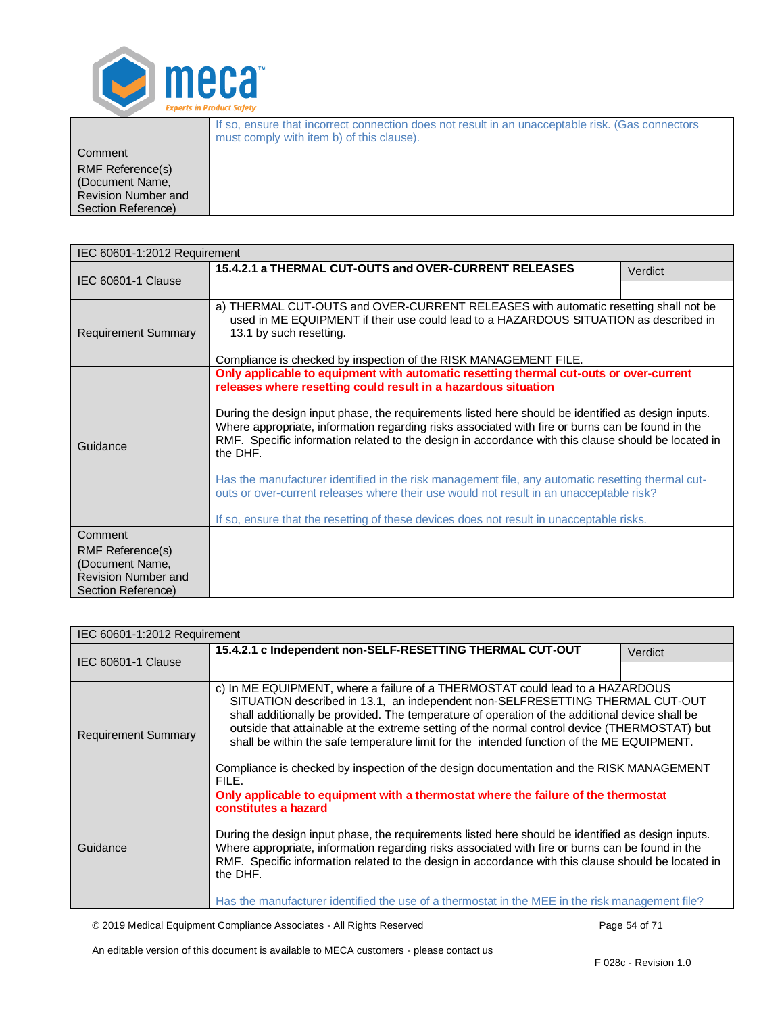

|                                                                                         | If so, ensure that incorrect connection does not result in an unacceptable risk. (Gas connectors<br>must comply with item b) of this clause). |
|-----------------------------------------------------------------------------------------|-----------------------------------------------------------------------------------------------------------------------------------------------|
| Comment                                                                                 |                                                                                                                                               |
| <b>RMF Reference(s)</b><br>(Document Name,<br>Revision Number and<br>Section Reference) |                                                                                                                                               |

<span id="page-53-0"></span>

| IEC 60601-1:2012 Requirement                  |                                                                                                                                                                                                                                                                                                                                                                                                                                                                                                                                                                                                                                                                                                                                                                                   |         |  |
|-----------------------------------------------|-----------------------------------------------------------------------------------------------------------------------------------------------------------------------------------------------------------------------------------------------------------------------------------------------------------------------------------------------------------------------------------------------------------------------------------------------------------------------------------------------------------------------------------------------------------------------------------------------------------------------------------------------------------------------------------------------------------------------------------------------------------------------------------|---------|--|
| <b>IEC 60601-1 Clause</b>                     | 15.4.2.1 a THERMAL CUT-OUTS and OVER-CURRENT RELEASES                                                                                                                                                                                                                                                                                                                                                                                                                                                                                                                                                                                                                                                                                                                             | Verdict |  |
|                                               |                                                                                                                                                                                                                                                                                                                                                                                                                                                                                                                                                                                                                                                                                                                                                                                   |         |  |
| <b>Requirement Summary</b>                    | a) THERMAL CUT-OUTS and OVER-CURRENT RELEASES with automatic resetting shall not be<br>used in ME EQUIPMENT if their use could lead to a HAZARDOUS SITUATION as described in<br>13.1 by such resetting.<br>Compliance is checked by inspection of the RISK MANAGEMENT FILE.                                                                                                                                                                                                                                                                                                                                                                                                                                                                                                       |         |  |
| Guidance                                      | Only applicable to equipment with automatic resetting thermal cut-outs or over-current<br>releases where resetting could result in a hazardous situation<br>During the design input phase, the requirements listed here should be identified as design inputs.<br>Where appropriate, information regarding risks associated with fire or burns can be found in the<br>RMF. Specific information related to the design in accordance with this clause should be located in<br>the DHF.<br>Has the manufacturer identified in the risk management file, any automatic resetting thermal cut-<br>outs or over-current releases where their use would not result in an unacceptable risk?<br>If so, ensure that the resetting of these devices does not result in unacceptable risks. |         |  |
| Comment                                       |                                                                                                                                                                                                                                                                                                                                                                                                                                                                                                                                                                                                                                                                                                                                                                                   |         |  |
| RMF Reference(s)                              |                                                                                                                                                                                                                                                                                                                                                                                                                                                                                                                                                                                                                                                                                                                                                                                   |         |  |
| (Document Name,<br><b>Revision Number and</b> |                                                                                                                                                                                                                                                                                                                                                                                                                                                                                                                                                                                                                                                                                                                                                                                   |         |  |
| Section Reference)                            |                                                                                                                                                                                                                                                                                                                                                                                                                                                                                                                                                                                                                                                                                                                                                                                   |         |  |

<span id="page-53-1"></span>

| IEC 60601-1:2012 Requirement |                                                                                                                                                                                                                                                                                                                                                                                                                                                                                                                                                                   |         |
|------------------------------|-------------------------------------------------------------------------------------------------------------------------------------------------------------------------------------------------------------------------------------------------------------------------------------------------------------------------------------------------------------------------------------------------------------------------------------------------------------------------------------------------------------------------------------------------------------------|---------|
| IEC 60601-1 Clause           | 15.4.2.1 c Independent non-SELF-RESETTING THERMAL CUT-OUT                                                                                                                                                                                                                                                                                                                                                                                                                                                                                                         | Verdict |
|                              |                                                                                                                                                                                                                                                                                                                                                                                                                                                                                                                                                                   |         |
| <b>Requirement Summary</b>   | c) In ME EQUIPMENT, where a failure of a THERMOSTAT could lead to a HAZARDOUS<br>SITUATION described in 13.1, an independent non-SELFRESETTING THERMAL CUT-OUT<br>shall additionally be provided. The temperature of operation of the additional device shall be<br>outside that attainable at the extreme setting of the normal control device (THERMOSTAT) but<br>shall be within the safe temperature limit for the intended function of the ME EQUIPMENT.<br>Compliance is checked by inspection of the design documentation and the RISK MANAGEMENT<br>FILE. |         |
| Guidance                     | Only applicable to equipment with a thermostat where the failure of the thermostat<br>constitutes a hazard<br>During the design input phase, the requirements listed here should be identified as design inputs.<br>Where appropriate, information regarding risks associated with fire or burns can be found in the<br>RMF. Specific information related to the design in accordance with this clause should be located in<br>the DHF.<br>Has the manufacturer identified the use of a thermostat in the MEE in the risk management file?                        |         |

© 2019 Medical Equipment Compliance Associates - All Rights Reserved Page 54 of 71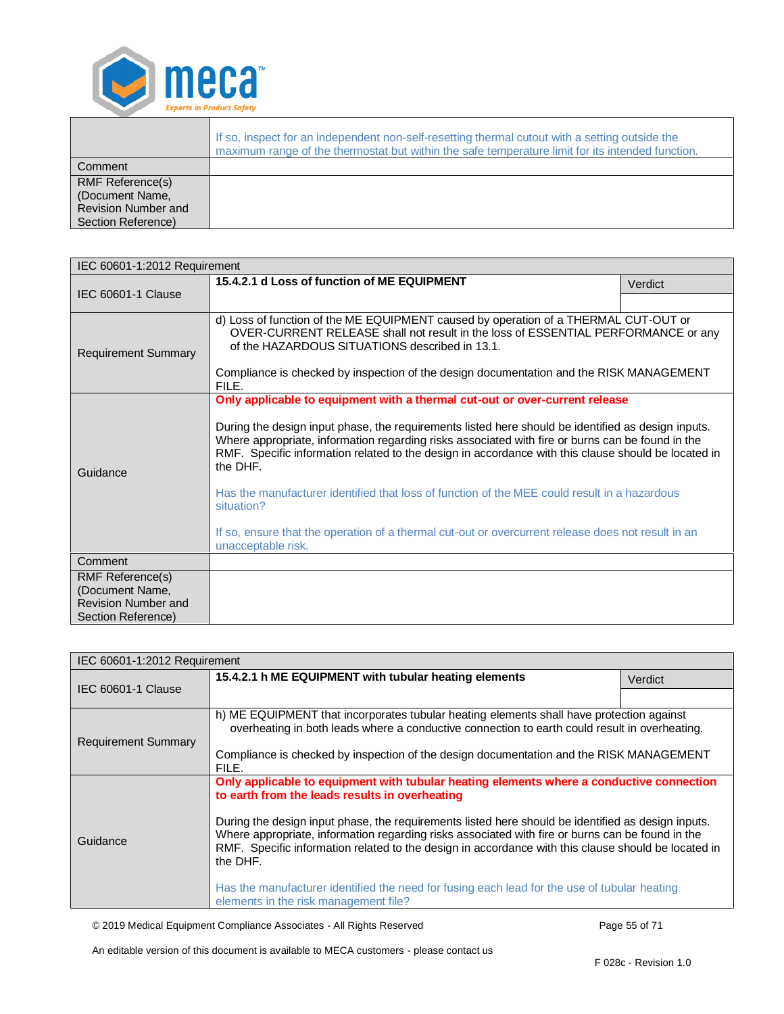

|                                                                                         | If so, inspect for an independent non-self-resetting thermal cutout with a setting outside the<br>maximum range of the thermostat but within the safe temperature limit for its intended function. |
|-----------------------------------------------------------------------------------------|----------------------------------------------------------------------------------------------------------------------------------------------------------------------------------------------------|
| Comment                                                                                 |                                                                                                                                                                                                    |
| <b>RMF Reference(s)</b><br>(Document Name,<br>Revision Number and<br>Section Reference) |                                                                                                                                                                                                    |

<span id="page-54-0"></span>

| IEC 60601-1:2012 Requirement                  |                                                                                                                                                                                                                                                                                                                                                                                                                                                                                                                                                                                                                                                    |         |
|-----------------------------------------------|----------------------------------------------------------------------------------------------------------------------------------------------------------------------------------------------------------------------------------------------------------------------------------------------------------------------------------------------------------------------------------------------------------------------------------------------------------------------------------------------------------------------------------------------------------------------------------------------------------------------------------------------------|---------|
| IEC 60601-1 Clause                            | 15.4.2.1 d Loss of function of ME EQUIPMENT                                                                                                                                                                                                                                                                                                                                                                                                                                                                                                                                                                                                        | Verdict |
|                                               |                                                                                                                                                                                                                                                                                                                                                                                                                                                                                                                                                                                                                                                    |         |
| <b>Requirement Summary</b>                    | d) Loss of function of the ME EQUIPMENT caused by operation of a THERMAL CUT-OUT or<br>OVER-CURRENT RELEASE shall not result in the loss of ESSENTIAL PERFORMANCE or any<br>of the HAZARDOUS SITUATIONS described in 13.1.<br>Compliance is checked by inspection of the design documentation and the RISK MANAGEMENT<br>FILE.                                                                                                                                                                                                                                                                                                                     |         |
| Guidance                                      | Only applicable to equipment with a thermal cut-out or over-current release<br>During the design input phase, the requirements listed here should be identified as design inputs.<br>Where appropriate, information regarding risks associated with fire or burns can be found in the<br>RMF. Specific information related to the design in accordance with this clause should be located in<br>the DHF.<br>Has the manufacturer identified that loss of function of the MEE could result in a hazardous<br>situation?<br>If so, ensure that the operation of a thermal cut-out or overcurrent release does not result in an<br>unacceptable risk. |         |
| Comment                                       |                                                                                                                                                                                                                                                                                                                                                                                                                                                                                                                                                                                                                                                    |         |
| <b>RMF Reference(s)</b>                       |                                                                                                                                                                                                                                                                                                                                                                                                                                                                                                                                                                                                                                                    |         |
| (Document Name,<br><b>Revision Number and</b> |                                                                                                                                                                                                                                                                                                                                                                                                                                                                                                                                                                                                                                                    |         |
| Section Reference)                            |                                                                                                                                                                                                                                                                                                                                                                                                                                                                                                                                                                                                                                                    |         |

<span id="page-54-1"></span>

| IEC 60601-1:2012 Requirement |                                                                                                                                                                                                                                                                                                                           |         |
|------------------------------|---------------------------------------------------------------------------------------------------------------------------------------------------------------------------------------------------------------------------------------------------------------------------------------------------------------------------|---------|
| <b>IEC 60601-1 Clause</b>    | 15.4.2.1 h ME EQUIPMENT with tubular heating elements                                                                                                                                                                                                                                                                     | Verdict |
|                              |                                                                                                                                                                                                                                                                                                                           |         |
| <b>Requirement Summary</b>   | h) ME EQUIPMENT that incorporates tubular heating elements shall have protection against<br>overheating in both leads where a conductive connection to earth could result in overheating.                                                                                                                                 |         |
|                              | Compliance is checked by inspection of the design documentation and the RISK MANAGEMENT<br>FILE.                                                                                                                                                                                                                          |         |
|                              | Only applicable to equipment with tubular heating elements where a conductive connection<br>to earth from the leads results in overheating                                                                                                                                                                                |         |
| Guidance                     | During the design input phase, the requirements listed here should be identified as design inputs.<br>Where appropriate, information regarding risks associated with fire or burns can be found in the<br>RMF. Specific information related to the design in accordance with this clause should be located in<br>the DHF. |         |
|                              | Has the manufacturer identified the need for fusing each lead for the use of tubular heating<br>elements in the risk management file?                                                                                                                                                                                     |         |

© 2019 Medical Equipment Compliance Associates - All Rights Reserved Page 55 of 71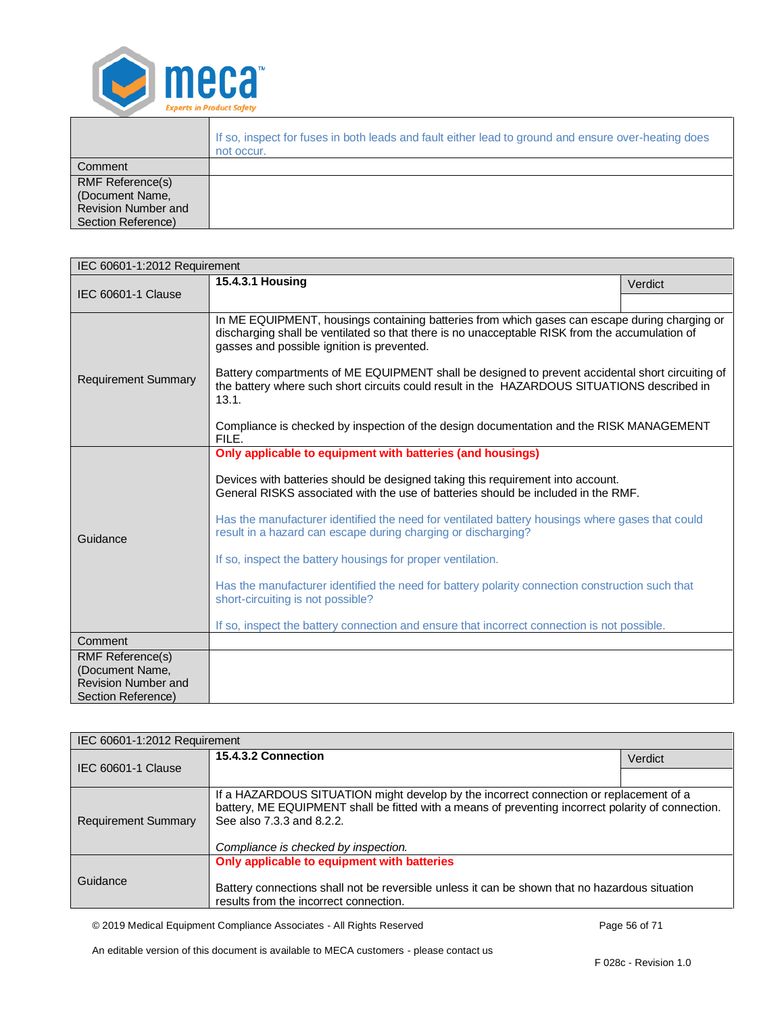

|                                                                                                | If so, inspect for fuses in both leads and fault either lead to ground and ensure over-heating does<br>not occur. |
|------------------------------------------------------------------------------------------------|-------------------------------------------------------------------------------------------------------------------|
| Comment                                                                                        |                                                                                                                   |
| <b>RMF Reference(s)</b><br>(Document Name,<br><b>Revision Number and</b><br>Section Reference) |                                                                                                                   |

<span id="page-55-0"></span>

| IEC 60601-1:2012 Requirement                                                                   |                                                                                                                                                                                                                                                                                                                                                                                                                                                  |         |
|------------------------------------------------------------------------------------------------|--------------------------------------------------------------------------------------------------------------------------------------------------------------------------------------------------------------------------------------------------------------------------------------------------------------------------------------------------------------------------------------------------------------------------------------------------|---------|
| IEC 60601-1 Clause                                                                             | 15.4.3.1 Housing                                                                                                                                                                                                                                                                                                                                                                                                                                 | Verdict |
|                                                                                                |                                                                                                                                                                                                                                                                                                                                                                                                                                                  |         |
| <b>Requirement Summary</b>                                                                     | In ME EQUIPMENT, housings containing batteries from which gases can escape during charging or<br>discharging shall be ventilated so that there is no unacceptable RISK from the accumulation of<br>gasses and possible ignition is prevented.<br>Battery compartments of ME EQUIPMENT shall be designed to prevent accidental short circuiting of<br>the battery where such short circuits could result in the HAZARDOUS SITUATIONS described in |         |
|                                                                                                | 13.1.                                                                                                                                                                                                                                                                                                                                                                                                                                            |         |
|                                                                                                | Compliance is checked by inspection of the design documentation and the RISK MANAGEMENT<br>FILE.                                                                                                                                                                                                                                                                                                                                                 |         |
|                                                                                                | Only applicable to equipment with batteries (and housings)                                                                                                                                                                                                                                                                                                                                                                                       |         |
| Guidance                                                                                       | Devices with batteries should be designed taking this requirement into account.<br>General RISKS associated with the use of batteries should be included in the RMF.                                                                                                                                                                                                                                                                             |         |
|                                                                                                | Has the manufacturer identified the need for ventilated battery housings where gases that could<br>result in a hazard can escape during charging or discharging?                                                                                                                                                                                                                                                                                 |         |
|                                                                                                | If so, inspect the battery housings for proper ventilation.                                                                                                                                                                                                                                                                                                                                                                                      |         |
|                                                                                                | Has the manufacturer identified the need for battery polarity connection construction such that<br>short-circuiting is not possible?                                                                                                                                                                                                                                                                                                             |         |
|                                                                                                | If so, inspect the battery connection and ensure that incorrect connection is not possible.                                                                                                                                                                                                                                                                                                                                                      |         |
| Comment                                                                                        |                                                                                                                                                                                                                                                                                                                                                                                                                                                  |         |
| <b>RMF Reference(s)</b><br>(Document Name,<br><b>Revision Number and</b><br>Section Reference) |                                                                                                                                                                                                                                                                                                                                                                                                                                                  |         |

<span id="page-55-1"></span>

| IEC 60601-1:2012 Requirement |                                                                                                                                                                                                                                                                   |         |
|------------------------------|-------------------------------------------------------------------------------------------------------------------------------------------------------------------------------------------------------------------------------------------------------------------|---------|
| IEC 60601-1 Clause           | 15.4.3.2 Connection                                                                                                                                                                                                                                               | Verdict |
|                              |                                                                                                                                                                                                                                                                   |         |
| <b>Requirement Summary</b>   | If a HAZARDOUS SITUATION might develop by the incorrect connection or replacement of a<br>battery, ME EQUIPMENT shall be fitted with a means of preventing incorrect polarity of connection.<br>See also 7.3.3 and 8.2.2.<br>Compliance is checked by inspection. |         |
| Guidance                     | Only applicable to equipment with batteries<br>Battery connections shall not be reversible unless it can be shown that no hazardous situation<br>results from the incorrect connection.                                                                           |         |

© 2019 Medical Equipment Compliance Associates - All Rights Reserved Page 56 of 71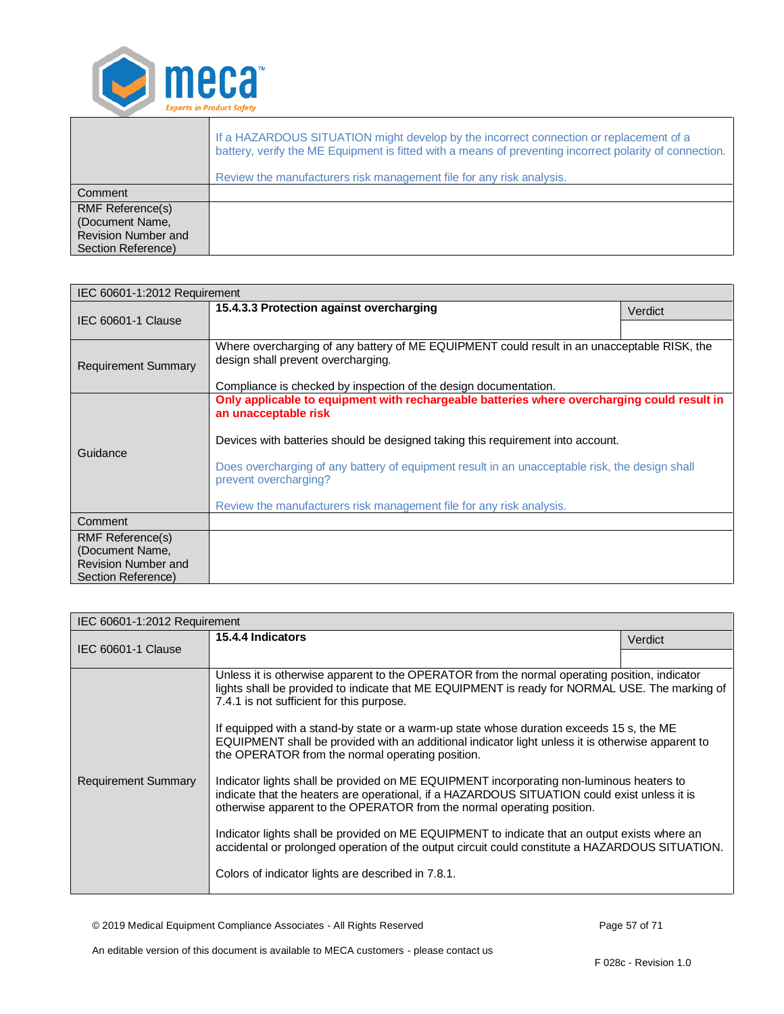

|                                                                                         | If a HAZARDOUS SITUATION might develop by the incorrect connection or replacement of a<br>battery, verify the ME Equipment is fitted with a means of preventing incorrect polarity of connection.<br>Review the manufacturers risk management file for any risk analysis. |
|-----------------------------------------------------------------------------------------|---------------------------------------------------------------------------------------------------------------------------------------------------------------------------------------------------------------------------------------------------------------------------|
| Comment                                                                                 |                                                                                                                                                                                                                                                                           |
| <b>RMF Reference(s)</b><br>(Document Name,<br>Revision Number and<br>Section Reference) |                                                                                                                                                                                                                                                                           |

<span id="page-56-0"></span>

| IEC 60601-1:2012 Requirement |                                                                                                                                                                                                        |         |
|------------------------------|--------------------------------------------------------------------------------------------------------------------------------------------------------------------------------------------------------|---------|
| <b>IEC 60601-1 Clause</b>    | 15.4.3.3 Protection against overcharging                                                                                                                                                               | Verdict |
|                              |                                                                                                                                                                                                        |         |
| <b>Requirement Summary</b>   | Where overcharging of any battery of ME EQUIPMENT could result in an unacceptable RISK, the<br>design shall prevent overcharging.                                                                      |         |
|                              | Compliance is checked by inspection of the design documentation.                                                                                                                                       |         |
| Guidance                     | Only applicable to equipment with rechargeable batteries where overcharging could result in<br>an unacceptable risk<br>Devices with batteries should be designed taking this requirement into account. |         |
|                              | Does overcharging of any battery of equipment result in an unacceptable risk, the design shall<br>prevent overcharging?                                                                                |         |
|                              | Review the manufacturers risk management file for any risk analysis.                                                                                                                                   |         |
| Comment                      |                                                                                                                                                                                                        |         |
| RMF Reference(s)             |                                                                                                                                                                                                        |         |
| (Document Name,              |                                                                                                                                                                                                        |         |
| <b>Revision Number and</b>   |                                                                                                                                                                                                        |         |
| Section Reference)           |                                                                                                                                                                                                        |         |

<span id="page-56-1"></span>

| IEC 60601-1:2012 Requirement |                                                                                                                                                                                                                                                                    |         |
|------------------------------|--------------------------------------------------------------------------------------------------------------------------------------------------------------------------------------------------------------------------------------------------------------------|---------|
| IEC 60601-1 Clause           | 15.4.4 Indicators                                                                                                                                                                                                                                                  | Verdict |
|                              |                                                                                                                                                                                                                                                                    |         |
| <b>Requirement Summary</b>   | Unless it is otherwise apparent to the OPERATOR from the normal operating position, indicator<br>lights shall be provided to indicate that ME EQUIPMENT is ready for NORMAL USE. The marking of<br>7.4.1 is not sufficient for this purpose.                       |         |
|                              | If equipped with a stand-by state or a warm-up state whose duration exceeds 15 s, the ME<br>EQUIPMENT shall be provided with an additional indicator light unless it is otherwise apparent to<br>the OPERATOR from the normal operating position.                  |         |
|                              | Indicator lights shall be provided on ME EQUIPMENT incorporating non-luminous heaters to<br>indicate that the heaters are operational, if a HAZARDOUS SITUATION could exist unless it is<br>otherwise apparent to the OPERATOR from the normal operating position. |         |
|                              | Indicator lights shall be provided on ME EQUIPMENT to indicate that an output exists where an<br>accidental or prolonged operation of the output circuit could constitute a HAZARDOUS SITUATION.                                                                   |         |
|                              | Colors of indicator lights are described in 7.8.1.                                                                                                                                                                                                                 |         |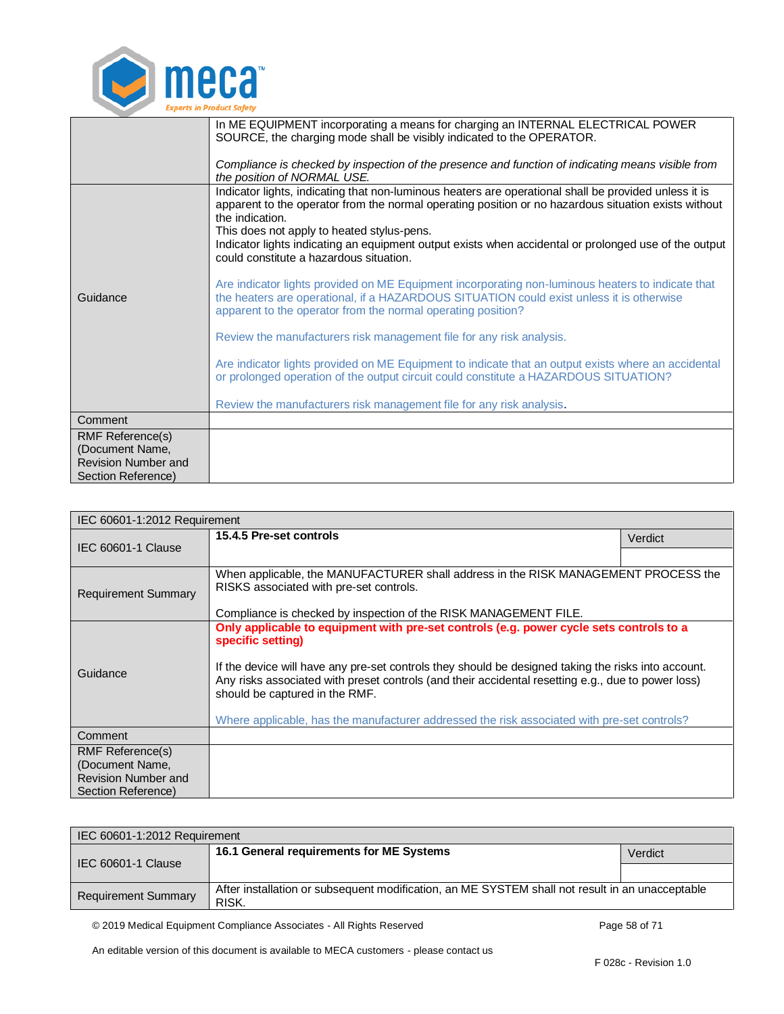

|                                               | In ME EQUIPMENT incorporating a means for charging an INTERNAL ELECTRICAL POWER<br>SOURCE, the charging mode shall be visibly indicated to the OPERATOR.                                                                                                                                                                                                                                |
|-----------------------------------------------|-----------------------------------------------------------------------------------------------------------------------------------------------------------------------------------------------------------------------------------------------------------------------------------------------------------------------------------------------------------------------------------------|
|                                               | Compliance is checked by inspection of the presence and function of indicating means visible from<br>the position of NORMAL USE.                                                                                                                                                                                                                                                        |
|                                               | Indicator lights, indicating that non-luminous heaters are operational shall be provided unless it is<br>apparent to the operator from the normal operating position or no hazardous situation exists without<br>the indication.<br>This does not apply to heated stylus-pens.<br>Indicator lights indicating an equipment output exists when accidental or prolonged use of the output |
|                                               | could constitute a hazardous situation.                                                                                                                                                                                                                                                                                                                                                 |
| Guidance                                      | Are indicator lights provided on ME Equipment incorporating non-luminous heaters to indicate that<br>the heaters are operational, if a HAZARDOUS SITUATION could exist unless it is otherwise<br>apparent to the operator from the normal operating position?                                                                                                                           |
|                                               | Review the manufacturers risk management file for any risk analysis.                                                                                                                                                                                                                                                                                                                    |
|                                               | Are indicator lights provided on ME Equipment to indicate that an output exists where an accidental<br>or prolonged operation of the output circuit could constitute a HAZARDOUS SITUATION?                                                                                                                                                                                             |
|                                               | Review the manufacturers risk management file for any risk analysis.                                                                                                                                                                                                                                                                                                                    |
| Comment                                       |                                                                                                                                                                                                                                                                                                                                                                                         |
| <b>RMF Reference(s)</b>                       |                                                                                                                                                                                                                                                                                                                                                                                         |
| (Document Name,<br><b>Revision Number and</b> |                                                                                                                                                                                                                                                                                                                                                                                         |
| Section Reference)                            |                                                                                                                                                                                                                                                                                                                                                                                         |

<span id="page-57-0"></span>

| IEC 60601-1:2012 Requirement |                                                                                                                                                                                                                                                                                                                                                                                                                                                            |         |
|------------------------------|------------------------------------------------------------------------------------------------------------------------------------------------------------------------------------------------------------------------------------------------------------------------------------------------------------------------------------------------------------------------------------------------------------------------------------------------------------|---------|
| IEC 60601-1 Clause           | 15.4.5 Pre-set controls                                                                                                                                                                                                                                                                                                                                                                                                                                    | Verdict |
|                              |                                                                                                                                                                                                                                                                                                                                                                                                                                                            |         |
| <b>Requirement Summary</b>   | When applicable, the MANUFACTURER shall address in the RISK MANAGEMENT PROCESS the<br>RISKS associated with pre-set controls.                                                                                                                                                                                                                                                                                                                              |         |
|                              | Compliance is checked by inspection of the RISK MANAGEMENT FILE.                                                                                                                                                                                                                                                                                                                                                                                           |         |
| Guidance                     | Only applicable to equipment with pre-set controls (e.g. power cycle sets controls to a<br>specific setting)<br>If the device will have any pre-set controls they should be designed taking the risks into account.<br>Any risks associated with preset controls (and their accidental resetting e.g., due to power loss)<br>should be captured in the RMF.<br>Where applicable, has the manufacturer addressed the risk associated with pre-set controls? |         |
| Comment                      |                                                                                                                                                                                                                                                                                                                                                                                                                                                            |         |
| RMF Reference(s)             |                                                                                                                                                                                                                                                                                                                                                                                                                                                            |         |
| (Document Name,              |                                                                                                                                                                                                                                                                                                                                                                                                                                                            |         |
| Revision Number and          |                                                                                                                                                                                                                                                                                                                                                                                                                                                            |         |
| Section Reference)           |                                                                                                                                                                                                                                                                                                                                                                                                                                                            |         |

<span id="page-57-1"></span>

| IEC 60601-1:2012 Requirement |                                                                                                          |         |
|------------------------------|----------------------------------------------------------------------------------------------------------|---------|
| IEC 60601-1 Clause           | 16.1 General requirements for ME Systems                                                                 | Verdict |
|                              |                                                                                                          |         |
| <b>Requirement Summary</b>   | After installation or subsequent modification, an ME SYSTEM shall not result in an unacceptable<br>RISK. |         |
|                              |                                                                                                          |         |

© 2019 Medical Equipment Compliance Associates - All Rights Reserved Page 58 of 71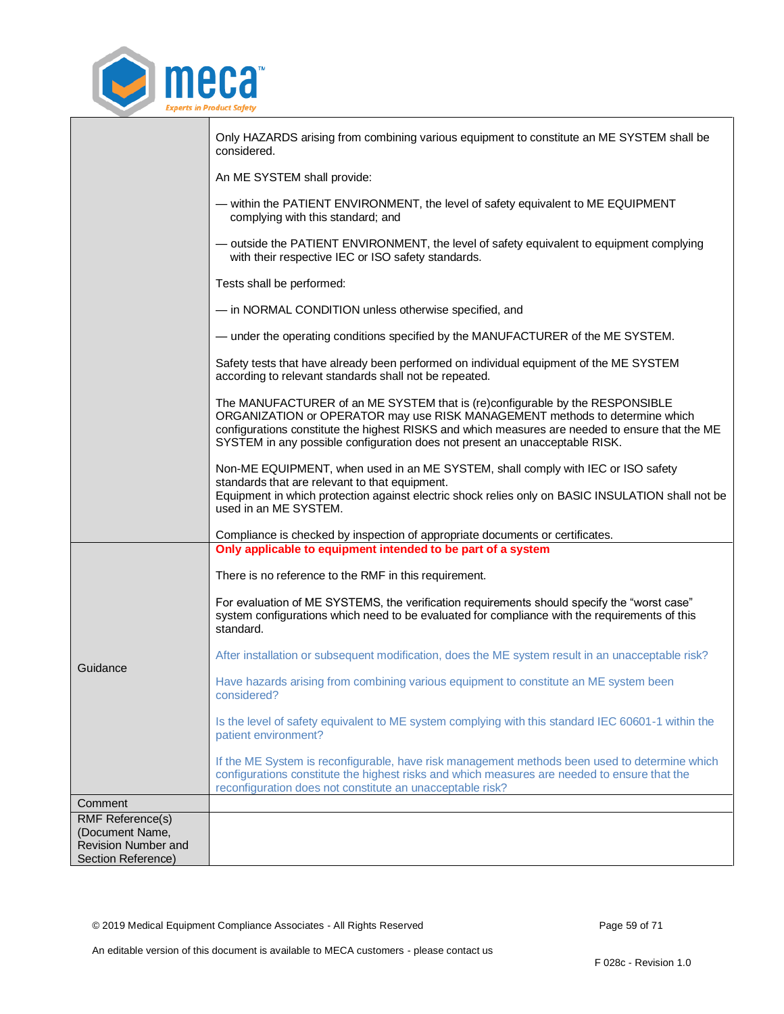

|                                                                                                | Only HAZARDS arising from combining various equipment to constitute an ME SYSTEM shall be<br>considered.                                                                                                                                                                                                                                      |
|------------------------------------------------------------------------------------------------|-----------------------------------------------------------------------------------------------------------------------------------------------------------------------------------------------------------------------------------------------------------------------------------------------------------------------------------------------|
|                                                                                                | An ME SYSTEM shall provide:                                                                                                                                                                                                                                                                                                                   |
|                                                                                                | - within the PATIENT ENVIRONMENT, the level of safety equivalent to ME EQUIPMENT<br>complying with this standard; and                                                                                                                                                                                                                         |
|                                                                                                | - outside the PATIENT ENVIRONMENT, the level of safety equivalent to equipment complying<br>with their respective IEC or ISO safety standards.                                                                                                                                                                                                |
|                                                                                                | Tests shall be performed:                                                                                                                                                                                                                                                                                                                     |
|                                                                                                | - in NORMAL CONDITION unless otherwise specified, and                                                                                                                                                                                                                                                                                         |
|                                                                                                | - under the operating conditions specified by the MANUFACTURER of the ME SYSTEM.                                                                                                                                                                                                                                                              |
|                                                                                                | Safety tests that have already been performed on individual equipment of the ME SYSTEM<br>according to relevant standards shall not be repeated.                                                                                                                                                                                              |
|                                                                                                | The MANUFACTURER of an ME SYSTEM that is (re)configurable by the RESPONSIBLE<br>ORGANIZATION or OPERATOR may use RISK MANAGEMENT methods to determine which<br>configurations constitute the highest RISKS and which measures are needed to ensure that the ME<br>SYSTEM in any possible configuration does not present an unacceptable RISK. |
|                                                                                                | Non-ME EQUIPMENT, when used in an ME SYSTEM, shall comply with IEC or ISO safety<br>standards that are relevant to that equipment.<br>Equipment in which protection against electric shock relies only on BASIC INSULATION shall not be<br>used in an ME SYSTEM.                                                                              |
|                                                                                                | Compliance is checked by inspection of appropriate documents or certificates.<br>Only applicable to equipment intended to be part of a system                                                                                                                                                                                                 |
|                                                                                                | There is no reference to the RMF in this requirement.                                                                                                                                                                                                                                                                                         |
|                                                                                                | For evaluation of ME SYSTEMS, the verification requirements should specify the "worst case"<br>system configurations which need to be evaluated for compliance with the requirements of this<br>standard.                                                                                                                                     |
|                                                                                                | After installation or subsequent modification, does the ME system result in an unacceptable risk?                                                                                                                                                                                                                                             |
| Guidance                                                                                       | Have hazards arising from combining various equipment to constitute an ME system been<br>considered?                                                                                                                                                                                                                                          |
|                                                                                                | Is the level of safety equivalent to ME system complying with this standard IEC 60601-1 within the<br>patient environment?                                                                                                                                                                                                                    |
|                                                                                                | If the ME System is reconfigurable, have risk management methods been used to determine which<br>configurations constitute the highest risks and which measures are needed to ensure that the<br>reconfiguration does not constitute an unacceptable risk?                                                                                    |
| Comment                                                                                        |                                                                                                                                                                                                                                                                                                                                               |
| <b>RMF Reference(s)</b><br>(Document Name,<br><b>Revision Number and</b><br>Section Reference) |                                                                                                                                                                                                                                                                                                                                               |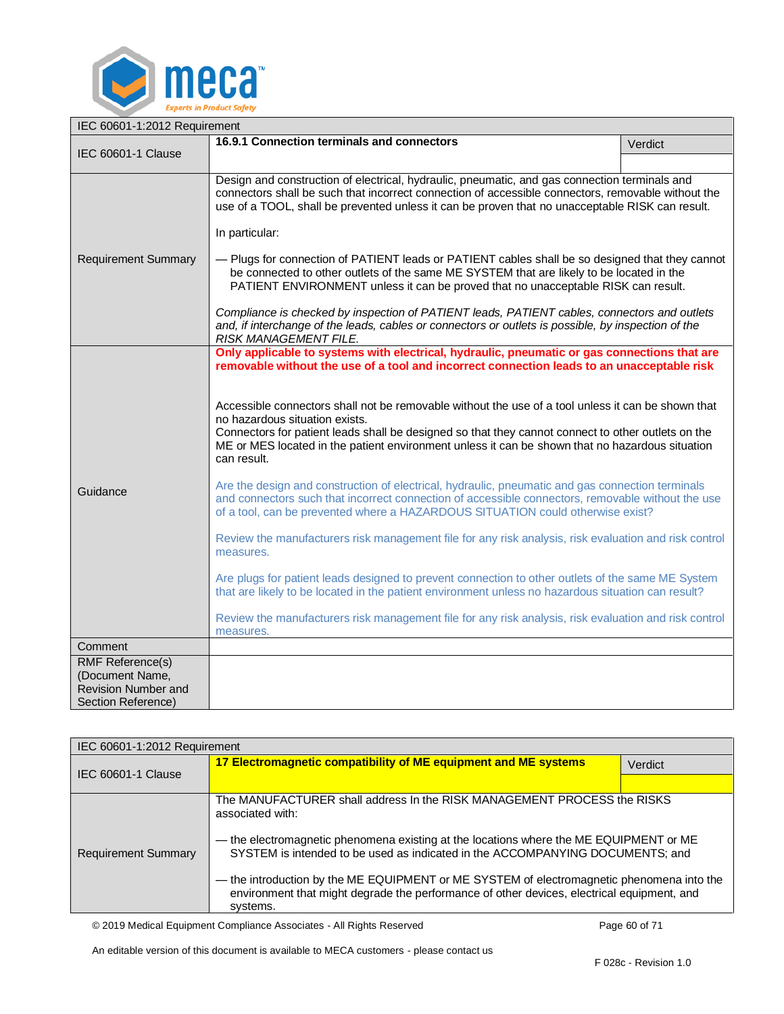

<span id="page-59-0"></span>

| IEC 60601-1:2012 Requirement                                                            |                                                                                                                                                                                                                                                                                                                                                                                                                                                                                                                                                                                                                                                                                                                                                                                                                                                                                                                                                                                                                                                                                                                                                                                        |         |
|-----------------------------------------------------------------------------------------|----------------------------------------------------------------------------------------------------------------------------------------------------------------------------------------------------------------------------------------------------------------------------------------------------------------------------------------------------------------------------------------------------------------------------------------------------------------------------------------------------------------------------------------------------------------------------------------------------------------------------------------------------------------------------------------------------------------------------------------------------------------------------------------------------------------------------------------------------------------------------------------------------------------------------------------------------------------------------------------------------------------------------------------------------------------------------------------------------------------------------------------------------------------------------------------|---------|
|                                                                                         | 16.9.1 Connection terminals and connectors                                                                                                                                                                                                                                                                                                                                                                                                                                                                                                                                                                                                                                                                                                                                                                                                                                                                                                                                                                                                                                                                                                                                             | Verdict |
| <b>IEC 60601-1 Clause</b>                                                               |                                                                                                                                                                                                                                                                                                                                                                                                                                                                                                                                                                                                                                                                                                                                                                                                                                                                                                                                                                                                                                                                                                                                                                                        |         |
|                                                                                         | Design and construction of electrical, hydraulic, pneumatic, and gas connection terminals and<br>connectors shall be such that incorrect connection of accessible connectors, removable without the<br>use of a TOOL, shall be prevented unless it can be proven that no unacceptable RISK can result.<br>In particular:                                                                                                                                                                                                                                                                                                                                                                                                                                                                                                                                                                                                                                                                                                                                                                                                                                                               |         |
| <b>Requirement Summary</b>                                                              | - Plugs for connection of PATIENT leads or PATIENT cables shall be so designed that they cannot<br>be connected to other outlets of the same ME SYSTEM that are likely to be located in the<br>PATIENT ENVIRONMENT unless it can be proved that no unacceptable RISK can result.                                                                                                                                                                                                                                                                                                                                                                                                                                                                                                                                                                                                                                                                                                                                                                                                                                                                                                       |         |
|                                                                                         | Compliance is checked by inspection of PATIENT leads, PATIENT cables, connectors and outlets<br>and, if interchange of the leads, cables or connectors or outlets is possible, by inspection of the<br><b>RISK MANAGEMENT FILE.</b>                                                                                                                                                                                                                                                                                                                                                                                                                                                                                                                                                                                                                                                                                                                                                                                                                                                                                                                                                    |         |
| Guidance                                                                                | Only applicable to systems with electrical, hydraulic, pneumatic or gas connections that are<br>removable without the use of a tool and incorrect connection leads to an unacceptable risk<br>Accessible connectors shall not be removable without the use of a tool unless it can be shown that<br>no hazardous situation exists.<br>Connectors for patient leads shall be designed so that they cannot connect to other outlets on the<br>ME or MES located in the patient environment unless it can be shown that no hazardous situation<br>can result.<br>Are the design and construction of electrical, hydraulic, pneumatic and gas connection terminals<br>and connectors such that incorrect connection of accessible connectors, removable without the use<br>of a tool, can be prevented where a HAZARDOUS SITUATION could otherwise exist?<br>Review the manufacturers risk management file for any risk analysis, risk evaluation and risk control<br>measures.<br>Are plugs for patient leads designed to prevent connection to other outlets of the same ME System<br>that are likely to be located in the patient environment unless no hazardous situation can result? |         |
|                                                                                         | Review the manufacturers risk management file for any risk analysis, risk evaluation and risk control<br>measures.                                                                                                                                                                                                                                                                                                                                                                                                                                                                                                                                                                                                                                                                                                                                                                                                                                                                                                                                                                                                                                                                     |         |
| Comment                                                                                 |                                                                                                                                                                                                                                                                                                                                                                                                                                                                                                                                                                                                                                                                                                                                                                                                                                                                                                                                                                                                                                                                                                                                                                                        |         |
| <b>RMF Reference(s)</b><br>(Document Name,<br>Revision Number and<br>Section Reference) |                                                                                                                                                                                                                                                                                                                                                                                                                                                                                                                                                                                                                                                                                                                                                                                                                                                                                                                                                                                                                                                                                                                                                                                        |         |

<span id="page-59-1"></span>

| IEC 60601-1:2012 Requirement |                                                                                                                                                                                                                                                                                                                                                                                                                                                                               |         |
|------------------------------|-------------------------------------------------------------------------------------------------------------------------------------------------------------------------------------------------------------------------------------------------------------------------------------------------------------------------------------------------------------------------------------------------------------------------------------------------------------------------------|---------|
| IEC 60601-1 Clause           | 17 Electromagnetic compatibility of ME equipment and ME systems                                                                                                                                                                                                                                                                                                                                                                                                               | Verdict |
|                              |                                                                                                                                                                                                                                                                                                                                                                                                                                                                               |         |
| <b>Requirement Summary</b>   | The MANUFACTURER shall address In the RISK MANAGEMENT PROCESS the RISKS<br>associated with:<br>— the electromagnetic phenomena existing at the locations where the ME EQUIPMENT or ME<br>SYSTEM is intended to be used as indicated in the ACCOMPANYING DOCUMENTS; and<br>- the introduction by the ME EQUIPMENT or ME SYSTEM of electromagnetic phenomena into the<br>environment that might degrade the performance of other devices, electrical equipment, and<br>systems. |         |

© 2019 Medical Equipment Compliance Associates - All Rights Reserved Page 60 of 71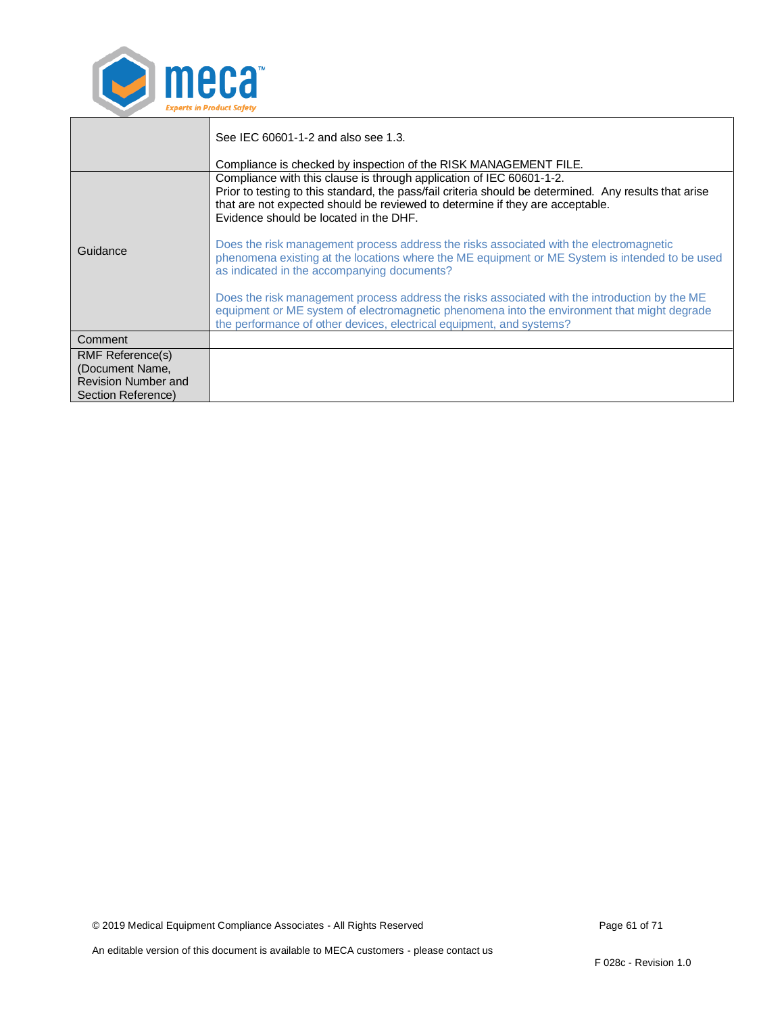

|                                                                                         | See IEC 60601-1-2 and also see 1.3.<br>Compliance is checked by inspection of the RISK MANAGEMENT FILE.                                                                                                                                                                                                   |
|-----------------------------------------------------------------------------------------|-----------------------------------------------------------------------------------------------------------------------------------------------------------------------------------------------------------------------------------------------------------------------------------------------------------|
|                                                                                         | Compliance with this clause is through application of IEC 60601-1-2.<br>Prior to testing to this standard, the pass/fail criteria should be determined. Any results that arise<br>that are not expected should be reviewed to determine if they are acceptable.<br>Evidence should be located in the DHF. |
| Guidance                                                                                | Does the risk management process address the risks associated with the electromagnetic<br>phenomena existing at the locations where the ME equipment or ME System is intended to be used<br>as indicated in the accompanying documents?                                                                   |
|                                                                                         | Does the risk management process address the risks associated with the introduction by the ME<br>equipment or ME system of electromagnetic phenomena into the environment that might degrade<br>the performance of other devices, electrical equipment, and systems?                                      |
| Comment                                                                                 |                                                                                                                                                                                                                                                                                                           |
| <b>RMF Reference(s)</b><br>(Document Name,<br>Revision Number and<br>Section Reference) |                                                                                                                                                                                                                                                                                                           |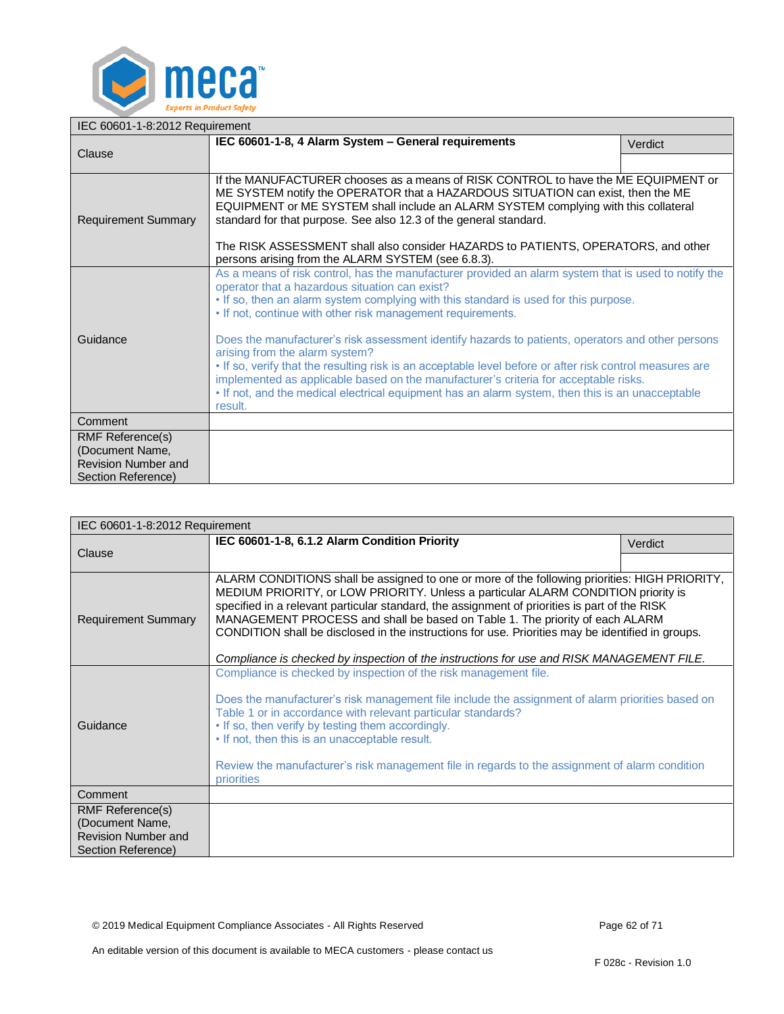

<span id="page-61-0"></span>

| IEC 60601-1-8:2012 Requirement                                                                 |                                                                                                                                                                                                                                                                                                                                                                                                                                                                                                                                                                                                                                                                                                                                                                         |         |
|------------------------------------------------------------------------------------------------|-------------------------------------------------------------------------------------------------------------------------------------------------------------------------------------------------------------------------------------------------------------------------------------------------------------------------------------------------------------------------------------------------------------------------------------------------------------------------------------------------------------------------------------------------------------------------------------------------------------------------------------------------------------------------------------------------------------------------------------------------------------------------|---------|
|                                                                                                | IEC 60601-1-8, 4 Alarm System - General requirements                                                                                                                                                                                                                                                                                                                                                                                                                                                                                                                                                                                                                                                                                                                    | Verdict |
| Clause                                                                                         |                                                                                                                                                                                                                                                                                                                                                                                                                                                                                                                                                                                                                                                                                                                                                                         |         |
| <b>Requirement Summary</b>                                                                     | If the MANUFACTURER chooses as a means of RISK CONTROL to have the ME EQUIPMENT or<br>ME SYSTEM notify the OPERATOR that a HAZARDOUS SITUATION can exist, then the ME<br>EQUIPMENT or ME SYSTEM shall include an ALARM SYSTEM complying with this collateral<br>standard for that purpose. See also 12.3 of the general standard.<br>The RISK ASSESSMENT shall also consider HAZARDS to PATIENTS, OPERATORS, and other<br>persons arising from the ALARM SYSTEM (see 6.8.3).                                                                                                                                                                                                                                                                                            |         |
| Guidance                                                                                       | As a means of risk control, has the manufacturer provided an alarm system that is used to notify the<br>operator that a hazardous situation can exist?<br>. If so, then an alarm system complying with this standard is used for this purpose.<br>. If not, continue with other risk management requirements.<br>Does the manufacturer's risk assessment identify hazards to patients, operators and other persons<br>arising from the alarm system?<br>. If so, verify that the resulting risk is an acceptable level before or after risk control measures are<br>implemented as applicable based on the manufacturer's criteria for acceptable risks.<br>• If not, and the medical electrical equipment has an alarm system, then this is an unacceptable<br>result. |         |
| Comment                                                                                        |                                                                                                                                                                                                                                                                                                                                                                                                                                                                                                                                                                                                                                                                                                                                                                         |         |
| <b>RMF Reference(s)</b><br>(Document Name,<br><b>Revision Number and</b><br>Section Reference) |                                                                                                                                                                                                                                                                                                                                                                                                                                                                                                                                                                                                                                                                                                                                                                         |         |

<span id="page-61-1"></span>

| IEC 60601-1-8:2012 Requirement             |                                                                                                                                                                                                                                                                                                                                                                                                                                                                                                                                                                       |         |
|--------------------------------------------|-----------------------------------------------------------------------------------------------------------------------------------------------------------------------------------------------------------------------------------------------------------------------------------------------------------------------------------------------------------------------------------------------------------------------------------------------------------------------------------------------------------------------------------------------------------------------|---------|
|                                            | IEC 60601-1-8, 6.1.2 Alarm Condition Priority                                                                                                                                                                                                                                                                                                                                                                                                                                                                                                                         | Verdict |
| Clause                                     |                                                                                                                                                                                                                                                                                                                                                                                                                                                                                                                                                                       |         |
| <b>Requirement Summary</b>                 | ALARM CONDITIONS shall be assigned to one or more of the following priorities: HIGH PRIORITY,<br>MEDIUM PRIORITY, or LOW PRIORITY. Unless a particular ALARM CONDITION priority is<br>specified in a relevant particular standard, the assignment of priorities is part of the RISK<br>MANAGEMENT PROCESS and shall be based on Table 1. The priority of each ALARM<br>CONDITION shall be disclosed in the instructions for use. Priorities may be identified in groups.<br>Compliance is checked by inspection of the instructions for use and RISK MANAGEMENT FILE. |         |
| Guidance                                   | Compliance is checked by inspection of the risk management file.<br>Does the manufacturer's risk management file include the assignment of alarm priorities based on<br>Table 1 or in accordance with relevant particular standards?<br>. If so, then verify by testing them accordingly.<br>• If not, then this is an unacceptable result.<br>Review the manufacturer's risk management file in regards to the assignment of alarm condition<br>priorities                                                                                                           |         |
| Comment                                    |                                                                                                                                                                                                                                                                                                                                                                                                                                                                                                                                                                       |         |
| <b>RMF Reference(s)</b><br>(Document Name, |                                                                                                                                                                                                                                                                                                                                                                                                                                                                                                                                                                       |         |
| Revision Number and                        |                                                                                                                                                                                                                                                                                                                                                                                                                                                                                                                                                                       |         |
| Section Reference)                         |                                                                                                                                                                                                                                                                                                                                                                                                                                                                                                                                                                       |         |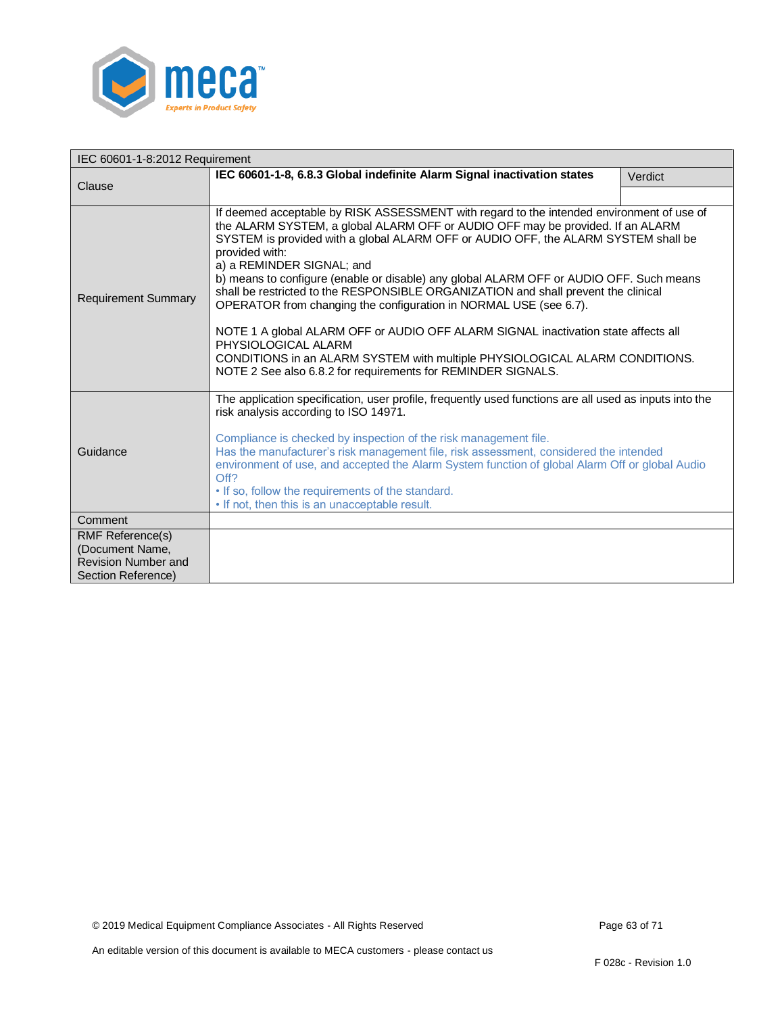

<span id="page-62-0"></span>

| IEC 60601-1-8:2012 Requirement                                                                 |                                                                                                                                                                                                                                                                                                                                                                                                                                                                                                                                                                                                                                                                                                                                                                                                                                    |         |
|------------------------------------------------------------------------------------------------|------------------------------------------------------------------------------------------------------------------------------------------------------------------------------------------------------------------------------------------------------------------------------------------------------------------------------------------------------------------------------------------------------------------------------------------------------------------------------------------------------------------------------------------------------------------------------------------------------------------------------------------------------------------------------------------------------------------------------------------------------------------------------------------------------------------------------------|---------|
| Clause                                                                                         | IEC 60601-1-8, 6.8.3 Global indefinite Alarm Signal inactivation states                                                                                                                                                                                                                                                                                                                                                                                                                                                                                                                                                                                                                                                                                                                                                            | Verdict |
|                                                                                                |                                                                                                                                                                                                                                                                                                                                                                                                                                                                                                                                                                                                                                                                                                                                                                                                                                    |         |
| <b>Requirement Summary</b>                                                                     | If deemed acceptable by RISK ASSESSMENT with regard to the intended environment of use of<br>the ALARM SYSTEM, a global ALARM OFF or AUDIO OFF may be provided. If an ALARM<br>SYSTEM is provided with a global ALARM OFF or AUDIO OFF, the ALARM SYSTEM shall be<br>provided with:<br>a) a REMINDER SIGNAL; and<br>b) means to configure (enable or disable) any global ALARM OFF or AUDIO OFF. Such means<br>shall be restricted to the RESPONSIBLE ORGANIZATION and shall prevent the clinical<br>OPERATOR from changing the configuration in NORMAL USE (see 6.7).<br>NOTE 1 A global ALARM OFF or AUDIO OFF ALARM SIGNAL inactivation state affects all<br>PHYSIOLOGICAL ALARM<br>CONDITIONS in an ALARM SYSTEM with multiple PHYSIOLOGICAL ALARM CONDITIONS.<br>NOTE 2 See also 6.8.2 for requirements for REMINDER SIGNALS. |         |
| Guidance                                                                                       | The application specification, user profile, frequently used functions are all used as inputs into the<br>risk analysis according to ISO 14971.<br>Compliance is checked by inspection of the risk management file.<br>Has the manufacturer's risk management file, risk assessment, considered the intended<br>environment of use, and accepted the Alarm System function of global Alarm Off or global Audio<br>Off?<br>. If so, follow the requirements of the standard.<br>• If not, then this is an unacceptable result.                                                                                                                                                                                                                                                                                                      |         |
| Comment                                                                                        |                                                                                                                                                                                                                                                                                                                                                                                                                                                                                                                                                                                                                                                                                                                                                                                                                                    |         |
| <b>RMF Reference(s)</b><br>(Document Name,<br><b>Revision Number and</b><br>Section Reference) |                                                                                                                                                                                                                                                                                                                                                                                                                                                                                                                                                                                                                                                                                                                                                                                                                                    |         |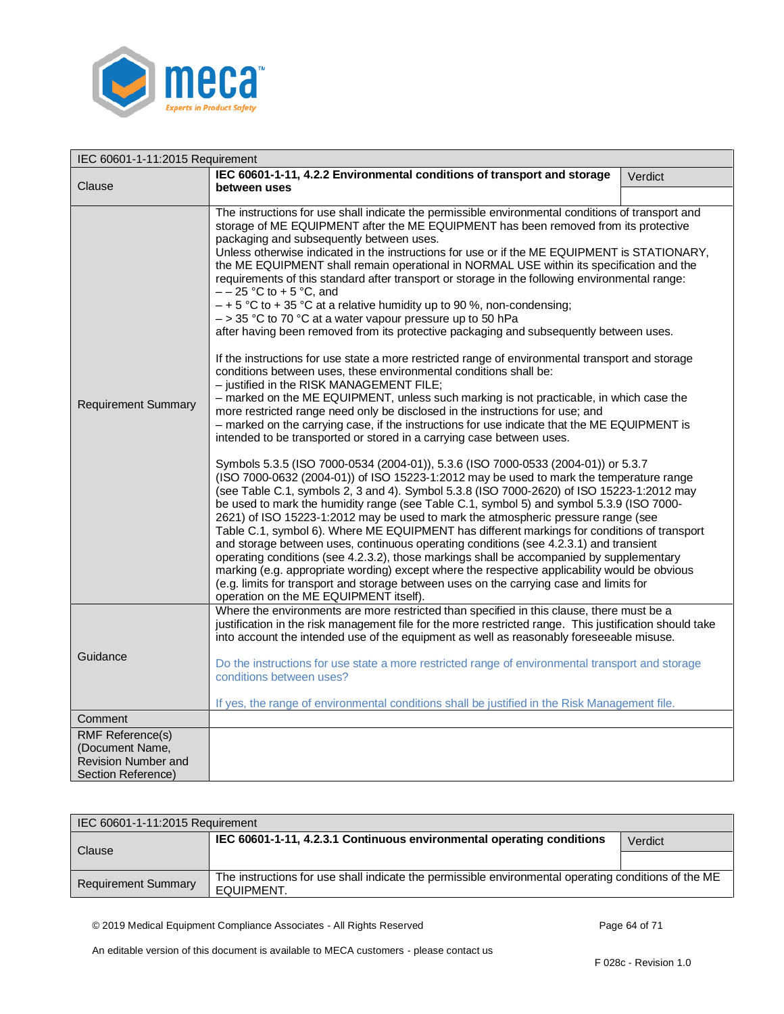

<span id="page-63-0"></span>

| IEC 60601-1-11:2015 Requirement |                                                                                                                                                                                                                                                                                                                                                                                                                                                                                                                                                                                                                                                                                                                                                                                                                                                                                                                                                                                                                                                                                                                                                                                                                                                                                                                                                                                                                                                                                                                                                                                                                                                                                                                                                                                                                                                                                                                                                                                                                                                                                                                                                                                                                                                                                                                                                                         |         |
|---------------------------------|-------------------------------------------------------------------------------------------------------------------------------------------------------------------------------------------------------------------------------------------------------------------------------------------------------------------------------------------------------------------------------------------------------------------------------------------------------------------------------------------------------------------------------------------------------------------------------------------------------------------------------------------------------------------------------------------------------------------------------------------------------------------------------------------------------------------------------------------------------------------------------------------------------------------------------------------------------------------------------------------------------------------------------------------------------------------------------------------------------------------------------------------------------------------------------------------------------------------------------------------------------------------------------------------------------------------------------------------------------------------------------------------------------------------------------------------------------------------------------------------------------------------------------------------------------------------------------------------------------------------------------------------------------------------------------------------------------------------------------------------------------------------------------------------------------------------------------------------------------------------------------------------------------------------------------------------------------------------------------------------------------------------------------------------------------------------------------------------------------------------------------------------------------------------------------------------------------------------------------------------------------------------------------------------------------------------------------------------------------------------------|---------|
|                                 | IEC 60601-1-11, 4.2.2 Environmental conditions of transport and storage                                                                                                                                                                                                                                                                                                                                                                                                                                                                                                                                                                                                                                                                                                                                                                                                                                                                                                                                                                                                                                                                                                                                                                                                                                                                                                                                                                                                                                                                                                                                                                                                                                                                                                                                                                                                                                                                                                                                                                                                                                                                                                                                                                                                                                                                                                 | Verdict |
| Clause                          | between uses                                                                                                                                                                                                                                                                                                                                                                                                                                                                                                                                                                                                                                                                                                                                                                                                                                                                                                                                                                                                                                                                                                                                                                                                                                                                                                                                                                                                                                                                                                                                                                                                                                                                                                                                                                                                                                                                                                                                                                                                                                                                                                                                                                                                                                                                                                                                                            |         |
| <b>Requirement Summary</b>      | The instructions for use shall indicate the permissible environmental conditions of transport and<br>storage of ME EQUIPMENT after the ME EQUIPMENT has been removed from its protective<br>packaging and subsequently between uses.<br>Unless otherwise indicated in the instructions for use or if the ME EQUIPMENT is STATIONARY,<br>the ME EQUIPMENT shall remain operational in NORMAL USE within its specification and the<br>requirements of this standard after transport or storage in the following environmental range:<br>$- -25$ °C to + 5 °C, and<br>$-$ + 5 °C to + 35 °C at a relative humidity up to 90 %, non-condensing;<br>$-$ > 35 °C to 70 °C at a water vapour pressure up to 50 hPa<br>after having been removed from its protective packaging and subsequently between uses.<br>If the instructions for use state a more restricted range of environmental transport and storage<br>conditions between uses, these environmental conditions shall be:<br>- justified in the RISK MANAGEMENT FILE;<br>- marked on the ME EQUIPMENT, unless such marking is not practicable, in which case the<br>more restricted range need only be disclosed in the instructions for use; and<br>- marked on the carrying case, if the instructions for use indicate that the ME EQUIPMENT is<br>intended to be transported or stored in a carrying case between uses.<br>Symbols 5.3.5 (ISO 7000-0534 (2004-01)), 5.3.6 (ISO 7000-0533 (2004-01)) or 5.3.7<br>(ISO 7000-0632 (2004-01)) of ISO 15223-1:2012 may be used to mark the temperature range<br>(see Table C.1, symbols 2, 3 and 4). Symbol 5.3.8 (ISO 7000-2620) of ISO 15223-1:2012 may<br>be used to mark the humidity range (see Table C.1, symbol 5) and symbol 5.3.9 (ISO 7000-<br>2621) of ISO 15223-1:2012 may be used to mark the atmospheric pressure range (see<br>Table C.1, symbol 6). Where ME EQUIPMENT has different markings for conditions of transport<br>and storage between uses, continuous operating conditions (see 4.2.3.1) and transient<br>operating conditions (see 4.2.3.2), those markings shall be accompanied by supplementary<br>marking (e.g. appropriate wording) except where the respective applicability would be obvious<br>(e.g. limits for transport and storage between uses on the carrying case and limits for<br>operation on the ME EQUIPMENT itself). |         |
| Guidance                        | Where the environments are more restricted than specified in this clause, there must be a<br>justification in the risk management file for the more restricted range. This justification should take<br>into account the intended use of the equipment as well as reasonably foreseeable misuse.<br>Do the instructions for use state a more restricted range of environmental transport and storage<br>conditions between uses?<br>If yes, the range of environmental conditions shall be justified in the Risk Management file.                                                                                                                                                                                                                                                                                                                                                                                                                                                                                                                                                                                                                                                                                                                                                                                                                                                                                                                                                                                                                                                                                                                                                                                                                                                                                                                                                                                                                                                                                                                                                                                                                                                                                                                                                                                                                                       |         |
| Comment                         |                                                                                                                                                                                                                                                                                                                                                                                                                                                                                                                                                                                                                                                                                                                                                                                                                                                                                                                                                                                                                                                                                                                                                                                                                                                                                                                                                                                                                                                                                                                                                                                                                                                                                                                                                                                                                                                                                                                                                                                                                                                                                                                                                                                                                                                                                                                                                                         |         |
| <b>RMF Reference(s)</b>         |                                                                                                                                                                                                                                                                                                                                                                                                                                                                                                                                                                                                                                                                                                                                                                                                                                                                                                                                                                                                                                                                                                                                                                                                                                                                                                                                                                                                                                                                                                                                                                                                                                                                                                                                                                                                                                                                                                                                                                                                                                                                                                                                                                                                                                                                                                                                                                         |         |
| (Document Name,                 |                                                                                                                                                                                                                                                                                                                                                                                                                                                                                                                                                                                                                                                                                                                                                                                                                                                                                                                                                                                                                                                                                                                                                                                                                                                                                                                                                                                                                                                                                                                                                                                                                                                                                                                                                                                                                                                                                                                                                                                                                                                                                                                                                                                                                                                                                                                                                                         |         |
| <b>Revision Number and</b>      |                                                                                                                                                                                                                                                                                                                                                                                                                                                                                                                                                                                                                                                                                                                                                                                                                                                                                                                                                                                                                                                                                                                                                                                                                                                                                                                                                                                                                                                                                                                                                                                                                                                                                                                                                                                                                                                                                                                                                                                                                                                                                                                                                                                                                                                                                                                                                                         |         |
| Section Reference)              |                                                                                                                                                                                                                                                                                                                                                                                                                                                                                                                                                                                                                                                                                                                                                                                                                                                                                                                                                                                                                                                                                                                                                                                                                                                                                                                                                                                                                                                                                                                                                                                                                                                                                                                                                                                                                                                                                                                                                                                                                                                                                                                                                                                                                                                                                                                                                                         |         |

<span id="page-63-1"></span>

| IEC 60601-1-11:2015 Requirement |                                                                                                                    |         |
|---------------------------------|--------------------------------------------------------------------------------------------------------------------|---------|
| Clause                          | IEC 60601-1-11, 4.2.3.1 Continuous environmental operating conditions                                              | Verdict |
|                                 |                                                                                                                    |         |
| <b>Requirement Summary</b>      | The instructions for use shall indicate the permissible environmental operating conditions of the ME<br>EQUIPMENT. |         |

© 2019 Medical Equipment Compliance Associates - All Rights Reserved Page 64 of 71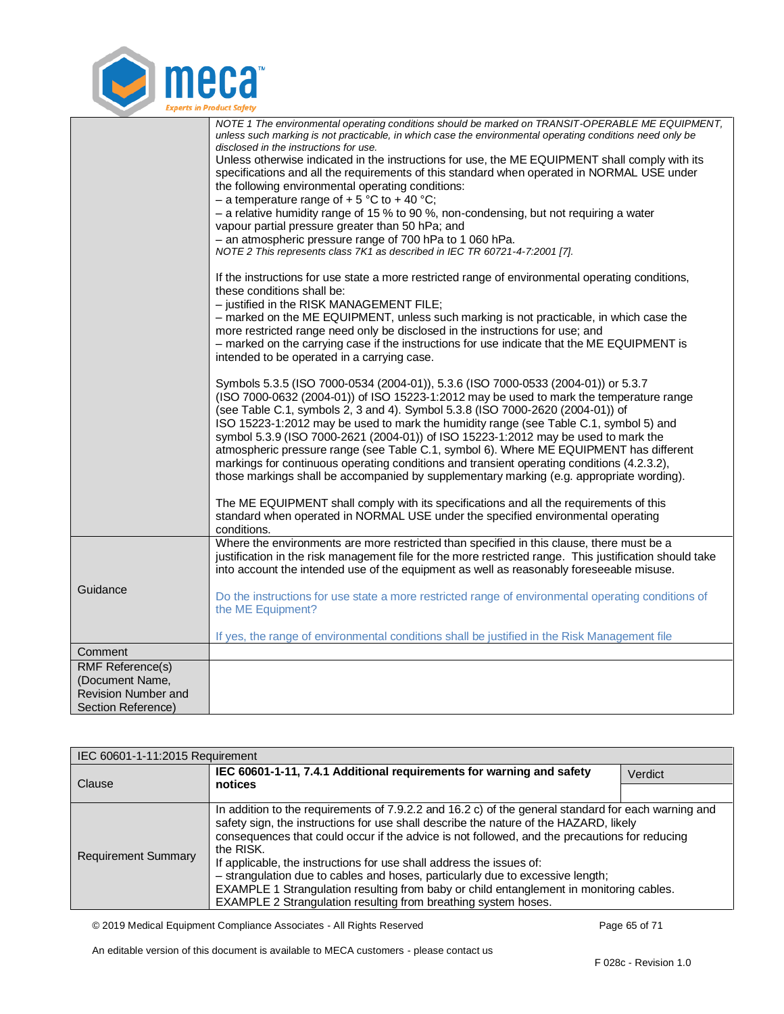

|                            | NOTE 1 The environmental operating conditions should be marked on TRANSIT-OPERABLE ME EQUIPMENT,          |
|----------------------------|-----------------------------------------------------------------------------------------------------------|
|                            | unless such marking is not practicable, in which case the environmental operating conditions need only be |
|                            | disclosed in the instructions for use.                                                                    |
|                            | Unless otherwise indicated in the instructions for use, the ME EQUIPMENT shall comply with its            |
|                            | specifications and all the requirements of this standard when operated in NORMAL USE under                |
|                            | the following environmental operating conditions:                                                         |
|                            | - a temperature range of $+5$ °C to $+40$ °C;                                                             |
|                            | $-$ a relative humidity range of 15 % to 90 %, non-condensing, but not requiring a water                  |
|                            | vapour partial pressure greater than 50 hPa; and                                                          |
|                            | - an atmospheric pressure range of 700 hPa to 1 060 hPa.                                                  |
|                            | NOTE 2 This represents class 7K1 as described in IEC TR 60721-4-7:2001 [7].                               |
|                            |                                                                                                           |
|                            | If the instructions for use state a more restricted range of environmental operating conditions,          |
|                            | these conditions shall be:                                                                                |
|                            |                                                                                                           |
|                            | - justified in the RISK MANAGEMENT FILE;                                                                  |
|                            | - marked on the ME EQUIPMENT, unless such marking is not practicable, in which case the                   |
|                            | more restricted range need only be disclosed in the instructions for use; and                             |
|                            | - marked on the carrying case if the instructions for use indicate that the ME EQUIPMENT is               |
|                            | intended to be operated in a carrying case.                                                               |
|                            |                                                                                                           |
|                            | Symbols 5.3.5 (ISO 7000-0534 (2004-01)), 5.3.6 (ISO 7000-0533 (2004-01)) or 5.3.7                         |
|                            | (ISO 7000-0632 (2004-01)) of ISO 15223-1:2012 may be used to mark the temperature range                   |
|                            | (see Table C.1, symbols 2, 3 and 4). Symbol 5.3.8 (ISO 7000-2620 (2004-01)) of                            |
|                            | ISO 15223-1:2012 may be used to mark the humidity range (see Table C.1, symbol 5) and                     |
|                            | symbol 5.3.9 (ISO 7000-2621 (2004-01)) of ISO 15223-1:2012 may be used to mark the                        |
|                            | atmospheric pressure range (see Table C.1, symbol 6). Where ME EQUIPMENT has different                    |
|                            |                                                                                                           |
|                            | markings for continuous operating conditions and transient operating conditions (4.2.3.2),                |
|                            | those markings shall be accompanied by supplementary marking (e.g. appropriate wording).                  |
|                            |                                                                                                           |
|                            | The ME EQUIPMENT shall comply with its specifications and all the requirements of this                    |
|                            | standard when operated in NORMAL USE under the specified environmental operating                          |
|                            | conditions.                                                                                               |
|                            | Where the environments are more restricted than specified in this clause, there must be a                 |
|                            | justification in the risk management file for the more restricted range. This justification should take   |
|                            | into account the intended use of the equipment as well as reasonably foreseeable misuse.                  |
|                            |                                                                                                           |
| Guidance                   | Do the instructions for use state a more restricted range of environmental operating conditions of        |
|                            | the ME Equipment?                                                                                         |
|                            |                                                                                                           |
|                            | If yes, the range of environmental conditions shall be justified in the Risk Management file              |
|                            |                                                                                                           |
| Comment                    |                                                                                                           |
| <b>RMF Reference(s)</b>    |                                                                                                           |
| (Document Name,            |                                                                                                           |
| <b>Revision Number and</b> |                                                                                                           |
| Section Reference)         |                                                                                                           |

<span id="page-64-0"></span>

| IEC 60601-1-11:2015 Requirement |                                                                                                                                                                                                                                                                                                                                                                                                                                                                                                                                                                                                                                   |         |
|---------------------------------|-----------------------------------------------------------------------------------------------------------------------------------------------------------------------------------------------------------------------------------------------------------------------------------------------------------------------------------------------------------------------------------------------------------------------------------------------------------------------------------------------------------------------------------------------------------------------------------------------------------------------------------|---------|
|                                 | IEC 60601-1-11, 7.4.1 Additional requirements for warning and safety                                                                                                                                                                                                                                                                                                                                                                                                                                                                                                                                                              | Verdict |
| Clause                          | notices                                                                                                                                                                                                                                                                                                                                                                                                                                                                                                                                                                                                                           |         |
| <b>Requirement Summary</b>      | In addition to the requirements of 7.9.2.2 and 16.2 c) of the general standard for each warning and<br>safety sign, the instructions for use shall describe the nature of the HAZARD, likely<br>consequences that could occur if the advice is not followed, and the precautions for reducing<br>the RISK.<br>If applicable, the instructions for use shall address the issues of:<br>- strangulation due to cables and hoses, particularly due to excessive length;<br>EXAMPLE 1 Strangulation resulting from baby or child entanglement in monitoring cables.<br>EXAMPLE 2 Strangulation resulting from breathing system hoses. |         |

© 2019 Medical Equipment Compliance Associates - All Rights Reserved Page 65 of 71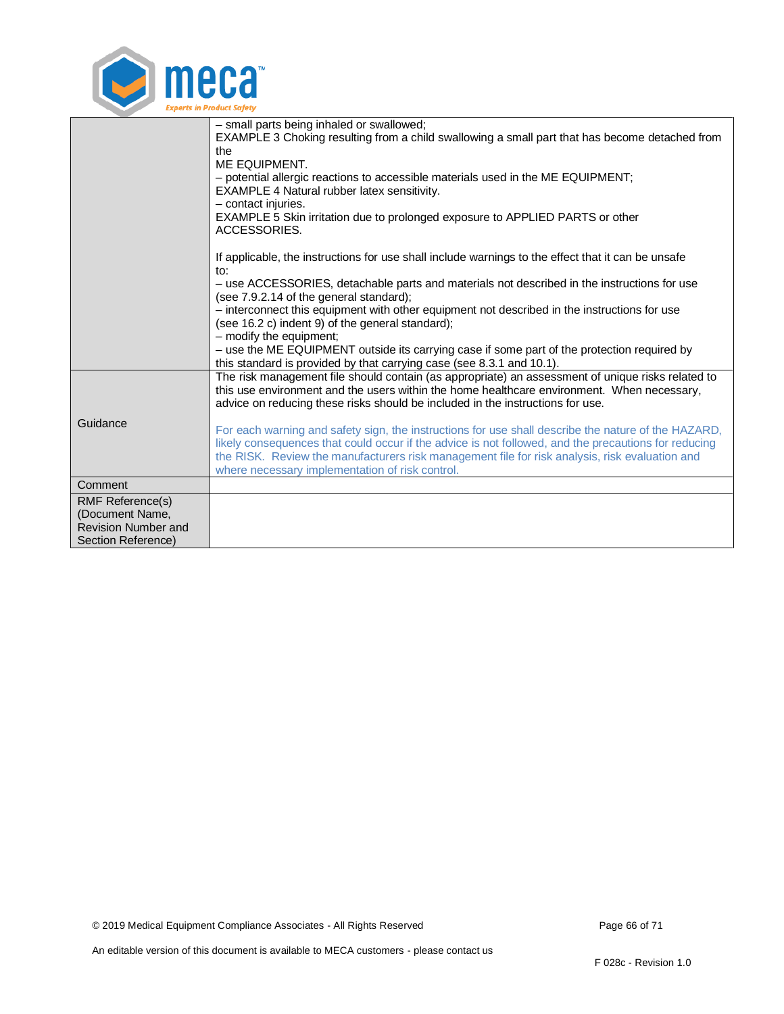

|                                                                                                | - small parts being inhaled or swallowed;<br>EXAMPLE 3 Choking resulting from a child swallowing a small part that has become detached from<br>the<br>ME EQUIPMENT.<br>- potential allergic reactions to accessible materials used in the ME EQUIPMENT;<br>EXAMPLE 4 Natural rubber latex sensitivity.<br>- contact injuries.<br>EXAMPLE 5 Skin irritation due to prolonged exposure to APPLIED PARTS or other<br>ACCESSORIES. |
|------------------------------------------------------------------------------------------------|--------------------------------------------------------------------------------------------------------------------------------------------------------------------------------------------------------------------------------------------------------------------------------------------------------------------------------------------------------------------------------------------------------------------------------|
|                                                                                                | If applicable, the instructions for use shall include warnings to the effect that it can be unsafe<br>to:<br>- use ACCESSORIES, detachable parts and materials not described in the instructions for use                                                                                                                                                                                                                       |
|                                                                                                | (see 7.9.2.14 of the general standard);<br>- interconnect this equipment with other equipment not described in the instructions for use<br>(see 16.2 c) indent 9) of the general standard);                                                                                                                                                                                                                                    |
|                                                                                                | - modify the equipment;<br>- use the ME EQUIPMENT outside its carrying case if some part of the protection required by<br>this standard is provided by that carrying case (see 8.3.1 and 10.1).                                                                                                                                                                                                                                |
|                                                                                                | The risk management file should contain (as appropriate) an assessment of unique risks related to<br>this use environment and the users within the home healthcare environment. When necessary,<br>advice on reducing these risks should be included in the instructions for use.                                                                                                                                              |
| Guidance                                                                                       | For each warning and safety sign, the instructions for use shall describe the nature of the HAZARD,<br>likely consequences that could occur if the advice is not followed, and the precautions for reducing<br>the RISK. Review the manufacturers risk management file for risk analysis, risk evaluation and<br>where necessary implementation of risk control.                                                               |
| Comment                                                                                        |                                                                                                                                                                                                                                                                                                                                                                                                                                |
| <b>RMF Reference(s)</b><br>(Document Name,<br><b>Revision Number and</b><br>Section Reference) |                                                                                                                                                                                                                                                                                                                                                                                                                                |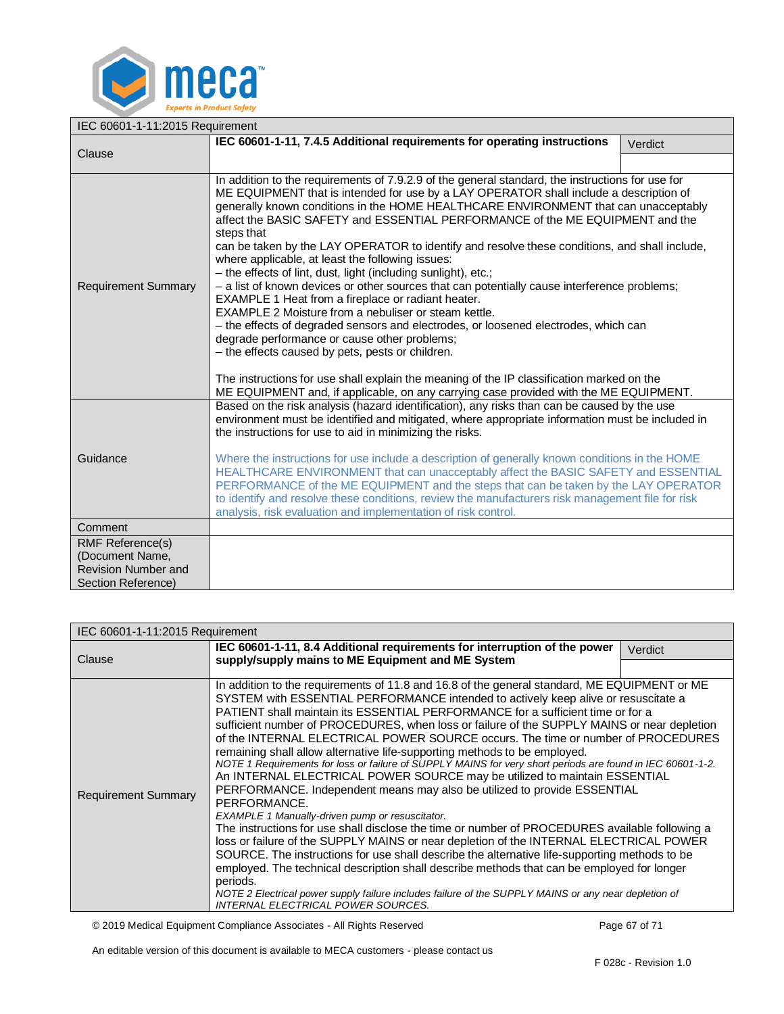

<span id="page-66-0"></span>

| IEC 60601-1-11:2015 Requirement               |                                                                                                                                                                                                                                                                                                                                                                                                                                                                                                                                                                                                                                                                                                                                                                                                                                                                                                                                                                                                                                                                                                                                                                                                        |         |
|-----------------------------------------------|--------------------------------------------------------------------------------------------------------------------------------------------------------------------------------------------------------------------------------------------------------------------------------------------------------------------------------------------------------------------------------------------------------------------------------------------------------------------------------------------------------------------------------------------------------------------------------------------------------------------------------------------------------------------------------------------------------------------------------------------------------------------------------------------------------------------------------------------------------------------------------------------------------------------------------------------------------------------------------------------------------------------------------------------------------------------------------------------------------------------------------------------------------------------------------------------------------|---------|
| Clause                                        | IEC 60601-1-11, 7.4.5 Additional requirements for operating instructions                                                                                                                                                                                                                                                                                                                                                                                                                                                                                                                                                                                                                                                                                                                                                                                                                                                                                                                                                                                                                                                                                                                               | Verdict |
|                                               |                                                                                                                                                                                                                                                                                                                                                                                                                                                                                                                                                                                                                                                                                                                                                                                                                                                                                                                                                                                                                                                                                                                                                                                                        |         |
| <b>Requirement Summary</b>                    | In addition to the requirements of 7.9.2.9 of the general standard, the instructions for use for<br>ME EQUIPMENT that is intended for use by a LAY OPERATOR shall include a description of<br>generally known conditions in the HOME HEALTHCARE ENVIRONMENT that can unacceptably<br>affect the BASIC SAFETY and ESSENTIAL PERFORMANCE of the ME EQUIPMENT and the<br>steps that<br>can be taken by the LAY OPERATOR to identify and resolve these conditions, and shall include,<br>where applicable, at least the following issues:<br>- the effects of lint, dust, light (including sunlight), etc.;<br>- a list of known devices or other sources that can potentially cause interference problems;<br>EXAMPLE 1 Heat from a fireplace or radiant heater.<br>EXAMPLE 2 Moisture from a nebuliser or steam kettle.<br>- the effects of degraded sensors and electrodes, or loosened electrodes, which can<br>degrade performance or cause other problems;<br>- the effects caused by pets, pests or children.<br>The instructions for use shall explain the meaning of the IP classification marked on the<br>ME EQUIPMENT and, if applicable, on any carrying case provided with the ME EQUIPMENT. |         |
| Guidance                                      | Based on the risk analysis (hazard identification), any risks than can be caused by the use<br>environment must be identified and mitigated, where appropriate information must be included in<br>the instructions for use to aid in minimizing the risks.<br>Where the instructions for use include a description of generally known conditions in the HOME<br>HEALTHCARE ENVIRONMENT that can unacceptably affect the BASIC SAFETY and ESSENTIAL<br>PERFORMANCE of the ME EQUIPMENT and the steps that can be taken by the LAY OPERATOR<br>to identify and resolve these conditions, review the manufacturers risk management file for risk<br>analysis, risk evaluation and implementation of risk control.                                                                                                                                                                                                                                                                                                                                                                                                                                                                                         |         |
| Comment                                       |                                                                                                                                                                                                                                                                                                                                                                                                                                                                                                                                                                                                                                                                                                                                                                                                                                                                                                                                                                                                                                                                                                                                                                                                        |         |
| <b>RMF Reference(s)</b>                       |                                                                                                                                                                                                                                                                                                                                                                                                                                                                                                                                                                                                                                                                                                                                                                                                                                                                                                                                                                                                                                                                                                                                                                                                        |         |
| (Document Name,<br><b>Revision Number and</b> |                                                                                                                                                                                                                                                                                                                                                                                                                                                                                                                                                                                                                                                                                                                                                                                                                                                                                                                                                                                                                                                                                                                                                                                                        |         |
| Section Reference)                            |                                                                                                                                                                                                                                                                                                                                                                                                                                                                                                                                                                                                                                                                                                                                                                                                                                                                                                                                                                                                                                                                                                                                                                                                        |         |

<span id="page-66-1"></span>

| IEC 60601-1-11:2015 Requirement |                                                                                                                                                                                                                                                                                                                                                                                                                                                                                                                                                                                                                                                                                                                                                                                                                                                                                                                                                                                                                                                                                                                                                                                                                                                                                                                                                                                                                                                    |         |
|---------------------------------|----------------------------------------------------------------------------------------------------------------------------------------------------------------------------------------------------------------------------------------------------------------------------------------------------------------------------------------------------------------------------------------------------------------------------------------------------------------------------------------------------------------------------------------------------------------------------------------------------------------------------------------------------------------------------------------------------------------------------------------------------------------------------------------------------------------------------------------------------------------------------------------------------------------------------------------------------------------------------------------------------------------------------------------------------------------------------------------------------------------------------------------------------------------------------------------------------------------------------------------------------------------------------------------------------------------------------------------------------------------------------------------------------------------------------------------------------|---------|
| Clause                          | IEC 60601-1-11, 8.4 Additional requirements for interruption of the power                                                                                                                                                                                                                                                                                                                                                                                                                                                                                                                                                                                                                                                                                                                                                                                                                                                                                                                                                                                                                                                                                                                                                                                                                                                                                                                                                                          | Verdict |
|                                 | supply/supply mains to ME Equipment and ME System                                                                                                                                                                                                                                                                                                                                                                                                                                                                                                                                                                                                                                                                                                                                                                                                                                                                                                                                                                                                                                                                                                                                                                                                                                                                                                                                                                                                  |         |
| <b>Requirement Summary</b>      | In addition to the requirements of 11.8 and 16.8 of the general standard, ME EQUIPMENT or ME<br>SYSTEM with ESSENTIAL PERFORMANCE intended to actively keep alive or resuscitate a<br>PATIENT shall maintain its ESSENTIAL PERFORMANCE for a sufficient time or for a<br>sufficient number of PROCEDURES, when loss or failure of the SUPPLY MAINS or near depletion<br>of the INTERNAL ELECTRICAL POWER SOURCE occurs. The time or number of PROCEDURES<br>remaining shall allow alternative life-supporting methods to be employed.<br>NOTE 1 Requirements for loss or failure of SUPPLY MAINS for very short periods are found in IEC 60601-1-2.<br>An INTERNAL ELECTRICAL POWER SOURCE may be utilized to maintain ESSENTIAL<br>PERFORMANCE. Independent means may also be utilized to provide ESSENTIAL<br>PERFORMANCE.<br><b>EXAMPLE 1 Manually-driven pump or resuscitator.</b><br>The instructions for use shall disclose the time or number of PROCEDURES available following a<br>loss or failure of the SUPPLY MAINS or near depletion of the INTERNAL ELECTRICAL POWER<br>SOURCE. The instructions for use shall describe the alternative life-supporting methods to be<br>employed. The technical description shall describe methods that can be employed for longer<br>periods.<br>NOTE 2 Electrical power supply failure includes failure of the SUPPLY MAINS or any near depletion of<br><b>INTERNAL ELECTRICAL POWER SOURCES.</b> |         |

© 2019 Medical Equipment Compliance Associates - All Rights Reserved Page 67 of 71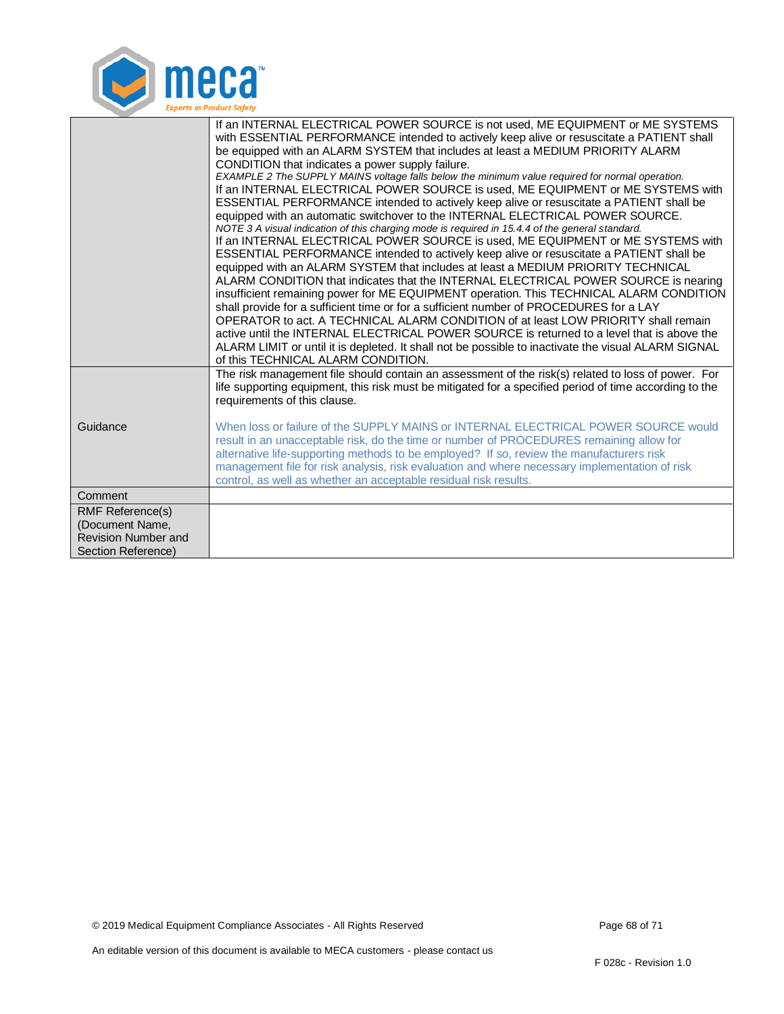

|                                                                                                | If an INTERNAL ELECTRICAL POWER SOURCE is not used, ME EQUIPMENT or ME SYSTEMS<br>with ESSENTIAL PERFORMANCE intended to actively keep alive or resuscitate a PATIENT shall<br>be equipped with an ALARM SYSTEM that includes at least a MEDIUM PRIORITY ALARM<br>CONDITION that indicates a power supply failure.<br>EXAMPLE 2 The SUPPLY MAINS voltage falls below the minimum value required for normal operation.<br>If an INTERNAL ELECTRICAL POWER SOURCE is used, ME EQUIPMENT or ME SYSTEMS with<br>ESSENTIAL PERFORMANCE intended to actively keep alive or resuscitate a PATIENT shall be<br>equipped with an automatic switchover to the INTERNAL ELECTRICAL POWER SOURCE.<br>NOTE 3 A visual indication of this charging mode is required in 15.4.4 of the general standard.<br>If an INTERNAL ELECTRICAL POWER SOURCE is used, ME EQUIPMENT or ME SYSTEMS with<br>ESSENTIAL PERFORMANCE intended to actively keep alive or resuscitate a PATIENT shall be<br>equipped with an ALARM SYSTEM that includes at least a MEDIUM PRIORITY TECHNICAL<br>ALARM CONDITION that indicates that the INTERNAL ELECTRICAL POWER SOURCE is nearing<br>insufficient remaining power for ME EQUIPMENT operation. This TECHNICAL ALARM CONDITION<br>shall provide for a sufficient time or for a sufficient number of PROCEDURES for a LAY<br>OPERATOR to act. A TECHNICAL ALARM CONDITION of at least LOW PRIORITY shall remain<br>active until the INTERNAL ELECTRICAL POWER SOURCE is returned to a level that is above the<br>ALARM LIMIT or until it is depleted. It shall not be possible to inactivate the visual ALARM SIGNAL<br>of this TECHNICAL ALARM CONDITION. |
|------------------------------------------------------------------------------------------------|-------------------------------------------------------------------------------------------------------------------------------------------------------------------------------------------------------------------------------------------------------------------------------------------------------------------------------------------------------------------------------------------------------------------------------------------------------------------------------------------------------------------------------------------------------------------------------------------------------------------------------------------------------------------------------------------------------------------------------------------------------------------------------------------------------------------------------------------------------------------------------------------------------------------------------------------------------------------------------------------------------------------------------------------------------------------------------------------------------------------------------------------------------------------------------------------------------------------------------------------------------------------------------------------------------------------------------------------------------------------------------------------------------------------------------------------------------------------------------------------------------------------------------------------------------------------------------------------------------------------------------------------------------------------------|
| Guidance                                                                                       | The risk management file should contain an assessment of the risk(s) related to loss of power. For<br>life supporting equipment, this risk must be mitigated for a specified period of time according to the<br>requirements of this clause.<br>When loss or failure of the SUPPLY MAINS or INTERNAL ELECTRICAL POWER SOURCE would<br>result in an unacceptable risk, do the time or number of PROCEDURES remaining allow for<br>alternative life-supporting methods to be employed? If so, review the manufacturers risk<br>management file for risk analysis, risk evaluation and where necessary implementation of risk<br>control, as well as whether an acceptable residual risk results.                                                                                                                                                                                                                                                                                                                                                                                                                                                                                                                                                                                                                                                                                                                                                                                                                                                                                                                                                                          |
| Comment                                                                                        |                                                                                                                                                                                                                                                                                                                                                                                                                                                                                                                                                                                                                                                                                                                                                                                                                                                                                                                                                                                                                                                                                                                                                                                                                                                                                                                                                                                                                                                                                                                                                                                                                                                                         |
| <b>RMF Reference(s)</b><br>(Document Name,<br><b>Revision Number and</b><br>Section Reference) |                                                                                                                                                                                                                                                                                                                                                                                                                                                                                                                                                                                                                                                                                                                                                                                                                                                                                                                                                                                                                                                                                                                                                                                                                                                                                                                                                                                                                                                                                                                                                                                                                                                                         |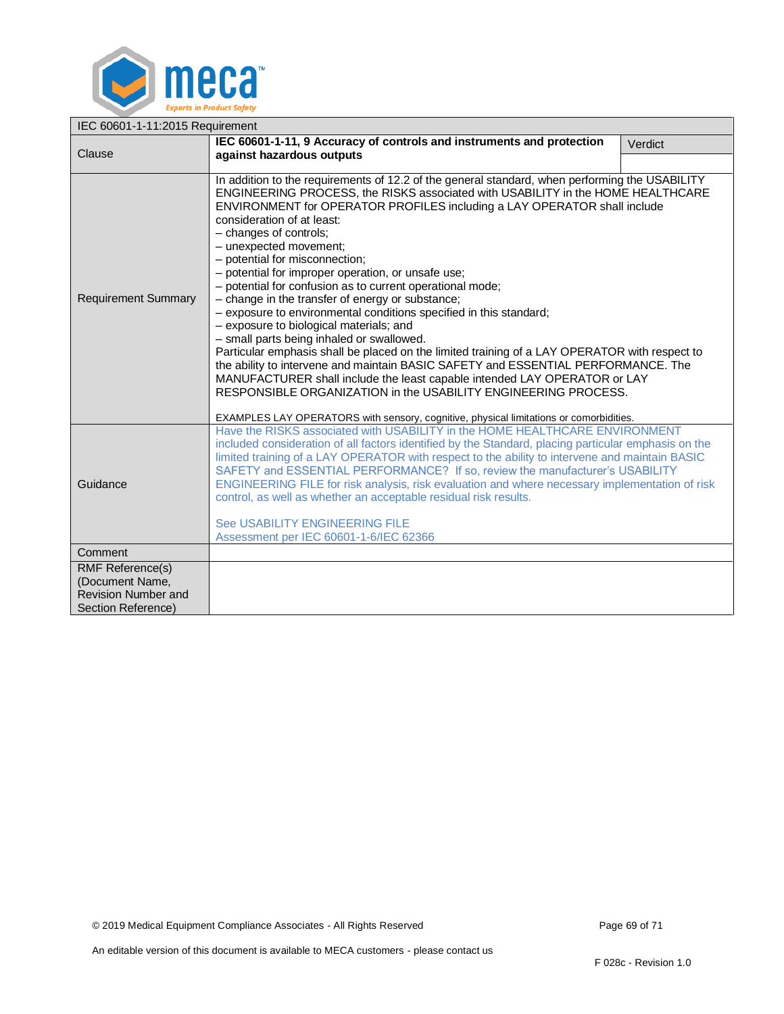

<span id="page-68-0"></span>

| IEC 60601-1-11:2015 Requirement                                                                |                                                                                                                                                                                                                                                                                                                                                                                                                                                                                                                                                                                                                                                                                                                                                                                                                                                                                                                                                                                                                                                                                                                                                       |         |  |  |  |
|------------------------------------------------------------------------------------------------|-------------------------------------------------------------------------------------------------------------------------------------------------------------------------------------------------------------------------------------------------------------------------------------------------------------------------------------------------------------------------------------------------------------------------------------------------------------------------------------------------------------------------------------------------------------------------------------------------------------------------------------------------------------------------------------------------------------------------------------------------------------------------------------------------------------------------------------------------------------------------------------------------------------------------------------------------------------------------------------------------------------------------------------------------------------------------------------------------------------------------------------------------------|---------|--|--|--|
| Clause                                                                                         | IEC 60601-1-11, 9 Accuracy of controls and instruments and protection<br>against hazardous outputs                                                                                                                                                                                                                                                                                                                                                                                                                                                                                                                                                                                                                                                                                                                                                                                                                                                                                                                                                                                                                                                    | Verdict |  |  |  |
|                                                                                                |                                                                                                                                                                                                                                                                                                                                                                                                                                                                                                                                                                                                                                                                                                                                                                                                                                                                                                                                                                                                                                                                                                                                                       |         |  |  |  |
| <b>Requirement Summary</b>                                                                     | In addition to the requirements of 12.2 of the general standard, when performing the USABILITY<br>ENGINEERING PROCESS, the RISKS associated with USABILITY in the HOME HEALTHCARE<br>ENVIRONMENT for OPERATOR PROFILES including a LAY OPERATOR shall include<br>consideration of at least:<br>- changes of controls;<br>- unexpected movement;<br>- potential for misconnection;<br>- potential for improper operation, or unsafe use;<br>- potential for confusion as to current operational mode;<br>- change in the transfer of energy or substance;<br>- exposure to environmental conditions specified in this standard;<br>- exposure to biological materials; and<br>- small parts being inhaled or swallowed.<br>Particular emphasis shall be placed on the limited training of a LAY OPERATOR with respect to<br>the ability to intervene and maintain BASIC SAFETY and ESSENTIAL PERFORMANCE. The<br>MANUFACTURER shall include the least capable intended LAY OPERATOR or LAY<br>RESPONSIBLE ORGANIZATION in the USABILITY ENGINEERING PROCESS.<br>EXAMPLES LAY OPERATORS with sensory, cognitive, physical limitations or comorbidities. |         |  |  |  |
| Guidance                                                                                       | Have the RISKS associated with USABILITY in the HOME HEALTHCARE ENVIRONMENT<br>included consideration of all factors identified by the Standard, placing particular emphasis on the<br>limited training of a LAY OPERATOR with respect to the ability to intervene and maintain BASIC<br>SAFETY and ESSENTIAL PERFORMANCE? If so, review the manufacturer's USABILITY<br>ENGINEERING FILE for risk analysis, risk evaluation and where necessary implementation of risk<br>control, as well as whether an acceptable residual risk results.<br>See USABILITY ENGINEERING FILE<br>Assessment per IEC 60601-1-6/IEC 62366                                                                                                                                                                                                                                                                                                                                                                                                                                                                                                                               |         |  |  |  |
| Comment                                                                                        |                                                                                                                                                                                                                                                                                                                                                                                                                                                                                                                                                                                                                                                                                                                                                                                                                                                                                                                                                                                                                                                                                                                                                       |         |  |  |  |
| <b>RMF Reference(s)</b><br>(Document Name,<br><b>Revision Number and</b><br>Section Reference) |                                                                                                                                                                                                                                                                                                                                                                                                                                                                                                                                                                                                                                                                                                                                                                                                                                                                                                                                                                                                                                                                                                                                                       |         |  |  |  |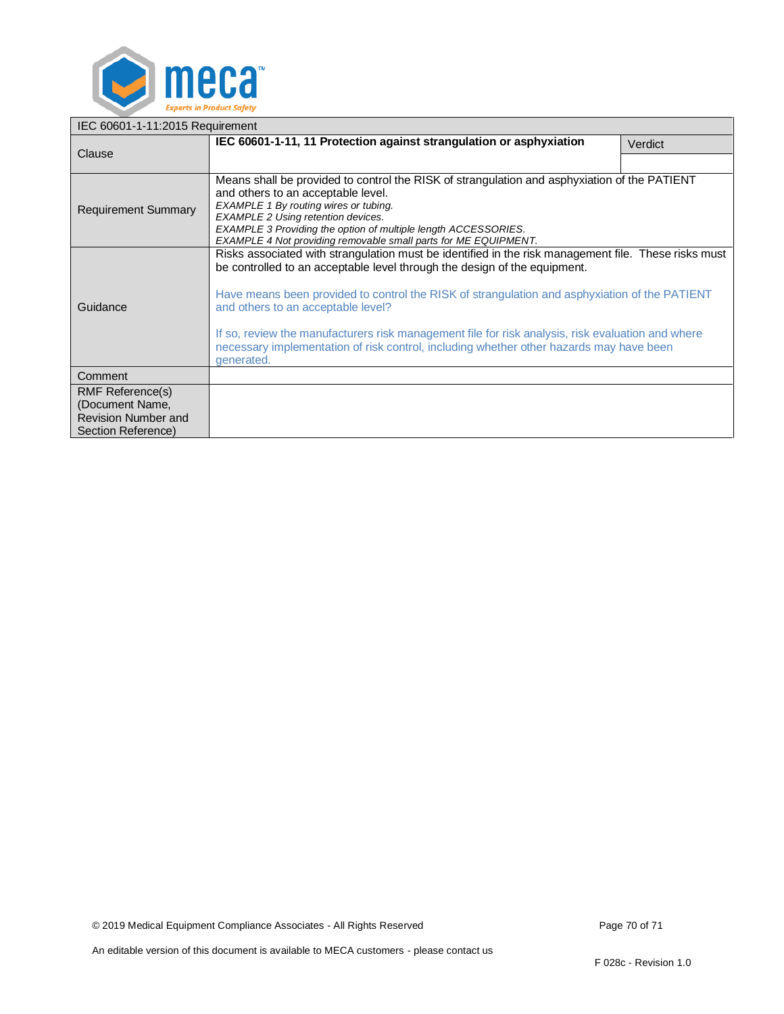

<span id="page-69-0"></span>

| IEC 60601-1-11:2015 Requirement                                                         |                                                                                                                                                                                                                                                                                                                                                                                                                                                                                                                                        |         |  |  |
|-----------------------------------------------------------------------------------------|----------------------------------------------------------------------------------------------------------------------------------------------------------------------------------------------------------------------------------------------------------------------------------------------------------------------------------------------------------------------------------------------------------------------------------------------------------------------------------------------------------------------------------------|---------|--|--|
| Clause                                                                                  | IEC 60601-1-11, 11 Protection against strangulation or asphyxiation                                                                                                                                                                                                                                                                                                                                                                                                                                                                    | Verdict |  |  |
|                                                                                         |                                                                                                                                                                                                                                                                                                                                                                                                                                                                                                                                        |         |  |  |
| <b>Requirement Summary</b>                                                              | Means shall be provided to control the RISK of strangulation and asphyxiation of the PATIENT<br>and others to an acceptable level.<br>EXAMPLE 1 By routing wires or tubing.<br><b>EXAMPLE 2 Using retention devices.</b><br>EXAMPLE 3 Providing the option of multiple length ACCESSORIES.<br>EXAMPLE 4 Not providing removable small parts for ME EQUIPMENT.                                                                                                                                                                          |         |  |  |
| Guidance                                                                                | Risks associated with strangulation must be identified in the risk management file. These risks must<br>be controlled to an acceptable level through the design of the equipment.<br>Have means been provided to control the RISK of strangulation and asphyxiation of the PATIENT<br>and others to an acceptable level?<br>If so, review the manufacturers risk management file for risk analysis, risk evaluation and where<br>necessary implementation of risk control, including whether other hazards may have been<br>generated. |         |  |  |
| Comment                                                                                 |                                                                                                                                                                                                                                                                                                                                                                                                                                                                                                                                        |         |  |  |
| RMF Reference(s)<br>(Document Name,<br><b>Revision Number and</b><br>Section Reference) |                                                                                                                                                                                                                                                                                                                                                                                                                                                                                                                                        |         |  |  |